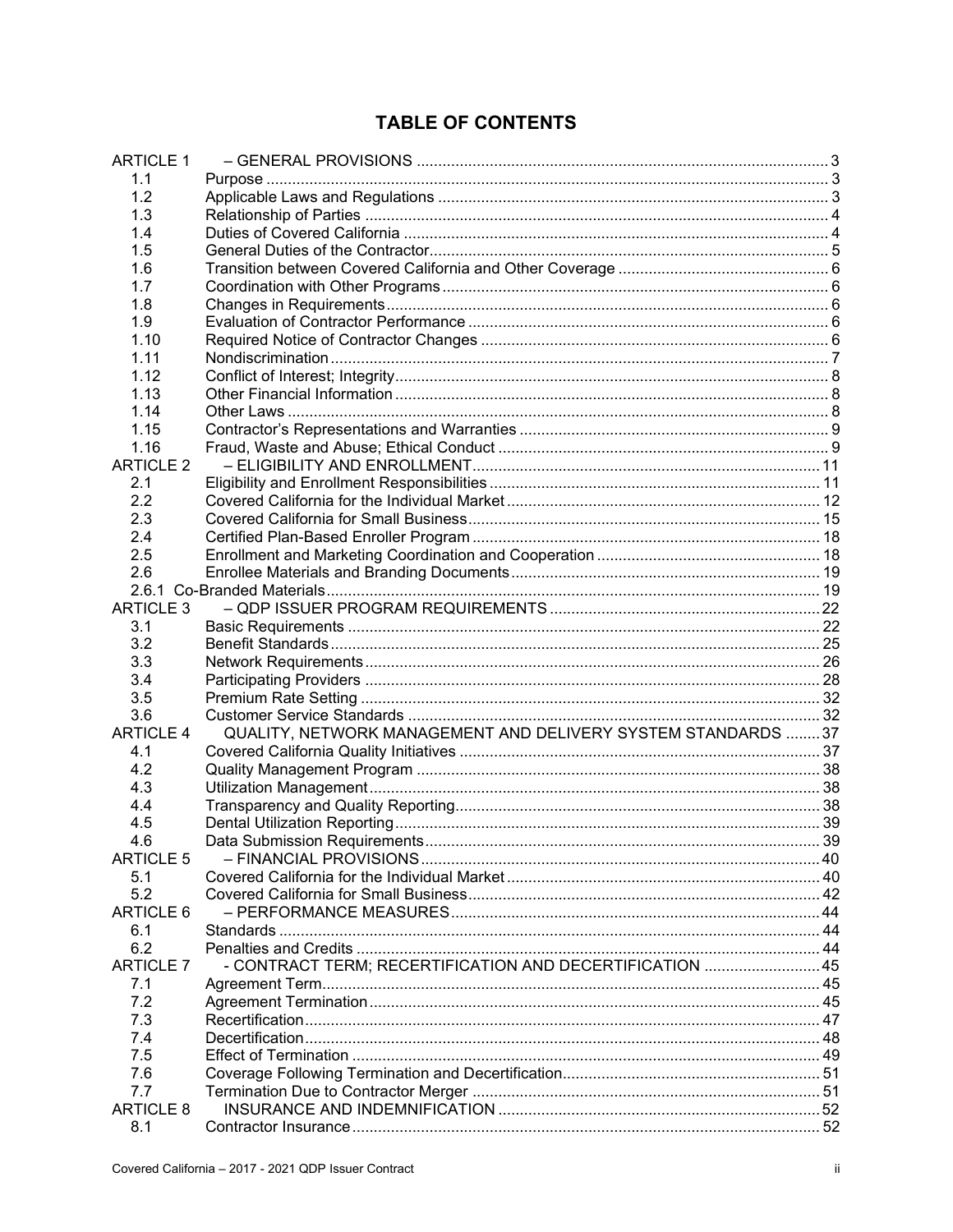# **TABLE OF CONTENTS**

| <b>ARTICLE 1</b> |                                                               |  |
|------------------|---------------------------------------------------------------|--|
| 1.1              |                                                               |  |
| 1.2              |                                                               |  |
| 1.3              |                                                               |  |
| 1.4              |                                                               |  |
| 1.5              |                                                               |  |
| 1.6              |                                                               |  |
| 1.7              |                                                               |  |
| 1.8              |                                                               |  |
| 1.9              |                                                               |  |
| 1.10             |                                                               |  |
| 1.11             |                                                               |  |
| 1.12             |                                                               |  |
|                  |                                                               |  |
| 1.13             |                                                               |  |
| 1.14             |                                                               |  |
| 1.15             |                                                               |  |
| 1.16             |                                                               |  |
| <b>ARTICLE 2</b> |                                                               |  |
| 2.1              |                                                               |  |
| 2.2              |                                                               |  |
| 2.3              |                                                               |  |
| 2.4              |                                                               |  |
| 2.5              |                                                               |  |
| 2.6              |                                                               |  |
|                  |                                                               |  |
| <b>ARTICLE 3</b> |                                                               |  |
| 3.1              |                                                               |  |
| 3.2              |                                                               |  |
| 3.3              |                                                               |  |
| 3.4              |                                                               |  |
| 3.5              |                                                               |  |
| 3.6              |                                                               |  |
|                  |                                                               |  |
| <b>ARTICLE 4</b> | QUALITY, NETWORK MANAGEMENT AND DELIVERY SYSTEM STANDARDS  37 |  |
| 4.1              |                                                               |  |
| 4.2              |                                                               |  |
| 4.3              |                                                               |  |
| 4.4              |                                                               |  |
| 4.5              |                                                               |  |
| 4.6              |                                                               |  |
| <b>ARTICLE 5</b> |                                                               |  |
| 5.1              |                                                               |  |
| 5.2              |                                                               |  |
| <b>ARTICLE 6</b> |                                                               |  |
| 6.1              |                                                               |  |
| 6.2              |                                                               |  |
| <b>ARTICLE 7</b> | - CONTRACT TERM; RECERTIFICATION AND DECERTIFICATION 45       |  |
| 7.1              |                                                               |  |
| 7.2              |                                                               |  |
| 7.3              |                                                               |  |
| 7.4              |                                                               |  |
| 7.5              |                                                               |  |
| 7.6              |                                                               |  |
| 7.7              |                                                               |  |
| <b>ARTICLE 8</b> |                                                               |  |
|                  |                                                               |  |
| 8.1              |                                                               |  |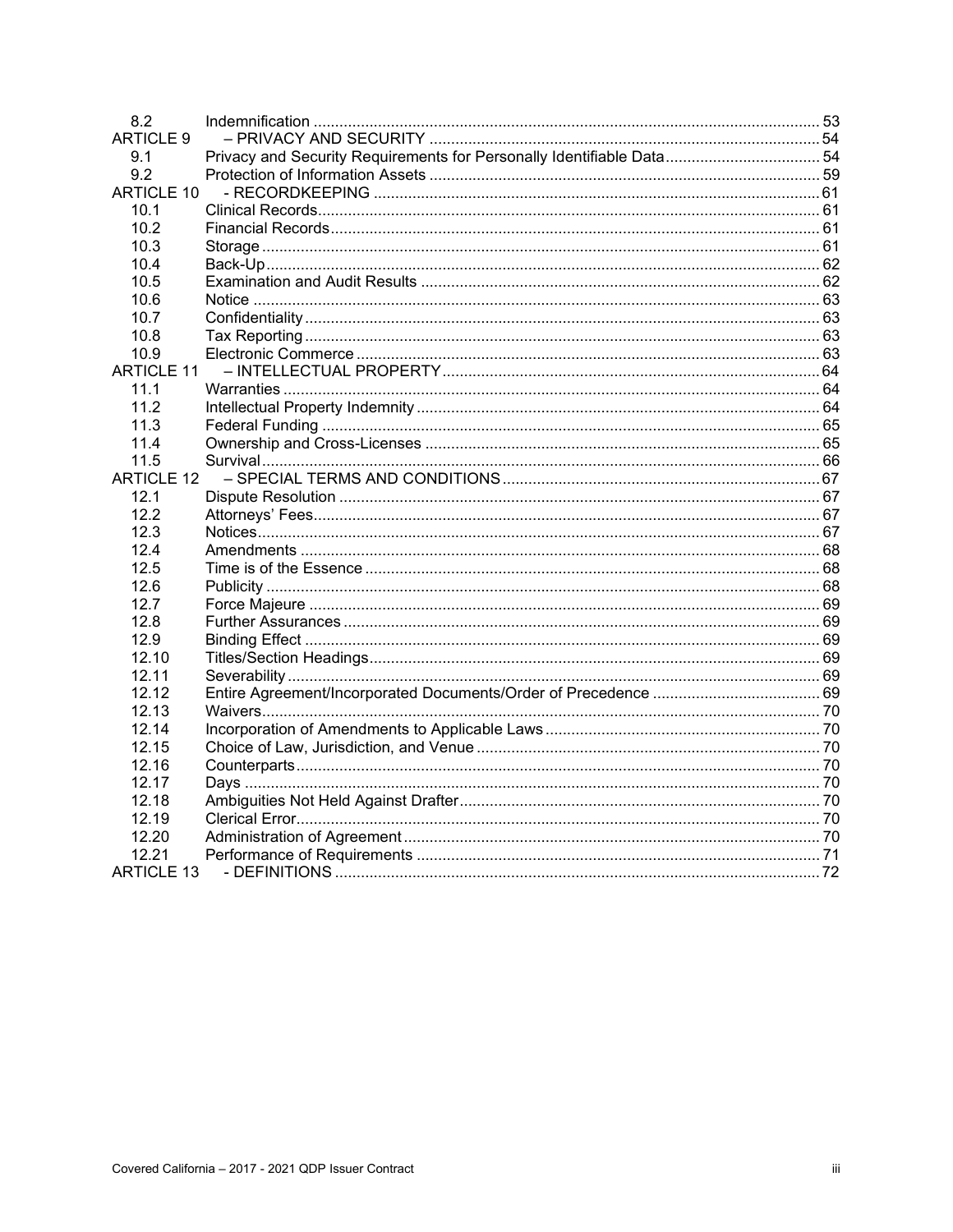| 8.2               |                                                                       |  |
|-------------------|-----------------------------------------------------------------------|--|
| <b>ARTICLE 9</b>  |                                                                       |  |
| 9.1               | Privacy and Security Requirements for Personally Identifiable Data 54 |  |
| 9.2               |                                                                       |  |
| <b>ARTICLE 10</b> |                                                                       |  |
| 10.1              |                                                                       |  |
| 10.2              |                                                                       |  |
| 10.3              |                                                                       |  |
| 10.4              |                                                                       |  |
| 10.5              |                                                                       |  |
| 10.6              |                                                                       |  |
| 10.7              |                                                                       |  |
| 10.8              |                                                                       |  |
| 10.9              |                                                                       |  |
| <b>ARTICLE 11</b> |                                                                       |  |
| 11.1              |                                                                       |  |
| 11.2              |                                                                       |  |
| 11.3              |                                                                       |  |
| 11.4              |                                                                       |  |
| 11.5              |                                                                       |  |
| <b>ARTICLE 12</b> |                                                                       |  |
| 12.1              |                                                                       |  |
| 12.2              |                                                                       |  |
| 12.3              |                                                                       |  |
| 12.4              |                                                                       |  |
| 12.5              |                                                                       |  |
| 12.6              |                                                                       |  |
| 12.7              |                                                                       |  |
| 12.8              |                                                                       |  |
| 12.9              |                                                                       |  |
| 12.10             |                                                                       |  |
| 12.11             |                                                                       |  |
| 12.12             |                                                                       |  |
| 12.13             |                                                                       |  |
| 12.14             |                                                                       |  |
| 12.15             |                                                                       |  |
| 12.16             |                                                                       |  |
| 12.17             |                                                                       |  |
| 12.18             |                                                                       |  |
| 12.19             |                                                                       |  |
| 12.20             |                                                                       |  |
| 12.21             |                                                                       |  |
| ARTICLE 13        |                                                                       |  |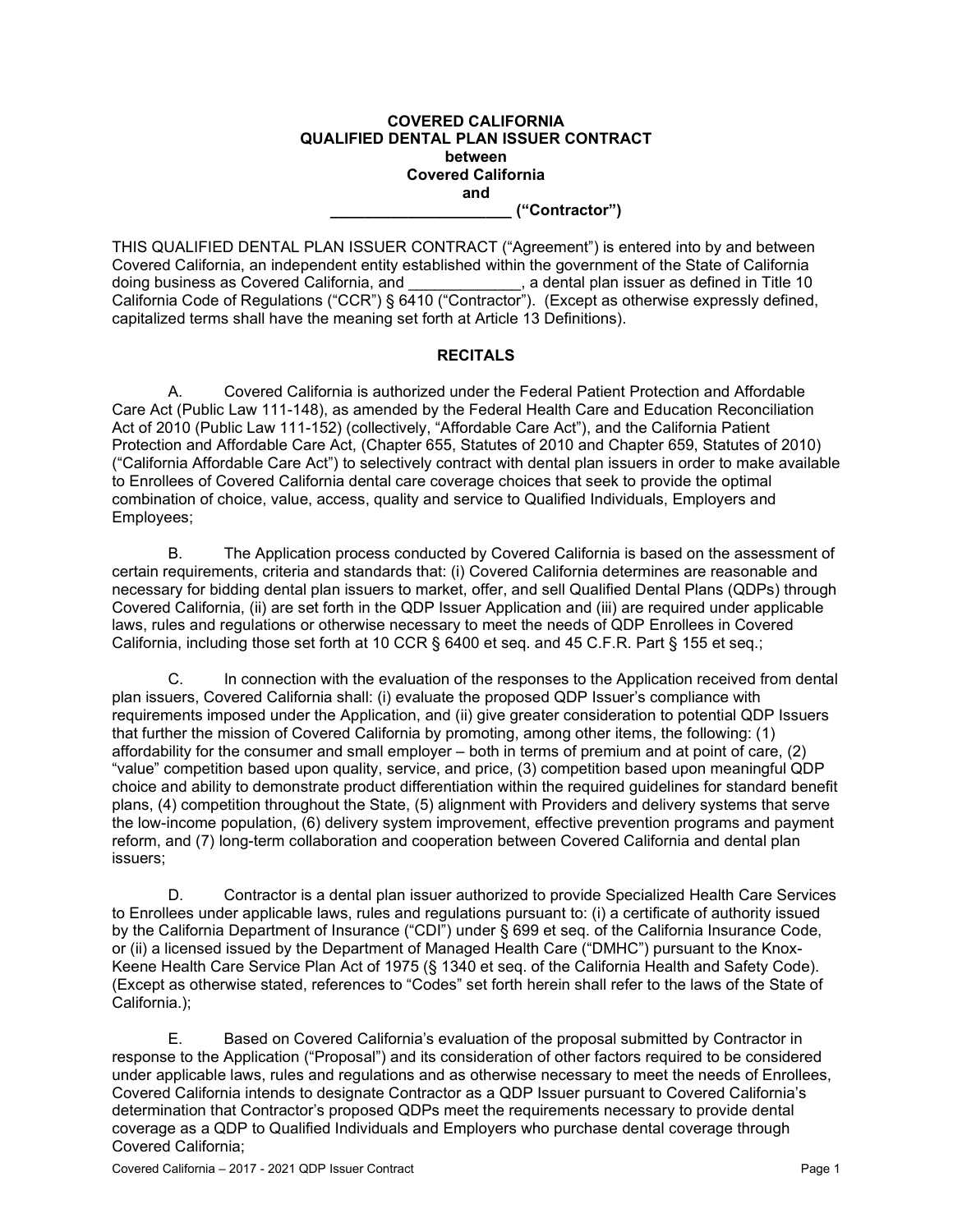#### **COVERED CALIFORNIA QUALIFIED DENTAL PLAN ISSUER CONTRACT between Covered California and \_\_\_\_\_\_\_\_\_\_\_\_\_\_\_\_\_\_\_\_\_ ("Contractor")**

THIS QUALIFIED DENTAL PLAN ISSUER CONTRACT ("Agreement") is entered into by and between Covered California, an independent entity established within the government of the State of California  $\overline{a}$ , a dental plan issuer as defined in Title 10 California Code of Regulations ("CCR") § 6410 ("Contractor"). (Except as otherwise expressly defined, capitalized terms shall have the meaning set forth at Article 13 Definitions).

#### **RECITALS**

A. Covered California is authorized under the Federal Patient Protection and Affordable Care Act (Public Law 111-148), as amended by the Federal Health Care and Education Reconciliation Act of 2010 (Public Law 111-152) (collectively, "Affordable Care Act"), and the California Patient Protection and Affordable Care Act, (Chapter 655, Statutes of 2010 and Chapter 659, Statutes of 2010) ("California Affordable Care Act") to selectively contract with dental plan issuers in order to make available to Enrollees of Covered California dental care coverage choices that seek to provide the optimal combination of choice, value, access, quality and service to Qualified Individuals, Employers and Employees;

B. The Application process conducted by Covered California is based on the assessment of certain requirements, criteria and standards that: (i) Covered California determines are reasonable and necessary for bidding dental plan issuers to market, offer, and sell Qualified Dental Plans (QDPs) through Covered California, (ii) are set forth in the QDP Issuer Application and (iii) are required under applicable laws, rules and regulations or otherwise necessary to meet the needs of QDP Enrollees in Covered California, including those set forth at 10 CCR § 6400 et seq. and 45 C.F.R. Part § 155 et seq.;

C. In connection with the evaluation of the responses to the Application received from dental plan issuers, Covered California shall: (i) evaluate the proposed QDP Issuer's compliance with requirements imposed under the Application, and (ii) give greater consideration to potential QDP Issuers that further the mission of Covered California by promoting, among other items, the following: (1) affordability for the consumer and small employer – both in terms of premium and at point of care, (2) "value" competition based upon quality, service, and price, (3) competition based upon meaningful QDP choice and ability to demonstrate product differentiation within the required guidelines for standard benefit plans, (4) competition throughout the State, (5) alignment with Providers and delivery systems that serve the low-income population, (6) delivery system improvement, effective prevention programs and payment reform, and (7) long-term collaboration and cooperation between Covered California and dental plan issuers;

D. Contractor is a dental plan issuer authorized to provide Specialized Health Care Services to Enrollees under applicable laws, rules and regulations pursuant to: (i) a certificate of authority issued by the California Department of Insurance ("CDI") under § 699 et seq. of the California Insurance Code, or (ii) a licensed issued by the Department of Managed Health Care ("DMHC") pursuant to the Knox-Keene Health Care Service Plan Act of 1975 (§ 1340 et seq. of the California Health and Safety Code). (Except as otherwise stated, references to "Codes" set forth herein shall refer to the laws of the State of California.);

E. Based on Covered California's evaluation of the proposal submitted by Contractor in response to the Application ("Proposal") and its consideration of other factors required to be considered under applicable laws, rules and regulations and as otherwise necessary to meet the needs of Enrollees, Covered California intends to designate Contractor as a QDP Issuer pursuant to Covered California's determination that Contractor's proposed QDPs meet the requirements necessary to provide dental coverage as a QDP to Qualified Individuals and Employers who purchase dental coverage through Covered California;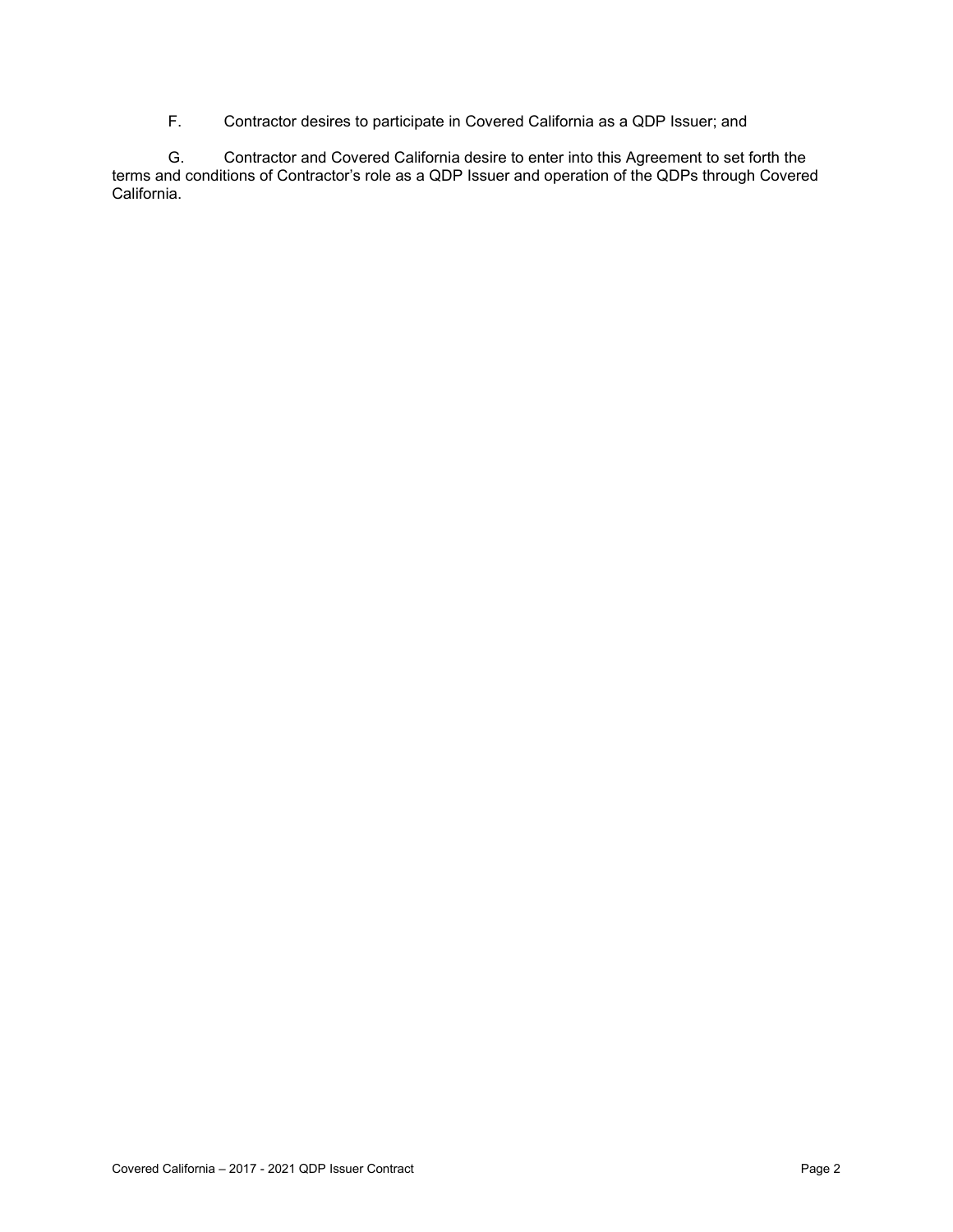F. Contractor desires to participate in Covered California as a QDP Issuer; and

G. Contractor and Covered California desire to enter into this Agreement to set forth the terms and conditions of Contractor's role as a QDP Issuer and operation of the QDPs through Covered California.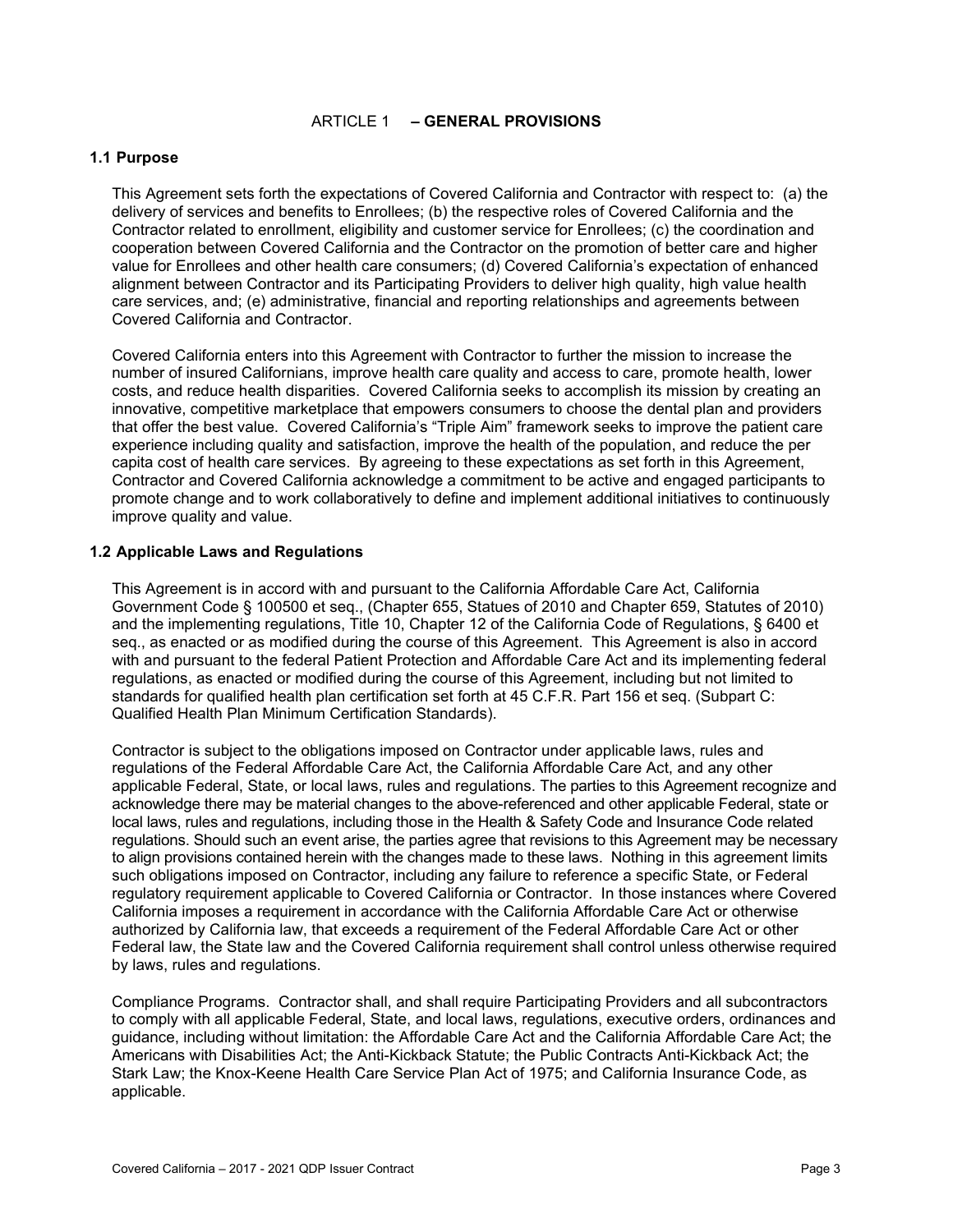#### ARTICLE 1 **– GENERAL PROVISIONS**

#### **1.1 Purpose**

This Agreement sets forth the expectations of Covered California and Contractor with respect to: (a) the delivery of services and benefits to Enrollees; (b) the respective roles of Covered California and the Contractor related to enrollment, eligibility and customer service for Enrollees; (c) the coordination and cooperation between Covered California and the Contractor on the promotion of better care and higher value for Enrollees and other health care consumers; (d) Covered California's expectation of enhanced alignment between Contractor and its Participating Providers to deliver high quality, high value health care services, and; (e) administrative, financial and reporting relationships and agreements between Covered California and Contractor.

Covered California enters into this Agreement with Contractor to further the mission to increase the number of insured Californians, improve health care quality and access to care, promote health, lower costs, and reduce health disparities. Covered California seeks to accomplish its mission by creating an innovative, competitive marketplace that empowers consumers to choose the dental plan and providers that offer the best value. Covered California's "Triple Aim" framework seeks to improve the patient care experience including quality and satisfaction, improve the health of the population, and reduce the per capita cost of health care services. By agreeing to these expectations as set forth in this Agreement, Contractor and Covered California acknowledge a commitment to be active and engaged participants to promote change and to work collaboratively to define and implement additional initiatives to continuously improve quality and value.

#### **1.2 Applicable Laws and Regulations**

This Agreement is in accord with and pursuant to the California Affordable Care Act, California Government Code § 100500 et seq., (Chapter 655, Statues of 2010 and Chapter 659, Statutes of 2010) and the implementing regulations, Title 10, Chapter 12 of the California Code of Regulations, § 6400 et seq., as enacted or as modified during the course of this Agreement. This Agreement is also in accord with and pursuant to the federal Patient Protection and Affordable Care Act and its implementing federal regulations, as enacted or modified during the course of this Agreement, including but not limited to standards for qualified health plan certification set forth at 45 C.F.R. Part 156 et seq. (Subpart C: Qualified Health Plan Minimum Certification Standards).

Contractor is subject to the obligations imposed on Contractor under applicable laws, rules and regulations of the Federal Affordable Care Act, the California Affordable Care Act, and any other applicable Federal, State, or local laws, rules and regulations. The parties to this Agreement recognize and acknowledge there may be material changes to the above-referenced and other applicable Federal, state or local laws, rules and regulations, including those in the Health & Safety Code and Insurance Code related regulations. Should such an event arise, the parties agree that revisions to this Agreement may be necessary to align provisions contained herein with the changes made to these laws. Nothing in this agreement limits such obligations imposed on Contractor, including any failure to reference a specific State, or Federal regulatory requirement applicable to Covered California or Contractor. In those instances where Covered California imposes a requirement in accordance with the California Affordable Care Act or otherwise authorized by California law, that exceeds a requirement of the Federal Affordable Care Act or other Federal law, the State law and the Covered California requirement shall control unless otherwise required by laws, rules and regulations.

Compliance Programs. Contractor shall, and shall require Participating Providers and all subcontractors to comply with all applicable Federal, State, and local laws, regulations, executive orders, ordinances and guidance, including without limitation: the Affordable Care Act and the California Affordable Care Act; the Americans with Disabilities Act; the Anti-Kickback Statute; the Public Contracts Anti-Kickback Act; the Stark Law; the Knox-Keene Health Care Service Plan Act of 1975; and California Insurance Code, as applicable.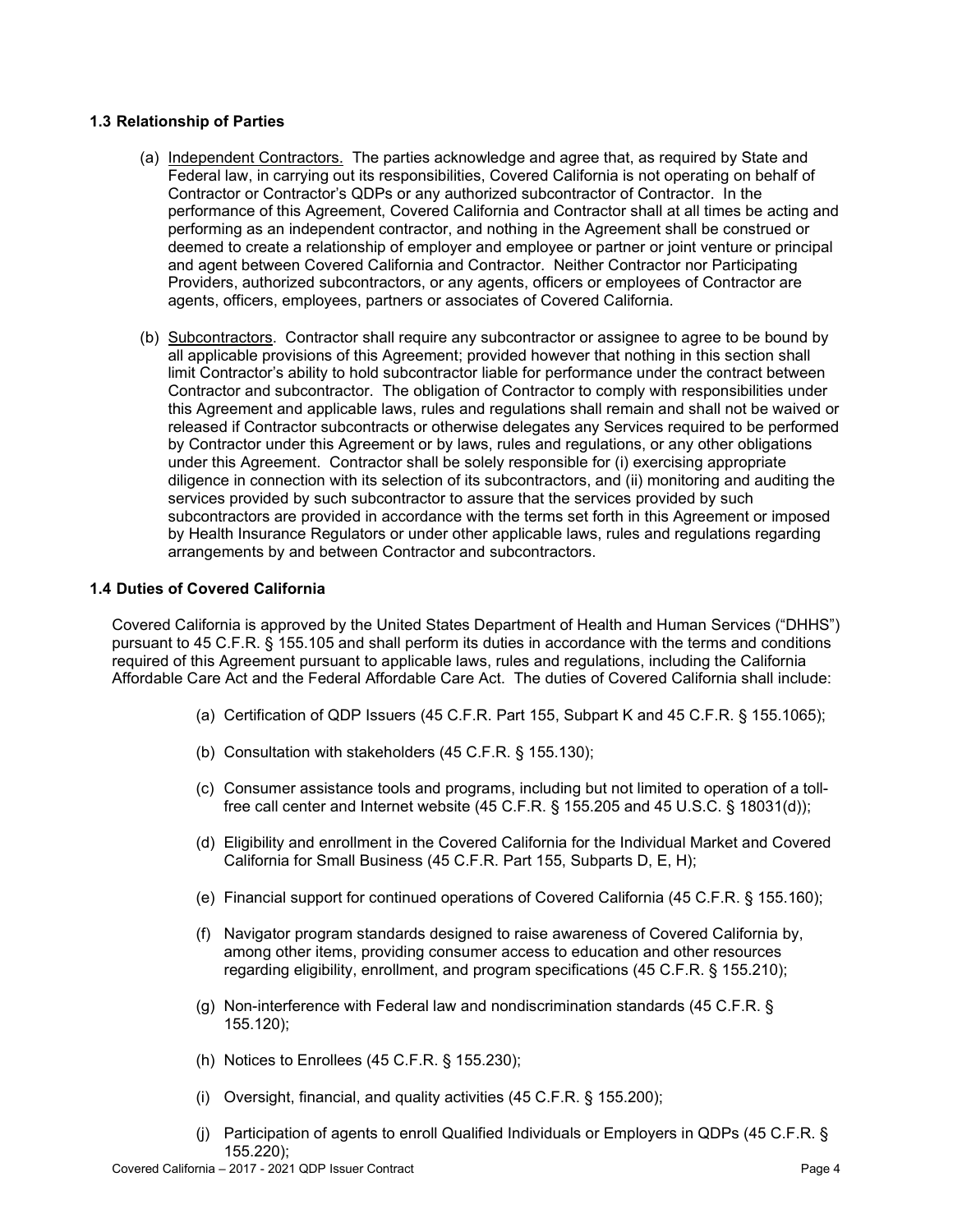#### **1.3 Relationship of Parties**

- (a) Independent Contractors. The parties acknowledge and agree that, as required by State and Federal law, in carrying out its responsibilities, Covered California is not operating on behalf of Contractor or Contractor's QDPs or any authorized subcontractor of Contractor. In the performance of this Agreement, Covered California and Contractor shall at all times be acting and performing as an independent contractor, and nothing in the Agreement shall be construed or deemed to create a relationship of employer and employee or partner or joint venture or principal and agent between Covered California and Contractor. Neither Contractor nor Participating Providers, authorized subcontractors, or any agents, officers or employees of Contractor are agents, officers, employees, partners or associates of Covered California.
- (b) Subcontractors. Contractor shall require any subcontractor or assignee to agree to be bound by all applicable provisions of this Agreement; provided however that nothing in this section shall limit Contractor's ability to hold subcontractor liable for performance under the contract between Contractor and subcontractor. The obligation of Contractor to comply with responsibilities under this Agreement and applicable laws, rules and regulations shall remain and shall not be waived or released if Contractor subcontracts or otherwise delegates any Services required to be performed by Contractor under this Agreement or by laws, rules and regulations, or any other obligations under this Agreement. Contractor shall be solely responsible for (i) exercising appropriate diligence in connection with its selection of its subcontractors, and (ii) monitoring and auditing the services provided by such subcontractor to assure that the services provided by such subcontractors are provided in accordance with the terms set forth in this Agreement or imposed by Health Insurance Regulators or under other applicable laws, rules and regulations regarding arrangements by and between Contractor and subcontractors.

#### **1.4 Duties of Covered California**

Covered California is approved by the United States Department of Health and Human Services ("DHHS") pursuant to 45 C.F.R. § 155.105 and shall perform its duties in accordance with the terms and conditions required of this Agreement pursuant to applicable laws, rules and regulations, including the California Affordable Care Act and the Federal Affordable Care Act. The duties of Covered California shall include:

- (a) Certification of QDP Issuers (45 C.F.R. Part 155, Subpart K and 45 C.F.R. § 155.1065);
- (b) Consultation with stakeholders (45 C.F.R. § 155.130);
- (c) Consumer assistance tools and programs, including but not limited to operation of a tollfree call center and Internet website (45 C.F.R. § 155.205 and 45 U.S.C. § 18031(d));
- (d) Eligibility and enrollment in the Covered California for the Individual Market and Covered California for Small Business (45 C.F.R. Part 155, Subparts D, E, H);
- (e) Financial support for continued operations of Covered California (45 C.F.R. § 155.160);
- (f) Navigator program standards designed to raise awareness of Covered California by, among other items, providing consumer access to education and other resources regarding eligibility, enrollment, and program specifications (45 C.F.R. § 155.210);
- (g) Non-interference with Federal law and nondiscrimination standards (45 C.F.R. § 155.120);
- (h) Notices to Enrollees (45 C.F.R. § 155.230);
- (i) Oversight, financial, and quality activities (45 C.F.R. § 155.200);
- (j) Participation of agents to enroll Qualified Individuals or Employers in QDPs (45 C.F.R. § 155.220);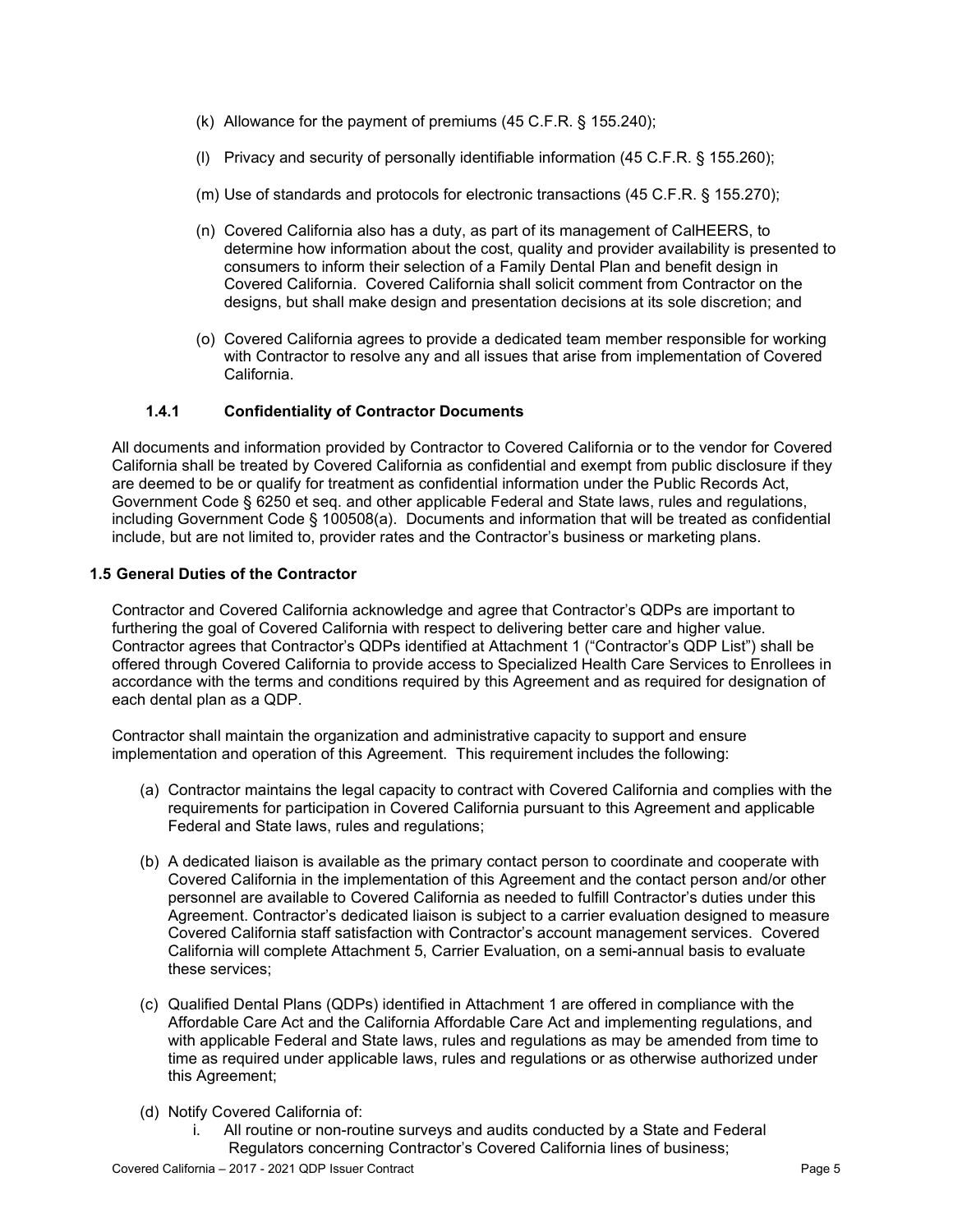- (k) Allowance for the payment of premiums (45 C.F.R. § 155.240);
- (l) Privacy and security of personally identifiable information (45 C.F.R. § 155.260);
- (m) Use of standards and protocols for electronic transactions (45 C.F.R. § 155.270);
- (n) Covered California also has a duty, as part of its management of CalHEERS, to determine how information about the cost, quality and provider availability is presented to consumers to inform their selection of a Family Dental Plan and benefit design in Covered California. Covered California shall solicit comment from Contractor on the designs, but shall make design and presentation decisions at its sole discretion; and
- (o) Covered California agrees to provide a dedicated team member responsible for working with Contractor to resolve any and all issues that arise from implementation of Covered California.

#### **1.4.1 Confidentiality of Contractor Documents**

All documents and information provided by Contractor to Covered California or to the vendor for Covered California shall be treated by Covered California as confidential and exempt from public disclosure if they are deemed to be or qualify for treatment as confidential information under the Public Records Act, Government Code § 6250 et seq. and other applicable Federal and State laws, rules and regulations, including Government Code § 100508(a). Documents and information that will be treated as confidential include, but are not limited to, provider rates and the Contractor's business or marketing plans.

### **1.5 General Duties of the Contractor**

Contractor and Covered California acknowledge and agree that Contractor's QDPs are important to furthering the goal of Covered California with respect to delivering better care and higher value. Contractor agrees that Contractor's QDPs identified at Attachment 1 ("Contractor's QDP List") shall be offered through Covered California to provide access to Specialized Health Care Services to Enrollees in accordance with the terms and conditions required by this Agreement and as required for designation of each dental plan as a QDP.

Contractor shall maintain the organization and administrative capacity to support and ensure implementation and operation of this Agreement. This requirement includes the following:

- (a) Contractor maintains the legal capacity to contract with Covered California and complies with the requirements for participation in Covered California pursuant to this Agreement and applicable Federal and State laws, rules and regulations;
- (b) A dedicated liaison is available as the primary contact person to coordinate and cooperate with Covered California in the implementation of this Agreement and the contact person and/or other personnel are available to Covered California as needed to fulfill Contractor's duties under this Agreement. Contractor's dedicated liaison is subject to a carrier evaluation designed to measure Covered California staff satisfaction with Contractor's account management services. Covered California will complete Attachment 5, Carrier Evaluation, on a semi-annual basis to evaluate these services;
- (c) Qualified Dental Plans (QDPs) identified in Attachment 1 are offered in compliance with the Affordable Care Act and the California Affordable Care Act and implementing regulations, and with applicable Federal and State laws, rules and regulations as may be amended from time to time as required under applicable laws, rules and regulations or as otherwise authorized under this Agreement;
- (d) Notify Covered California of:
	- i. All routine or non-routine surveys and audits conducted by a State and Federal Regulators concerning Contractor's Covered California lines of business;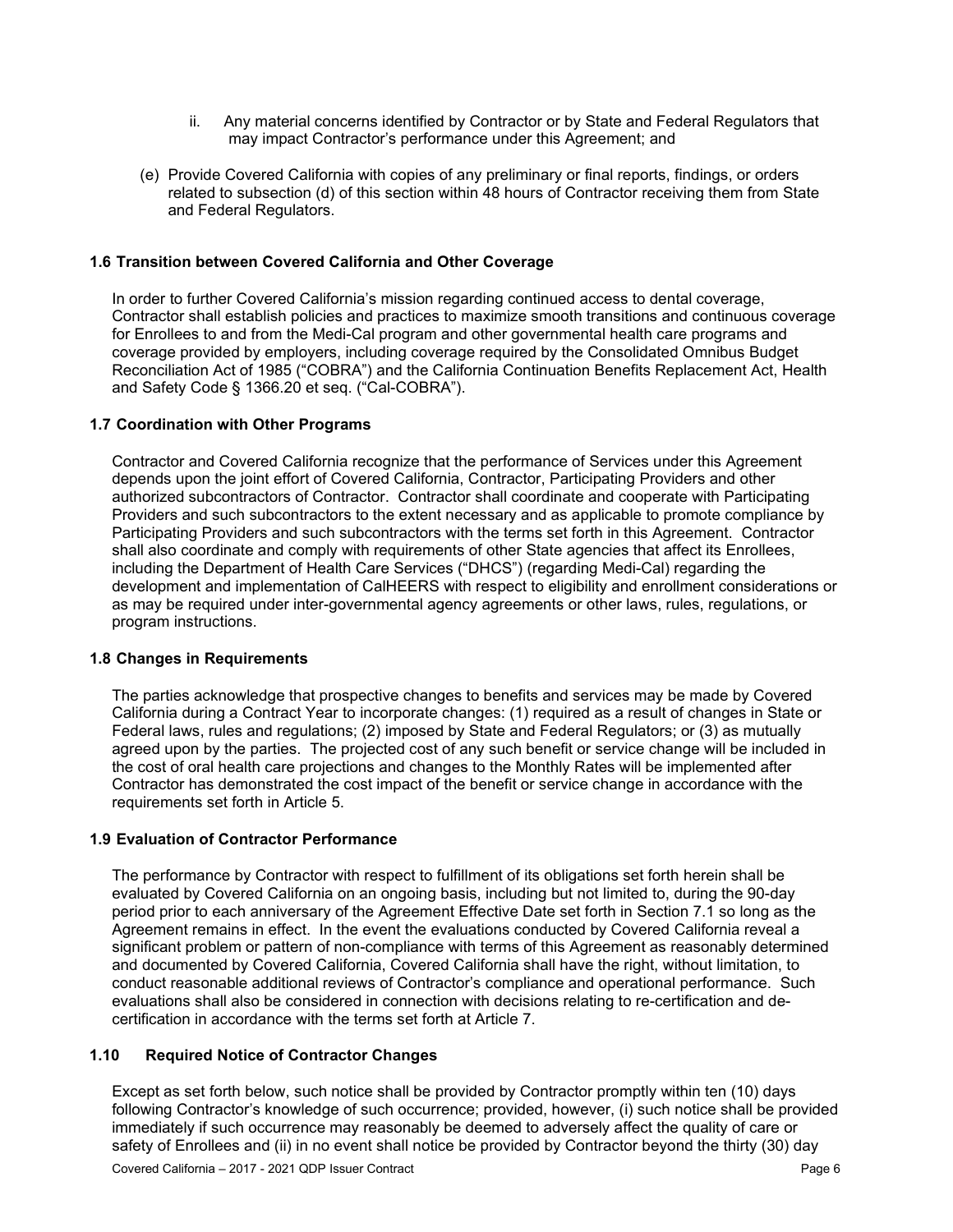- ii. Any material concerns identified by Contractor or by State and Federal Regulators that may impact Contractor's performance under this Agreement; and
- (e) Provide Covered California with copies of any preliminary or final reports, findings, or orders related to subsection (d) of this section within 48 hours of Contractor receiving them from State and Federal Regulators.

#### **1.6 Transition between Covered California and Other Coverage**

In order to further Covered California's mission regarding continued access to dental coverage, Contractor shall establish policies and practices to maximize smooth transitions and continuous coverage for Enrollees to and from the Medi-Cal program and other governmental health care programs and coverage provided by employers, including coverage required by the Consolidated Omnibus Budget Reconciliation Act of 1985 ("COBRA") and the California Continuation Benefits Replacement Act, Health and Safety Code § 1366.20 et seq. ("Cal-COBRA").

#### **1.7 Coordination with Other Programs**

Contractor and Covered California recognize that the performance of Services under this Agreement depends upon the joint effort of Covered California, Contractor, Participating Providers and other authorized subcontractors of Contractor. Contractor shall coordinate and cooperate with Participating Providers and such subcontractors to the extent necessary and as applicable to promote compliance by Participating Providers and such subcontractors with the terms set forth in this Agreement. Contractor shall also coordinate and comply with requirements of other State agencies that affect its Enrollees, including the Department of Health Care Services ("DHCS") (regarding Medi-Cal) regarding the development and implementation of CalHEERS with respect to eligibility and enrollment considerations or as may be required under inter-governmental agency agreements or other laws, rules, regulations, or program instructions.

#### **1.8 Changes in Requirements**

The parties acknowledge that prospective changes to benefits and services may be made by Covered California during a Contract Year to incorporate changes: (1) required as a result of changes in State or Federal laws, rules and regulations; (2) imposed by State and Federal Regulators; or (3) as mutually agreed upon by the parties. The projected cost of any such benefit or service change will be included in the cost of oral health care projections and changes to the Monthly Rates will be implemented after Contractor has demonstrated the cost impact of the benefit or service change in accordance with the requirements set forth in Article 5.

#### **1.9 Evaluation of Contractor Performance**

The performance by Contractor with respect to fulfillment of its obligations set forth herein shall be evaluated by Covered California on an ongoing basis, including but not limited to, during the 90-day period prior to each anniversary of the Agreement Effective Date set forth in Section 7.1 so long as the Agreement remains in effect. In the event the evaluations conducted by Covered California reveal a significant problem or pattern of non-compliance with terms of this Agreement as reasonably determined and documented by Covered California, Covered California shall have the right, without limitation, to conduct reasonable additional reviews of Contractor's compliance and operational performance. Such evaluations shall also be considered in connection with decisions relating to re-certification and decertification in accordance with the terms set forth at Article 7.

#### **1.10 Required Notice of Contractor Changes**

Except as set forth below, such notice shall be provided by Contractor promptly within ten (10) days following Contractor's knowledge of such occurrence; provided, however, (i) such notice shall be provided immediately if such occurrence may reasonably be deemed to adversely affect the quality of care or safety of Enrollees and (ii) in no event shall notice be provided by Contractor beyond the thirty (30) day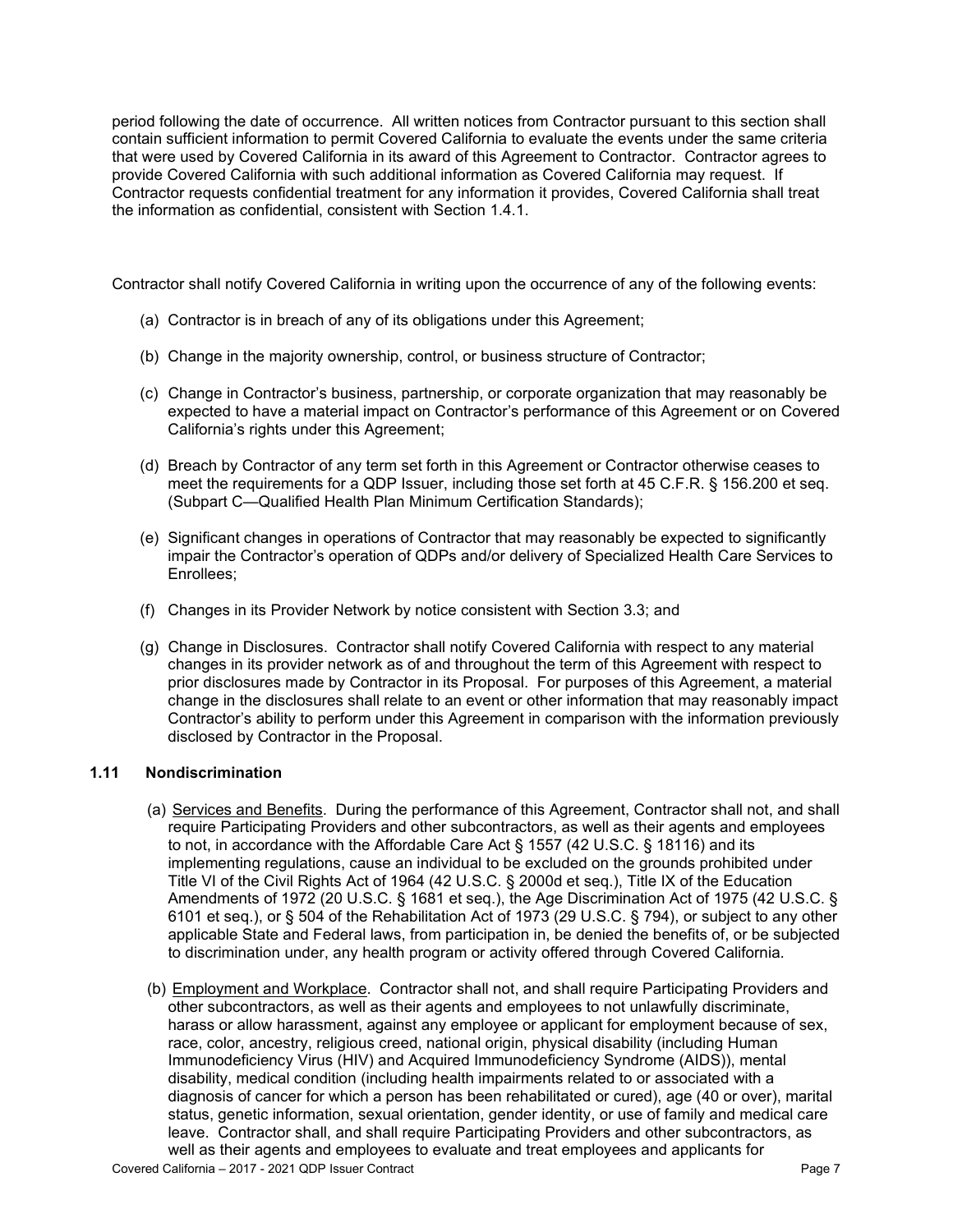period following the date of occurrence. All written notices from Contractor pursuant to this section shall contain sufficient information to permit Covered California to evaluate the events under the same criteria that were used by Covered California in its award of this Agreement to Contractor. Contractor agrees to provide Covered California with such additional information as Covered California may request. If Contractor requests confidential treatment for any information it provides, Covered California shall treat the information as confidential, consistent with Section 1.4.1.

Contractor shall notify Covered California in writing upon the occurrence of any of the following events:

- (a) Contractor is in breach of any of its obligations under this Agreement;
- (b) Change in the majority ownership, control, or business structure of Contractor;
- (c) Change in Contractor's business, partnership, or corporate organization that may reasonably be expected to have a material impact on Contractor's performance of this Agreement or on Covered California's rights under this Agreement;
- (d) Breach by Contractor of any term set forth in this Agreement or Contractor otherwise ceases to meet the requirements for a QDP Issuer, including those set forth at 45 C.F.R. § 156.200 et seq. (Subpart C—Qualified Health Plan Minimum Certification Standards);
- (e) Significant changes in operations of Contractor that may reasonably be expected to significantly impair the Contractor's operation of QDPs and/or delivery of Specialized Health Care Services to Enrollees;
- (f) Changes in its Provider Network by notice consistent with Section 3.3; and
- (g) Change in Disclosures. Contractor shall notify Covered California with respect to any material changes in its provider network as of and throughout the term of this Agreement with respect to prior disclosures made by Contractor in its Proposal. For purposes of this Agreement, a material change in the disclosures shall relate to an event or other information that may reasonably impact Contractor's ability to perform under this Agreement in comparison with the information previously disclosed by Contractor in the Proposal.

### **1.11 Nondiscrimination**

- (a) Services and Benefits. During the performance of this Agreement, Contractor shall not, and shall require Participating Providers and other subcontractors, as well as their agents and employees to not, in accordance with the Affordable Care Act § 1557 (42 U.S.C. § 18116) and its implementing regulations, cause an individual to be excluded on the grounds prohibited under Title VI of the Civil Rights Act of 1964 (42 U.S.C. § 2000d et seq.), Title IX of the Education Amendments of 1972 (20 U.S.C. § 1681 et seq.), the Age Discrimination Act of 1975 (42 U.S.C. § 6101 et seq.), or § 504 of the Rehabilitation Act of 1973 (29 U.S.C. § 794), or subject to any other applicable State and Federal laws, from participation in, be denied the benefits of, or be subjected to discrimination under, any health program or activity offered through Covered California.
- (b) Employment and Workplace. Contractor shall not, and shall require Participating Providers and other subcontractors, as well as their agents and employees to not unlawfully discriminate, harass or allow harassment, against any employee or applicant for employment because of sex, race, color, ancestry, religious creed, national origin, physical disability (including Human Immunodeficiency Virus (HIV) and Acquired Immunodeficiency Syndrome (AIDS)), mental disability, medical condition (including health impairments related to or associated with a diagnosis of cancer for which a person has been rehabilitated or cured), age (40 or over), marital status, genetic information, sexual orientation, gender identity, or use of family and medical care leave. Contractor shall, and shall require Participating Providers and other subcontractors, as well as their agents and employees to evaluate and treat employees and applicants for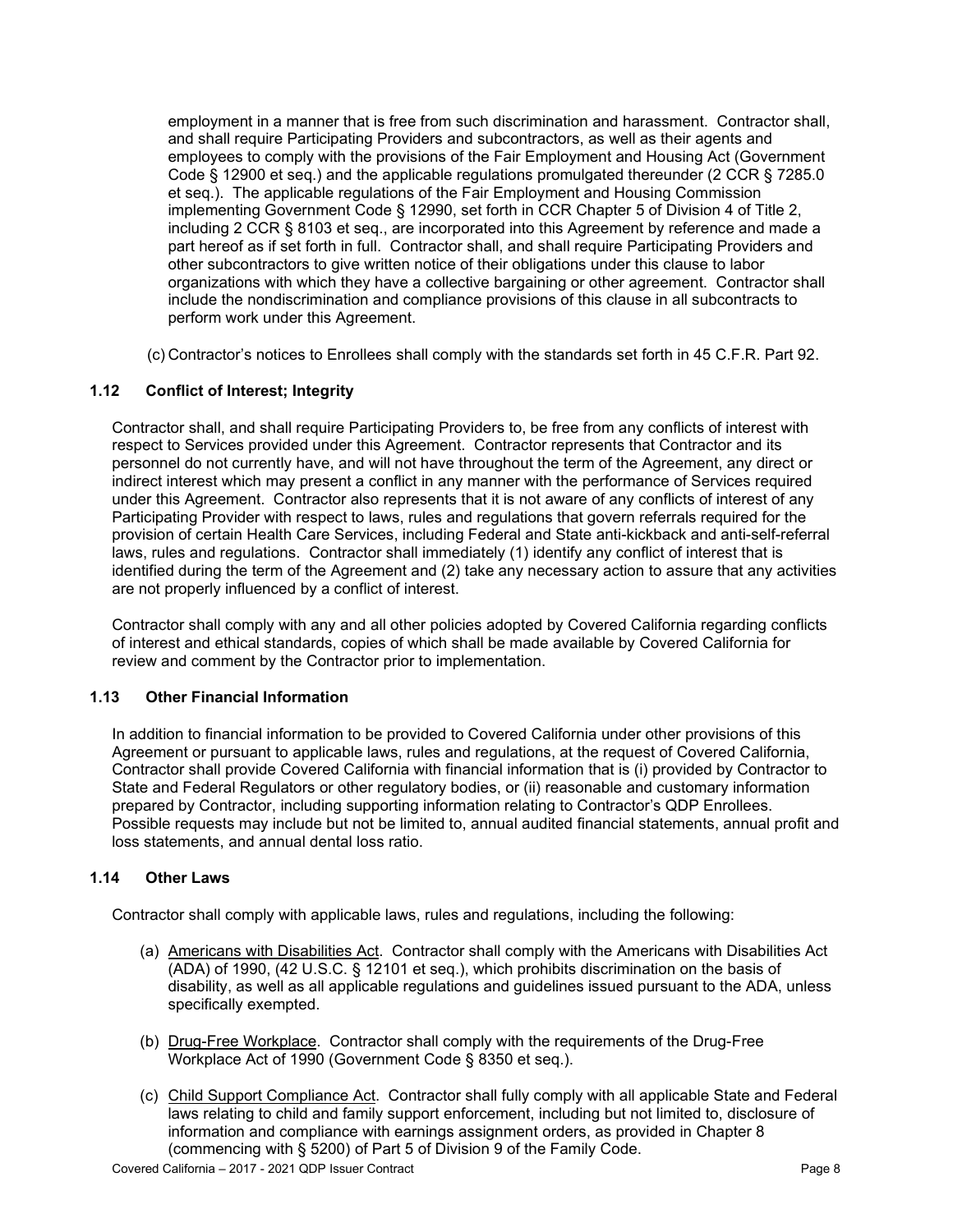employment in a manner that is free from such discrimination and harassment. Contractor shall, and shall require Participating Providers and subcontractors, as well as their agents and employees to comply with the provisions of the Fair Employment and Housing Act (Government Code § 12900 et seq.) and the applicable regulations promulgated thereunder (2 CCR § 7285.0 et seq.). The applicable regulations of the Fair Employment and Housing Commission implementing Government Code § 12990, set forth in CCR Chapter 5 of Division 4 of Title 2, including 2 CCR § 8103 et seq., are incorporated into this Agreement by reference and made a part hereof as if set forth in full. Contractor shall, and shall require Participating Providers and other subcontractors to give written notice of their obligations under this clause to labor organizations with which they have a collective bargaining or other agreement. Contractor shall include the nondiscrimination and compliance provisions of this clause in all subcontracts to perform work under this Agreement.

(c) Contractor's notices to Enrollees shall comply with the standards set forth in 45 C.F.R. Part 92.

### **1.12 Conflict of Interest; Integrity**

Contractor shall, and shall require Participating Providers to, be free from any conflicts of interest with respect to Services provided under this Agreement. Contractor represents that Contractor and its personnel do not currently have, and will not have throughout the term of the Agreement, any direct or indirect interest which may present a conflict in any manner with the performance of Services required under this Agreement. Contractor also represents that it is not aware of any conflicts of interest of any Participating Provider with respect to laws, rules and regulations that govern referrals required for the provision of certain Health Care Services, including Federal and State anti-kickback and anti-self-referral laws, rules and regulations. Contractor shall immediately (1) identify any conflict of interest that is identified during the term of the Agreement and (2) take any necessary action to assure that any activities are not properly influenced by a conflict of interest.

Contractor shall comply with any and all other policies adopted by Covered California regarding conflicts of interest and ethical standards, copies of which shall be made available by Covered California for review and comment by the Contractor prior to implementation.

### **1.13 Other Financial Information**

In addition to financial information to be provided to Covered California under other provisions of this Agreement or pursuant to applicable laws, rules and regulations, at the request of Covered California, Contractor shall provide Covered California with financial information that is (i) provided by Contractor to State and Federal Regulators or other regulatory bodies, or (ii) reasonable and customary information prepared by Contractor, including supporting information relating to Contractor's QDP Enrollees. Possible requests may include but not be limited to, annual audited financial statements, annual profit and loss statements, and annual dental loss ratio.

### **1.14 Other Laws**

Contractor shall comply with applicable laws, rules and regulations, including the following:

- (a) Americans with Disabilities Act. Contractor shall comply with the Americans with Disabilities Act (ADA) of 1990, (42 U.S.C. § 12101 et seq.), which prohibits discrimination on the basis of disability, as well as all applicable regulations and guidelines issued pursuant to the ADA, unless specifically exempted.
- (b) Drug-Free Workplace. Contractor shall comply with the requirements of the Drug-Free Workplace Act of 1990 (Government Code § 8350 et seq.).
- (c) Child Support Compliance Act. Contractor shall fully comply with all applicable State and Federal laws relating to child and family support enforcement, including but not limited to, disclosure of information and compliance with earnings assignment orders, as provided in Chapter 8 (commencing with § 5200) of Part 5 of Division 9 of the Family Code.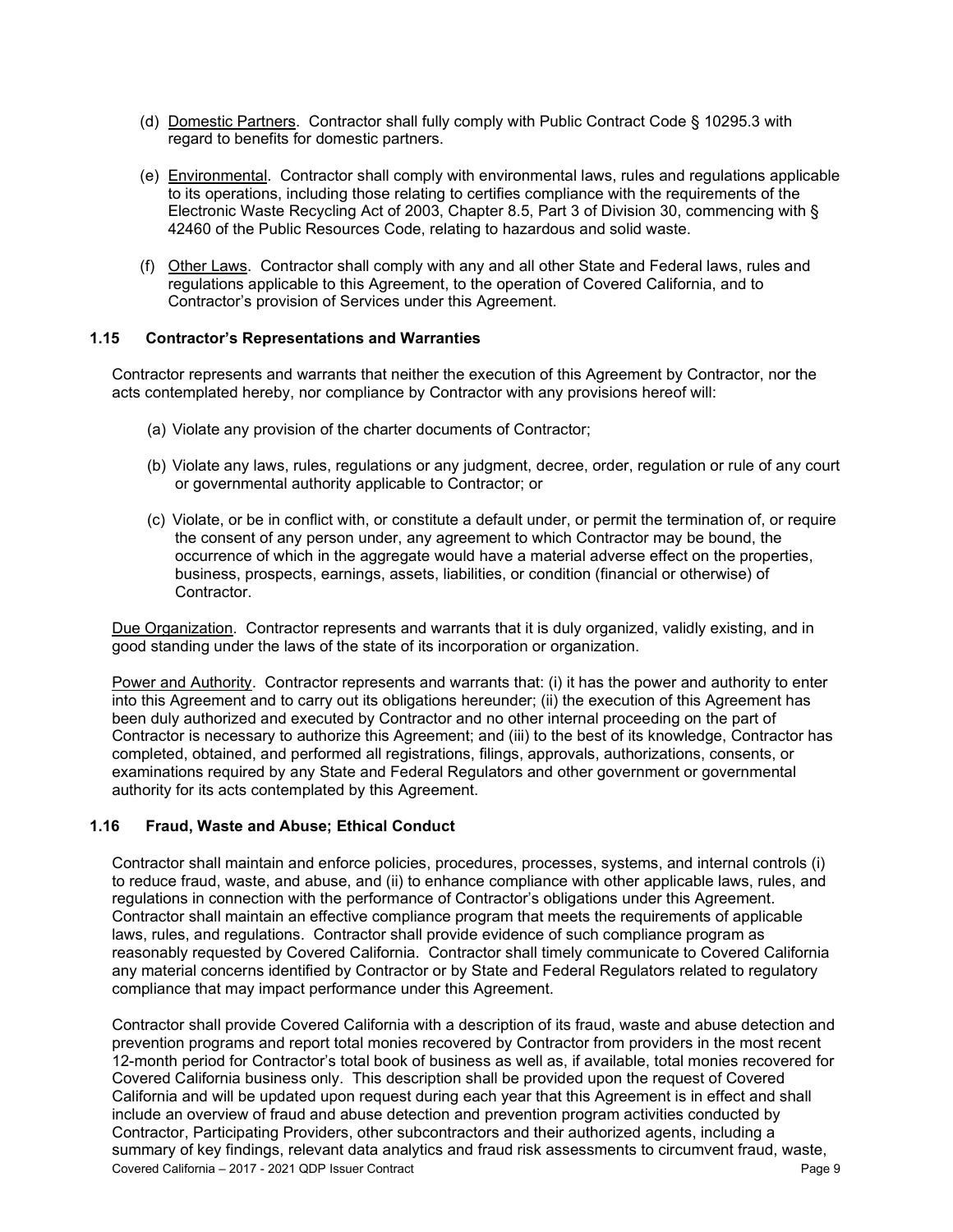- (d) Domestic Partners. Contractor shall fully comply with Public Contract Code § 10295.3 with regard to benefits for domestic partners.
- (e) Environmental. Contractor shall comply with environmental laws, rules and regulations applicable to its operations, including those relating to certifies compliance with the requirements of the Electronic Waste Recycling Act of 2003, Chapter 8.5, Part 3 of Division 30, commencing with § 42460 of the Public Resources Code, relating to hazardous and solid waste.
- (f) Other Laws. Contractor shall comply with any and all other State and Federal laws, rules and regulations applicable to this Agreement, to the operation of Covered California, and to Contractor's provision of Services under this Agreement.

#### **1.15 Contractor's Representations and Warranties**

Contractor represents and warrants that neither the execution of this Agreement by Contractor, nor the acts contemplated hereby, nor compliance by Contractor with any provisions hereof will:

- (a) Violate any provision of the charter documents of Contractor;
- (b) Violate any laws, rules, regulations or any judgment, decree, order, regulation or rule of any court or governmental authority applicable to Contractor; or
- (c) Violate, or be in conflict with, or constitute a default under, or permit the termination of, or require the consent of any person under, any agreement to which Contractor may be bound, the occurrence of which in the aggregate would have a material adverse effect on the properties, business, prospects, earnings, assets, liabilities, or condition (financial or otherwise) of Contractor.

Due Organization. Contractor represents and warrants that it is duly organized, validly existing, and in good standing under the laws of the state of its incorporation or organization.

Power and Authority. Contractor represents and warrants that: (i) it has the power and authority to enter into this Agreement and to carry out its obligations hereunder; (ii) the execution of this Agreement has been duly authorized and executed by Contractor and no other internal proceeding on the part of Contractor is necessary to authorize this Agreement; and (iii) to the best of its knowledge, Contractor has completed, obtained, and performed all registrations, filings, approvals, authorizations, consents, or examinations required by any State and Federal Regulators and other government or governmental authority for its acts contemplated by this Agreement.

#### **1.16 Fraud, Waste and Abuse; Ethical Conduct**

Contractor shall maintain and enforce policies, procedures, processes, systems, and internal controls (i) to reduce fraud, waste, and abuse, and (ii) to enhance compliance with other applicable laws, rules, and regulations in connection with the performance of Contractor's obligations under this Agreement. Contractor shall maintain an effective compliance program that meets the requirements of applicable laws, rules, and regulations. Contractor shall provide evidence of such compliance program as reasonably requested by Covered California. Contractor shall timely communicate to Covered California any material concerns identified by Contractor or by State and Federal Regulators related to regulatory compliance that may impact performance under this Agreement.

Covered California – 2017 - 2021 QDP Issuer Contract Page 9 Contractor shall provide Covered California with a description of its fraud, waste and abuse detection and prevention programs and report total monies recovered by Contractor from providers in the most recent 12-month period for Contractor's total book of business as well as, if available, total monies recovered for Covered California business only. This description shall be provided upon the request of Covered California and will be updated upon request during each year that this Agreement is in effect and shall include an overview of fraud and abuse detection and prevention program activities conducted by Contractor, Participating Providers, other subcontractors and their authorized agents, including a summary of key findings, relevant data analytics and fraud risk assessments to circumvent fraud, waste,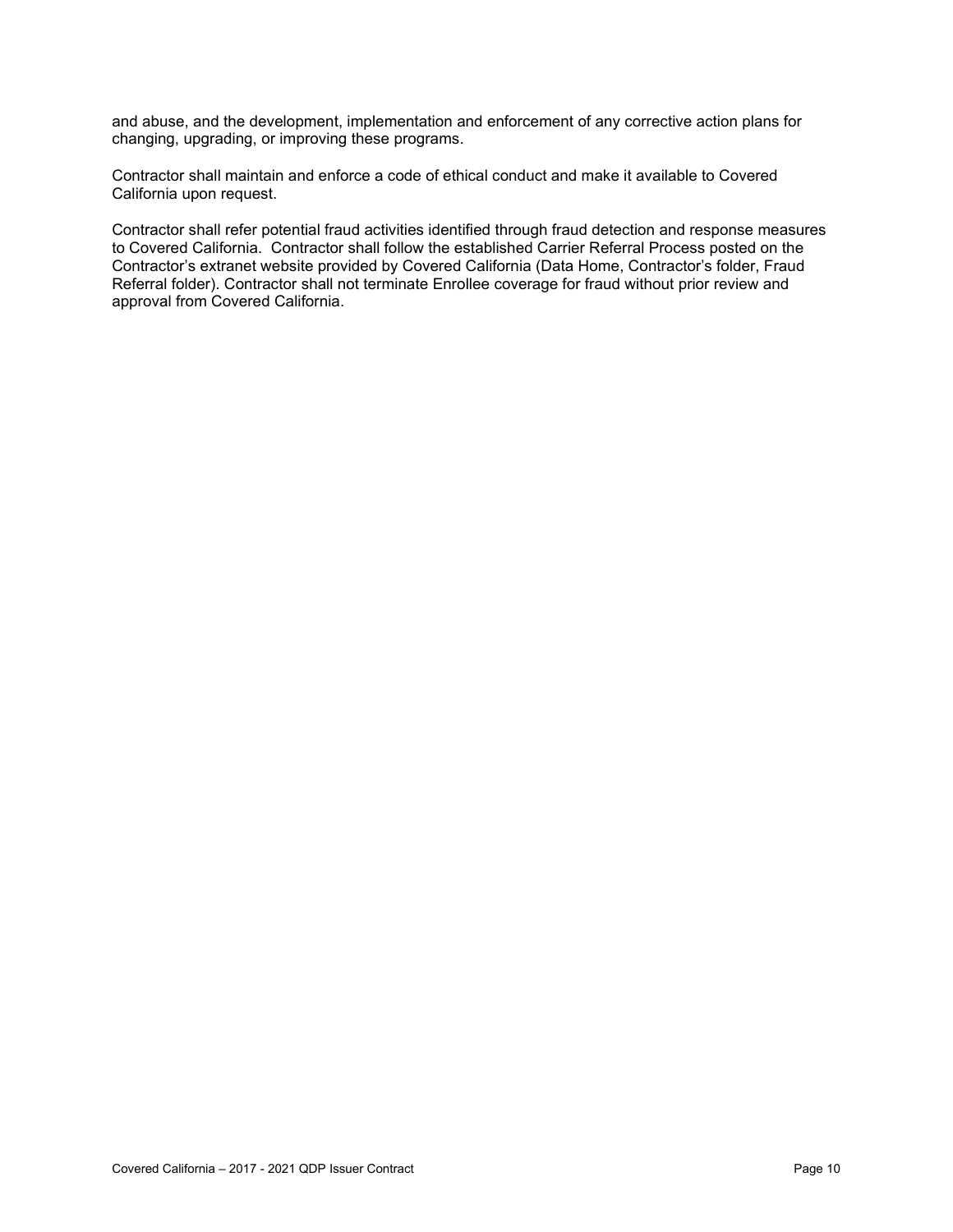and abuse, and the development, implementation and enforcement of any corrective action plans for changing, upgrading, or improving these programs.

Contractor shall maintain and enforce a code of ethical conduct and make it available to Covered California upon request.

Contractor shall refer potential fraud activities identified through fraud detection and response measures to Covered California. Contractor shall follow the established Carrier Referral Process posted on the Contractor's extranet website provided by Covered California (Data Home, Contractor's folder, Fraud Referral folder). Contractor shall not terminate Enrollee coverage for fraud without prior review and approval from Covered California.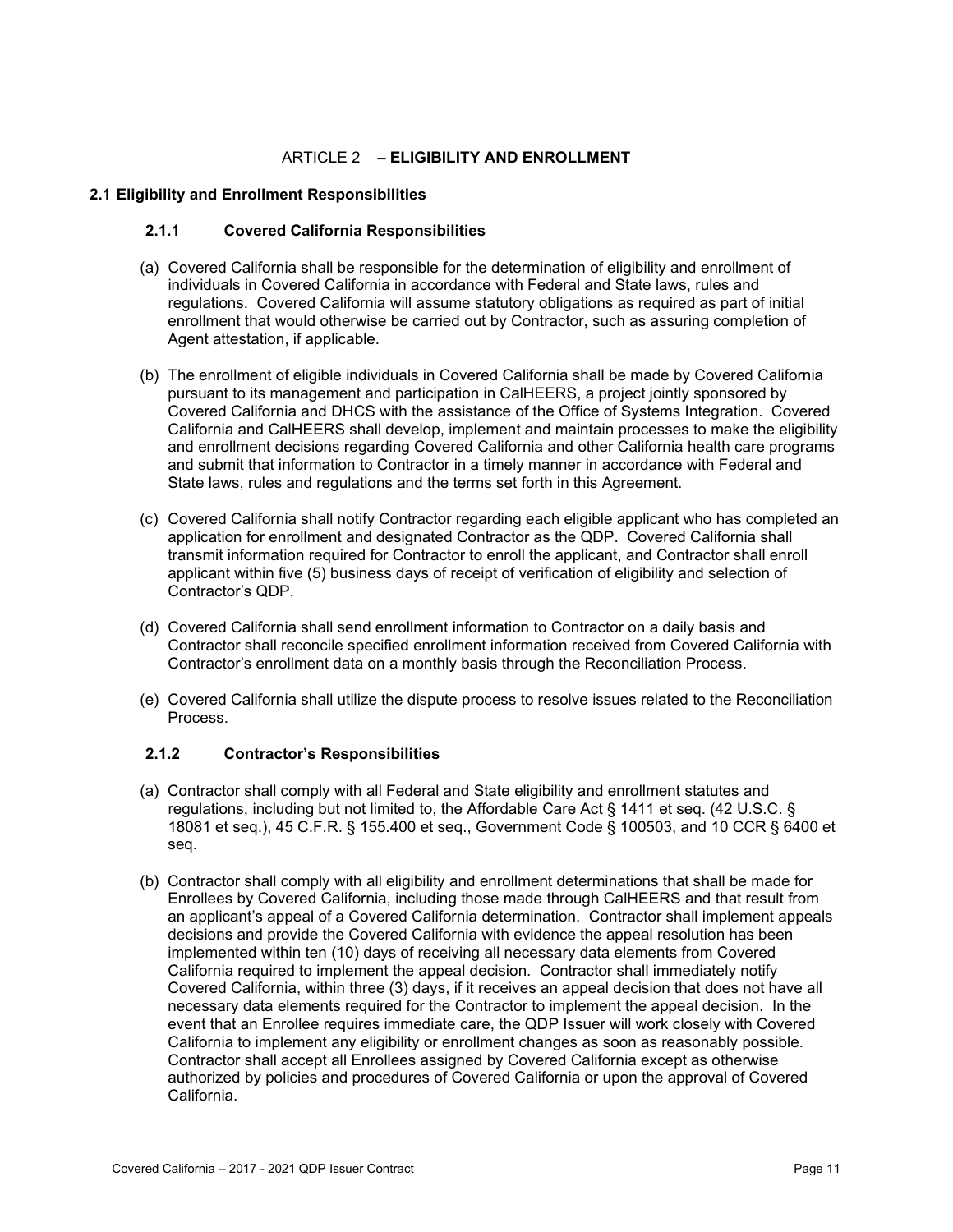### ARTICLE 2 **– ELIGIBILITY AND ENROLLMENT**

#### **2.1 Eligibility and Enrollment Responsibilities**

#### **2.1.1 Covered California Responsibilities**

- (a) Covered California shall be responsible for the determination of eligibility and enrollment of individuals in Covered California in accordance with Federal and State laws, rules and regulations. Covered California will assume statutory obligations as required as part of initial enrollment that would otherwise be carried out by Contractor, such as assuring completion of Agent attestation, if applicable.
- (b) The enrollment of eligible individuals in Covered California shall be made by Covered California pursuant to its management and participation in CalHEERS, a project jointly sponsored by Covered California and DHCS with the assistance of the Office of Systems Integration. Covered California and CalHEERS shall develop, implement and maintain processes to make the eligibility and enrollment decisions regarding Covered California and other California health care programs and submit that information to Contractor in a timely manner in accordance with Federal and State laws, rules and regulations and the terms set forth in this Agreement.
- (c) Covered California shall notify Contractor regarding each eligible applicant who has completed an application for enrollment and designated Contractor as the QDP. Covered California shall transmit information required for Contractor to enroll the applicant, and Contractor shall enroll applicant within five (5) business days of receipt of verification of eligibility and selection of Contractor's QDP.
- (d) Covered California shall send enrollment information to Contractor on a daily basis and Contractor shall reconcile specified enrollment information received from Covered California with Contractor's enrollment data on a monthly basis through the Reconciliation Process.
- (e) Covered California shall utilize the dispute process to resolve issues related to the Reconciliation Process.

#### **2.1.2 Contractor's Responsibilities**

- (a) Contractor shall comply with all Federal and State eligibility and enrollment statutes and regulations, including but not limited to, the Affordable Care Act § 1411 et seq. (42 U.S.C. § 18081 et seq.), 45 C.F.R. § 155.400 et seq., Government Code § 100503, and 10 CCR § 6400 et seq.
- (b) Contractor shall comply with all eligibility and enrollment determinations that shall be made for Enrollees by Covered California, including those made through CalHEERS and that result from an applicant's appeal of a Covered California determination. Contractor shall implement appeals decisions and provide the Covered California with evidence the appeal resolution has been implemented within ten (10) days of receiving all necessary data elements from Covered California required to implement the appeal decision. Contractor shall immediately notify Covered California, within three (3) days, if it receives an appeal decision that does not have all necessary data elements required for the Contractor to implement the appeal decision. In the event that an Enrollee requires immediate care, the QDP Issuer will work closely with Covered California to implement any eligibility or enrollment changes as soon as reasonably possible. Contractor shall accept all Enrollees assigned by Covered California except as otherwise authorized by policies and procedures of Covered California or upon the approval of Covered California.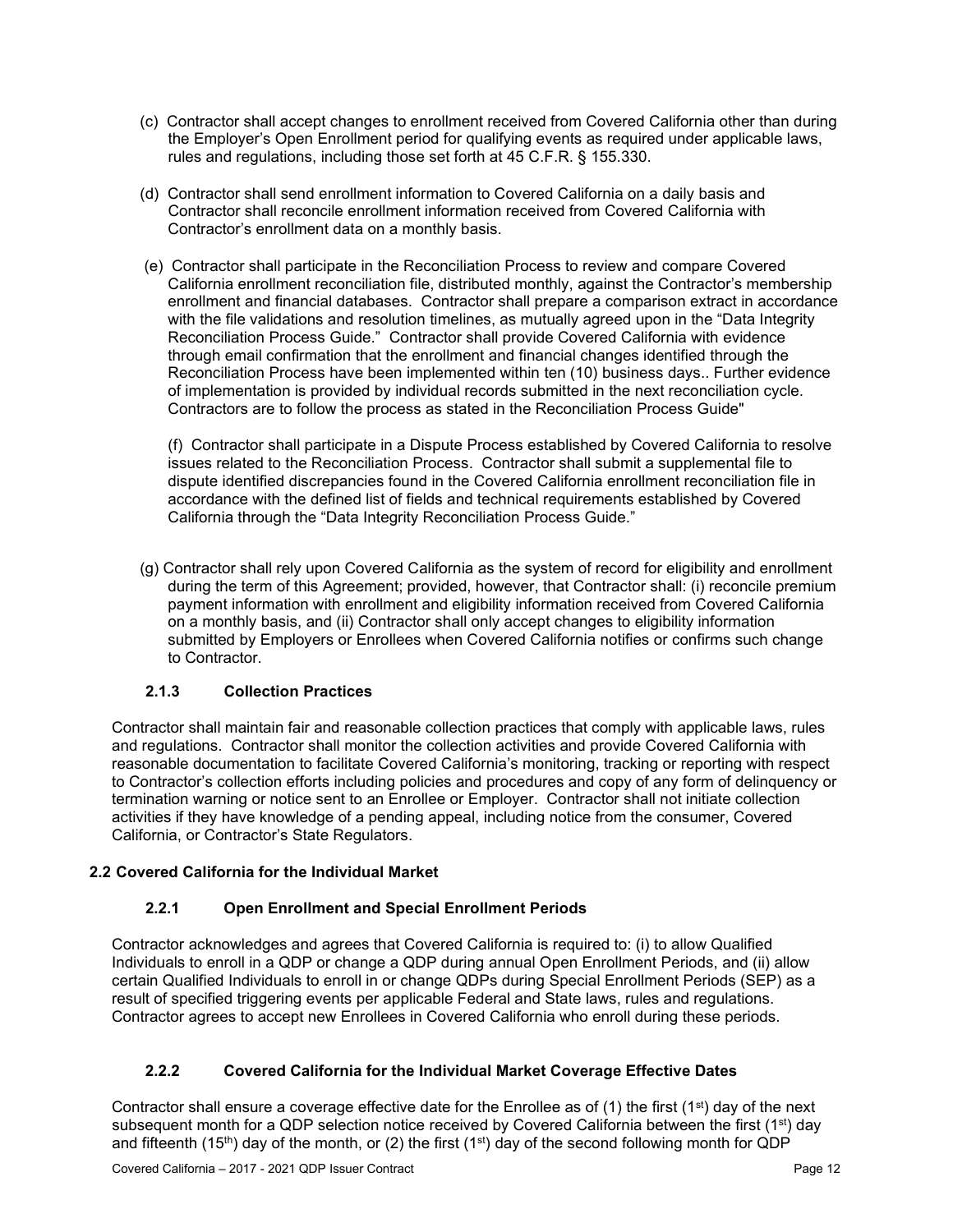- (c) Contractor shall accept changes to enrollment received from Covered California other than during the Employer's Open Enrollment period for qualifying events as required under applicable laws, rules and regulations, including those set forth at 45 C.F.R. § 155.330.
- (d) Contractor shall send enrollment information to Covered California on a daily basis and Contractor shall reconcile enrollment information received from Covered California with Contractor's enrollment data on a monthly basis.
- (e) Contractor shall participate in the Reconciliation Process to review and compare Covered California enrollment reconciliation file, distributed monthly, against the Contractor's membership enrollment and financial databases. Contractor shall prepare a comparison extract in accordance with the file validations and resolution timelines, as mutually agreed upon in the "Data Integrity Reconciliation Process Guide." Contractor shall provide Covered California with evidence through email confirmation that the enrollment and financial changes identified through the Reconciliation Process have been implemented within ten (10) business days.. Further evidence of implementation is provided by individual records submitted in the next reconciliation cycle. Contractors are to follow the process as stated in the Reconciliation Process Guide"

(f) Contractor shall participate in a Dispute Process established by Covered California to resolve issues related to the Reconciliation Process. Contractor shall submit a supplemental file to dispute identified discrepancies found in the Covered California enrollment reconciliation file in accordance with the defined list of fields and technical requirements established by Covered California through the "Data Integrity Reconciliation Process Guide."

(g) Contractor shall rely upon Covered California as the system of record for eligibility and enrollment during the term of this Agreement; provided, however, that Contractor shall: (i) reconcile premium payment information with enrollment and eligibility information received from Covered California on a monthly basis, and (ii) Contractor shall only accept changes to eligibility information submitted by Employers or Enrollees when Covered California notifies or confirms such change to Contractor.

# **2.1.3 Collection Practices**

Contractor shall maintain fair and reasonable collection practices that comply with applicable laws, rules and regulations. Contractor shall monitor the collection activities and provide Covered California with reasonable documentation to facilitate Covered California's monitoring, tracking or reporting with respect to Contractor's collection efforts including policies and procedures and copy of any form of delinquency or termination warning or notice sent to an Enrollee or Employer. Contractor shall not initiate collection activities if they have knowledge of a pending appeal, including notice from the consumer, Covered California, or Contractor's State Regulators.

### **2.2 Covered California for the Individual Market**

# **2.2.1 Open Enrollment and Special Enrollment Periods**

Contractor acknowledges and agrees that Covered California is required to: (i) to allow Qualified Individuals to enroll in a QDP or change a QDP during annual Open Enrollment Periods, and (ii) allow certain Qualified Individuals to enroll in or change QDPs during Special Enrollment Periods (SEP) as a result of specified triggering events per applicable Federal and State laws, rules and regulations. Contractor agrees to accept new Enrollees in Covered California who enroll during these periods.

# **2.2.2 Covered California for the Individual Market Coverage Effective Dates**

Contractor shall ensure a coverage effective date for the Enrollee as of (1) the first (1<sup>st</sup>) day of the next subsequent month for a QDP selection notice received by Covered California between the first (1<sup>st</sup>) day and fifteenth (15<sup>th</sup>) day of the month, or (2) the first (1<sup>st</sup>) day of the second following month for QDP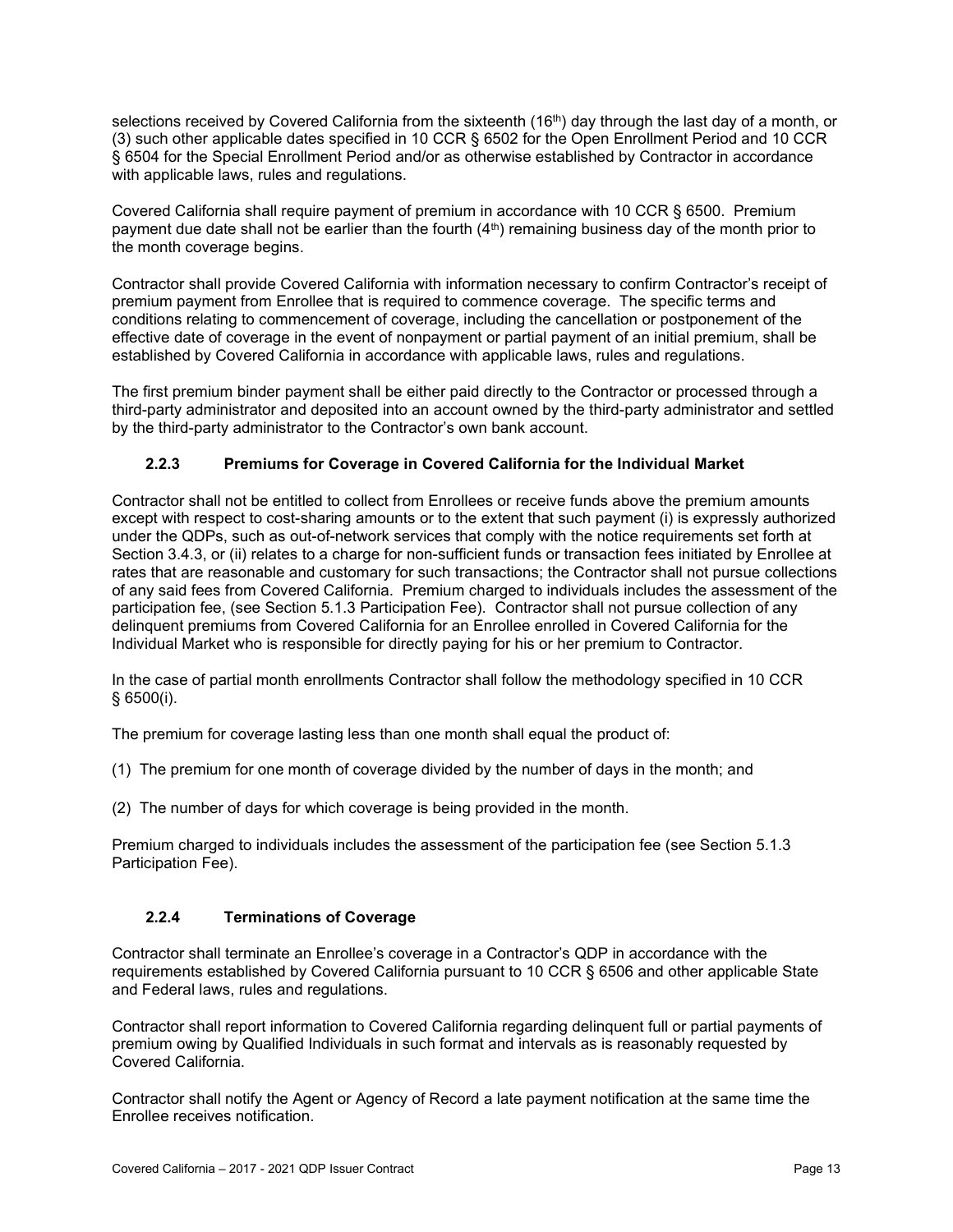selections received by Covered California from the sixteenth (16<sup>th</sup>) day through the last day of a month, or (3) such other applicable dates specified in 10 CCR § 6502 for the Open Enrollment Period and 10 CCR § 6504 for the Special Enrollment Period and/or as otherwise established by Contractor in accordance with applicable laws, rules and regulations.

Covered California shall require payment of premium in accordance with 10 CCR § 6500. Premium payment due date shall not be earlier than the fourth  $(4<sup>th</sup>)$  remaining business day of the month prior to the month coverage begins.

Contractor shall provide Covered California with information necessary to confirm Contractor's receipt of premium payment from Enrollee that is required to commence coverage. The specific terms and conditions relating to commencement of coverage, including the cancellation or postponement of the effective date of coverage in the event of nonpayment or partial payment of an initial premium, shall be established by Covered California in accordance with applicable laws, rules and regulations.

The first premium binder payment shall be either paid directly to the Contractor or processed through a third-party administrator and deposited into an account owned by the third-party administrator and settled by the third-party administrator to the Contractor's own bank account.

### **2.2.3 Premiums for Coverage in Covered California for the Individual Market**

Contractor shall not be entitled to collect from Enrollees or receive funds above the premium amounts except with respect to cost-sharing amounts or to the extent that such payment (i) is expressly authorized under the QDPs, such as out-of-network services that comply with the notice requirements set forth at Section 3.4.3, or (ii) relates to a charge for non-sufficient funds or transaction fees initiated by Enrollee at rates that are reasonable and customary for such transactions; the Contractor shall not pursue collections of any said fees from Covered California. Premium charged to individuals includes the assessment of the participation fee, (see Section 5.1.3 Participation Fee). Contractor shall not pursue collection of any delinquent premiums from Covered California for an Enrollee enrolled in Covered California for the Individual Market who is responsible for directly paying for his or her premium to Contractor.

In the case of partial month enrollments Contractor shall follow the methodology specified in 10 CCR § 6500(i).

The premium for coverage lasting less than one month shall equal the product of:

(1) The premium for one month of coverage divided by the number of days in the month; and

(2) The number of days for which coverage is being provided in the month.

Premium charged to individuals includes the assessment of the participation fee (see Section 5.1.3 Participation Fee).

### **2.2.4 Terminations of Coverage**

Contractor shall terminate an Enrollee's coverage in a Contractor's QDP in accordance with the requirements established by Covered California pursuant to 10 CCR § 6506 and other applicable State and Federal laws, rules and regulations.

Contractor shall report information to Covered California regarding delinquent full or partial payments of premium owing by Qualified Individuals in such format and intervals as is reasonably requested by Covered California.

Contractor shall notify the Agent or Agency of Record a late payment notification at the same time the Enrollee receives notification.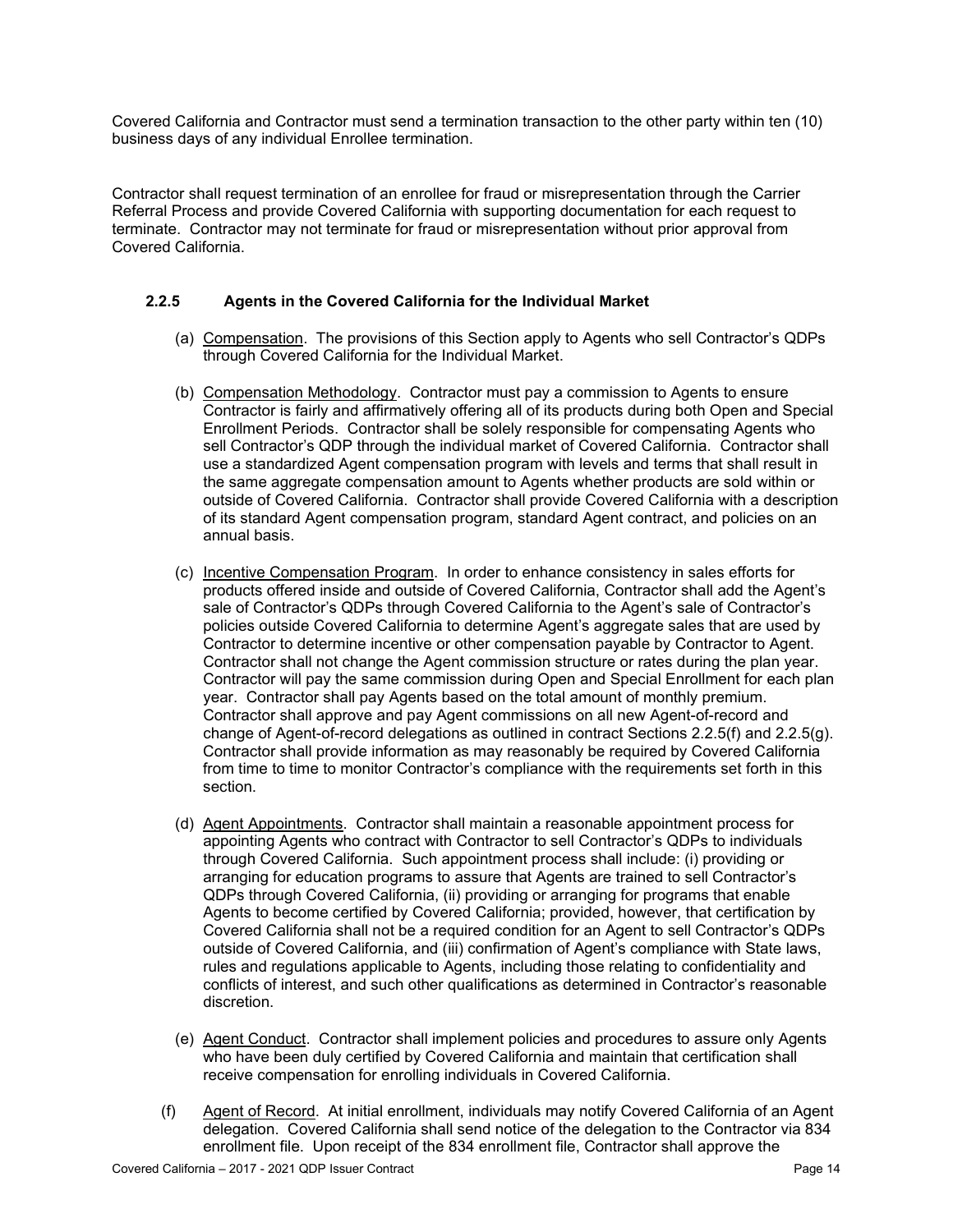Covered California and Contractor must send a termination transaction to the other party within ten (10) business days of any individual Enrollee termination.

Contractor shall request termination of an enrollee for fraud or misrepresentation through the Carrier Referral Process and provide Covered California with supporting documentation for each request to terminate. Contractor may not terminate for fraud or misrepresentation without prior approval from Covered California.

### **2.2.5 Agents in the Covered California for the Individual Market**

- (a) Compensation. The provisions of this Section apply to Agents who sell Contractor's QDPs through Covered California for the Individual Market.
- (b) Compensation Methodology. Contractor must pay a commission to Agents to ensure Contractor is fairly and affirmatively offering all of its products during both Open and Special Enrollment Periods. Contractor shall be solely responsible for compensating Agents who sell Contractor's QDP through the individual market of Covered California. Contractor shall use a standardized Agent compensation program with levels and terms that shall result in the same aggregate compensation amount to Agents whether products are sold within or outside of Covered California. Contractor shall provide Covered California with a description of its standard Agent compensation program, standard Agent contract, and policies on an annual basis.
- (c) Incentive Compensation Program. In order to enhance consistency in sales efforts for products offered inside and outside of Covered California, Contractor shall add the Agent's sale of Contractor's QDPs through Covered California to the Agent's sale of Contractor's policies outside Covered California to determine Agent's aggregate sales that are used by Contractor to determine incentive or other compensation payable by Contractor to Agent. Contractor shall not change the Agent commission structure or rates during the plan year. Contractor will pay the same commission during Open and Special Enrollment for each plan year. Contractor shall pay Agents based on the total amount of monthly premium. Contractor shall approve and pay Agent commissions on all new Agent-of-record and change of Agent-of-record delegations as outlined in contract Sections 2.2.5(f) and 2.2.5(g). Contractor shall provide information as may reasonably be required by Covered California from time to time to monitor Contractor's compliance with the requirements set forth in this section.
- (d) Agent Appointments. Contractor shall maintain a reasonable appointment process for appointing Agents who contract with Contractor to sell Contractor's QDPs to individuals through Covered California. Such appointment process shall include: (i) providing or arranging for education programs to assure that Agents are trained to sell Contractor's QDPs through Covered California, (ii) providing or arranging for programs that enable Agents to become certified by Covered California; provided, however, that certification by Covered California shall not be a required condition for an Agent to sell Contractor's QDPs outside of Covered California, and (iii) confirmation of Agent's compliance with State laws, rules and regulations applicable to Agents, including those relating to confidentiality and conflicts of interest, and such other qualifications as determined in Contractor's reasonable discretion.
- (e) Agent Conduct. Contractor shall implement policies and procedures to assure only Agents who have been duly certified by Covered California and maintain that certification shall receive compensation for enrolling individuals in Covered California.
- (f) Agent of Record. At initial enrollment, individuals may notify Covered California of an Agent delegation. Covered California shall send notice of the delegation to the Contractor via 834 enrollment file. Upon receipt of the 834 enrollment file, Contractor shall approve the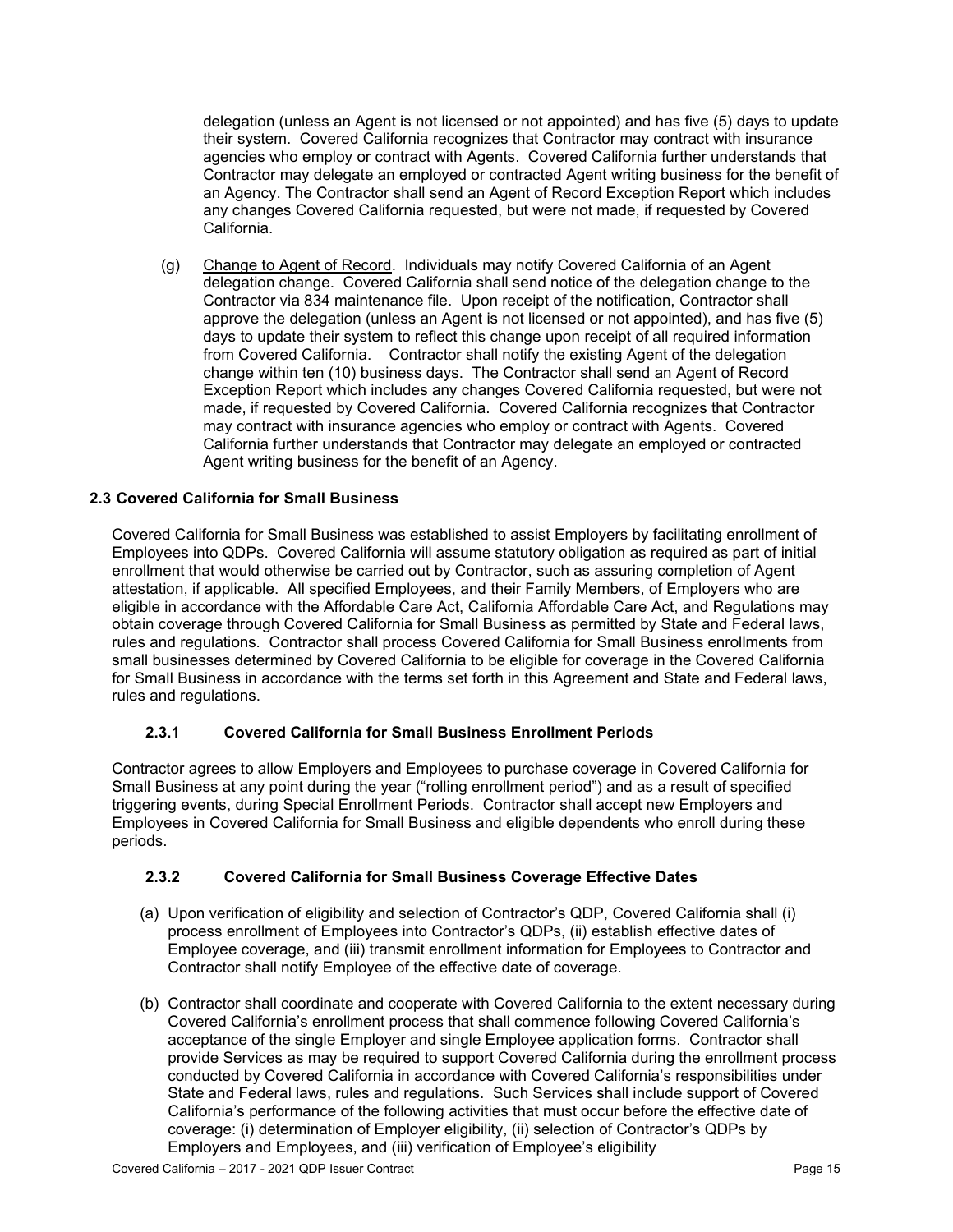delegation (unless an Agent is not licensed or not appointed) and has five (5) days to update their system. Covered California recognizes that Contractor may contract with insurance agencies who employ or contract with Agents. Covered California further understands that Contractor may delegate an employed or contracted Agent writing business for the benefit of an Agency. The Contractor shall send an Agent of Record Exception Report which includes any changes Covered California requested, but were not made, if requested by Covered California.

(g) Change to Agent of Record. Individuals may notify Covered California of an Agent delegation change. Covered California shall send notice of the delegation change to the Contractor via 834 maintenance file. Upon receipt of the notification, Contractor shall approve the delegation (unless an Agent is not licensed or not appointed), and has five (5) days to update their system to reflect this change upon receipt of all required information from Covered California. Contractor shall notify the existing Agent of the delegation change within ten (10) business days. The Contractor shall send an Agent of Record Exception Report which includes any changes Covered California requested, but were not made, if requested by Covered California. Covered California recognizes that Contractor may contract with insurance agencies who employ or contract with Agents. Covered California further understands that Contractor may delegate an employed or contracted Agent writing business for the benefit of an Agency.

#### **2.3 Covered California for Small Business**

Covered California for Small Business was established to assist Employers by facilitating enrollment of Employees into QDPs. Covered California will assume statutory obligation as required as part of initial enrollment that would otherwise be carried out by Contractor, such as assuring completion of Agent attestation, if applicable. All specified Employees, and their Family Members, of Employers who are eligible in accordance with the Affordable Care Act, California Affordable Care Act, and Regulations may obtain coverage through Covered California for Small Business as permitted by State and Federal laws, rules and regulations*.* Contractor shall process Covered California for Small Business enrollments from small businesses determined by Covered California to be eligible for coverage in the Covered California for Small Business in accordance with the terms set forth in this Agreement and State and Federal laws, rules and regulations.

#### **2.3.1 Covered California for Small Business Enrollment Periods**

Contractor agrees to allow Employers and Employees to purchase coverage in Covered California for Small Business at any point during the year ("rolling enrollment period") and as a result of specified triggering events, during Special Enrollment Periods. Contractor shall accept new Employers and Employees in Covered California for Small Business and eligible dependents who enroll during these periods.

#### **2.3.2 Covered California for Small Business Coverage Effective Dates**

- (a) Upon verification of eligibility and selection of Contractor's QDP, Covered California shall (i) process enrollment of Employees into Contractor's QDPs, (ii) establish effective dates of Employee coverage, and (iii) transmit enrollment information for Employees to Contractor and Contractor shall notify Employee of the effective date of coverage.
- (b) Contractor shall coordinate and cooperate with Covered California to the extent necessary during Covered California's enrollment process that shall commence following Covered California's acceptance of the single Employer and single Employee application forms. Contractor shall provide Services as may be required to support Covered California during the enrollment process conducted by Covered California in accordance with Covered California's responsibilities under State and Federal laws, rules and regulations. Such Services shall include support of Covered California's performance of the following activities that must occur before the effective date of coverage: (i) determination of Employer eligibility, (ii) selection of Contractor's QDPs by Employers and Employees, and (iii) verification of Employee's eligibility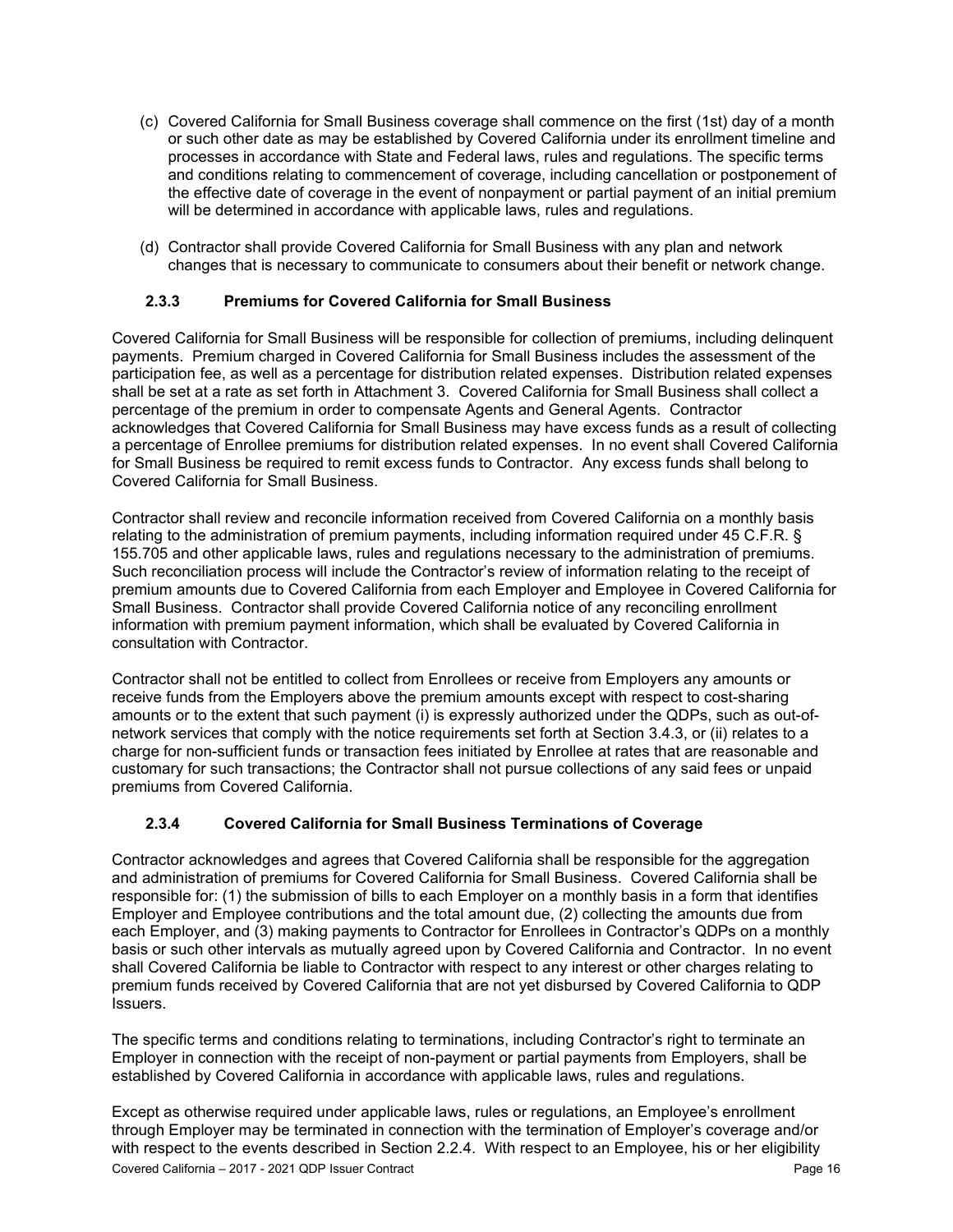- (c) Covered California for Small Business coverage shall commence on the first (1st) day of a month or such other date as may be established by Covered California under its enrollment timeline and processes in accordance with State and Federal laws, rules and regulations. The specific terms and conditions relating to commencement of coverage, including cancellation or postponement of the effective date of coverage in the event of nonpayment or partial payment of an initial premium will be determined in accordance with applicable laws, rules and regulations.
- (d) Contractor shall provide Covered California for Small Business with any plan and network changes that is necessary to communicate to consumers about their benefit or network change.

### **2.3.3 Premiums for Covered California for Small Business**

Covered California for Small Business will be responsible for collection of premiums, including delinquent payments. Premium charged in Covered California for Small Business includes the assessment of the participation fee, as well as a percentage for distribution related expenses. Distribution related expenses shall be set at a rate as set forth in Attachment 3. Covered California for Small Business shall collect a percentage of the premium in order to compensate Agents and General Agents. Contractor acknowledges that Covered California for Small Business may have excess funds as a result of collecting a percentage of Enrollee premiums for distribution related expenses. In no event shall Covered California for Small Business be required to remit excess funds to Contractor. Any excess funds shall belong to Covered California for Small Business.

Contractor shall review and reconcile information received from Covered California on a monthly basis relating to the administration of premium payments, including information required under 45 C.F.R. § 155.705 and other applicable laws, rules and regulations necessary to the administration of premiums. Such reconciliation process will include the Contractor's review of information relating to the receipt of premium amounts due to Covered California from each Employer and Employee in Covered California for Small Business. Contractor shall provide Covered California notice of any reconciling enrollment information with premium payment information, which shall be evaluated by Covered California in consultation with Contractor.

Contractor shall not be entitled to collect from Enrollees or receive from Employers any amounts or receive funds from the Employers above the premium amounts except with respect to cost-sharing amounts or to the extent that such payment (i) is expressly authorized under the QDPs, such as out-ofnetwork services that comply with the notice requirements set forth at Section 3.4.3, or (ii) relates to a charge for non-sufficient funds or transaction fees initiated by Enrollee at rates that are reasonable and customary for such transactions; the Contractor shall not pursue collections of any said fees or unpaid premiums from Covered California.

### **2.3.4 Covered California for Small Business Terminations of Coverage**

Contractor acknowledges and agrees that Covered California shall be responsible for the aggregation and administration of premiums for Covered California for Small Business. Covered California shall be responsible for: (1) the submission of bills to each Employer on a monthly basis in a form that identifies Employer and Employee contributions and the total amount due, (2) collecting the amounts due from each Employer, and (3) making payments to Contractor for Enrollees in Contractor's QDPs on a monthly basis or such other intervals as mutually agreed upon by Covered California and Contractor. In no event shall Covered California be liable to Contractor with respect to any interest or other charges relating to premium funds received by Covered California that are not yet disbursed by Covered California to QDP Issuers.

The specific terms and conditions relating to terminations, including Contractor's right to terminate an Employer in connection with the receipt of non-payment or partial payments from Employers, shall be established by Covered California in accordance with applicable laws, rules and regulations.

Except as otherwise required under applicable laws, rules or regulations, an Employee's enrollment through Employer may be terminated in connection with the termination of Employer's coverage and/or with respect to the events described in Section 2.2.4. With respect to an Employee, his or her eligibility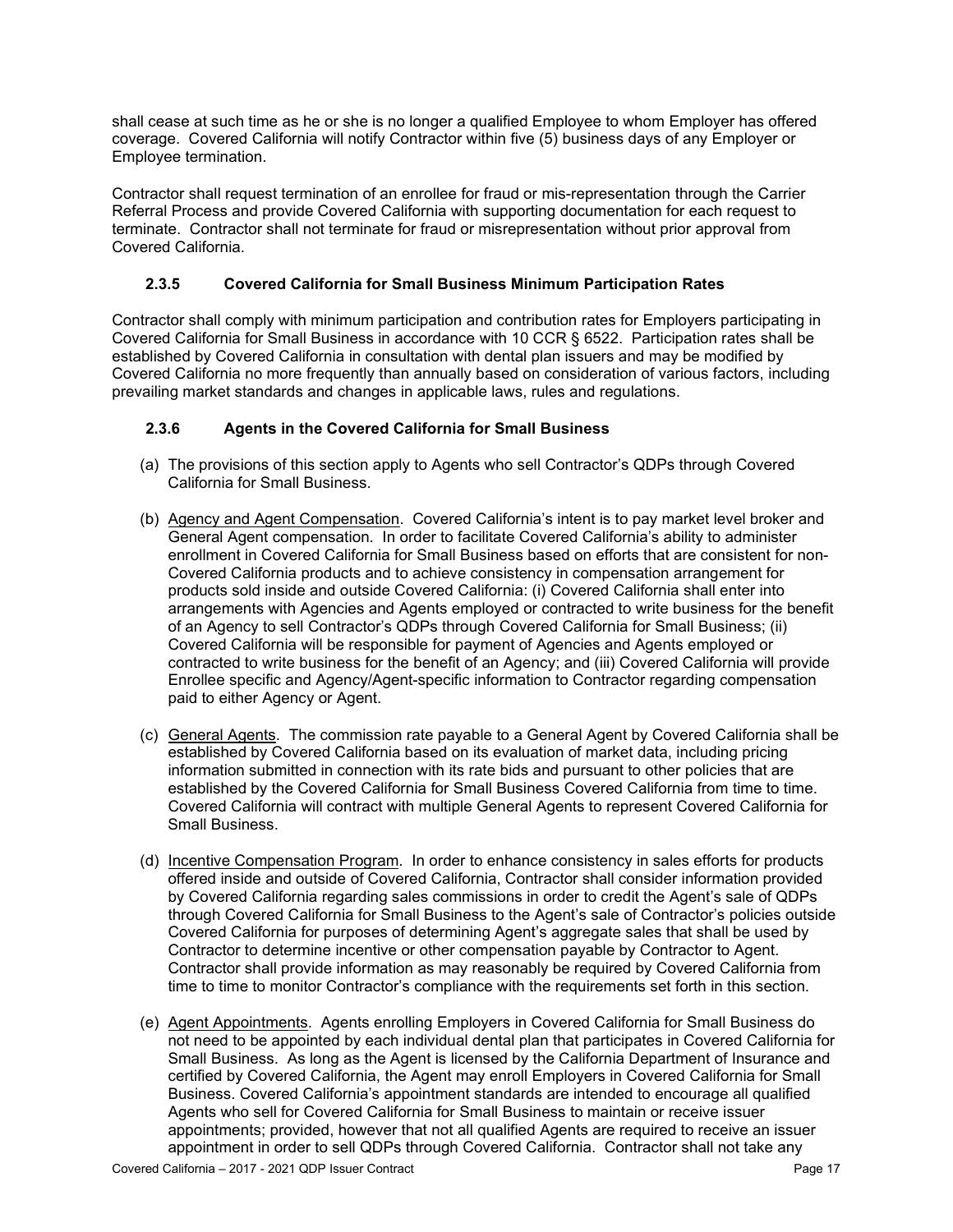shall cease at such time as he or she is no longer a qualified Employee to whom Employer has offered coverage. Covered California will notify Contractor within five (5) business days of any Employer or Employee termination.

Contractor shall request termination of an enrollee for fraud or mis-representation through the Carrier Referral Process and provide Covered California with supporting documentation for each request to terminate. Contractor shall not terminate for fraud or misrepresentation without prior approval from Covered California.

### **2.3.5 Covered California for Small Business Minimum Participation Rates**

Contractor shall comply with minimum participation and contribution rates for Employers participating in Covered California for Small Business in accordance with 10 CCR § 6522. Participation rates shall be established by Covered California in consultation with dental plan issuers and may be modified by Covered California no more frequently than annually based on consideration of various factors, including prevailing market standards and changes in applicable laws, rules and regulations.

### **2.3.6 Agents in the Covered California for Small Business**

- (a) The provisions of this section apply to Agents who sell Contractor's QDPs through Covered California for Small Business.
- (b) Agency and Agent Compensation. Covered California's intent is to pay market level broker and General Agent compensation. In order to facilitate Covered California's ability to administer enrollment in Covered California for Small Business based on efforts that are consistent for non-Covered California products and to achieve consistency in compensation arrangement for products sold inside and outside Covered California: (i) Covered California shall enter into arrangements with Agencies and Agents employed or contracted to write business for the benefit of an Agency to sell Contractor's QDPs through Covered California for Small Business; (ii) Covered California will be responsible for payment of Agencies and Agents employed or contracted to write business for the benefit of an Agency; and (iii) Covered California will provide Enrollee specific and Agency/Agent-specific information to Contractor regarding compensation paid to either Agency or Agent.
- (c) General Agents. The commission rate payable to a General Agent by Covered California shall be established by Covered California based on its evaluation of market data, including pricing information submitted in connection with its rate bids and pursuant to other policies that are established by the Covered California for Small Business Covered California from time to time. Covered California will contract with multiple General Agents to represent Covered California for Small Business.
- (d) Incentive Compensation Program. In order to enhance consistency in sales efforts for products offered inside and outside of Covered California, Contractor shall consider information provided by Covered California regarding sales commissions in order to credit the Agent's sale of QDPs through Covered California for Small Business to the Agent's sale of Contractor's policies outside Covered California for purposes of determining Agent's aggregate sales that shall be used by Contractor to determine incentive or other compensation payable by Contractor to Agent. Contractor shall provide information as may reasonably be required by Covered California from time to time to monitor Contractor's compliance with the requirements set forth in this section.
- (e) Agent Appointments. Agents enrolling Employers in Covered California for Small Business do not need to be appointed by each individual dental plan that participates in Covered California for Small Business. As long as the Agent is licensed by the California Department of Insurance and certified by Covered California, the Agent may enroll Employers in Covered California for Small Business. Covered California's appointment standards are intended to encourage all qualified Agents who sell for Covered California for Small Business to maintain or receive issuer appointments; provided, however that not all qualified Agents are required to receive an issuer appointment in order to sell QDPs through Covered California. Contractor shall not take any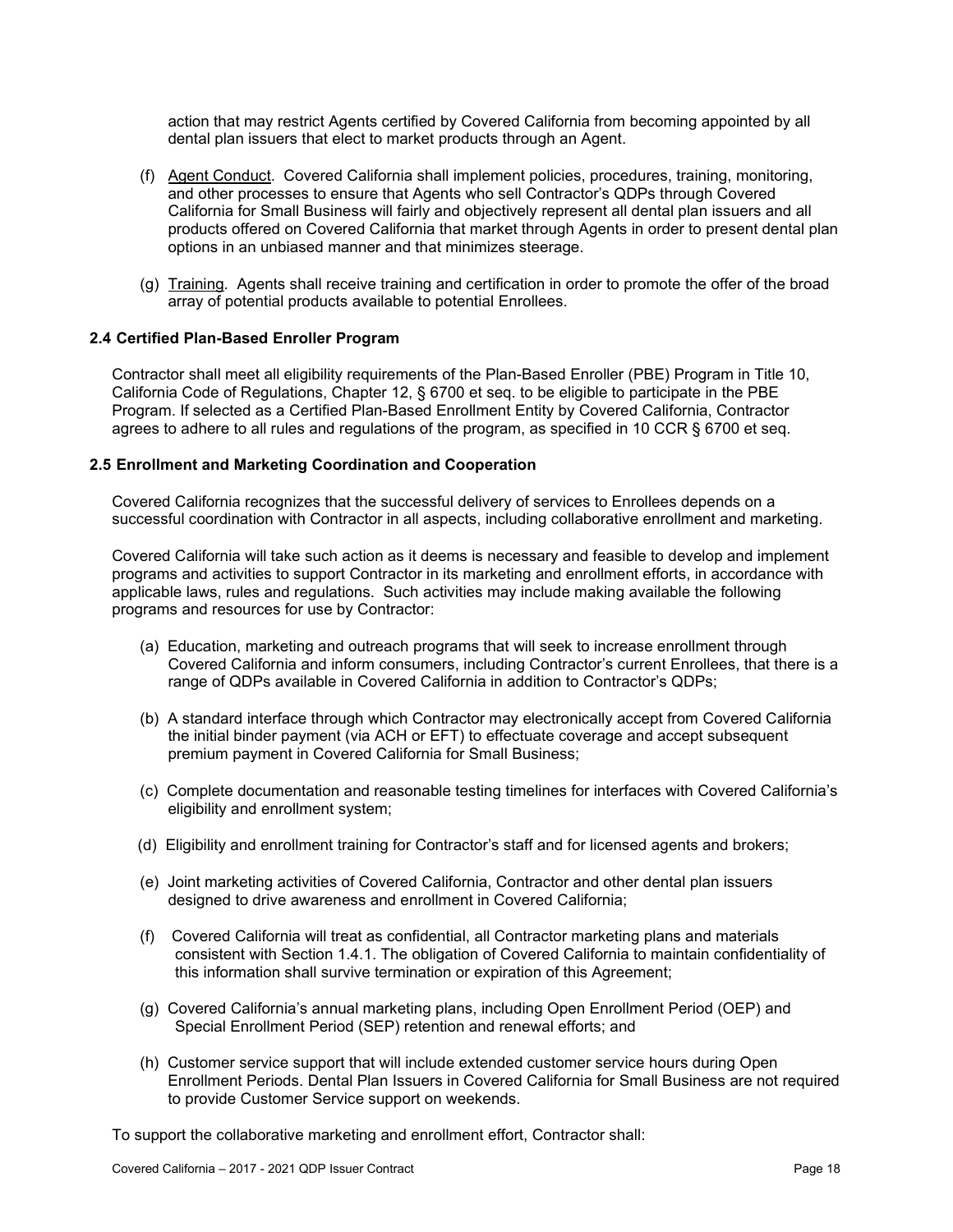action that may restrict Agents certified by Covered California from becoming appointed by all dental plan issuers that elect to market products through an Agent.

- (f) Agent Conduct. Covered California shall implement policies, procedures, training, monitoring, and other processes to ensure that Agents who sell Contractor's QDPs through Covered California for Small Business will fairly and objectively represent all dental plan issuers and all products offered on Covered California that market through Agents in order to present dental plan options in an unbiased manner and that minimizes steerage.
- (g) Training. Agents shall receive training and certification in order to promote the offer of the broad array of potential products available to potential Enrollees.

#### **2.4 Certified Plan-Based Enroller Program**

Contractor shall meet all eligibility requirements of the Plan-Based Enroller (PBE) Program in Title 10, California Code of Regulations, Chapter 12, § 6700 et seq. to be eligible to participate in the PBE Program. If selected as a Certified Plan-Based Enrollment Entity by Covered California, Contractor agrees to adhere to all rules and regulations of the program, as specified in 10 CCR § 6700 et seq.

#### **2.5 Enrollment and Marketing Coordination and Cooperation**

Covered California recognizes that the successful delivery of services to Enrollees depends on a successful coordination with Contractor in all aspects, including collaborative enrollment and marketing.

Covered California will take such action as it deems is necessary and feasible to develop and implement programs and activities to support Contractor in its marketing and enrollment efforts, in accordance with applicable laws, rules and regulations. Such activities may include making available the following programs and resources for use by Contractor:

- (a) Education, marketing and outreach programs that will seek to increase enrollment through Covered California and inform consumers, including Contractor's current Enrollees, that there is a range of QDPs available in Covered California in addition to Contractor's QDPs;
- (b) A standard interface through which Contractor may electronically accept from Covered California the initial binder payment (via ACH or EFT) to effectuate coverage and accept subsequent premium payment in Covered California for Small Business;
- (c) Complete documentation and reasonable testing timelines for interfaces with Covered California's eligibility and enrollment system;
- (d) Eligibility and enrollment training for Contractor's staff and for licensed agents and brokers;
- (e) Joint marketing activities of Covered California, Contractor and other dental plan issuers designed to drive awareness and enrollment in Covered California;
- (f) Covered California will treat as confidential, all Contractor marketing plans and materials consistent with Section 1.4.1. The obligation of Covered California to maintain confidentiality of this information shall survive termination or expiration of this Agreement;
- (g) Covered California's annual marketing plans, including Open Enrollment Period (OEP) and Special Enrollment Period (SEP) retention and renewal efforts; and
- (h) Customer service support that will include extended customer service hours during Open Enrollment Periods. Dental Plan Issuers in Covered California for Small Business are not required to provide Customer Service support on weekends.

To support the collaborative marketing and enrollment effort, Contractor shall: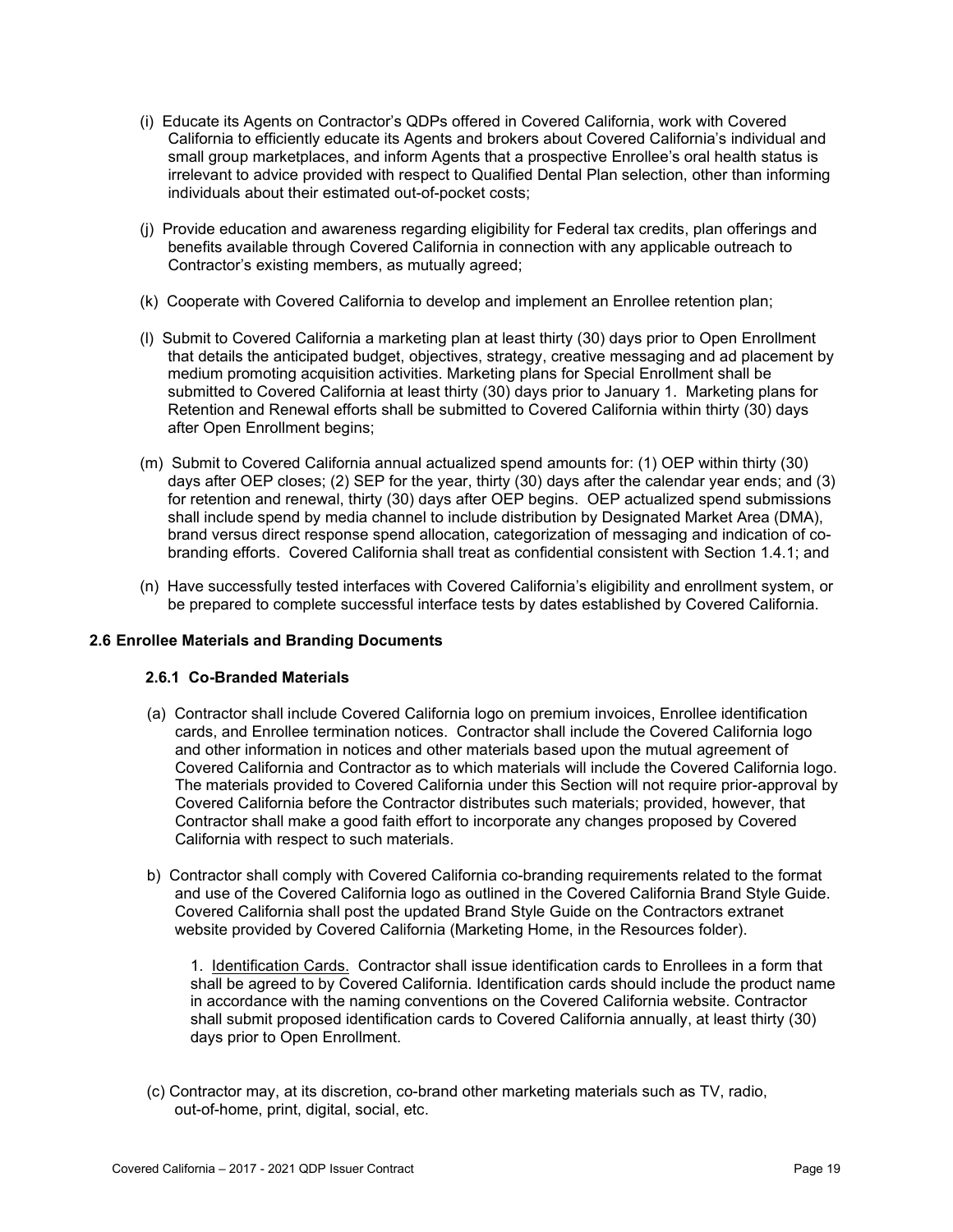- (i) Educate its Agents on Contractor's QDPs offered in Covered California, work with Covered California to efficiently educate its Agents and brokers about Covered California's individual and small group marketplaces, and inform Agents that a prospective Enrollee's oral health status is irrelevant to advice provided with respect to Qualified Dental Plan selection, other than informing individuals about their estimated out-of-pocket costs;
- (j) Provide education and awareness regarding eligibility for Federal tax credits, plan offerings and benefits available through Covered California in connection with any applicable outreach to Contractor's existing members, as mutually agreed;
- (k) Cooperate with Covered California to develop and implement an Enrollee retention plan;
- (l) Submit to Covered California a marketing plan at least thirty (30) days prior to Open Enrollment that details the anticipated budget, objectives, strategy, creative messaging and ad placement by medium promoting acquisition activities. Marketing plans for Special Enrollment shall be submitted to Covered California at least thirty (30) days prior to January 1. Marketing plans for Retention and Renewal efforts shall be submitted to Covered California within thirty (30) days after Open Enrollment begins;
- (m) Submit to Covered California annual actualized spend amounts for: (1) OEP within thirty (30) days after OEP closes; (2) SEP for the year, thirty (30) days after the calendar year ends; and (3) for retention and renewal, thirty (30) days after OEP begins. OEP actualized spend submissions shall include spend by media channel to include distribution by Designated Market Area (DMA), brand versus direct response spend allocation, categorization of messaging and indication of cobranding efforts. Covered California shall treat as confidential consistent with Section 1.4.1; and
- (n) Have successfully tested interfaces with Covered California's eligibility and enrollment system, or be prepared to complete successful interface tests by dates established by Covered California.

### **2.6 Enrollee Materials and Branding Documents**

#### **2.6.1 Co-Branded Materials**

- (a) Contractor shall include Covered California logo on premium invoices, Enrollee identification cards, and Enrollee termination notices. Contractor shall include the Covered California logo and other information in notices and other materials based upon the mutual agreement of Covered California and Contractor as to which materials will include the Covered California logo. The materials provided to Covered California under this Section will not require prior-approval by Covered California before the Contractor distributes such materials; provided, however, that Contractor shall make a good faith effort to incorporate any changes proposed by Covered California with respect to such materials.
- b) Contractor shall comply with Covered California co-branding requirements related to the format and use of the Covered California logo as outlined in the Covered California Brand Style Guide. Covered California shall post the updated Brand Style Guide on the Contractors extranet website provided by Covered California (Marketing Home, in the Resources folder).

1. Identification Cards. Contractor shall issue identification cards to Enrollees in a form that shall be agreed to by Covered California. Identification cards should include the product name in accordance with the naming conventions on the Covered California website. Contractor shall submit proposed identification cards to Covered California annually, at least thirty (30) days prior to Open Enrollment.

(c) Contractor may, at its discretion, co-brand other marketing materials such as TV, radio, out-of-home, print, digital, social, etc.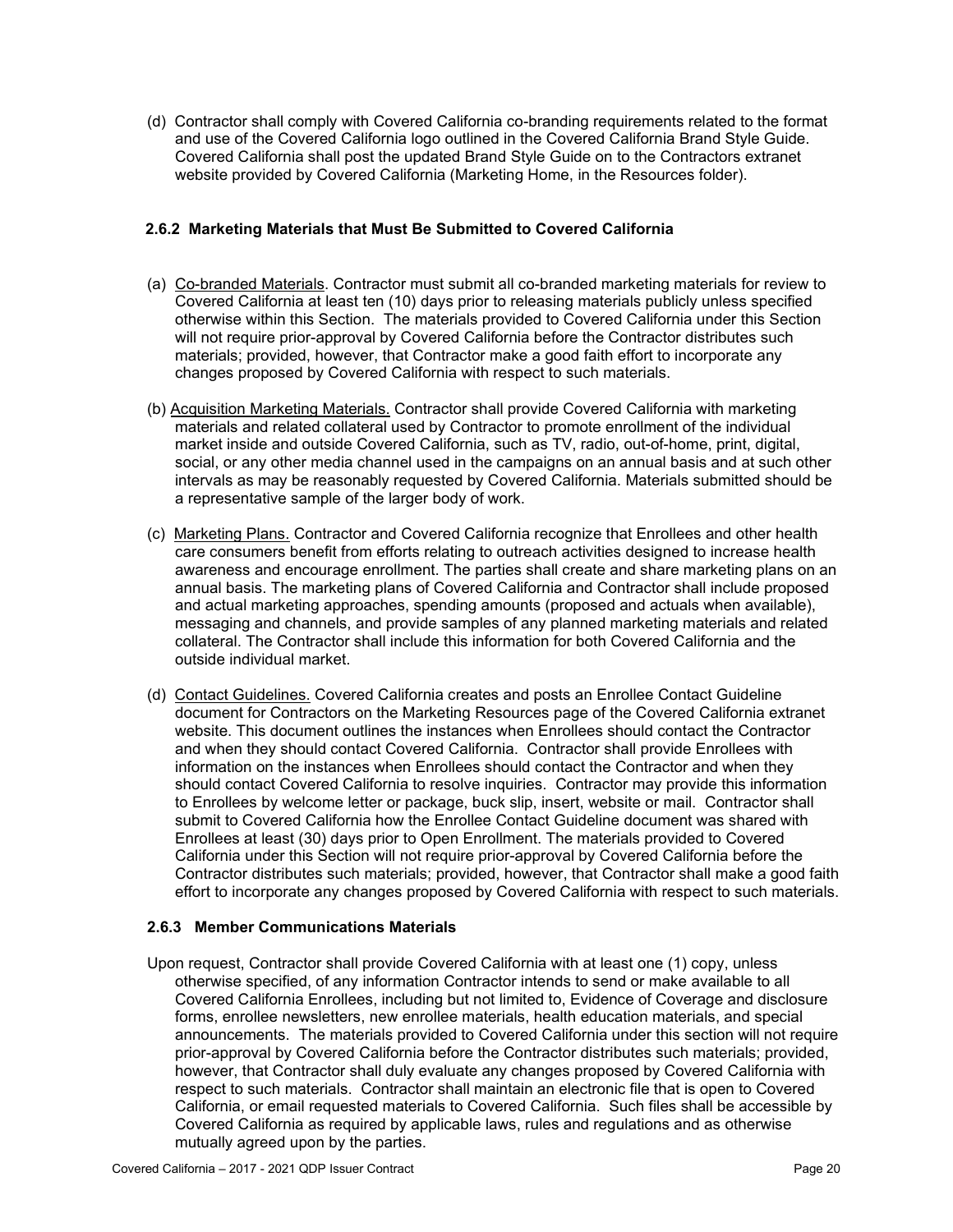(d) Contractor shall comply with Covered California co-branding requirements related to the format and use of the Covered California logo outlined in the Covered California Brand Style Guide. Covered California shall post the updated Brand Style Guide on to the Contractors extranet website provided by Covered California (Marketing Home, in the Resources folder).

### **2.6.2 Marketing Materials that Must Be Submitted to Covered California**

- (a) Co-branded Materials. Contractor must submit all co-branded marketing materials for review to Covered California at least ten (10) days prior to releasing materials publicly unless specified otherwise within this Section. The materials provided to Covered California under this Section will not require prior-approval by Covered California before the Contractor distributes such materials; provided, however, that Contractor make a good faith effort to incorporate any changes proposed by Covered California with respect to such materials.
- (b) Acquisition Marketing Materials. Contractor shall provide Covered California with marketing materials and related collateral used by Contractor to promote enrollment of the individual market inside and outside Covered California, such as TV, radio, out-of-home, print, digital, social, or any other media channel used in the campaigns on an annual basis and at such other intervals as may be reasonably requested by Covered California. Materials submitted should be a representative sample of the larger body of work.
- (c) Marketing Plans. Contractor and Covered California recognize that Enrollees and other health care consumers benefit from efforts relating to outreach activities designed to increase health awareness and encourage enrollment. The parties shall create and share marketing plans on an annual basis. The marketing plans of Covered California and Contractor shall include proposed and actual marketing approaches, spending amounts (proposed and actuals when available), messaging and channels, and provide samples of any planned marketing materials and related collateral. The Contractor shall include this information for both Covered California and the outside individual market.
- (d) Contact Guidelines. Covered California creates and posts an Enrollee Contact Guideline document for Contractors on the Marketing Resources page of the Covered California extranet website. This document outlines the instances when Enrollees should contact the Contractor and when they should contact Covered California. Contractor shall provide Enrollees with information on the instances when Enrollees should contact the Contractor and when they should contact Covered California to resolve inquiries. Contractor may provide this information to Enrollees by welcome letter or package, buck slip, insert, website or mail. Contractor shall submit to Covered California how the Enrollee Contact Guideline document was shared with Enrollees at least (30) days prior to Open Enrollment. The materials provided to Covered California under this Section will not require prior-approval by Covered California before the Contractor distributes such materials; provided, however, that Contractor shall make a good faith effort to incorporate any changes proposed by Covered California with respect to such materials.

### **2.6.3 Member Communications Materials**

Upon request, Contractor shall provide Covered California with at least one (1) copy, unless otherwise specified, of any information Contractor intends to send or make available to all Covered California Enrollees, including but not limited to, Evidence of Coverage and disclosure forms, enrollee newsletters, new enrollee materials, health education materials, and special announcements. The materials provided to Covered California under this section will not require prior-approval by Covered California before the Contractor distributes such materials; provided, however, that Contractor shall duly evaluate any changes proposed by Covered California with respect to such materials. Contractor shall maintain an electronic file that is open to Covered California, or email requested materials to Covered California. Such files shall be accessible by Covered California as required by applicable laws, rules and regulations and as otherwise mutually agreed upon by the parties.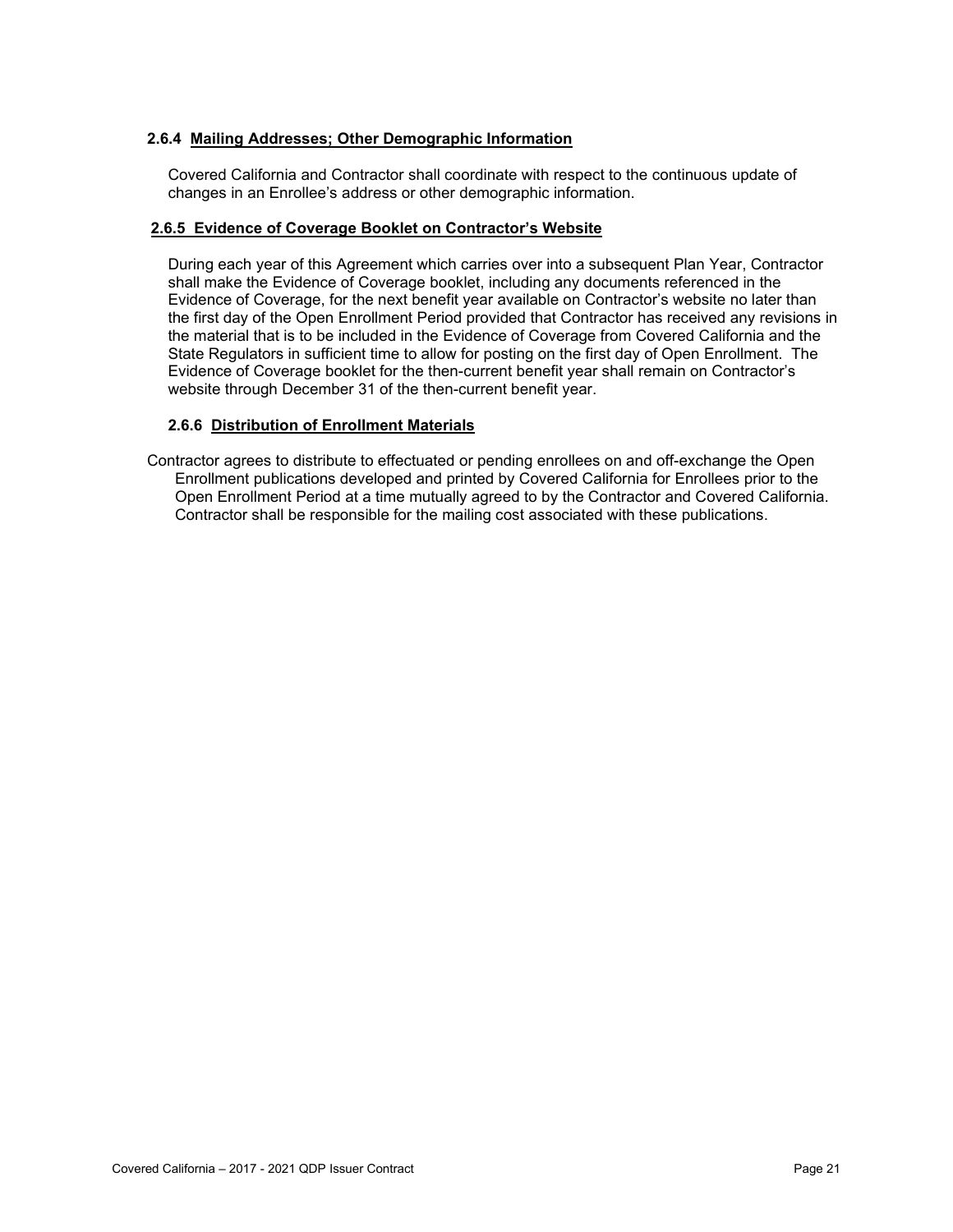#### **2.6.4 Mailing Addresses; Other Demographic Information**

Covered California and Contractor shall coordinate with respect to the continuous update of changes in an Enrollee's address or other demographic information.

#### **2.6.5 Evidence of Coverage Booklet on Contractor's Website**

During each year of this Agreement which carries over into a subsequent Plan Year, Contractor shall make the Evidence of Coverage booklet, including any documents referenced in the Evidence of Coverage, for the next benefit year available on Contractor's website no later than the first day of the Open Enrollment Period provided that Contractor has received any revisions in the material that is to be included in the Evidence of Coverage from Covered California and the State Regulators in sufficient time to allow for posting on the first day of Open Enrollment. The Evidence of Coverage booklet for the then-current benefit year shall remain on Contractor's website through December 31 of the then-current benefit year.

#### **2.6.6 Distribution of Enrollment Materials**

Contractor agrees to distribute to effectuated or pending enrollees on and off-exchange the Open Enrollment publications developed and printed by Covered California for Enrollees prior to the Open Enrollment Period at a time mutually agreed to by the Contractor and Covered California. Contractor shall be responsible for the mailing cost associated with these publications.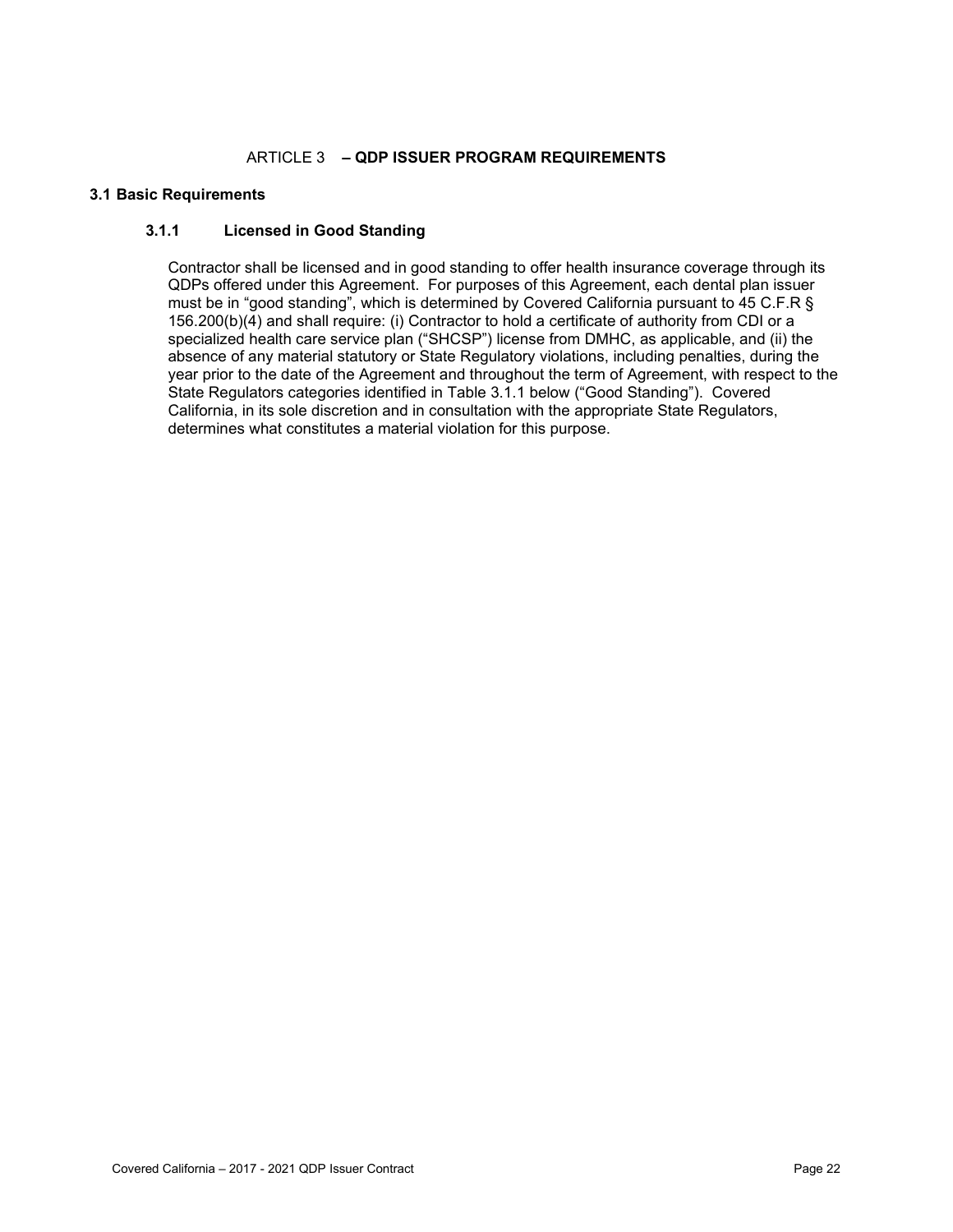### ARTICLE 3 **– QDP ISSUER PROGRAM REQUIREMENTS**

#### **3.1 Basic Requirements**

### **3.1.1 Licensed in Good Standing**

Contractor shall be licensed and in good standing to offer health insurance coverage through its QDPs offered under this Agreement. For purposes of this Agreement, each dental plan issuer must be in "good standing", which is determined by Covered California pursuant to 45 C.F.R § 156.200(b)(4) and shall require: (i) Contractor to hold a certificate of authority from CDI or a specialized health care service plan ("SHCSP") license from DMHC, as applicable, and (ii) the absence of any material statutory or State Regulatory violations, including penalties, during the year prior to the date of the Agreement and throughout the term of Agreement, with respect to the State Regulators categories identified in Table 3.1.1 below ("Good Standing"). Covered California, in its sole discretion and in consultation with the appropriate State Regulators, determines what constitutes a material violation for this purpose.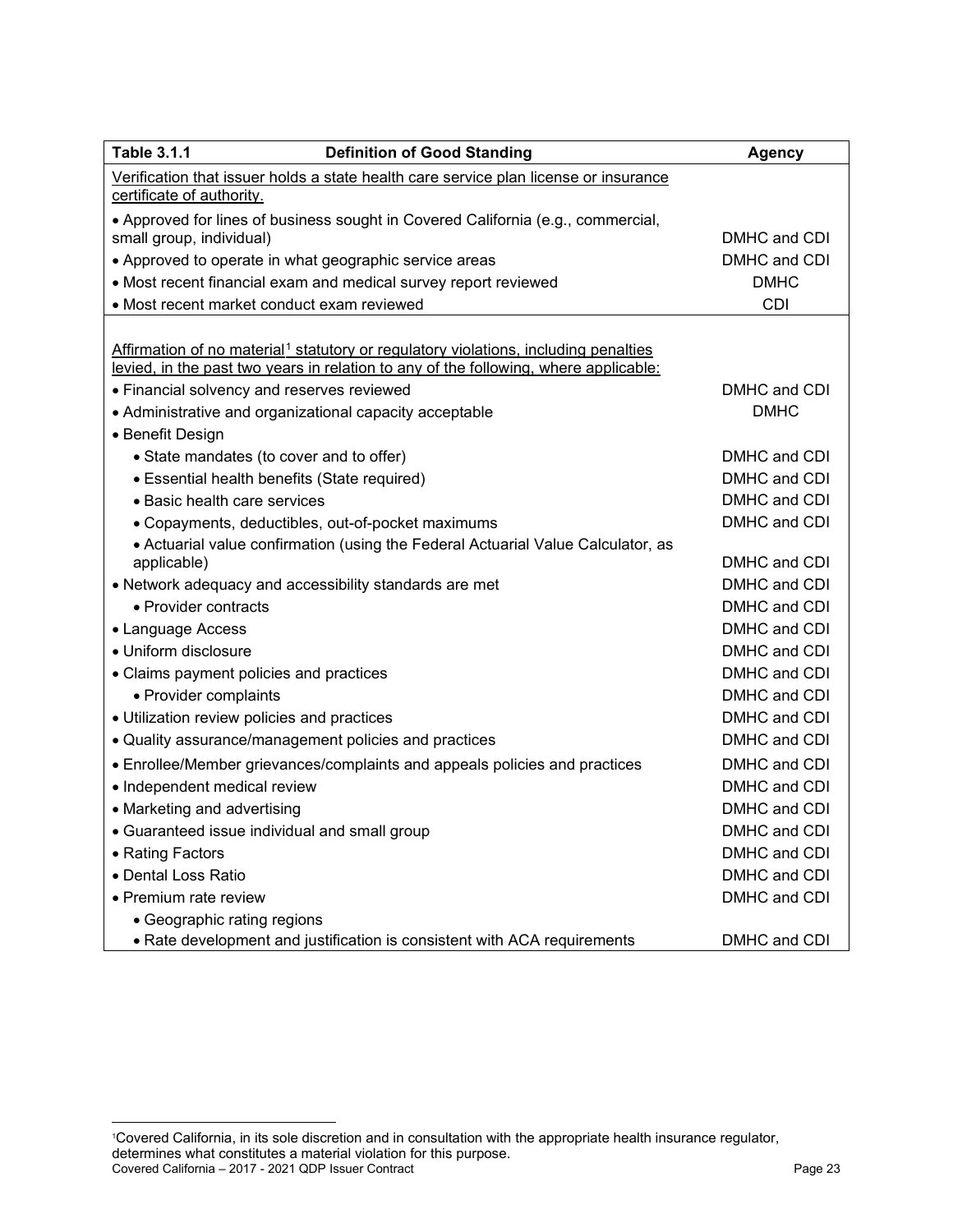| <b>Table 3.1.1</b><br><b>Definition of Good Standing</b>                                                                                                                                | <b>Agency</b> |  |  |  |
|-----------------------------------------------------------------------------------------------------------------------------------------------------------------------------------------|---------------|--|--|--|
| Verification that issuer holds a state health care service plan license or insurance                                                                                                    |               |  |  |  |
| certificate of authority.                                                                                                                                                               |               |  |  |  |
| • Approved for lines of business sought in Covered California (e.g., commercial,                                                                                                        |               |  |  |  |
| small group, individual)                                                                                                                                                                | DMHC and CDI  |  |  |  |
| • Approved to operate in what geographic service areas                                                                                                                                  | DMHC and CDI  |  |  |  |
| • Most recent financial exam and medical survey report reviewed                                                                                                                         | <b>DMHC</b>   |  |  |  |
| • Most recent market conduct exam reviewed                                                                                                                                              | <b>CDI</b>    |  |  |  |
| Affirmation of no material <sup>1</sup> statutory or regulatory violations, including penalties<br>levied, in the past two years in relation to any of the following, where applicable: |               |  |  |  |
| • Financial solvency and reserves reviewed                                                                                                                                              | DMHC and CDI  |  |  |  |
| • Administrative and organizational capacity acceptable                                                                                                                                 | <b>DMHC</b>   |  |  |  |
| • Benefit Design                                                                                                                                                                        |               |  |  |  |
| • State mandates (to cover and to offer)                                                                                                                                                | DMHC and CDI  |  |  |  |
| • Essential health benefits (State required)                                                                                                                                            | DMHC and CDI  |  |  |  |
| • Basic health care services                                                                                                                                                            | DMHC and CDI  |  |  |  |
| • Copayments, deductibles, out-of-pocket maximums                                                                                                                                       | DMHC and CDI  |  |  |  |
| • Actuarial value confirmation (using the Federal Actuarial Value Calculator, as<br>applicable)                                                                                         | DMHC and CDI  |  |  |  |
| • Network adequacy and accessibility standards are met                                                                                                                                  | DMHC and CDI  |  |  |  |
| • Provider contracts                                                                                                                                                                    | DMHC and CDI  |  |  |  |
| • Language Access                                                                                                                                                                       | DMHC and CDI  |  |  |  |
| · Uniform disclosure                                                                                                                                                                    | DMHC and CDI  |  |  |  |
| • Claims payment policies and practices                                                                                                                                                 | DMHC and CDI  |  |  |  |
| • Provider complaints                                                                                                                                                                   | DMHC and CDI  |  |  |  |
| · Utilization review policies and practices                                                                                                                                             | DMHC and CDI  |  |  |  |
| • Quality assurance/management policies and practices                                                                                                                                   | DMHC and CDI  |  |  |  |
| • Enrollee/Member grievances/complaints and appeals policies and practices                                                                                                              | DMHC and CDI  |  |  |  |
| • Independent medical review                                                                                                                                                            | DMHC and CDI  |  |  |  |
| • Marketing and advertising                                                                                                                                                             | DMHC and CDI  |  |  |  |
| • Guaranteed issue individual and small group                                                                                                                                           | DMHC and CDI  |  |  |  |
| • Rating Factors                                                                                                                                                                        | DMHC and CDI  |  |  |  |
| · Dental Loss Ratio                                                                                                                                                                     | DMHC and CDI  |  |  |  |
| • Premium rate review                                                                                                                                                                   | DMHC and CDI  |  |  |  |
| • Geographic rating regions                                                                                                                                                             |               |  |  |  |
| • Rate development and justification is consistent with ACA requirements                                                                                                                | DMHC and CDI  |  |  |  |

Covered California – 2017 - 2021 QDP Issuer Contract Page 23

<span id="page-25-0"></span><sup>1</sup> Covered California, in its sole discretion and in consultation with the appropriate health insurance regulator, determines what constitutes a material violation for this purpose.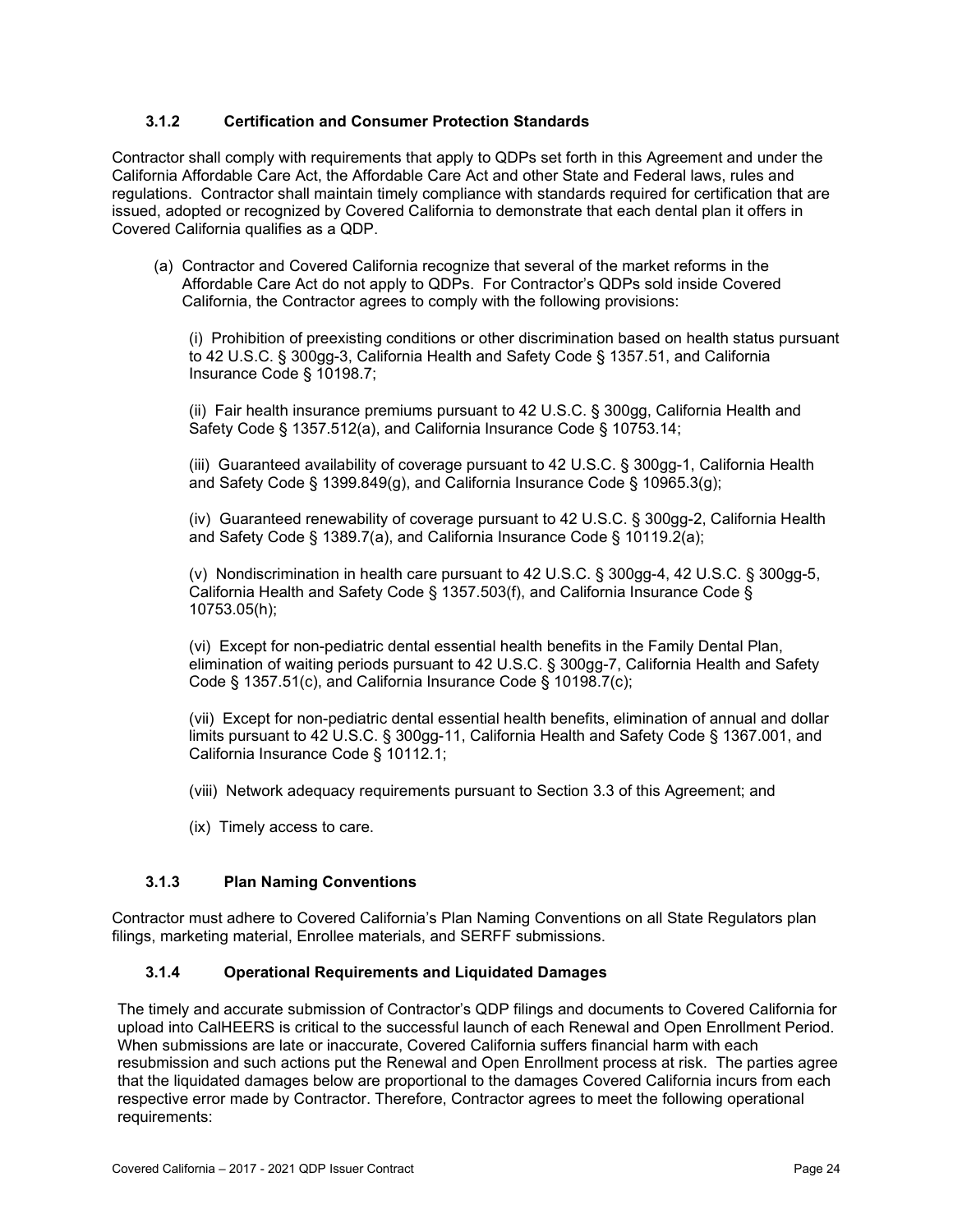### **3.1.2 Certification and Consumer Protection Standards**

Contractor shall comply with requirements that apply to QDPs set forth in this Agreement and under the California Affordable Care Act, the Affordable Care Act and other State and Federal laws, rules and regulations. Contractor shall maintain timely compliance with standards required for certification that are issued, adopted or recognized by Covered California to demonstrate that each dental plan it offers in Covered California qualifies as a QDP.

(a) Contractor and Covered California recognize that several of the market reforms in the Affordable Care Act do not apply to QDPs. For Contractor's QDPs sold inside Covered California, the Contractor agrees to comply with the following provisions:

(i) Prohibition of preexisting conditions or other discrimination based on health status pursuant to 42 U.S.C. § 300gg-3, California Health and Safety Code § 1357.51, and California Insurance Code § 10198.7;

(ii) Fair health insurance premiums pursuant to 42 U.S.C. § 300gg, California Health and Safety Code § 1357.512(a), and California Insurance Code § 10753.14;

(iii) Guaranteed availability of coverage pursuant to 42 U.S.C. § 300gg-1, California Health and Safety Code § 1399.849(g), and California Insurance Code § 10965.3(g);

(iv) Guaranteed renewability of coverage pursuant to 42 U.S.C. § 300gg-2, California Health and Safety Code § 1389.7(a), and California Insurance Code § 10119.2(a);

(v) Nondiscrimination in health care pursuant to 42 U.S.C. § 300gg-4, 42 U.S.C. § 300gg-5, California Health and Safety Code § 1357.503(f), and California Insurance Code § 10753.05(h);

(vi) Except for non-pediatric dental essential health benefits in the Family Dental Plan, elimination of waiting periods pursuant to 42 U.S.C. § 300gg-7, California Health and Safety Code § 1357.51(c), and California Insurance Code § 10198.7(c);

(vii) Except for non-pediatric dental essential health benefits, elimination of annual and dollar limits pursuant to 42 U.S.C. § 300gg-11, California Health and Safety Code § 1367.001, and California Insurance Code § 10112.1;

- (viii) Network adequacy requirements pursuant to Section 3.3 of this Agreement; and
- (ix) Timely access to care.

#### **3.1.3 Plan Naming Conventions**

Contractor must adhere to Covered California's Plan Naming Conventions on all State Regulators plan filings, marketing material, Enrollee materials, and SERFF submissions.

#### **3.1.4 Operational Requirements and Liquidated Damages**

The timely and accurate submission of Contractor's QDP filings and documents to Covered California for upload into CalHEERS is critical to the successful launch of each Renewal and Open Enrollment Period. When submissions are late or inaccurate, Covered California suffers financial harm with each resubmission and such actions put the Renewal and Open Enrollment process at risk. The parties agree that the liquidated damages below are proportional to the damages Covered California incurs from each respective error made by Contractor. Therefore, Contractor agrees to meet the following operational requirements: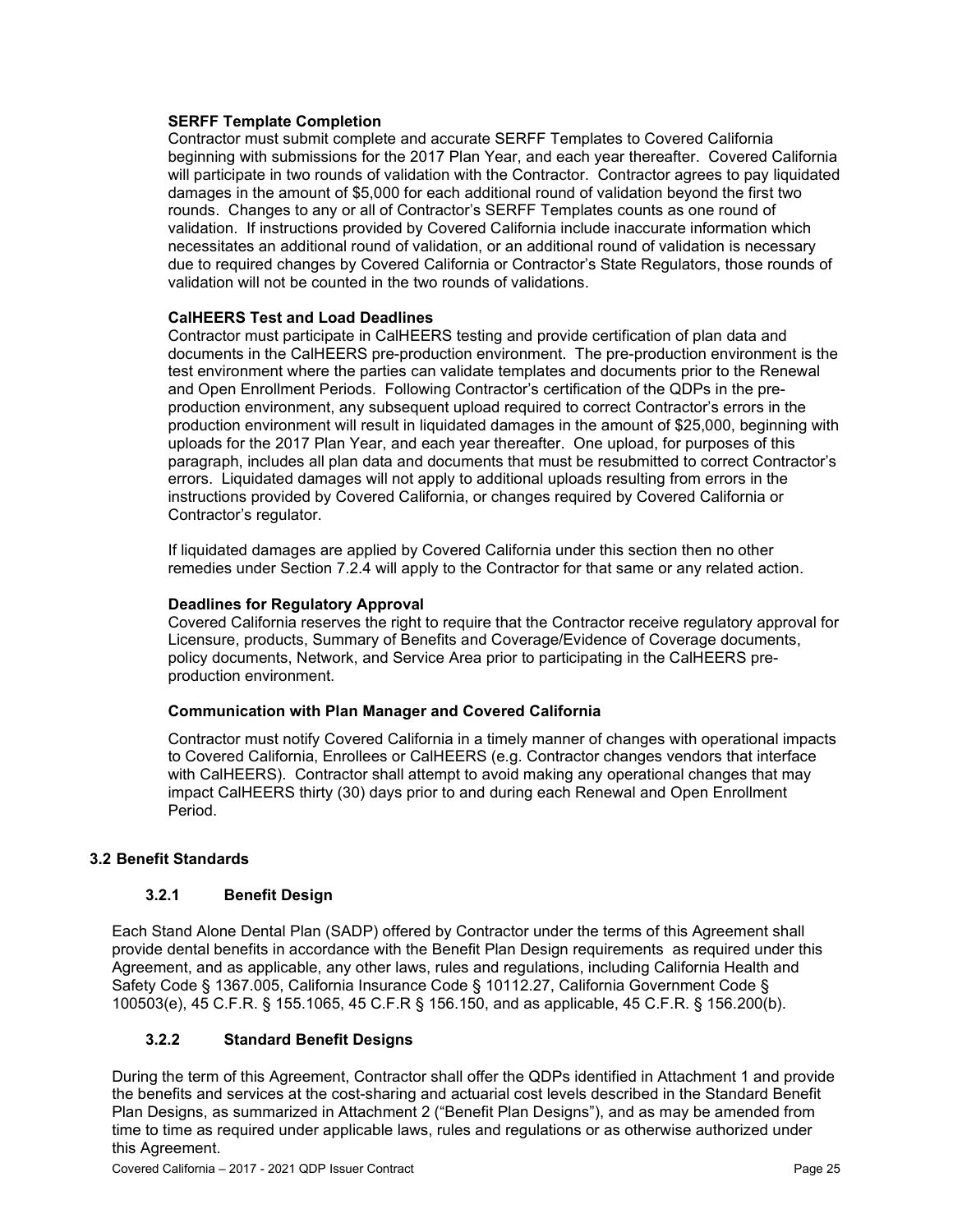#### **SERFF Template Completion**

Contractor must submit complete and accurate SERFF Templates to Covered California beginning with submissions for the 2017 Plan Year, and each year thereafter. Covered California will participate in two rounds of validation with the Contractor. Contractor agrees to pay liquidated damages in the amount of \$5,000 for each additional round of validation beyond the first two rounds. Changes to any or all of Contractor's SERFF Templates counts as one round of validation. If instructions provided by Covered California include inaccurate information which necessitates an additional round of validation, or an additional round of validation is necessary due to required changes by Covered California or Contractor's State Regulators, those rounds of validation will not be counted in the two rounds of validations.

#### **CalHEERS Test and Load Deadlines**

Contractor must participate in CalHEERS testing and provide certification of plan data and documents in the CalHEERS pre-production environment. The pre-production environment is the test environment where the parties can validate templates and documents prior to the Renewal and Open Enrollment Periods. Following Contractor's certification of the QDPs in the preproduction environment, any subsequent upload required to correct Contractor's errors in the production environment will result in liquidated damages in the amount of \$25,000, beginning with uploads for the 2017 Plan Year, and each year thereafter. One upload, for purposes of this paragraph, includes all plan data and documents that must be resubmitted to correct Contractor's errors. Liquidated damages will not apply to additional uploads resulting from errors in the instructions provided by Covered California, or changes required by Covered California or Contractor's regulator.

If liquidated damages are applied by Covered California under this section then no other remedies under Section 7.2.4 will apply to the Contractor for that same or any related action.

#### **Deadlines for Regulatory Approval**

Covered California reserves the right to require that the Contractor receive regulatory approval for Licensure, products, Summary of Benefits and Coverage/Evidence of Coverage documents, policy documents, Network, and Service Area prior to participating in the CalHEERS preproduction environment.

#### **Communication with Plan Manager and Covered California**

Contractor must notify Covered California in a timely manner of changes with operational impacts to Covered California, Enrollees or CalHEERS (e.g. Contractor changes vendors that interface with CalHEERS). Contractor shall attempt to avoid making any operational changes that may impact CalHEERS thirty (30) days prior to and during each Renewal and Open Enrollment Period.

#### **3.2 Benefit Standards**

#### **3.2.1 Benefit Design**

Each Stand Alone Dental Plan (SADP) offered by Contractor under the terms of this Agreement shall provide dental benefits in accordance with the Benefit Plan Design requirements as required under this Agreement, and as applicable, any other laws, rules and regulations, including California Health and Safety Code § 1367.005, California Insurance Code § 10112.27, California Government Code § 100503(e), 45 C.F.R. § 155.1065, 45 C.F.R § 156.150, and as applicable, 45 C.F.R. § 156.200(b).

### **3.2.2 Standard Benefit Designs**

During the term of this Agreement, Contractor shall offer the QDPs identified in Attachment 1 and provide the benefits and services at the cost-sharing and actuarial cost levels described in the Standard Benefit Plan Designs, as summarized in Attachment 2 ("Benefit Plan Designs"), and as may be amended from time to time as required under applicable laws, rules and regulations or as otherwise authorized under this Agreement.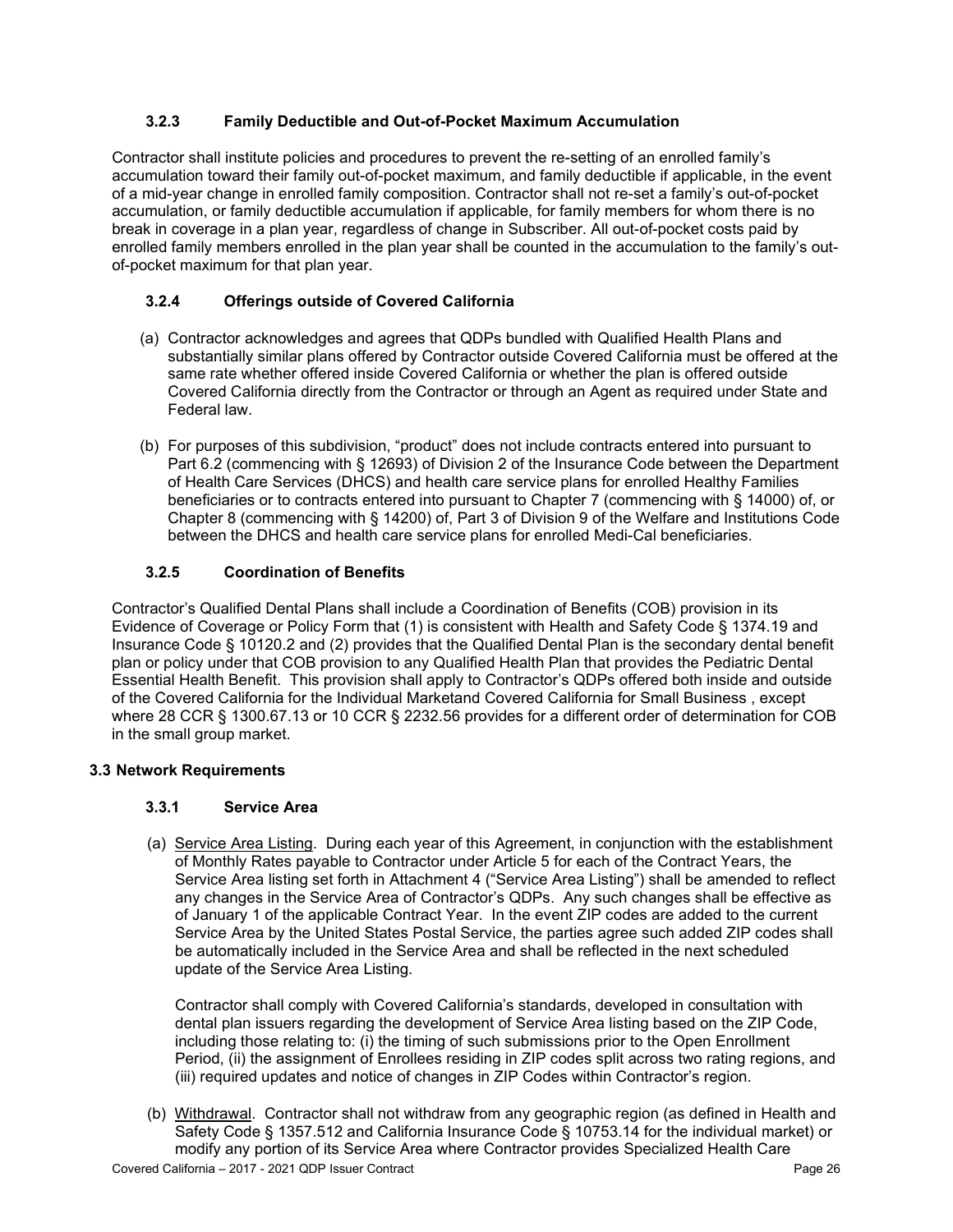### **3.2.3 Family Deductible and Out-of-Pocket Maximum Accumulation**

Contractor shall institute policies and procedures to prevent the re-setting of an enrolled family's accumulation toward their family out-of-pocket maximum, and family deductible if applicable, in the event of a mid-year change in enrolled family composition. Contractor shall not re-set a family's out-of-pocket accumulation, or family deductible accumulation if applicable, for family members for whom there is no break in coverage in a plan year, regardless of change in Subscriber. All out-of-pocket costs paid by enrolled family members enrolled in the plan year shall be counted in the accumulation to the family's outof-pocket maximum for that plan year.

### **3.2.4 Offerings outside of Covered California**

- (a) Contractor acknowledges and agrees that QDPs bundled with Qualified Health Plans and substantially similar plans offered by Contractor outside Covered California must be offered at the same rate whether offered inside Covered California or whether the plan is offered outside Covered California directly from the Contractor or through an Agent as required under State and Federal law.
- (b) For purposes of this subdivision, "product" does not include contracts entered into pursuant to Part 6.2 (commencing with § 12693) of Division 2 of the Insurance Code between the Department of Health Care Services (DHCS) and health care service plans for enrolled Healthy Families beneficiaries or to contracts entered into pursuant to Chapter 7 (commencing with § 14000) of, or Chapter 8 (commencing with § 14200) of, Part 3 of Division 9 of the Welfare and Institutions Code between the DHCS and health care service plans for enrolled Medi-Cal beneficiaries.

### **3.2.5 Coordination of Benefits**

Contractor's Qualified Dental Plans shall include a Coordination of Benefits (COB) provision in its Evidence of Coverage or Policy Form that (1) is consistent with Health and Safety Code § 1374.19 and Insurance Code § 10120.2 and (2) provides that the Qualified Dental Plan is the secondary dental benefit plan or policy under that COB provision to any Qualified Health Plan that provides the Pediatric Dental Essential Health Benefit. This provision shall apply to Contractor's QDPs offered both inside and outside of the Covered California for the Individual Marketand Covered California for Small Business , except where 28 CCR § 1300.67.13 or 10 CCR § 2232.56 provides for a different order of determination for COB in the small group market.

### **3.3 Network Requirements**

### **3.3.1 Service Area**

(a) Service Area Listing. During each year of this Agreement, in conjunction with the establishment of Monthly Rates payable to Contractor under Article 5 for each of the Contract Years, the Service Area listing set forth in Attachment 4 ("Service Area Listing") shall be amended to reflect any changes in the Service Area of Contractor's QDPs. Any such changes shall be effective as of January 1 of the applicable Contract Year. In the event ZIP codes are added to the current Service Area by the United States Postal Service, the parties agree such added ZIP codes shall be automatically included in the Service Area and shall be reflected in the next scheduled update of the Service Area Listing.

Contractor shall comply with Covered California's standards, developed in consultation with dental plan issuers regarding the development of Service Area listing based on the ZIP Code, including those relating to: (i) the timing of such submissions prior to the Open Enrollment Period, (ii) the assignment of Enrollees residing in ZIP codes split across two rating regions, and (iii) required updates and notice of changes in ZIP Codes within Contractor's region.

Covered California – 2017 - 2021 QDP Issuer Contract Page 26 (b) Withdrawal. Contractor shall not withdraw from any geographic region (as defined in Health and Safety Code § 1357.512 and California Insurance Code § 10753.14 for the individual market) or modify any portion of its Service Area where Contractor provides Specialized Health Care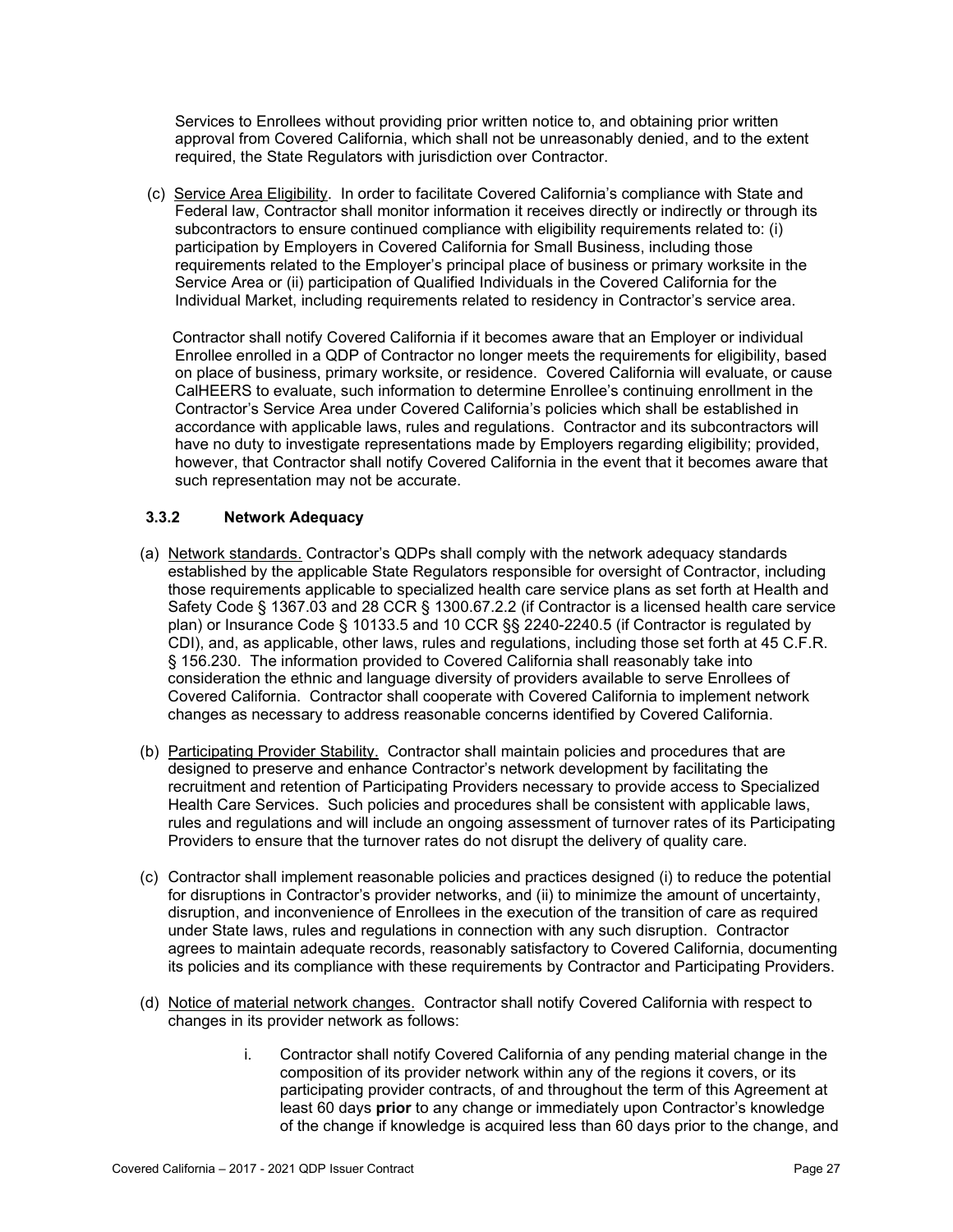Services to Enrollees without providing prior written notice to, and obtaining prior written approval from Covered California, which shall not be unreasonably denied, and to the extent required, the State Regulators with jurisdiction over Contractor.

(c) Service Area Eligibility. In order to facilitate Covered California's compliance with State and Federal law, Contractor shall monitor information it receives directly or indirectly or through its subcontractors to ensure continued compliance with eligibility requirements related to: (i) participation by Employers in Covered California for Small Business, including those requirements related to the Employer's principal place of business or primary worksite in the Service Area or (ii) participation of Qualified Individuals in the Covered California for the Individual Market, including requirements related to residency in Contractor's service area.

Contractor shall notify Covered California if it becomes aware that an Employer or individual Enrollee enrolled in a QDP of Contractor no longer meets the requirements for eligibility, based on place of business, primary worksite, or residence. Covered California will evaluate, or cause CalHEERS to evaluate, such information to determine Enrollee's continuing enrollment in the Contractor's Service Area under Covered California's policies which shall be established in accordance with applicable laws, rules and regulations. Contractor and its subcontractors will have no duty to investigate representations made by Employers regarding eligibility; provided, however, that Contractor shall notify Covered California in the event that it becomes aware that such representation may not be accurate.

#### **3.3.2 Network Adequacy**

- (a) Network standards. Contractor's QDPs shall comply with the network adequacy standards established by the applicable State Regulators responsible for oversight of Contractor, including those requirements applicable to specialized health care service plans as set forth at Health and Safety Code § 1367.03 and 28 CCR § 1300.67.2.2 (if Contractor is a licensed health care service plan) or Insurance Code § 10133.5 and 10 CCR §§ 2240-2240.5 (if Contractor is regulated by CDI), and, as applicable, other laws, rules and regulations, including those set forth at 45 C.F.R. § 156.230. The information provided to Covered California shall reasonably take into consideration the ethnic and language diversity of providers available to serve Enrollees of Covered California. Contractor shall cooperate with Covered California to implement network changes as necessary to address reasonable concerns identified by Covered California.
- (b) Participating Provider Stability. Contractor shall maintain policies and procedures that are designed to preserve and enhance Contractor's network development by facilitating the recruitment and retention of Participating Providers necessary to provide access to Specialized Health Care Services. Such policies and procedures shall be consistent with applicable laws, rules and regulations and will include an ongoing assessment of turnover rates of its Participating Providers to ensure that the turnover rates do not disrupt the delivery of quality care.
- (c) Contractor shall implement reasonable policies and practices designed (i) to reduce the potential for disruptions in Contractor's provider networks, and (ii) to minimize the amount of uncertainty, disruption, and inconvenience of Enrollees in the execution of the transition of care as required under State laws, rules and regulations in connection with any such disruption. Contractor agrees to maintain adequate records, reasonably satisfactory to Covered California, documenting its policies and its compliance with these requirements by Contractor and Participating Providers.
- (d) Notice of material network changes. Contractor shall notify Covered California with respect to changes in its provider network as follows:
	- i. Contractor shall notify Covered California of any pending material change in the composition of its provider network within any of the regions it covers, or its participating provider contracts, of and throughout the term of this Agreement at least 60 days **prior** to any change or immediately upon Contractor's knowledge of the change if knowledge is acquired less than 60 days prior to the change, and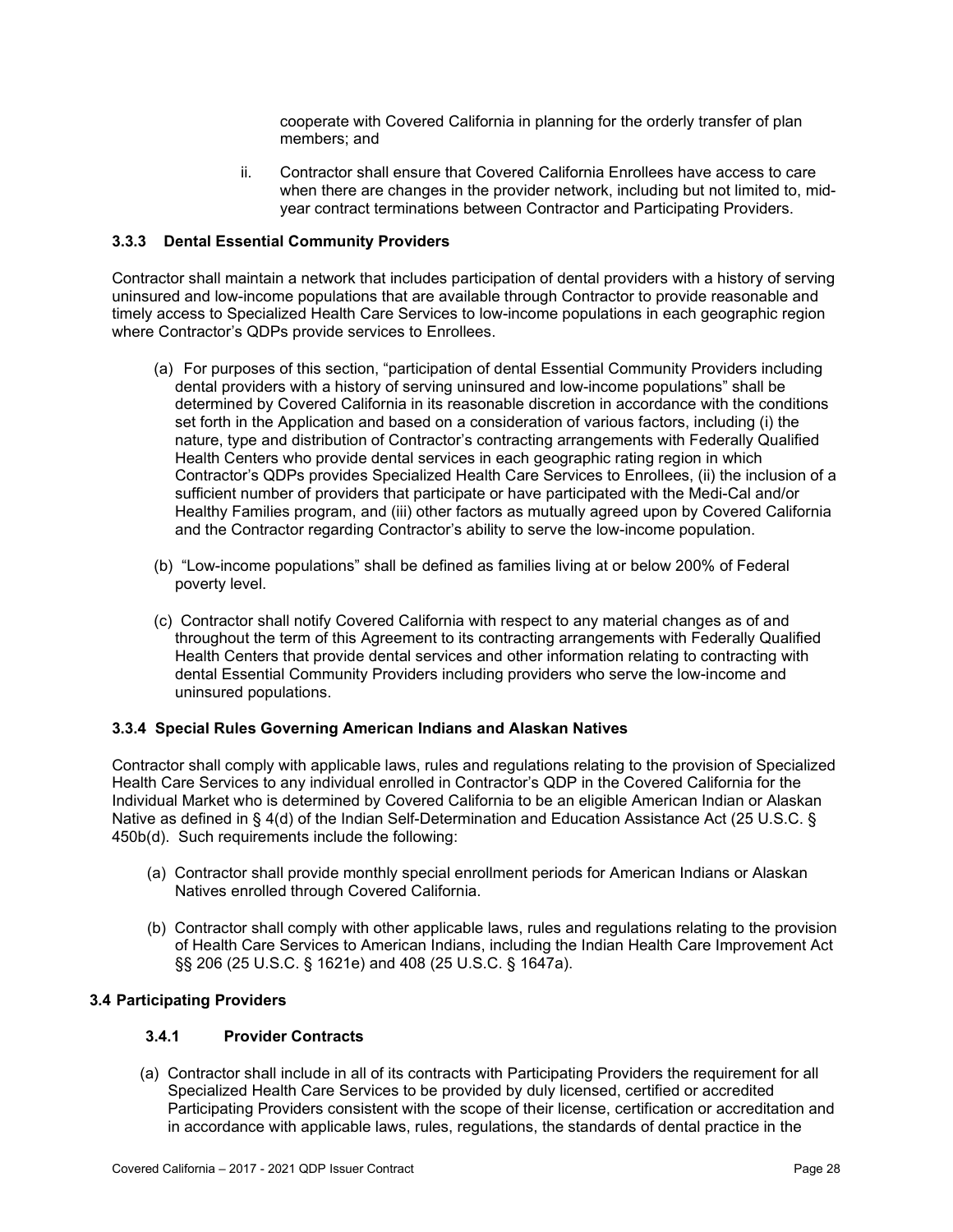cooperate with Covered California in planning for the orderly transfer of plan members; and

ii. Contractor shall ensure that Covered California Enrollees have access to care when there are changes in the provider network, including but not limited to, midyear contract terminations between Contractor and Participating Providers.

### **3.3.3 Dental Essential Community Providers**

Contractor shall maintain a network that includes participation of dental providers with a history of serving uninsured and low-income populations that are available through Contractor to provide reasonable and timely access to Specialized Health Care Services to low-income populations in each geographic region where Contractor's QDPs provide services to Enrollees.

- (a) For purposes of this section, "participation of dental Essential Community Providers including dental providers with a history of serving uninsured and low-income populations" shall be determined by Covered California in its reasonable discretion in accordance with the conditions set forth in the Application and based on a consideration of various factors, including (i) the nature, type and distribution of Contractor's contracting arrangements with Federally Qualified Health Centers who provide dental services in each geographic rating region in which Contractor's QDPs provides Specialized Health Care Services to Enrollees, (ii) the inclusion of a sufficient number of providers that participate or have participated with the Medi-Cal and/or Healthy Families program, and (iii) other factors as mutually agreed upon by Covered California and the Contractor regarding Contractor's ability to serve the low-income population.
- (b) "Low-income populations" shall be defined as families living at or below 200% of Federal poverty level.
- (c) Contractor shall notify Covered California with respect to any material changes as of and throughout the term of this Agreement to its contracting arrangements with Federally Qualified Health Centers that provide dental services and other information relating to contracting with dental Essential Community Providers including providers who serve the low-income and uninsured populations.

#### **3.3.4 Special Rules Governing American Indians and Alaskan Natives**

Contractor shall comply with applicable laws, rules and regulations relating to the provision of Specialized Health Care Services to any individual enrolled in Contractor's QDP in the Covered California for the Individual Market who is determined by Covered California to be an eligible American Indian or Alaskan Native as defined in § 4(d) of the Indian Self-Determination and Education Assistance Act (25 U.S.C. § 450b(d). Such requirements include the following:

- (a) Contractor shall provide monthly special enrollment periods for American Indians or Alaskan Natives enrolled through Covered California.
- (b) Contractor shall comply with other applicable laws, rules and regulations relating to the provision of Health Care Services to American Indians, including the Indian Health Care Improvement Act §§ 206 (25 U.S.C. § 1621e) and 408 (25 U.S.C. § 1647a).

### **3.4 Participating Providers**

#### **3.4.1 Provider Contracts**

(a) Contractor shall include in all of its contracts with Participating Providers the requirement for all Specialized Health Care Services to be provided by duly licensed, certified or accredited Participating Providers consistent with the scope of their license, certification or accreditation and in accordance with applicable laws, rules, regulations, the standards of dental practice in the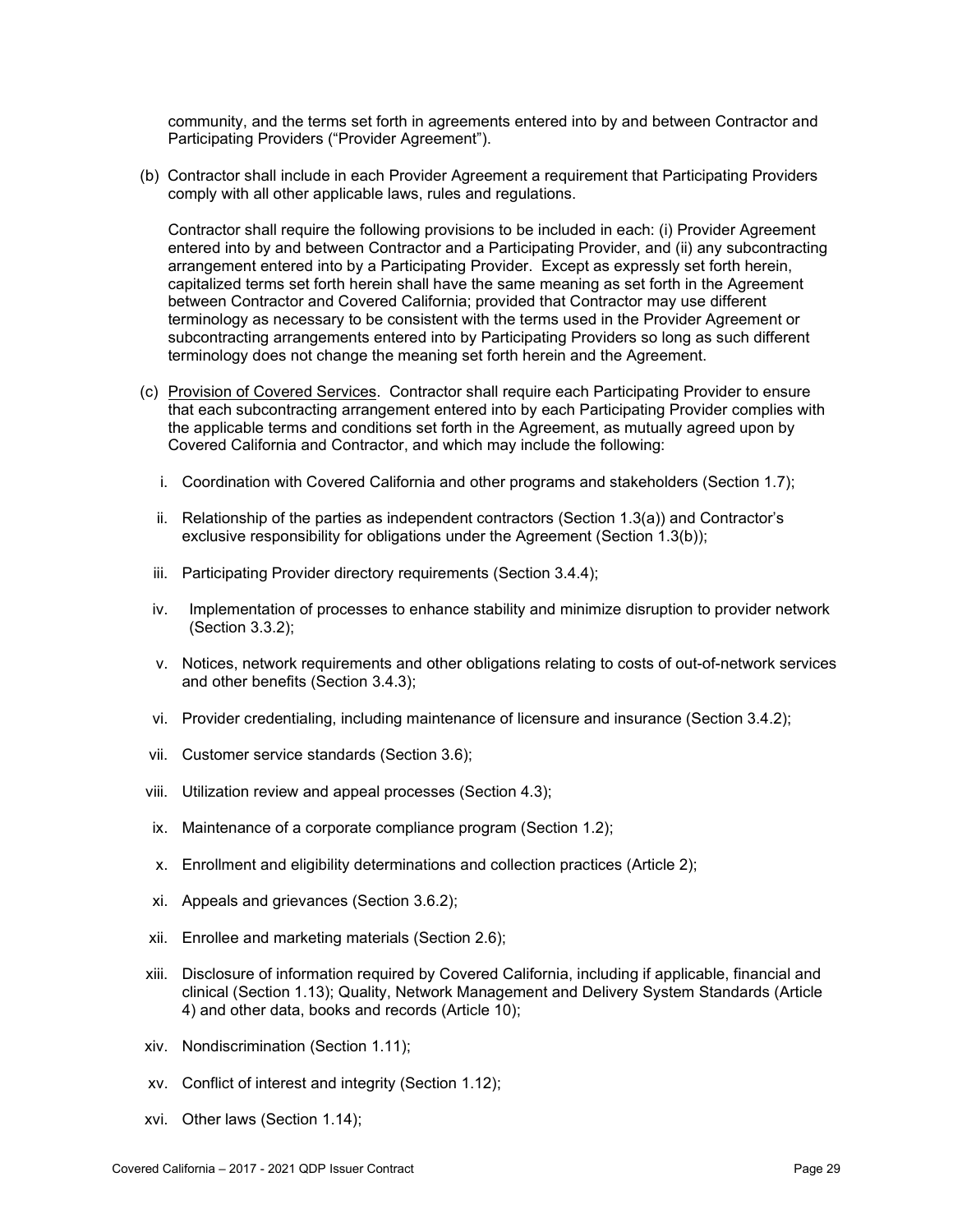community, and the terms set forth in agreements entered into by and between Contractor and Participating Providers ("Provider Agreement").

(b) Contractor shall include in each Provider Agreement a requirement that Participating Providers comply with all other applicable laws, rules and regulations.

Contractor shall require the following provisions to be included in each: (i) Provider Agreement entered into by and between Contractor and a Participating Provider, and (ii) any subcontracting arrangement entered into by a Participating Provider. Except as expressly set forth herein, capitalized terms set forth herein shall have the same meaning as set forth in the Agreement between Contractor and Covered California; provided that Contractor may use different terminology as necessary to be consistent with the terms used in the Provider Agreement or subcontracting arrangements entered into by Participating Providers so long as such different terminology does not change the meaning set forth herein and the Agreement.

- (c) Provision of Covered Services. Contractor shall require each Participating Provider to ensure that each subcontracting arrangement entered into by each Participating Provider complies with the applicable terms and conditions set forth in the Agreement, as mutually agreed upon by Covered California and Contractor, and which may include the following:
	- i. Coordination with Covered California and other programs and stakeholders (Section 1.7);
	- ii. Relationship of the parties as independent contractors (Section 1.3(a)) and Contractor's exclusive responsibility for obligations under the Agreement (Section 1.3(b));
	- iii. Participating Provider directory requirements (Section 3.4.4);
	- iv. Implementation of processes to enhance stability and minimize disruption to provider network (Section 3.3.2);
	- v. Notices, network requirements and other obligations relating to costs of out-of-network services and other benefits (Section 3.4.3);
	- vi. Provider credentialing, including maintenance of licensure and insurance (Section 3.4.2);
- vii. Customer service standards (Section 3.6);
- viii. Utilization review and appeal processes (Section 4.3);
- ix. Maintenance of a corporate compliance program (Section 1.2);
- x. Enrollment and eligibility determinations and collection practices (Article 2);
- xi. Appeals and grievances (Section 3.6.2);
- xii. Enrollee and marketing materials (Section 2.6);
- xiii. Disclosure of information required by Covered California, including if applicable, financial and clinical (Section 1.13); Quality, Network Management and Delivery System Standards (Article 4) and other data, books and records (Article 10);
- xiv. Nondiscrimination (Section 1.11);
- xv. Conflict of interest and integrity (Section 1.12);
- xvi. Other laws (Section 1.14);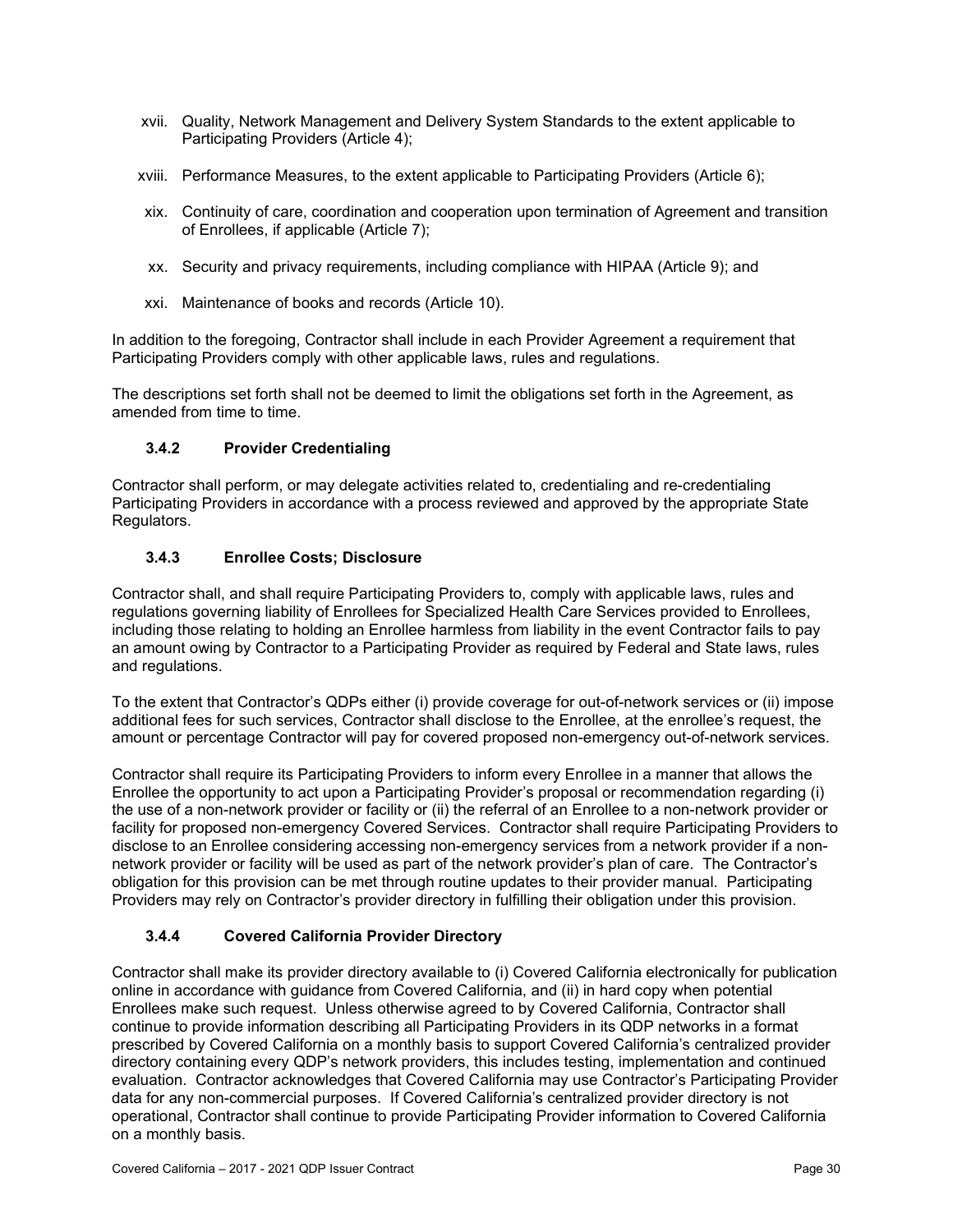- xvii. Quality, Network Management and Delivery System Standards to the extent applicable to Participating Providers (Article 4);
- xviii. Performance Measures, to the extent applicable to Participating Providers (Article 6);
- xix. Continuity of care, coordination and cooperation upon termination of Agreement and transition of Enrollees, if applicable (Article 7);
- xx. Security and privacy requirements, including compliance with HIPAA (Article 9); and
- xxi. Maintenance of books and records (Article 10).

In addition to the foregoing, Contractor shall include in each Provider Agreement a requirement that Participating Providers comply with other applicable laws, rules and regulations.

The descriptions set forth shall not be deemed to limit the obligations set forth in the Agreement, as amended from time to time.

### **3.4.2 Provider Credentialing**

Contractor shall perform, or may delegate activities related to, credentialing and re-credentialing Participating Providers in accordance with a process reviewed and approved by the appropriate State Regulators.

### **3.4.3 Enrollee Costs; Disclosure**

Contractor shall, and shall require Participating Providers to, comply with applicable laws, rules and regulations governing liability of Enrollees for Specialized Health Care Services provided to Enrollees, including those relating to holding an Enrollee harmless from liability in the event Contractor fails to pay an amount owing by Contractor to a Participating Provider as required by Federal and State laws, rules and regulations.

To the extent that Contractor's QDPs either (i) provide coverage for out-of-network services or (ii) impose additional fees for such services, Contractor shall disclose to the Enrollee, at the enrollee's request, the amount or percentage Contractor will pay for covered proposed non-emergency out-of-network services.

Contractor shall require its Participating Providers to inform every Enrollee in a manner that allows the Enrollee the opportunity to act upon a Participating Provider's proposal or recommendation regarding (i) the use of a non-network provider or facility or (ii) the referral of an Enrollee to a non-network provider or facility for proposed non-emergency Covered Services. Contractor shall require Participating Providers to disclose to an Enrollee considering accessing non-emergency services from a network provider if a nonnetwork provider or facility will be used as part of the network provider's plan of care. The Contractor's obligation for this provision can be met through routine updates to their provider manual. Participating Providers may rely on Contractor's provider directory in fulfilling their obligation under this provision.

### **3.4.4 Covered California Provider Directory**

Contractor shall make its provider directory available to (i) Covered California electronically for publication online in accordance with guidance from Covered California, and (ii) in hard copy when potential Enrollees make such request. Unless otherwise agreed to by Covered California, Contractor shall continue to provide information describing all Participating Providers in its QDP networks in a format prescribed by Covered California on a monthly basis to support Covered California's centralized provider directory containing every QDP's network providers, this includes testing, implementation and continued evaluation. Contractor acknowledges that Covered California may use Contractor's Participating Provider data for any non-commercial purposes. If Covered California's centralized provider directory is not operational, Contractor shall continue to provide Participating Provider information to Covered California on a monthly basis.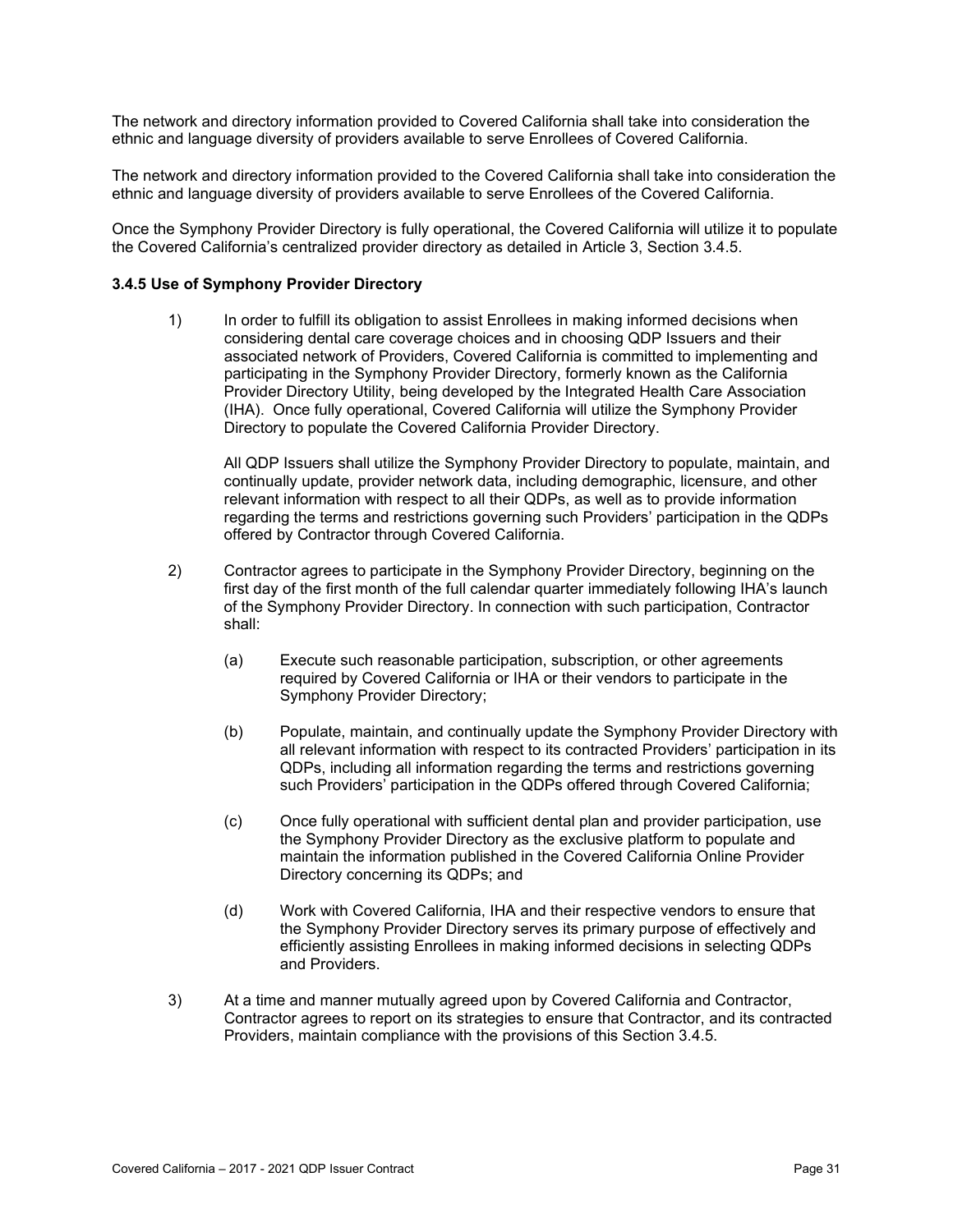The network and directory information provided to Covered California shall take into consideration the ethnic and language diversity of providers available to serve Enrollees of Covered California.

The network and directory information provided to the Covered California shall take into consideration the ethnic and language diversity of providers available to serve Enrollees of the Covered California.

Once the Symphony Provider Directory is fully operational, the Covered California will utilize it to populate the Covered California's centralized provider directory as detailed in Article 3, Section 3.4.5.

#### **3.4.5 Use of Symphony Provider Directory**

1) In order to fulfill its obligation to assist Enrollees in making informed decisions when considering dental care coverage choices and in choosing QDP Issuers and their associated network of Providers, Covered California is committed to implementing and participating in the Symphony Provider Directory, formerly known as the California Provider Directory Utility, being developed by the Integrated Health Care Association (IHA). Once fully operational, Covered California will utilize the Symphony Provider Directory to populate the Covered California Provider Directory.

All QDP Issuers shall utilize the Symphony Provider Directory to populate, maintain, and continually update, provider network data, including demographic, licensure, and other relevant information with respect to all their QDPs, as well as to provide information regarding the terms and restrictions governing such Providers' participation in the QDPs offered by Contractor through Covered California.

- 2) Contractor agrees to participate in the Symphony Provider Directory, beginning on the first day of the first month of the full calendar quarter immediately following IHA's launch of the Symphony Provider Directory. In connection with such participation, Contractor shall:
	- (a) Execute such reasonable participation, subscription, or other agreements required by Covered California or IHA or their vendors to participate in the Symphony Provider Directory;
	- (b) Populate, maintain, and continually update the Symphony Provider Directory with all relevant information with respect to its contracted Providers' participation in its QDPs, including all information regarding the terms and restrictions governing such Providers' participation in the QDPs offered through Covered California;
	- (c) Once fully operational with sufficient dental plan and provider participation, use the Symphony Provider Directory as the exclusive platform to populate and maintain the information published in the Covered California Online Provider Directory concerning its QDPs; and
	- (d) Work with Covered California, IHA and their respective vendors to ensure that the Symphony Provider Directory serves its primary purpose of effectively and efficiently assisting Enrollees in making informed decisions in selecting QDPs and Providers.
- 3) At a time and manner mutually agreed upon by Covered California and Contractor, Contractor agrees to report on its strategies to ensure that Contractor, and its contracted Providers, maintain compliance with the provisions of this Section 3.4.5.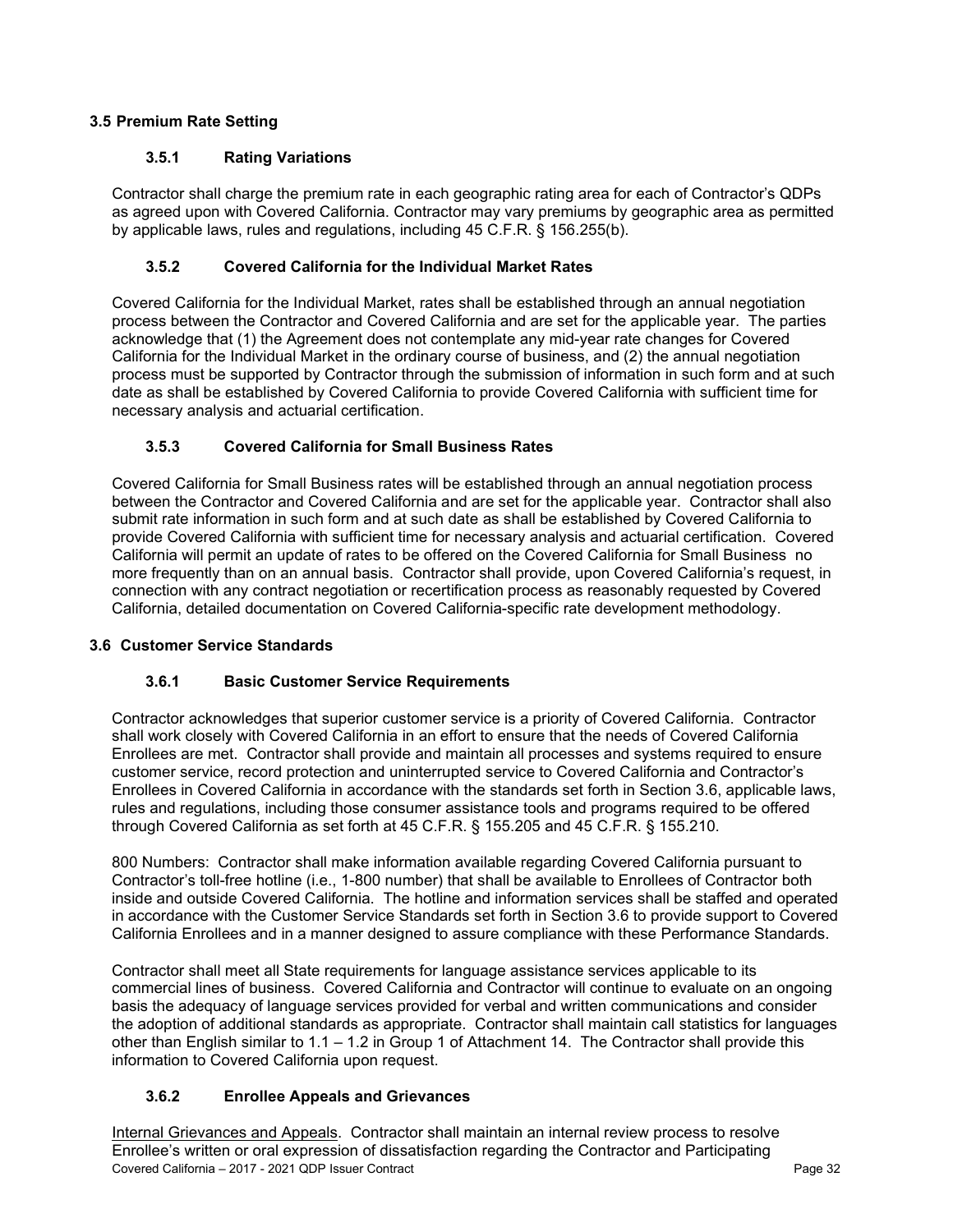### **3.5 Premium Rate Setting**

### **3.5.1 Rating Variations**

Contractor shall charge the premium rate in each geographic rating area for each of Contractor's QDPs as agreed upon with Covered California. Contractor may vary premiums by geographic area as permitted by applicable laws, rules and regulations, including 45 C.F.R. § 156.255(b).

### **3.5.2 Covered California for the Individual Market Rates**

Covered California for the Individual Market, rates shall be established through an annual negotiation process between the Contractor and Covered California and are set for the applicable year. The parties acknowledge that (1) the Agreement does not contemplate any mid-year rate changes for Covered California for the Individual Market in the ordinary course of business, and (2) the annual negotiation process must be supported by Contractor through the submission of information in such form and at such date as shall be established by Covered California to provide Covered California with sufficient time for necessary analysis and actuarial certification.

### **3.5.3 Covered California for Small Business Rates**

Covered California for Small Business rates will be established through an annual negotiation process between the Contractor and Covered California and are set for the applicable year. Contractor shall also submit rate information in such form and at such date as shall be established by Covered California to provide Covered California with sufficient time for necessary analysis and actuarial certification. Covered California will permit an update of rates to be offered on the Covered California for Small Business no more frequently than on an annual basis. Contractor shall provide, upon Covered California's request, in connection with any contract negotiation or recertification process as reasonably requested by Covered California, detailed documentation on Covered California-specific rate development methodology.

### **3.6 Customer Service Standards**

### **3.6.1 Basic Customer Service Requirements**

Contractor acknowledges that superior customer service is a priority of Covered California. Contractor shall work closely with Covered California in an effort to ensure that the needs of Covered California Enrollees are met. Contractor shall provide and maintain all processes and systems required to ensure customer service, record protection and uninterrupted service to Covered California and Contractor's Enrollees in Covered California in accordance with the standards set forth in Section 3.6, applicable laws, rules and regulations, including those consumer assistance tools and programs required to be offered through Covered California as set forth at 45 C.F.R. § 155.205 and 45 C.F.R. § 155.210.

800 Numbers: Contractor shall make information available regarding Covered California pursuant to Contractor's toll-free hotline (i.e., 1-800 number) that shall be available to Enrollees of Contractor both inside and outside Covered California. The hotline and information services shall be staffed and operated in accordance with the Customer Service Standards set forth in Section 3.6 to provide support to Covered California Enrollees and in a manner designed to assure compliance with these Performance Standards.

Contractor shall meet all State requirements for language assistance services applicable to its commercial lines of business. Covered California and Contractor will continue to evaluate on an ongoing basis the adequacy of language services provided for verbal and written communications and consider the adoption of additional standards as appropriate. Contractor shall maintain call statistics for languages other than English similar to 1.1 – 1.2 in Group 1 of Attachment 14. The Contractor shall provide this information to Covered California upon request.

### **3.6.2 Enrollee Appeals and Grievances**

Covered California – 2017 - 2021 QDP Issuer Contract Page 32 Internal Grievances and Appeals. Contractor shall maintain an internal review process to resolve Enrollee's written or oral expression of dissatisfaction regarding the Contractor and Participating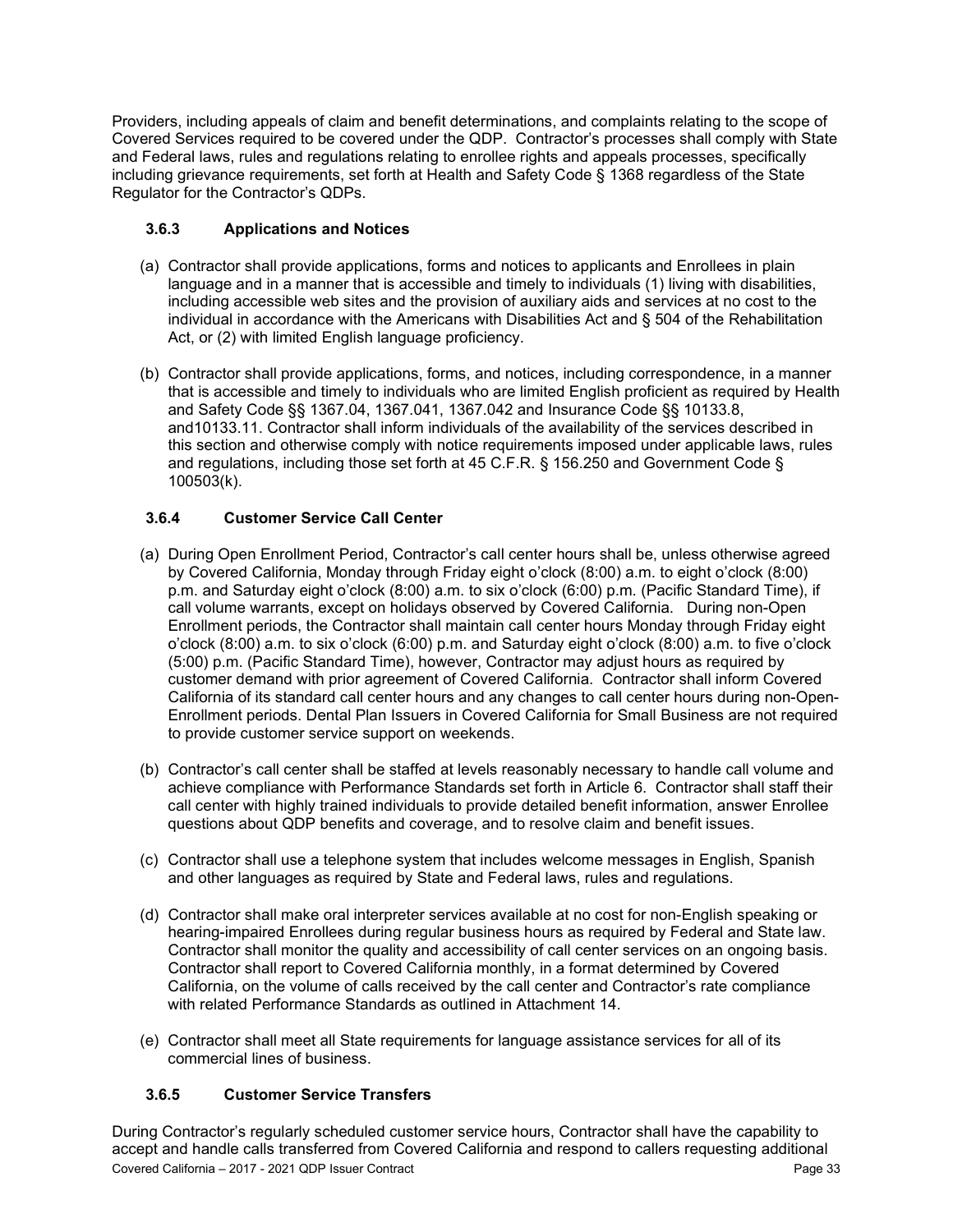Providers, including appeals of claim and benefit determinations, and complaints relating to the scope of Covered Services required to be covered under the QDP. Contractor's processes shall comply with State and Federal laws, rules and regulations relating to enrollee rights and appeals processes, specifically including grievance requirements, set forth at Health and Safety Code § 1368 regardless of the State Regulator for the Contractor's QDPs.

# **3.6.3 Applications and Notices**

- (a) Contractor shall provide applications, forms and notices to applicants and Enrollees in plain language and in a manner that is accessible and timely to individuals (1) living with disabilities, including accessible web sites and the provision of auxiliary aids and services at no cost to the individual in accordance with the Americans with Disabilities Act and § 504 of the Rehabilitation Act, or (2) with limited English language proficiency.
- (b) Contractor shall provide applications, forms, and notices, including correspondence, in a manner that is accessible and timely to individuals who are limited English proficient as required by Health and Safety Code §§ 1367.04, 1367.041, 1367.042 and Insurance Code §§ 10133.8, and10133.11. Contractor shall inform individuals of the availability of the services described in this section and otherwise comply with notice requirements imposed under applicable laws, rules and regulations, including those set forth at 45 C.F.R. § 156.250 and Government Code § 100503(k).

# **3.6.4 Customer Service Call Center**

- (a) During Open Enrollment Period, Contractor's call center hours shall be, unless otherwise agreed by Covered California, Monday through Friday eight o'clock (8:00) a.m. to eight o'clock (8:00) p.m. and Saturday eight o'clock (8:00) a.m. to six o'clock (6:00) p.m. (Pacific Standard Time), if call volume warrants, except on holidays observed by Covered California. During non-Open Enrollment periods, the Contractor shall maintain call center hours Monday through Friday eight o'clock (8:00) a.m. to six o'clock (6:00) p.m. and Saturday eight o'clock (8:00) a.m. to five o'clock (5:00) p.m. (Pacific Standard Time), however, Contractor may adjust hours as required by customer demand with prior agreement of Covered California. Contractor shall inform Covered California of its standard call center hours and any changes to call center hours during non-Open-Enrollment periods. Dental Plan Issuers in Covered California for Small Business are not required to provide customer service support on weekends.
- (b) Contractor's call center shall be staffed at levels reasonably necessary to handle call volume and achieve compliance with Performance Standards set forth in Article 6. Contractor shall staff their call center with highly trained individuals to provide detailed benefit information, answer Enrollee questions about QDP benefits and coverage, and to resolve claim and benefit issues.
- (c) Contractor shall use a telephone system that includes welcome messages in English, Spanish and other languages as required by State and Federal laws, rules and regulations.
- (d) Contractor shall make oral interpreter services available at no cost for non-English speaking or hearing-impaired Enrollees during regular business hours as required by Federal and State law. Contractor shall monitor the quality and accessibility of call center services on an ongoing basis. Contractor shall report to Covered California monthly, in a format determined by Covered California, on the volume of calls received by the call center and Contractor's rate compliance with related Performance Standards as outlined in Attachment 14.
- (e) Contractor shall meet all State requirements for language assistance services for all of its commercial lines of business.

# **3.6.5 Customer Service Transfers**

Covered California – 2017 - 2021 QDP Issuer Contract Page 33 During Contractor's regularly scheduled customer service hours, Contractor shall have the capability to accept and handle calls transferred from Covered California and respond to callers requesting additional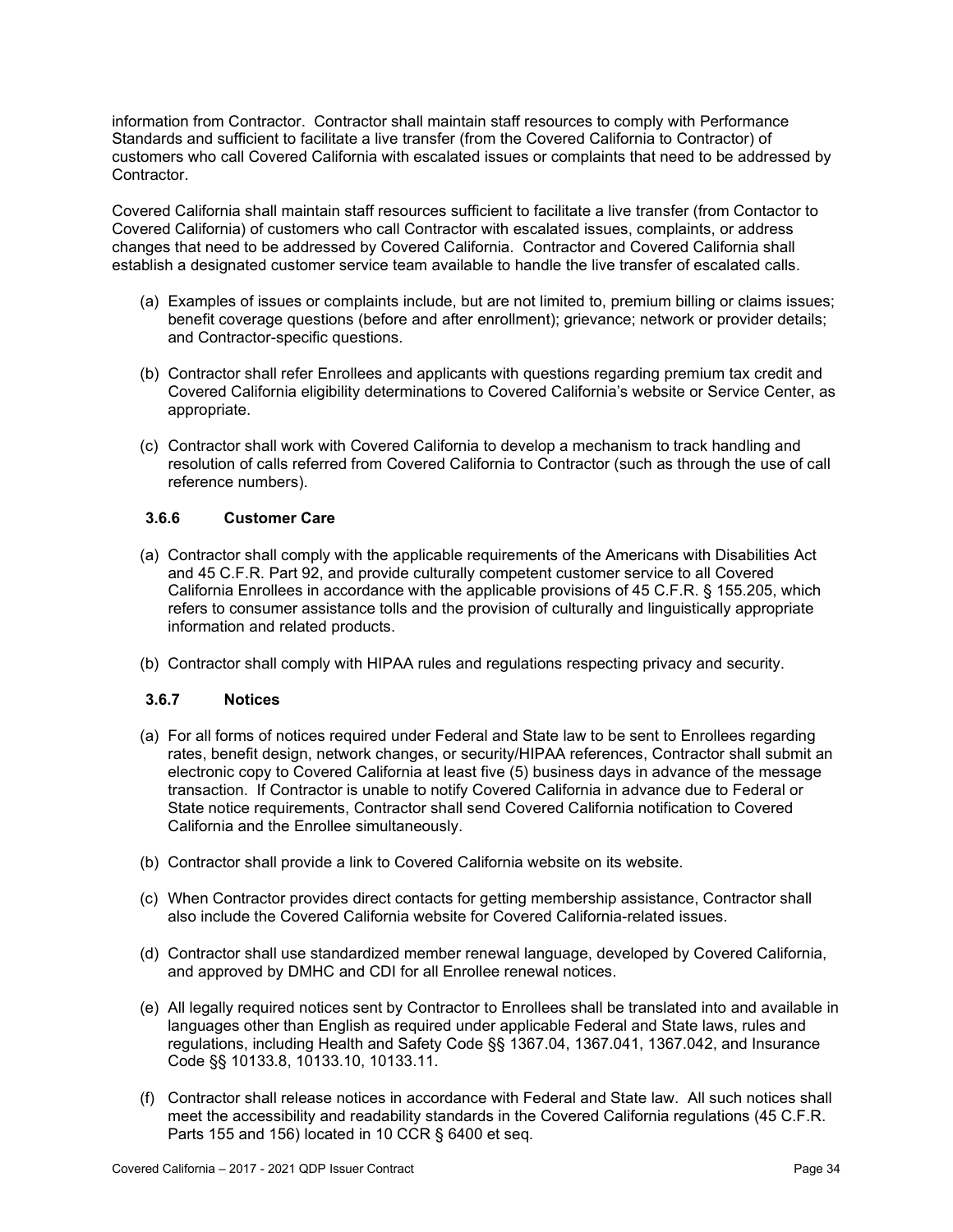information from Contractor. Contractor shall maintain staff resources to comply with Performance Standards and sufficient to facilitate a live transfer (from the Covered California to Contractor) of customers who call Covered California with escalated issues or complaints that need to be addressed by **Contractor** 

Covered California shall maintain staff resources sufficient to facilitate a live transfer (from Contactor to Covered California) of customers who call Contractor with escalated issues, complaints, or address changes that need to be addressed by Covered California. Contractor and Covered California shall establish a designated customer service team available to handle the live transfer of escalated calls.

- (a) Examples of issues or complaints include, but are not limited to, premium billing or claims issues; benefit coverage questions (before and after enrollment); grievance; network or provider details; and Contractor-specific questions.
- (b) Contractor shall refer Enrollees and applicants with questions regarding premium tax credit and Covered California eligibility determinations to Covered California's website or Service Center, as appropriate.
- (c) Contractor shall work with Covered California to develop a mechanism to track handling and resolution of calls referred from Covered California to Contractor (such as through the use of call reference numbers).

### **3.6.6 Customer Care**

- (a) Contractor shall comply with the applicable requirements of the Americans with Disabilities Act and 45 C.F.R. Part 92, and provide culturally competent customer service to all Covered California Enrollees in accordance with the applicable provisions of 45 C.F.R. § 155.205, which refers to consumer assistance tolls and the provision of culturally and linguistically appropriate information and related products.
- (b) Contractor shall comply with HIPAA rules and regulations respecting privacy and security.

### **3.6.7 Notices**

- (a) For all forms of notices required under Federal and State law to be sent to Enrollees regarding rates, benefit design, network changes, or security/HIPAA references, Contractor shall submit an electronic copy to Covered California at least five (5) business days in advance of the message transaction. If Contractor is unable to notify Covered California in advance due to Federal or State notice requirements, Contractor shall send Covered California notification to Covered California and the Enrollee simultaneously.
- (b) Contractor shall provide a link to Covered California website on its website.
- (c) When Contractor provides direct contacts for getting membership assistance, Contractor shall also include the Covered California website for Covered California-related issues.
- (d) Contractor shall use standardized member renewal language, developed by Covered California, and approved by DMHC and CDI for all Enrollee renewal notices.
- (e) All legally required notices sent by Contractor to Enrollees shall be translated into and available in languages other than English as required under applicable Federal and State laws, rules and regulations, including Health and Safety Code §§ 1367.04, 1367.041, 1367.042, and Insurance Code §§ 10133.8, 10133.10, 10133.11.
- (f) Contractor shall release notices in accordance with Federal and State law. All such notices shall meet the accessibility and readability standards in the Covered California regulations (45 C.F.R. Parts 155 and 156) located in 10 CCR § 6400 et seq*.*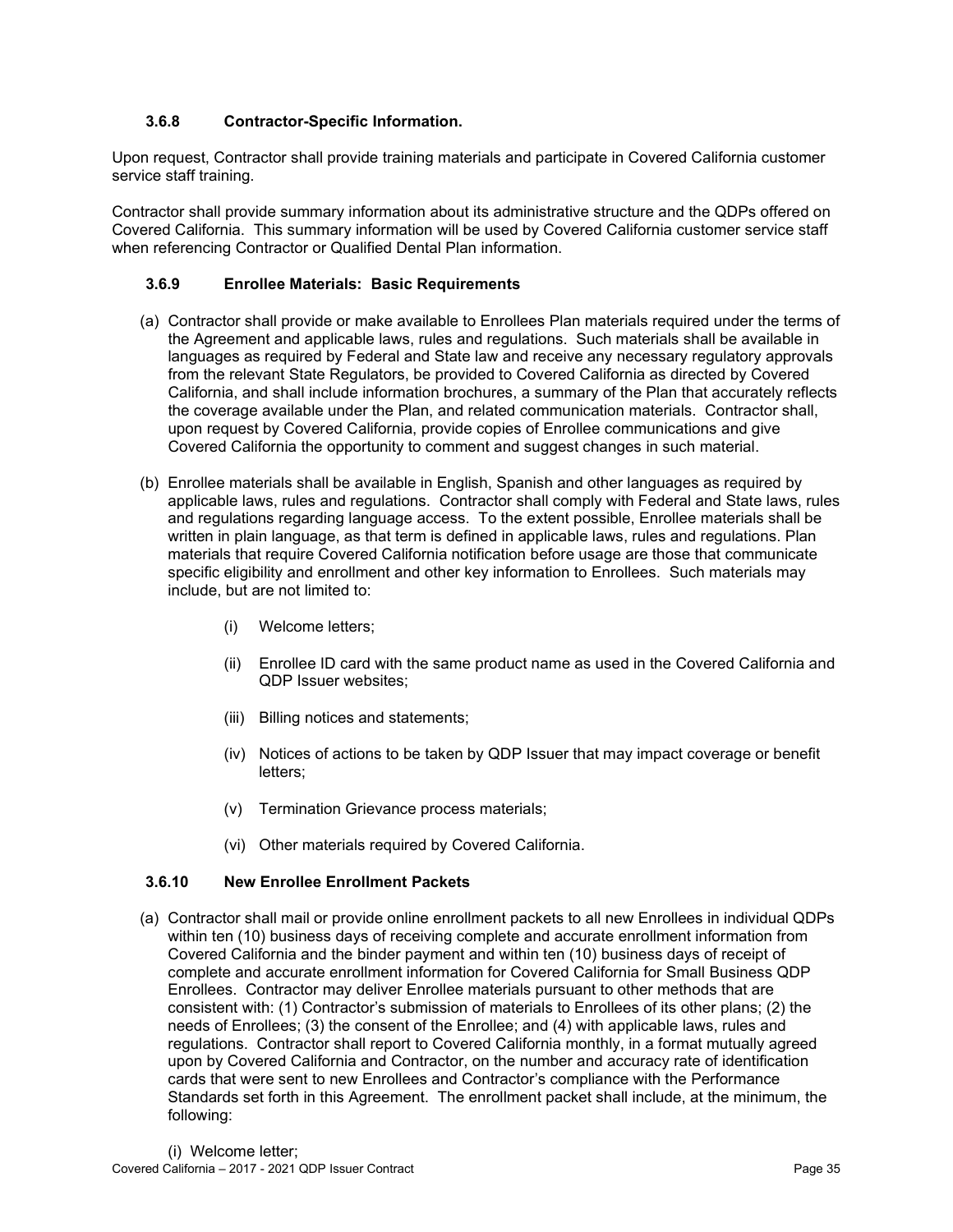# **3.6.8 Contractor-Specific Information.**

Upon request, Contractor shall provide training materials and participate in Covered California customer service staff training.

Contractor shall provide summary information about its administrative structure and the QDPs offered on Covered California. This summary information will be used by Covered California customer service staff when referencing Contractor or Qualified Dental Plan information.

## **3.6.9 Enrollee Materials: Basic Requirements**

- (a) Contractor shall provide or make available to Enrollees Plan materials required under the terms of the Agreement and applicable laws, rules and regulations. Such materials shall be available in languages as required by Federal and State law and receive any necessary regulatory approvals from the relevant State Regulators, be provided to Covered California as directed by Covered California, and shall include information brochures, a summary of the Plan that accurately reflects the coverage available under the Plan, and related communication materials. Contractor shall, upon request by Covered California, provide copies of Enrollee communications and give Covered California the opportunity to comment and suggest changes in such material.
- (b) Enrollee materials shall be available in English, Spanish and other languages as required by applicable laws, rules and regulations. Contractor shall comply with Federal and State laws, rules and regulations regarding language access. To the extent possible, Enrollee materials shall be written in plain language, as that term is defined in applicable laws, rules and regulations. Plan materials that require Covered California notification before usage are those that communicate specific eligibility and enrollment and other key information to Enrollees. Such materials may include, but are not limited to:
	- (i) Welcome letters;
	- (ii) Enrollee ID card with the same product name as used in the Covered California and QDP Issuer websites;
	- (iii) Billing notices and statements;
	- (iv) Notices of actions to be taken by QDP Issuer that may impact coverage or benefit letters;
	- (v) Termination Grievance process materials;
	- (vi) Other materials required by Covered California.

## **3.6.10 New Enrollee Enrollment Packets**

(a) Contractor shall mail or provide online enrollment packets to all new Enrollees in individual QDPs within ten (10) business days of receiving complete and accurate enrollment information from Covered California and the binder payment and within ten (10) business days of receipt of complete and accurate enrollment information for Covered California for Small Business QDP Enrollees. Contractor may deliver Enrollee materials pursuant to other methods that are consistent with: (1) Contractor's submission of materials to Enrollees of its other plans; (2) the needs of Enrollees; (3) the consent of the Enrollee; and (4) with applicable laws, rules and regulations. Contractor shall report to Covered California monthly, in a format mutually agreed upon by Covered California and Contractor, on the number and accuracy rate of identification cards that were sent to new Enrollees and Contractor's compliance with the Performance Standards set forth in this Agreement. The enrollment packet shall include, at the minimum, the following: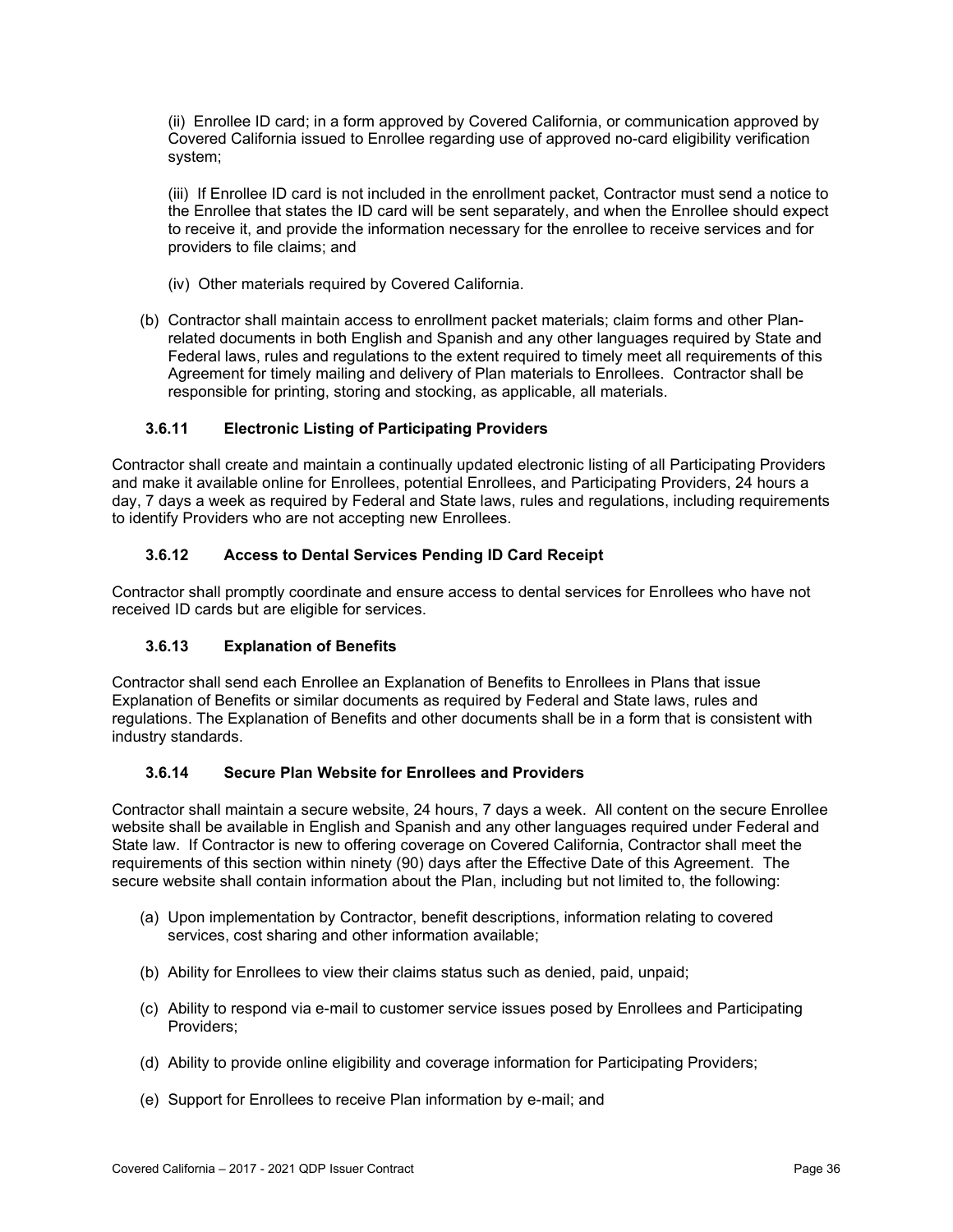(ii) Enrollee ID card; in a form approved by Covered California, or communication approved by Covered California issued to Enrollee regarding use of approved no-card eligibility verification system;

(iii) If Enrollee ID card is not included in the enrollment packet, Contractor must send a notice to the Enrollee that states the ID card will be sent separately, and when the Enrollee should expect to receive it, and provide the information necessary for the enrollee to receive services and for providers to file claims; and

- (iv) Other materials required by Covered California.
- (b) Contractor shall maintain access to enrollment packet materials; claim forms and other Planrelated documents in both English and Spanish and any other languages required by State and Federal laws, rules and regulations to the extent required to timely meet all requirements of this Agreement for timely mailing and delivery of Plan materials to Enrollees. Contractor shall be responsible for printing, storing and stocking, as applicable, all materials.

## **3.6.11 Electronic Listing of Participating Providers**

Contractor shall create and maintain a continually updated electronic listing of all Participating Providers and make it available online for Enrollees, potential Enrollees, and Participating Providers, 24 hours a day, 7 days a week as required by Federal and State laws, rules and regulations, including requirements to identify Providers who are not accepting new Enrollees.

## **3.6.12 Access to Dental Services Pending ID Card Receipt**

Contractor shall promptly coordinate and ensure access to dental services for Enrollees who have not received ID cards but are eligible for services.

## **3.6.13 Explanation of Benefits**

Contractor shall send each Enrollee an Explanation of Benefits to Enrollees in Plans that issue Explanation of Benefits or similar documents as required by Federal and State laws, rules and regulations. The Explanation of Benefits and other documents shall be in a form that is consistent with industry standards.

## **3.6.14 Secure Plan Website for Enrollees and Providers**

Contractor shall maintain a secure website, 24 hours, 7 days a week. All content on the secure Enrollee website shall be available in English and Spanish and any other languages required under Federal and State law. If Contractor is new to offering coverage on Covered California, Contractor shall meet the requirements of this section within ninety (90) days after the Effective Date of this Agreement. The secure website shall contain information about the Plan, including but not limited to, the following:

- (a) Upon implementation by Contractor, benefit descriptions, information relating to covered services, cost sharing and other information available;
- (b) Ability for Enrollees to view their claims status such as denied, paid, unpaid;
- (c) Ability to respond via e-mail to customer service issues posed by Enrollees and Participating Providers;
- (d) Ability to provide online eligibility and coverage information for Participating Providers;
- (e) Support for Enrollees to receive Plan information by e-mail; and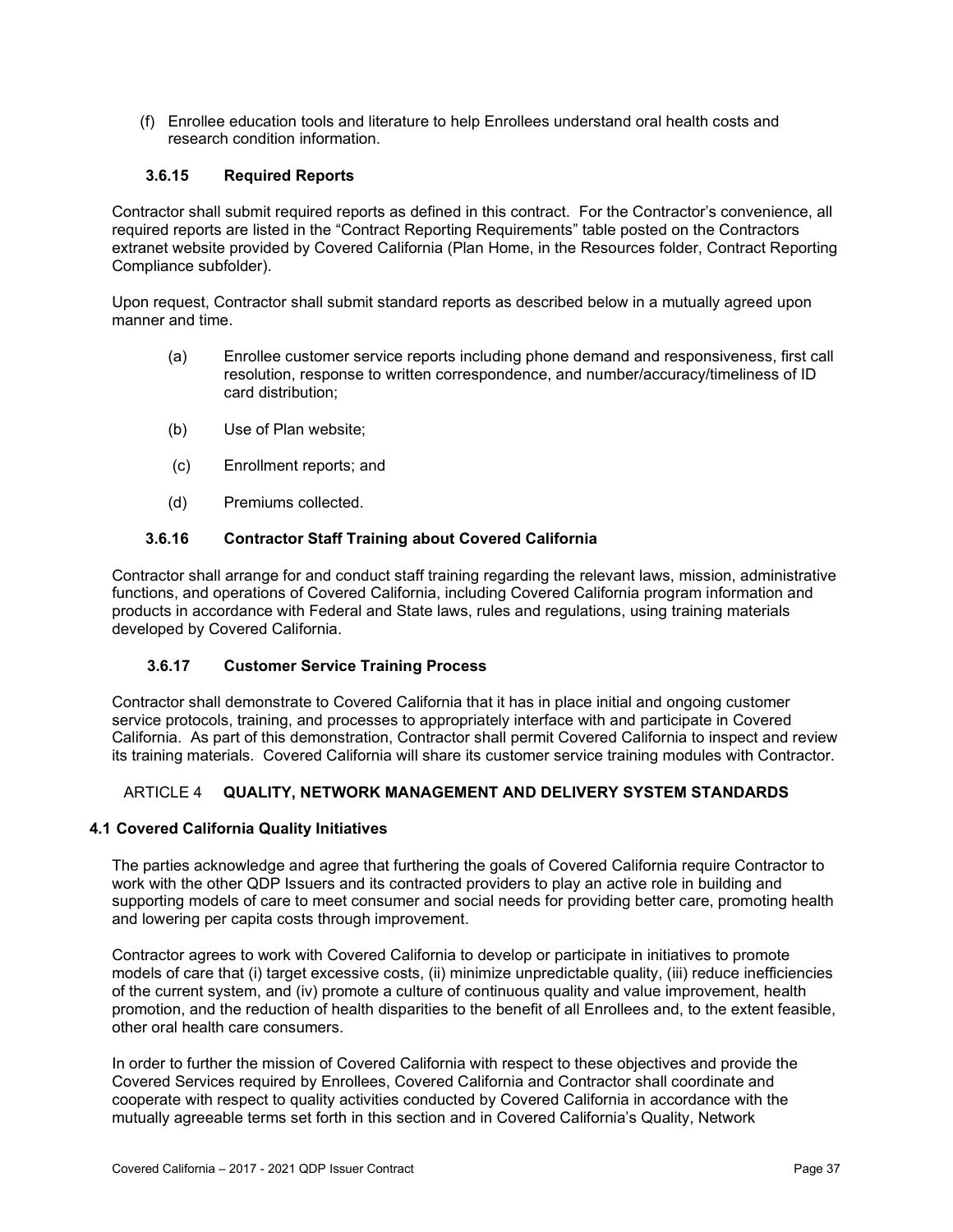(f) Enrollee education tools and literature to help Enrollees understand oral health costs and research condition information.

## **3.6.15 Required Reports**

Contractor shall submit required reports as defined in this contract. For the Contractor's convenience, all required reports are listed in the "Contract Reporting Requirements" table posted on the Contractors extranet website provided by Covered California (Plan Home, in the Resources folder, Contract Reporting Compliance subfolder).

Upon request, Contractor shall submit standard reports as described below in a mutually agreed upon manner and time.

- (a) Enrollee customer service reports including phone demand and responsiveness, first call resolution, response to written correspondence, and number/accuracy/timeliness of ID card distribution;
- (b) Use of Plan website;
- (c) Enrollment reports; and
- (d) Premiums collected.

### **3.6.16 Contractor Staff Training about Covered California**

Contractor shall arrange for and conduct staff training regarding the relevant laws, mission, administrative functions, and operations of Covered California, including Covered California program information and products in accordance with Federal and State laws, rules and regulations, using training materials developed by Covered California.

#### **3.6.17 Customer Service Training Process**

Contractor shall demonstrate to Covered California that it has in place initial and ongoing customer service protocols, training, and processes to appropriately interface with and participate in Covered California. As part of this demonstration, Contractor shall permit Covered California to inspect and review its training materials. Covered California will share its customer service training modules with Contractor.

## ARTICLE 4 **QUALITY, NETWORK MANAGEMENT AND DELIVERY SYSTEM STANDARDS**

#### **4.1 Covered California Quality Initiatives**

The parties acknowledge and agree that furthering the goals of Covered California require Contractor to work with the other QDP Issuers and its contracted providers to play an active role in building and supporting models of care to meet consumer and social needs for providing better care, promoting health and lowering per capita costs through improvement.

Contractor agrees to work with Covered California to develop or participate in initiatives to promote models of care that (i) target excessive costs, (ii) minimize unpredictable quality, (iii) reduce inefficiencies of the current system, and (iv) promote a culture of continuous quality and value improvement, health promotion, and the reduction of health disparities to the benefit of all Enrollees and, to the extent feasible, other oral health care consumers.

In order to further the mission of Covered California with respect to these objectives and provide the Covered Services required by Enrollees, Covered California and Contractor shall coordinate and cooperate with respect to quality activities conducted by Covered California in accordance with the mutually agreeable terms set forth in this section and in Covered California's Quality, Network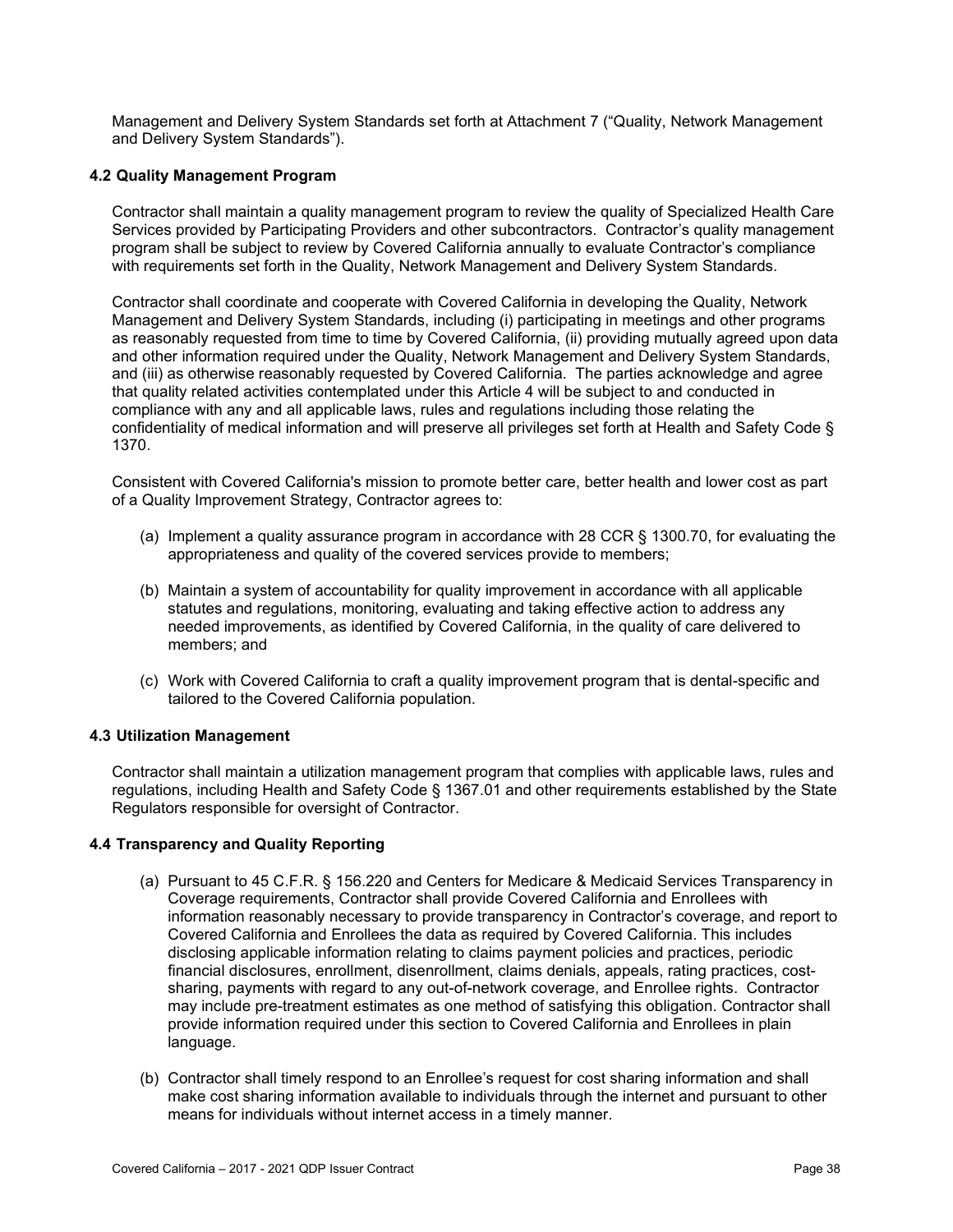Management and Delivery System Standards set forth at Attachment 7 ("Quality, Network Management and Delivery System Standards").

### **4.2 Quality Management Program**

Contractor shall maintain a quality management program to review the quality of Specialized Health Care Services provided by Participating Providers and other subcontractors. Contractor's quality management program shall be subject to review by Covered California annually to evaluate Contractor's compliance with requirements set forth in the Quality, Network Management and Delivery System Standards.

Contractor shall coordinate and cooperate with Covered California in developing the Quality, Network Management and Delivery System Standards, including (i) participating in meetings and other programs as reasonably requested from time to time by Covered California, (ii) providing mutually agreed upon data and other information required under the Quality, Network Management and Delivery System Standards, and (iii) as otherwise reasonably requested by Covered California. The parties acknowledge and agree that quality related activities contemplated under this Article 4 will be subject to and conducted in compliance with any and all applicable laws, rules and regulations including those relating the confidentiality of medical information and will preserve all privileges set forth at Health and Safety Code § 1370.

Consistent with Covered California's mission to promote better care, better health and lower cost as part of a Quality Improvement Strategy, Contractor agrees to:

- (a) Implement a quality assurance program in accordance with 28 CCR § 1300.70, for evaluating the appropriateness and quality of the covered services provide to members;
- (b) Maintain a system of accountability for quality improvement in accordance with all applicable statutes and regulations, monitoring, evaluating and taking effective action to address any needed improvements, as identified by Covered California, in the quality of care delivered to members; and
- (c) Work with Covered California to craft a quality improvement program that is dental-specific and tailored to the Covered California population.

#### **4.3 Utilization Management**

Contractor shall maintain a utilization management program that complies with applicable laws, rules and regulations, including Health and Safety Code § 1367.01 and other requirements established by the State Regulators responsible for oversight of Contractor.

#### **4.4 Transparency and Quality Reporting**

- (a) Pursuant to 45 C.F.R. § 156.220 and Centers for Medicare & Medicaid Services Transparency in Coverage requirements, Contractor shall provide Covered California and Enrollees with information reasonably necessary to provide transparency in Contractor's coverage, and report to Covered California and Enrollees the data as required by Covered California. This includes disclosing applicable information relating to claims payment policies and practices, periodic financial disclosures, enrollment, disenrollment, claims denials, appeals, rating practices, costsharing, payments with regard to any out-of-network coverage, and Enrollee rights. Contractor may include pre-treatment estimates as one method of satisfying this obligation. Contractor shall provide information required under this section to Covered California and Enrollees in plain language.
- (b) Contractor shall timely respond to an Enrollee's request for cost sharing information and shall make cost sharing information available to individuals through the internet and pursuant to other means for individuals without internet access in a timely manner.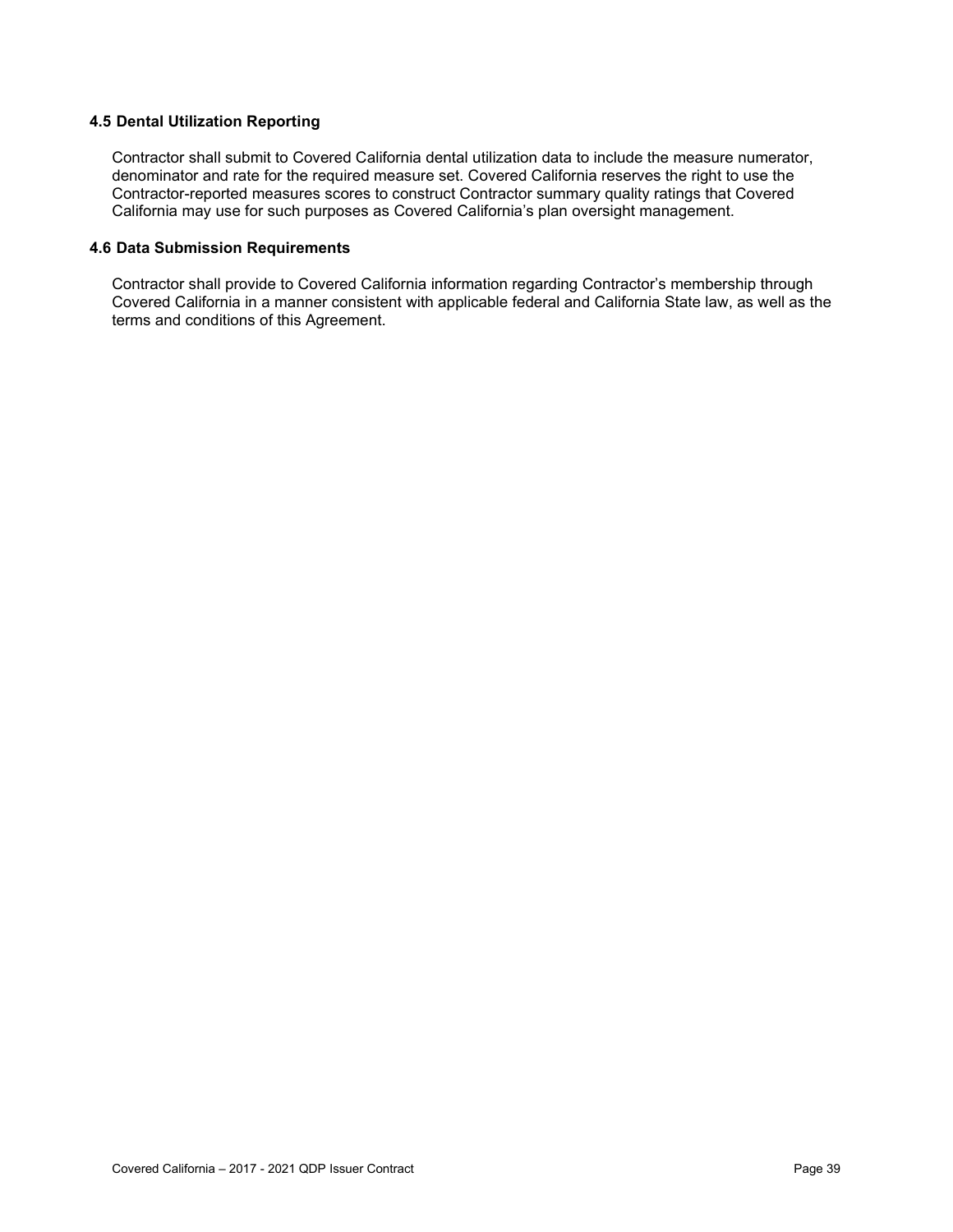## **4.5 Dental Utilization Reporting**

Contractor shall submit to Covered California dental utilization data to include the measure numerator, denominator and rate for the required measure set. Covered California reserves the right to use the Contractor-reported measures scores to construct Contractor summary quality ratings that Covered California may use for such purposes as Covered California's plan oversight management.

### **4.6 Data Submission Requirements**

Contractor shall provide to Covered California information regarding Contractor's membership through Covered California in a manner consistent with applicable federal and California State law, as well as the terms and conditions of this Agreement.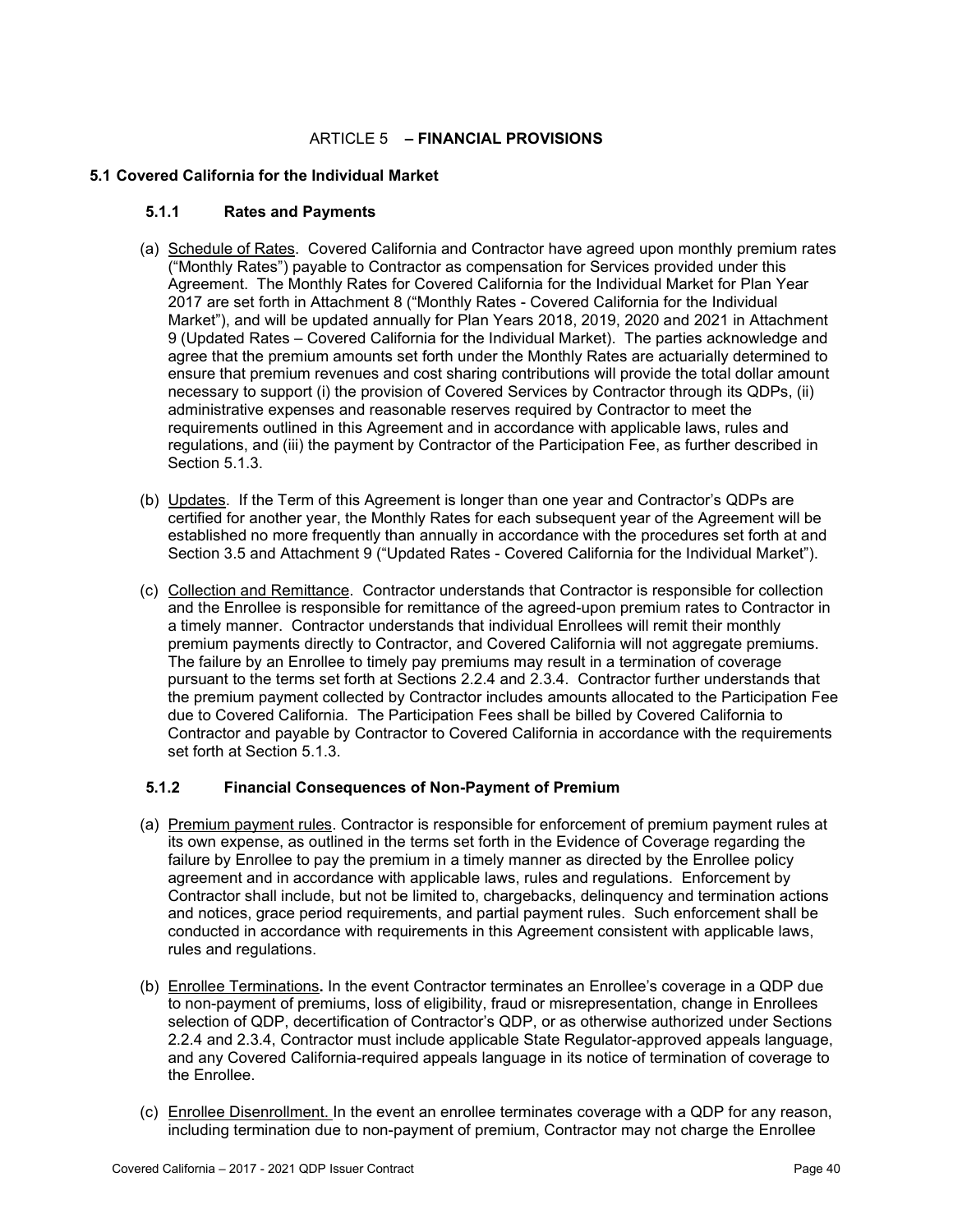## ARTICLE 5 **– FINANCIAL PROVISIONS**

### **5.1 Covered California for the Individual Market**

#### **5.1.1 Rates and Payments**

- (a) Schedule of Rates. Covered California and Contractor have agreed upon monthly premium rates ("Monthly Rates") payable to Contractor as compensation for Services provided under this Agreement. The Monthly Rates for Covered California for the Individual Market for Plan Year 2017 are set forth in Attachment 8 ("Monthly Rates - Covered California for the Individual Market"), and will be updated annually for Plan Years 2018, 2019, 2020 and 2021 in Attachment 9 (Updated Rates – Covered California for the Individual Market). The parties acknowledge and agree that the premium amounts set forth under the Monthly Rates are actuarially determined to ensure that premium revenues and cost sharing contributions will provide the total dollar amount necessary to support (i) the provision of Covered Services by Contractor through its QDPs, (ii) administrative expenses and reasonable reserves required by Contractor to meet the requirements outlined in this Agreement and in accordance with applicable laws, rules and regulations, and (iii) the payment by Contractor of the Participation Fee, as further described in Section 5.1.3.
- (b) Updates. If the Term of this Agreement is longer than one year and Contractor's QDPs are certified for another year, the Monthly Rates for each subsequent year of the Agreement will be established no more frequently than annually in accordance with the procedures set forth at and Section 3.5 and Attachment 9 ("Updated Rates - Covered California for the Individual Market").
- (c) Collection and Remittance. Contractor understands that Contractor is responsible for collection and the Enrollee is responsible for remittance of the agreed-upon premium rates to Contractor in a timely manner. Contractor understands that individual Enrollees will remit their monthly premium payments directly to Contractor, and Covered California will not aggregate premiums. The failure by an Enrollee to timely pay premiums may result in a termination of coverage pursuant to the terms set forth at Sections 2.2.4 and 2.3.4. Contractor further understands that the premium payment collected by Contractor includes amounts allocated to the Participation Fee due to Covered California. The Participation Fees shall be billed by Covered California to Contractor and payable by Contractor to Covered California in accordance with the requirements set forth at Section 5.1.3.

## **5.1.2 Financial Consequences of Non-Payment of Premium**

- (a) Premium payment rules. Contractor is responsible for enforcement of premium payment rules at its own expense, as outlined in the terms set forth in the Evidence of Coverage regarding the failure by Enrollee to pay the premium in a timely manner as directed by the Enrollee policy agreement and in accordance with applicable laws, rules and regulations. Enforcement by Contractor shall include, but not be limited to, chargebacks, delinquency and termination actions and notices, grace period requirements, and partial payment rules. Such enforcement shall be conducted in accordance with requirements in this Agreement consistent with applicable laws, rules and regulations.
- (b) Enrollee Terminations**.** In the event Contractor terminates an Enrollee's coverage in a QDP due to non-payment of premiums, loss of eligibility, fraud or misrepresentation, change in Enrollees selection of QDP, decertification of Contractor's QDP, or as otherwise authorized under Sections 2.2.4 and 2.3.4, Contractor must include applicable State Regulator-approved appeals language, and any Covered California-required appeals language in its notice of termination of coverage to the Enrollee.
- (c) Enrollee Disenrollment. In the event an enrollee terminates coverage with a QDP for any reason, including termination due to non-payment of premium, Contractor may not charge the Enrollee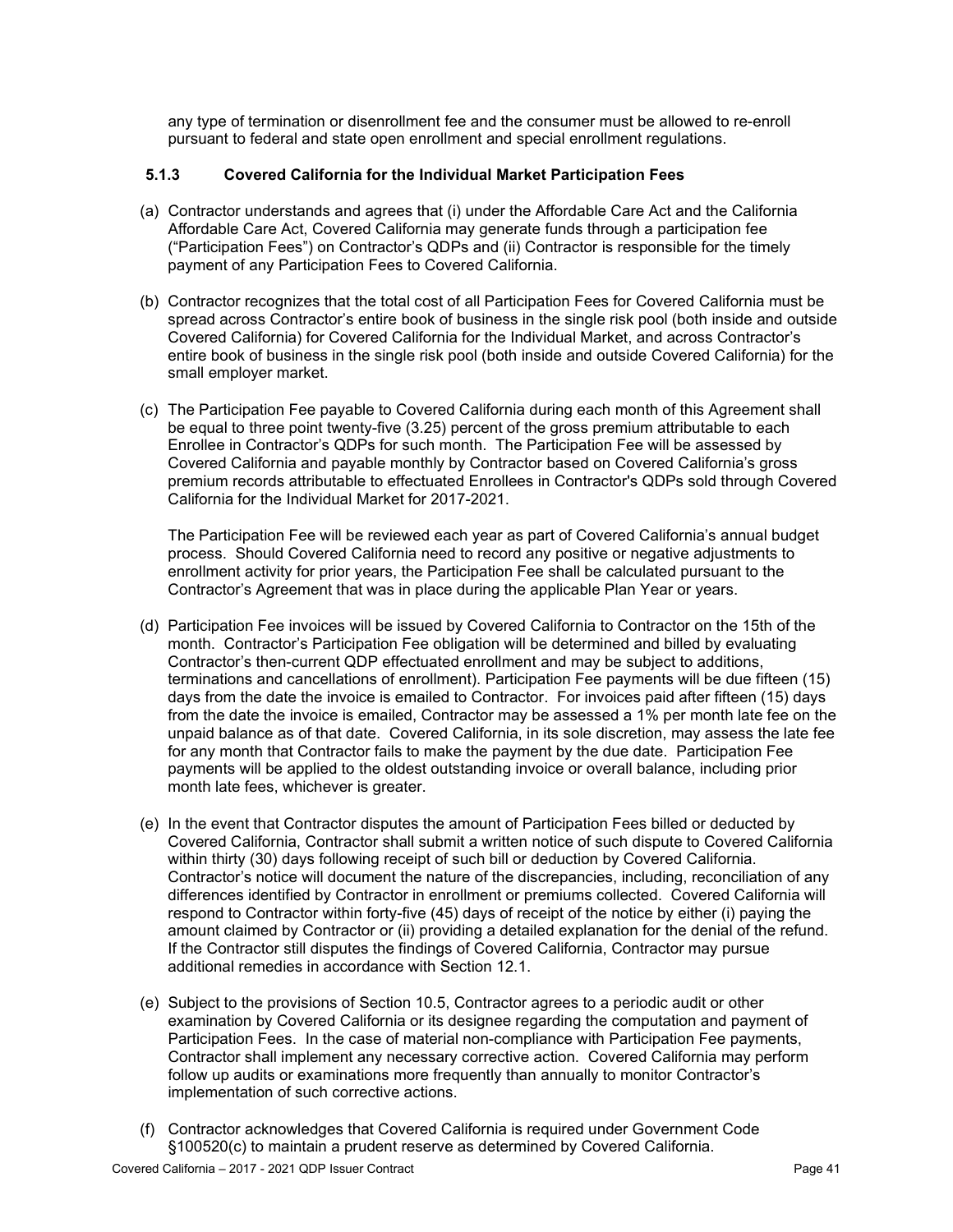any type of termination or disenrollment fee and the consumer must be allowed to re-enroll pursuant to federal and state open enrollment and special enrollment regulations.

## **5.1.3 Covered California for the Individual Market Participation Fees**

- (a) Contractor understands and agrees that (i) under the Affordable Care Act and the California Affordable Care Act, Covered California may generate funds through a participation fee ("Participation Fees") on Contractor's QDPs and (ii) Contractor is responsible for the timely payment of any Participation Fees to Covered California.
- (b) Contractor recognizes that the total cost of all Participation Fees for Covered California must be spread across Contractor's entire book of business in the single risk pool (both inside and outside Covered California) for Covered California for the Individual Market, and across Contractor's entire book of business in the single risk pool (both inside and outside Covered California) for the small employer market.
- (c) The Participation Fee payable to Covered California during each month of this Agreement shall be equal to three point twenty-five (3.25) percent of the gross premium attributable to each Enrollee in Contractor's QDPs for such month. The Participation Fee will be assessed by Covered California and payable monthly by Contractor based on Covered California's gross premium records attributable to effectuated Enrollees in Contractor's QDPs sold through Covered California for the Individual Market for 2017-2021.

The Participation Fee will be reviewed each year as part of Covered California's annual budget process. Should Covered California need to record any positive or negative adjustments to enrollment activity for prior years, the Participation Fee shall be calculated pursuant to the Contractor's Agreement that was in place during the applicable Plan Year or years.

- (d) Participation Fee invoices will be issued by Covered California to Contractor on the 15th of the month. Contractor's Participation Fee obligation will be determined and billed by evaluating Contractor's then-current QDP effectuated enrollment and may be subject to additions, terminations and cancellations of enrollment). Participation Fee payments will be due fifteen (15) days from the date the invoice is emailed to Contractor. For invoices paid after fifteen (15) days from the date the invoice is emailed, Contractor may be assessed a 1% per month late fee on the unpaid balance as of that date. Covered California, in its sole discretion, may assess the late fee for any month that Contractor fails to make the payment by the due date. Participation Fee payments will be applied to the oldest outstanding invoice or overall balance, including prior month late fees, whichever is greater.
- (e) In the event that Contractor disputes the amount of Participation Fees billed or deducted by Covered California, Contractor shall submit a written notice of such dispute to Covered California within thirty (30) days following receipt of such bill or deduction by Covered California. Contractor's notice will document the nature of the discrepancies, including, reconciliation of any differences identified by Contractor in enrollment or premiums collected. Covered California will respond to Contractor within forty-five (45) days of receipt of the notice by either (i) paying the amount claimed by Contractor or (ii) providing a detailed explanation for the denial of the refund. If the Contractor still disputes the findings of Covered California, Contractor may pursue additional remedies in accordance with Section 12.1.
- (e) Subject to the provisions of Section 10.5, Contractor agrees to a periodic audit or other examination by Covered California or its designee regarding the computation and payment of Participation Fees. In the case of material non-compliance with Participation Fee payments, Contractor shall implement any necessary corrective action. Covered California may perform follow up audits or examinations more frequently than annually to monitor Contractor's implementation of such corrective actions.
- (f) Contractor acknowledges that Covered California is required under Government Code §100520(c) to maintain a prudent reserve as determined by Covered California.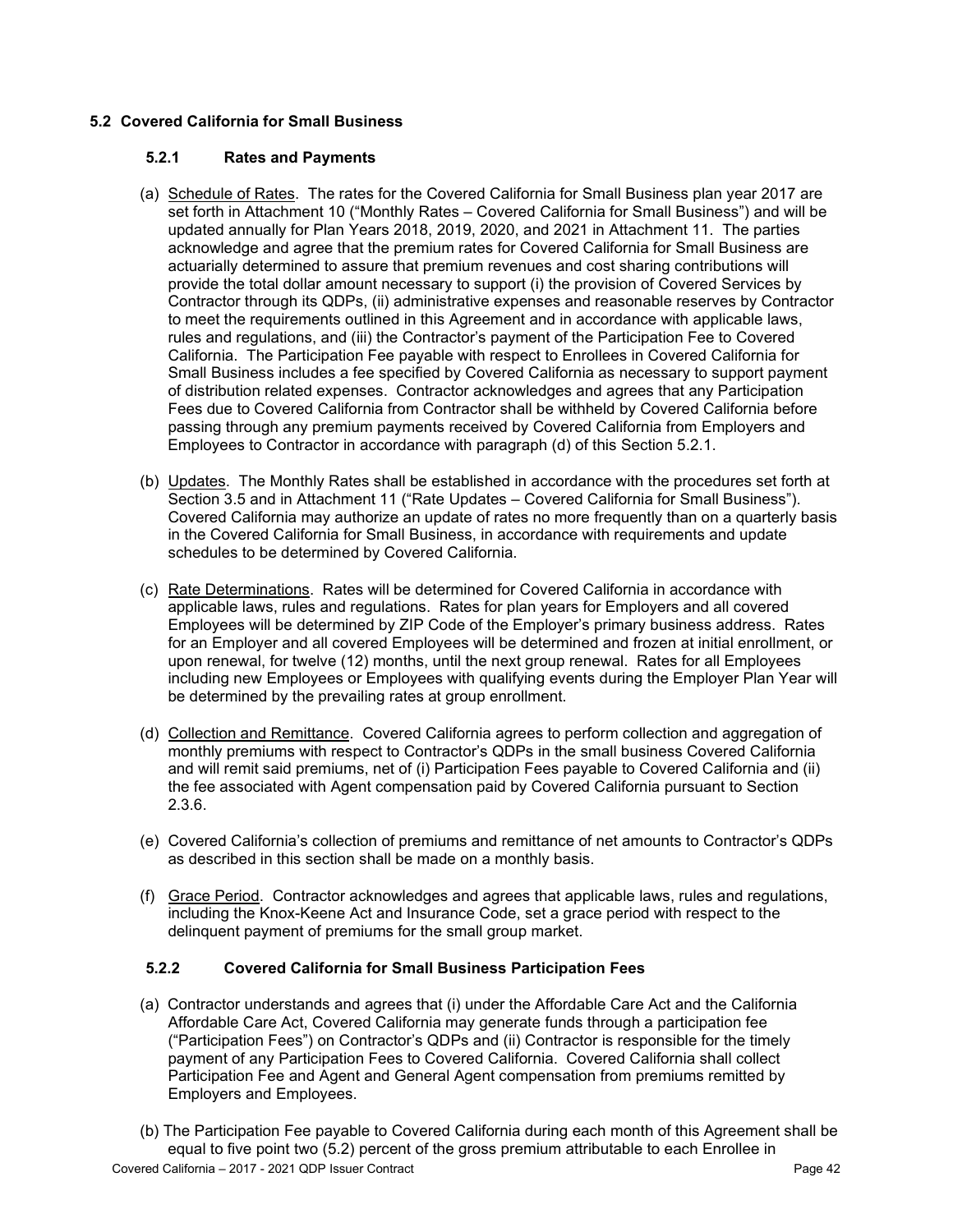# **5.2 Covered California for Small Business**

## **5.2.1 Rates and Payments**

- (a) Schedule of Rates. The rates for the Covered California for Small Business plan year 2017 are set forth in Attachment 10 ("Monthly Rates – Covered California for Small Business") and will be updated annually for Plan Years 2018, 2019, 2020, and 2021 in Attachment 11. The parties acknowledge and agree that the premium rates for Covered California for Small Business are actuarially determined to assure that premium revenues and cost sharing contributions will provide the total dollar amount necessary to support (i) the provision of Covered Services by Contractor through its QDPs, (ii) administrative expenses and reasonable reserves by Contractor to meet the requirements outlined in this Agreement and in accordance with applicable laws, rules and regulations, and (iii) the Contractor's payment of the Participation Fee to Covered California. The Participation Fee payable with respect to Enrollees in Covered California for Small Business includes a fee specified by Covered California as necessary to support payment of distribution related expenses. Contractor acknowledges and agrees that any Participation Fees due to Covered California from Contractor shall be withheld by Covered California before passing through any premium payments received by Covered California from Employers and Employees to Contractor in accordance with paragraph (d) of this Section 5.2.1.
- (b) Updates. The Monthly Rates shall be established in accordance with the procedures set forth at Section 3.5 and in Attachment 11 ("Rate Updates – Covered California for Small Business"). Covered California may authorize an update of rates no more frequently than on a quarterly basis in the Covered California for Small Business, in accordance with requirements and update schedules to be determined by Covered California.
- (c) Rate Determinations. Rates will be determined for Covered California in accordance with applicable laws, rules and regulations. Rates for plan years for Employers and all covered Employees will be determined by ZIP Code of the Employer's primary business address. Rates for an Employer and all covered Employees will be determined and frozen at initial enrollment, or upon renewal, for twelve (12) months, until the next group renewal. Rates for all Employees including new Employees or Employees with qualifying events during the Employer Plan Year will be determined by the prevailing rates at group enrollment.
- (d) Collection and Remittance. Covered California agrees to perform collection and aggregation of monthly premiums with respect to Contractor's QDPs in the small business Covered California and will remit said premiums, net of (i) Participation Fees payable to Covered California and (ii) the fee associated with Agent compensation paid by Covered California pursuant to Section 2.3.6.
- (e) Covered California's collection of premiums and remittance of net amounts to Contractor's QDPs as described in this section shall be made on a monthly basis.
- (f) Grace Period. Contractor acknowledges and agrees that applicable laws, rules and regulations, including the Knox-Keene Act and Insurance Code, set a grace period with respect to the delinquent payment of premiums for the small group market.

## **5.2.2 Covered California for Small Business Participation Fees**

- (a) Contractor understands and agrees that (i) under the Affordable Care Act and the California Affordable Care Act, Covered California may generate funds through a participation fee ("Participation Fees") on Contractor's QDPs and (ii) Contractor is responsible for the timely payment of any Participation Fees to Covered California. Covered California shall collect Participation Fee and Agent and General Agent compensation from premiums remitted by Employers and Employees.
- (b) The Participation Fee payable to Covered California during each month of this Agreement shall be equal to five point two (5.2) percent of the gross premium attributable to each Enrollee in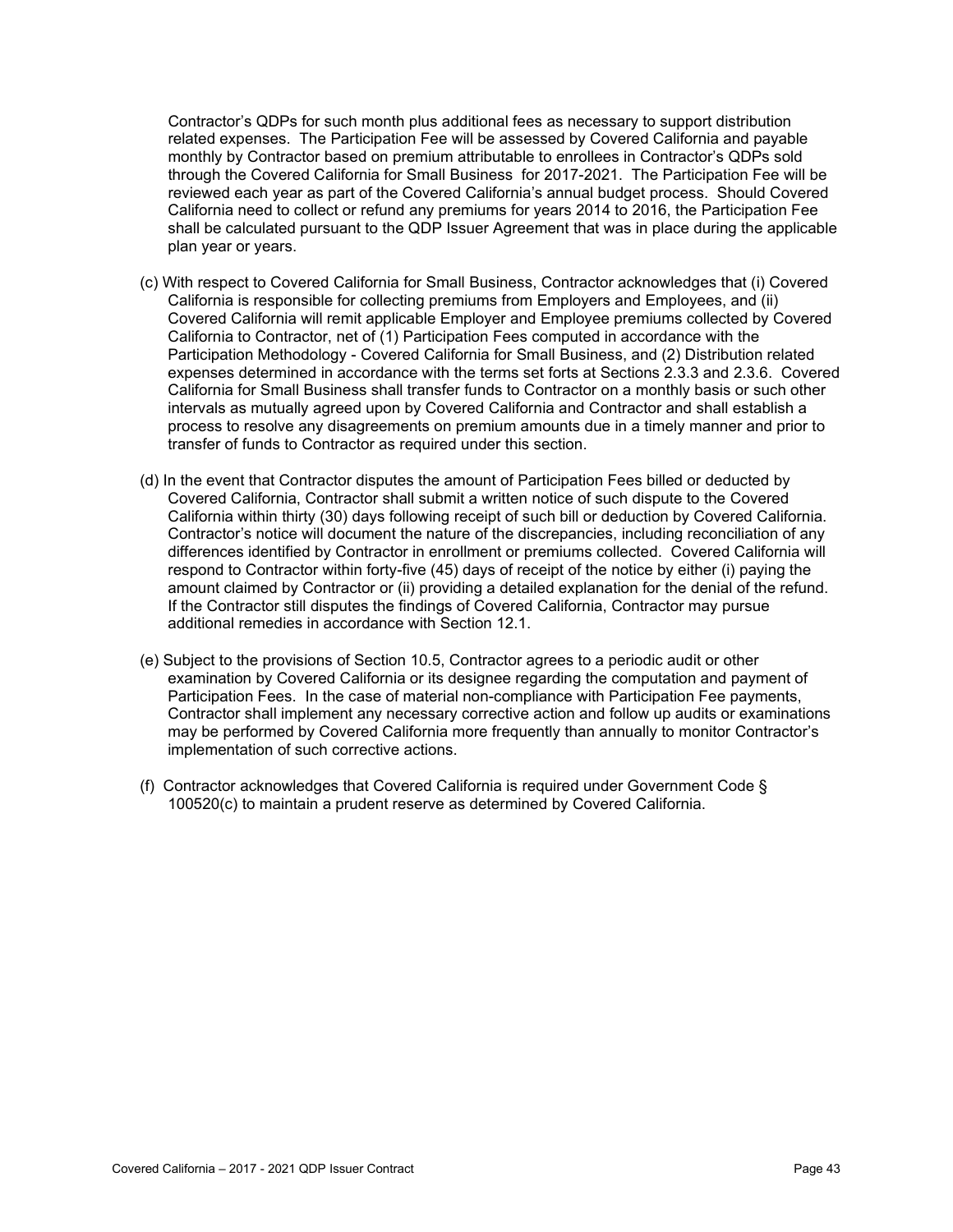Contractor's QDPs for such month plus additional fees as necessary to support distribution related expenses. The Participation Fee will be assessed by Covered California and payable monthly by Contractor based on premium attributable to enrollees in Contractor's QDPs sold through the Covered California for Small Business for 2017-2021. The Participation Fee will be reviewed each year as part of the Covered California's annual budget process. Should Covered California need to collect or refund any premiums for years 2014 to 2016, the Participation Fee shall be calculated pursuant to the QDP Issuer Agreement that was in place during the applicable plan year or years.

- (c) With respect to Covered California for Small Business, Contractor acknowledges that (i) Covered California is responsible for collecting premiums from Employers and Employees, and (ii) Covered California will remit applicable Employer and Employee premiums collected by Covered California to Contractor, net of (1) Participation Fees computed in accordance with the Participation Methodology - Covered California for Small Business, and (2) Distribution related expenses determined in accordance with the terms set forts at Sections 2.3.3 and 2.3.6. Covered California for Small Business shall transfer funds to Contractor on a monthly basis or such other intervals as mutually agreed upon by Covered California and Contractor and shall establish a process to resolve any disagreements on premium amounts due in a timely manner and prior to transfer of funds to Contractor as required under this section.
- (d) In the event that Contractor disputes the amount of Participation Fees billed or deducted by Covered California, Contractor shall submit a written notice of such dispute to the Covered California within thirty (30) days following receipt of such bill or deduction by Covered California. Contractor's notice will document the nature of the discrepancies, including reconciliation of any differences identified by Contractor in enrollment or premiums collected. Covered California will respond to Contractor within forty-five (45) days of receipt of the notice by either (i) paying the amount claimed by Contractor or (ii) providing a detailed explanation for the denial of the refund. If the Contractor still disputes the findings of Covered California, Contractor may pursue additional remedies in accordance with Section 12.1.
- (e) Subject to the provisions of Section 10.5, Contractor agrees to a periodic audit or other examination by Covered California or its designee regarding the computation and payment of Participation Fees. In the case of material non-compliance with Participation Fee payments, Contractor shall implement any necessary corrective action and follow up audits or examinations may be performed by Covered California more frequently than annually to monitor Contractor's implementation of such corrective actions.
- (f) Contractor acknowledges that Covered California is required under Government Code § 100520(c) to maintain a prudent reserve as determined by Covered California.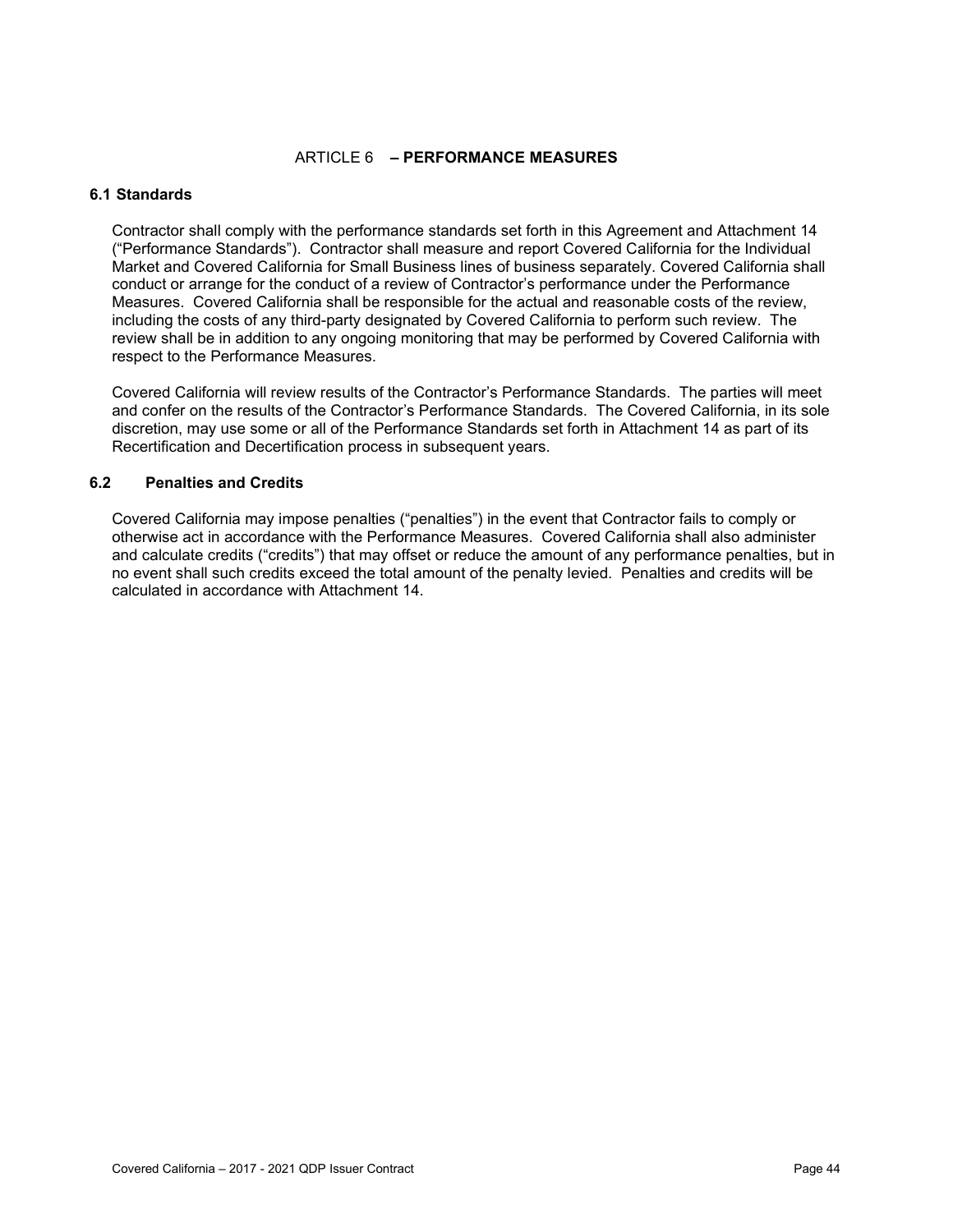### ARTICLE 6 **– PERFORMANCE MEASURES**

#### **6.1 Standards**

Contractor shall comply with the performance standards set forth in this Agreement and Attachment 14 ("Performance Standards"). Contractor shall measure and report Covered California for the Individual Market and Covered California for Small Business lines of business separately. Covered California shall conduct or arrange for the conduct of a review of Contractor's performance under the Performance Measures. Covered California shall be responsible for the actual and reasonable costs of the review, including the costs of any third-party designated by Covered California to perform such review. The review shall be in addition to any ongoing monitoring that may be performed by Covered California with respect to the Performance Measures.

Covered California will review results of the Contractor's Performance Standards. The parties will meet and confer on the results of the Contractor's Performance Standards. The Covered California, in its sole discretion, may use some or all of the Performance Standards set forth in Attachment 14 as part of its Recertification and Decertification process in subsequent years.

#### **6.2 Penalties and Credits**

Covered California may impose penalties ("penalties") in the event that Contractor fails to comply or otherwise act in accordance with the Performance Measures. Covered California shall also administer and calculate credits ("credits") that may offset or reduce the amount of any performance penalties, but in no event shall such credits exceed the total amount of the penalty levied. Penalties and credits will be calculated in accordance with Attachment 14.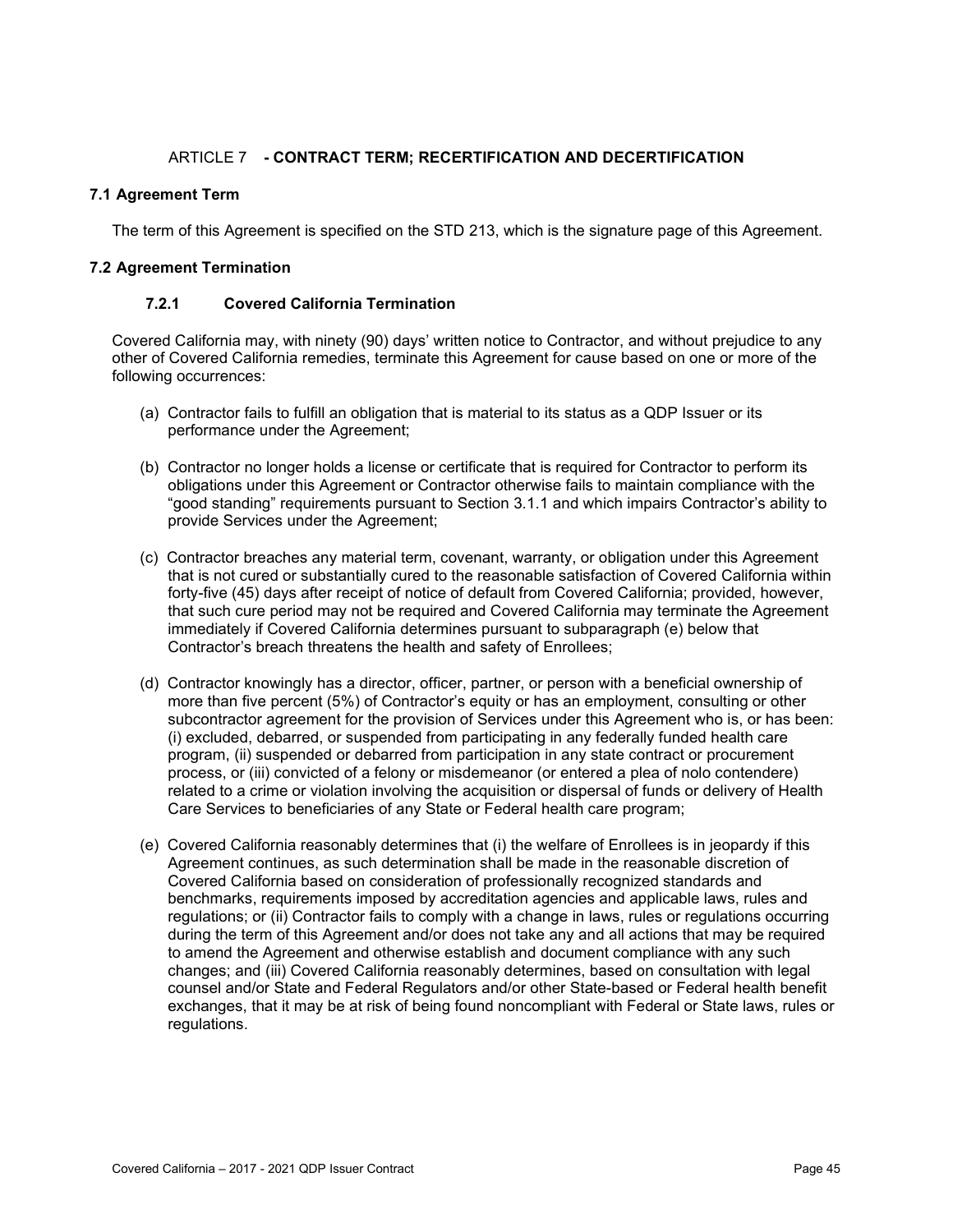## ARTICLE 7 **- CONTRACT TERM; RECERTIFICATION AND DECERTIFICATION**

### **7.1 Agreement Term**

The term of this Agreement is specified on the STD 213, which is the signature page of this Agreement.

### **7.2 Agreement Termination**

### **7.2.1 Covered California Termination**

Covered California may, with ninety (90) days' written notice to Contractor, and without prejudice to any other of Covered California remedies, terminate this Agreement for cause based on one or more of the following occurrences:

- (a) Contractor fails to fulfill an obligation that is material to its status as a QDP Issuer or its performance under the Agreement;
- (b) Contractor no longer holds a license or certificate that is required for Contractor to perform its obligations under this Agreement or Contractor otherwise fails to maintain compliance with the "good standing" requirements pursuant to Section 3.1.1 and which impairs Contractor's ability to provide Services under the Agreement;
- (c) Contractor breaches any material term, covenant, warranty, or obligation under this Agreement that is not cured or substantially cured to the reasonable satisfaction of Covered California within forty-five (45) days after receipt of notice of default from Covered California; provided, however, that such cure period may not be required and Covered California may terminate the Agreement immediately if Covered California determines pursuant to subparagraph (e) below that Contractor's breach threatens the health and safety of Enrollees;
- (d) Contractor knowingly has a director, officer, partner, or person with a beneficial ownership of more than five percent (5%) of Contractor's equity or has an employment, consulting or other subcontractor agreement for the provision of Services under this Agreement who is, or has been: (i) excluded, debarred, or suspended from participating in any federally funded health care program, (ii) suspended or debarred from participation in any state contract or procurement process, or (iii) convicted of a felony or misdemeanor (or entered a plea of nolo contendere) related to a crime or violation involving the acquisition or dispersal of funds or delivery of Health Care Services to beneficiaries of any State or Federal health care program;
- (e) Covered California reasonably determines that (i) the welfare of Enrollees is in jeopardy if this Agreement continues, as such determination shall be made in the reasonable discretion of Covered California based on consideration of professionally recognized standards and benchmarks, requirements imposed by accreditation agencies and applicable laws, rules and regulations; or (ii) Contractor fails to comply with a change in laws, rules or regulations occurring during the term of this Agreement and/or does not take any and all actions that may be required to amend the Agreement and otherwise establish and document compliance with any such changes; and (iii) Covered California reasonably determines, based on consultation with legal counsel and/or State and Federal Regulators and/or other State-based or Federal health benefit exchanges, that it may be at risk of being found noncompliant with Federal or State laws, rules or regulations.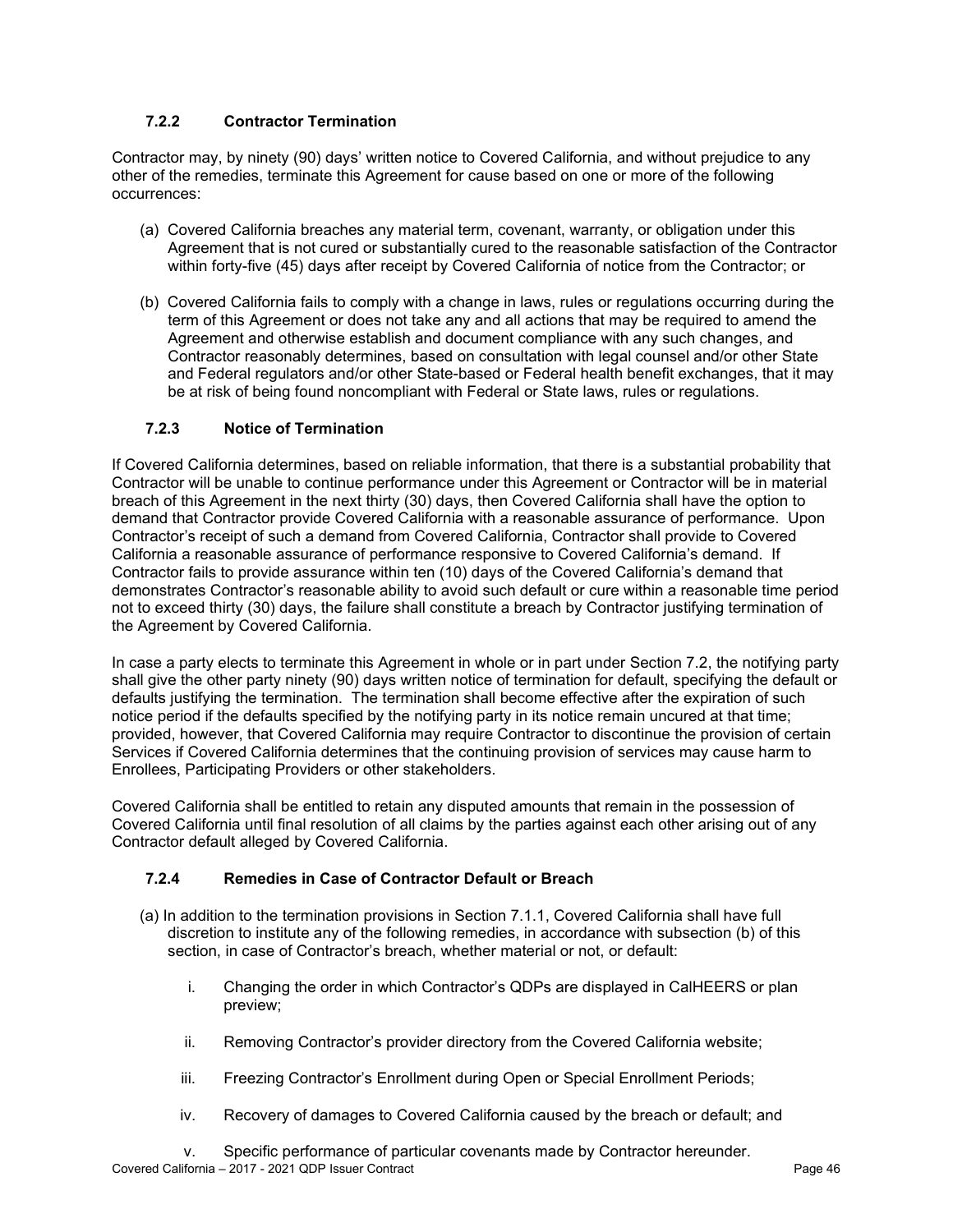# **7.2.2 Contractor Termination**

Contractor may, by ninety (90) days' written notice to Covered California, and without prejudice to any other of the remedies, terminate this Agreement for cause based on one or more of the following occurrences:

- (a) Covered California breaches any material term, covenant, warranty, or obligation under this Agreement that is not cured or substantially cured to the reasonable satisfaction of the Contractor within forty-five (45) days after receipt by Covered California of notice from the Contractor; or
- (b) Covered California fails to comply with a change in laws, rules or regulations occurring during the term of this Agreement or does not take any and all actions that may be required to amend the Agreement and otherwise establish and document compliance with any such changes, and Contractor reasonably determines, based on consultation with legal counsel and/or other State and Federal regulators and/or other State-based or Federal health benefit exchanges, that it may be at risk of being found noncompliant with Federal or State laws, rules or regulations.

# **7.2.3 Notice of Termination**

If Covered California determines, based on reliable information, that there is a substantial probability that Contractor will be unable to continue performance under this Agreement or Contractor will be in material breach of this Agreement in the next thirty (30) days, then Covered California shall have the option to demand that Contractor provide Covered California with a reasonable assurance of performance. Upon Contractor's receipt of such a demand from Covered California, Contractor shall provide to Covered California a reasonable assurance of performance responsive to Covered California's demand. If Contractor fails to provide assurance within ten (10) days of the Covered California's demand that demonstrates Contractor's reasonable ability to avoid such default or cure within a reasonable time period not to exceed thirty (30) days, the failure shall constitute a breach by Contractor justifying termination of the Agreement by Covered California.

In case a party elects to terminate this Agreement in whole or in part under Section 7.2, the notifying party shall give the other party ninety (90) days written notice of termination for default, specifying the default or defaults justifying the termination. The termination shall become effective after the expiration of such notice period if the defaults specified by the notifying party in its notice remain uncured at that time; provided, however, that Covered California may require Contractor to discontinue the provision of certain Services if Covered California determines that the continuing provision of services may cause harm to Enrollees, Participating Providers or other stakeholders.

Covered California shall be entitled to retain any disputed amounts that remain in the possession of Covered California until final resolution of all claims by the parties against each other arising out of any Contractor default alleged by Covered California.

## **7.2.4 Remedies in Case of Contractor Default or Breach**

- (a) In addition to the termination provisions in Section 7.1.1, Covered California shall have full discretion to institute any of the following remedies, in accordance with subsection (b) of this section, in case of Contractor's breach, whether material or not, or default:
	- i. Changing the order in which Contractor's QDPs are displayed in CalHEERS or plan preview;
	- ii. Removing Contractor's provider directory from the Covered California website;
	- iii. Freezing Contractor's Enrollment during Open or Special Enrollment Periods;
	- iv. Recovery of damages to Covered California caused by the breach or default; and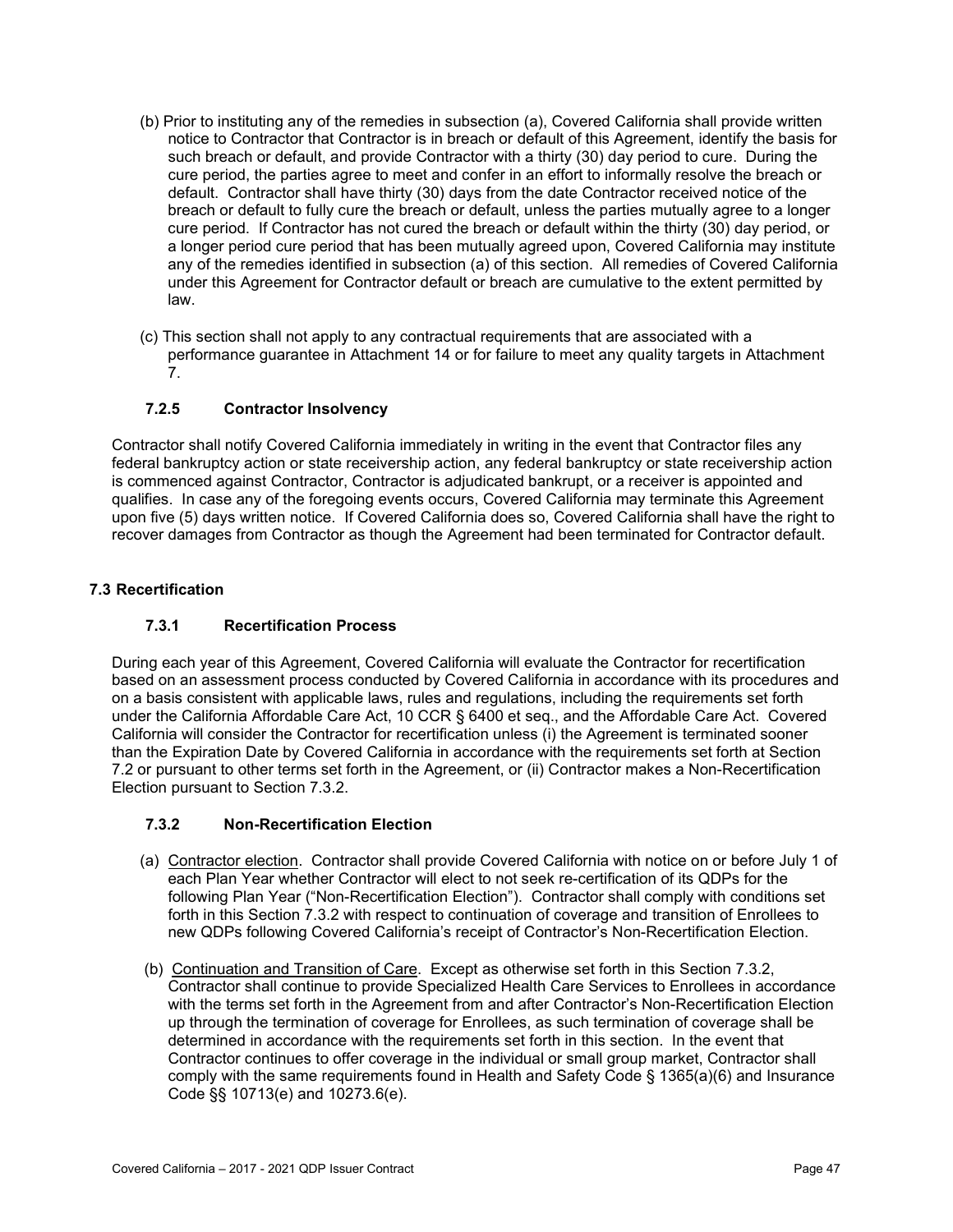- (b) Prior to instituting any of the remedies in subsection (a), Covered California shall provide written notice to Contractor that Contractor is in breach or default of this Agreement, identify the basis for such breach or default, and provide Contractor with a thirty (30) day period to cure. During the cure period, the parties agree to meet and confer in an effort to informally resolve the breach or default. Contractor shall have thirty (30) days from the date Contractor received notice of the breach or default to fully cure the breach or default, unless the parties mutually agree to a longer cure period. If Contractor has not cured the breach or default within the thirty (30) day period, or a longer period cure period that has been mutually agreed upon, Covered California may institute any of the remedies identified in subsection (a) of this section. All remedies of Covered California under this Agreement for Contractor default or breach are cumulative to the extent permitted by law.
- (c) This section shall not apply to any contractual requirements that are associated with a performance guarantee in Attachment 14 or for failure to meet any quality targets in Attachment 7.

## **7.2.5 Contractor Insolvency**

Contractor shall notify Covered California immediately in writing in the event that Contractor files any federal bankruptcy action or state receivership action, any federal bankruptcy or state receivership action is commenced against Contractor, Contractor is adjudicated bankrupt, or a receiver is appointed and qualifies. In case any of the foregoing events occurs, Covered California may terminate this Agreement upon five (5) days written notice. If Covered California does so, Covered California shall have the right to recover damages from Contractor as though the Agreement had been terminated for Contractor default.

## **7.3 Recertification**

# **7.3.1 Recertification Process**

During each year of this Agreement, Covered California will evaluate the Contractor for recertification based on an assessment process conducted by Covered California in accordance with its procedures and on a basis consistent with applicable laws, rules and regulations, including the requirements set forth under the California Affordable Care Act, 10 CCR § 6400 et seq., and the Affordable Care Act. Covered California will consider the Contractor for recertification unless (i) the Agreement is terminated sooner than the Expiration Date by Covered California in accordance with the requirements set forth at Section 7.2 or pursuant to other terms set forth in the Agreement, or (ii) Contractor makes a Non-Recertification Election pursuant to Section 7.3.2.

## **7.3.2 Non-Recertification Election**

- (a) Contractor election. Contractor shall provide Covered California with notice on or before July 1 of each Plan Year whether Contractor will elect to not seek re-certification of its QDPs for the following Plan Year ("Non-Recertification Election"). Contractor shall comply with conditions set forth in this Section 7.3.2 with respect to continuation of coverage and transition of Enrollees to new QDPs following Covered California's receipt of Contractor's Non-Recertification Election.
- (b) Continuation and Transition of Care. Except as otherwise set forth in this Section 7.3.2, Contractor shall continue to provide Specialized Health Care Services to Enrollees in accordance with the terms set forth in the Agreement from and after Contractor's Non-Recertification Election up through the termination of coverage for Enrollees, as such termination of coverage shall be determined in accordance with the requirements set forth in this section. In the event that Contractor continues to offer coverage in the individual or small group market, Contractor shall comply with the same requirements found in Health and Safety Code § 1365(a)(6) and Insurance Code §§ 10713(e) and 10273.6(e).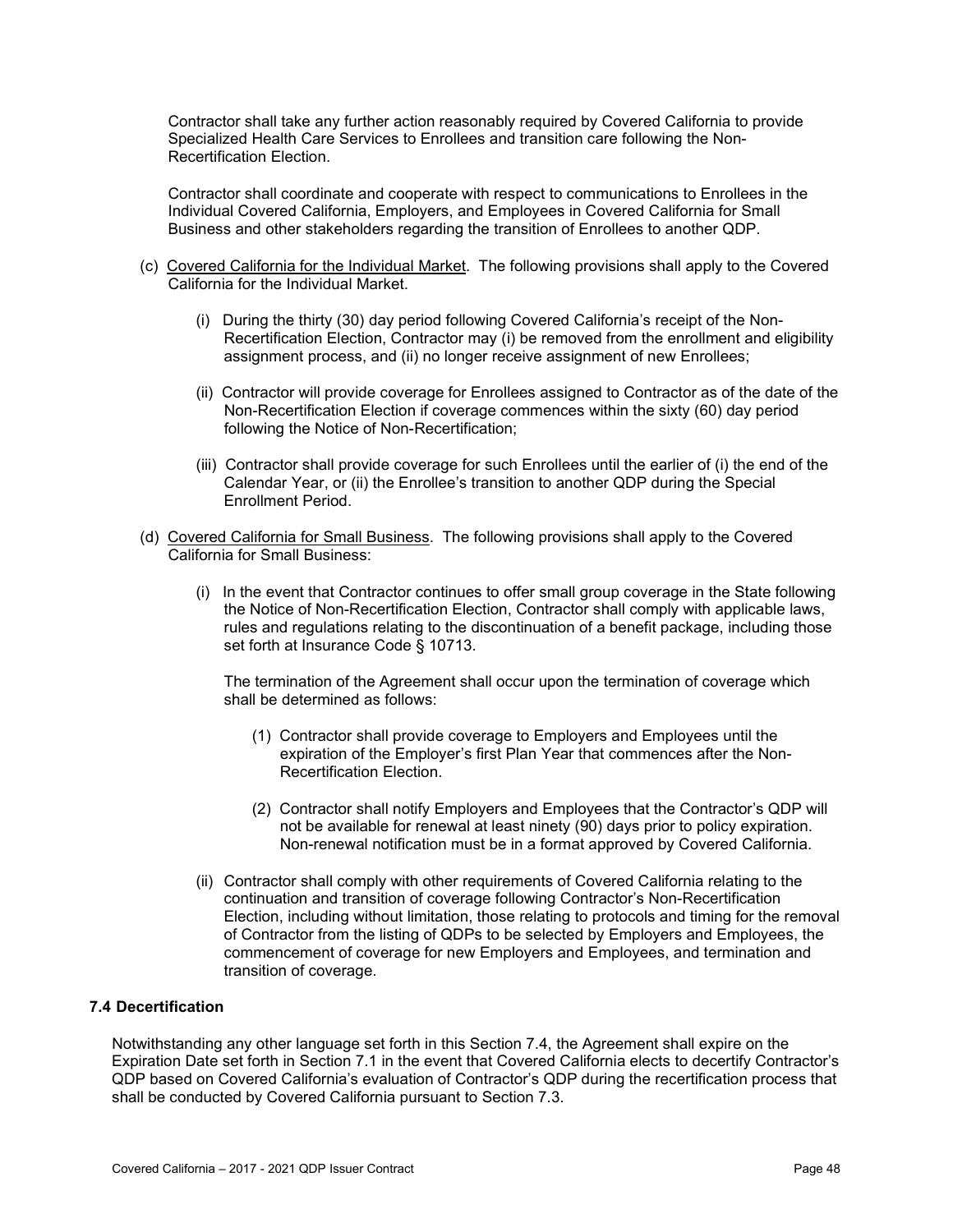Contractor shall take any further action reasonably required by Covered California to provide Specialized Health Care Services to Enrollees and transition care following the Non-Recertification Election.

Contractor shall coordinate and cooperate with respect to communications to Enrollees in the Individual Covered California, Employers, and Employees in Covered California for Small Business and other stakeholders regarding the transition of Enrollees to another QDP.

- (c) Covered California for the Individual Market. The following provisions shall apply to the Covered California for the Individual Market.
	- (i) During the thirty (30) day period following Covered California's receipt of the Non-Recertification Election, Contractor may (i) be removed from the enrollment and eligibility assignment process, and (ii) no longer receive assignment of new Enrollees;
	- (ii) Contractor will provide coverage for Enrollees assigned to Contractor as of the date of the Non-Recertification Election if coverage commences within the sixty (60) day period following the Notice of Non-Recertification;
	- (iii) Contractor shall provide coverage for such Enrollees until the earlier of (i) the end of the Calendar Year, or (ii) the Enrollee's transition to another QDP during the Special Enrollment Period.
- (d) Covered California for Small Business. The following provisions shall apply to the Covered California for Small Business:
	- (i) In the event that Contractor continues to offer small group coverage in the State following the Notice of Non-Recertification Election, Contractor shall comply with applicable laws, rules and regulations relating to the discontinuation of a benefit package, including those set forth at Insurance Code § 10713.

The termination of the Agreement shall occur upon the termination of coverage which shall be determined as follows:

- (1) Contractor shall provide coverage to Employers and Employees until the expiration of the Employer's first Plan Year that commences after the Non-Recertification Election.
- (2) Contractor shall notify Employers and Employees that the Contractor's QDP will not be available for renewal at least ninety (90) days prior to policy expiration. Non-renewal notification must be in a format approved by Covered California.
- (ii) Contractor shall comply with other requirements of Covered California relating to the continuation and transition of coverage following Contractor's Non-Recertification Election, including without limitation, those relating to protocols and timing for the removal of Contractor from the listing of QDPs to be selected by Employers and Employees, the commencement of coverage for new Employers and Employees, and termination and transition of coverage.

#### **7.4 Decertification**

Notwithstanding any other language set forth in this Section 7.4, the Agreement shall expire on the Expiration Date set forth in Section 7.1 in the event that Covered California elects to decertify Contractor's QDP based on Covered California's evaluation of Contractor's QDP during the recertification process that shall be conducted by Covered California pursuant to Section 7.3.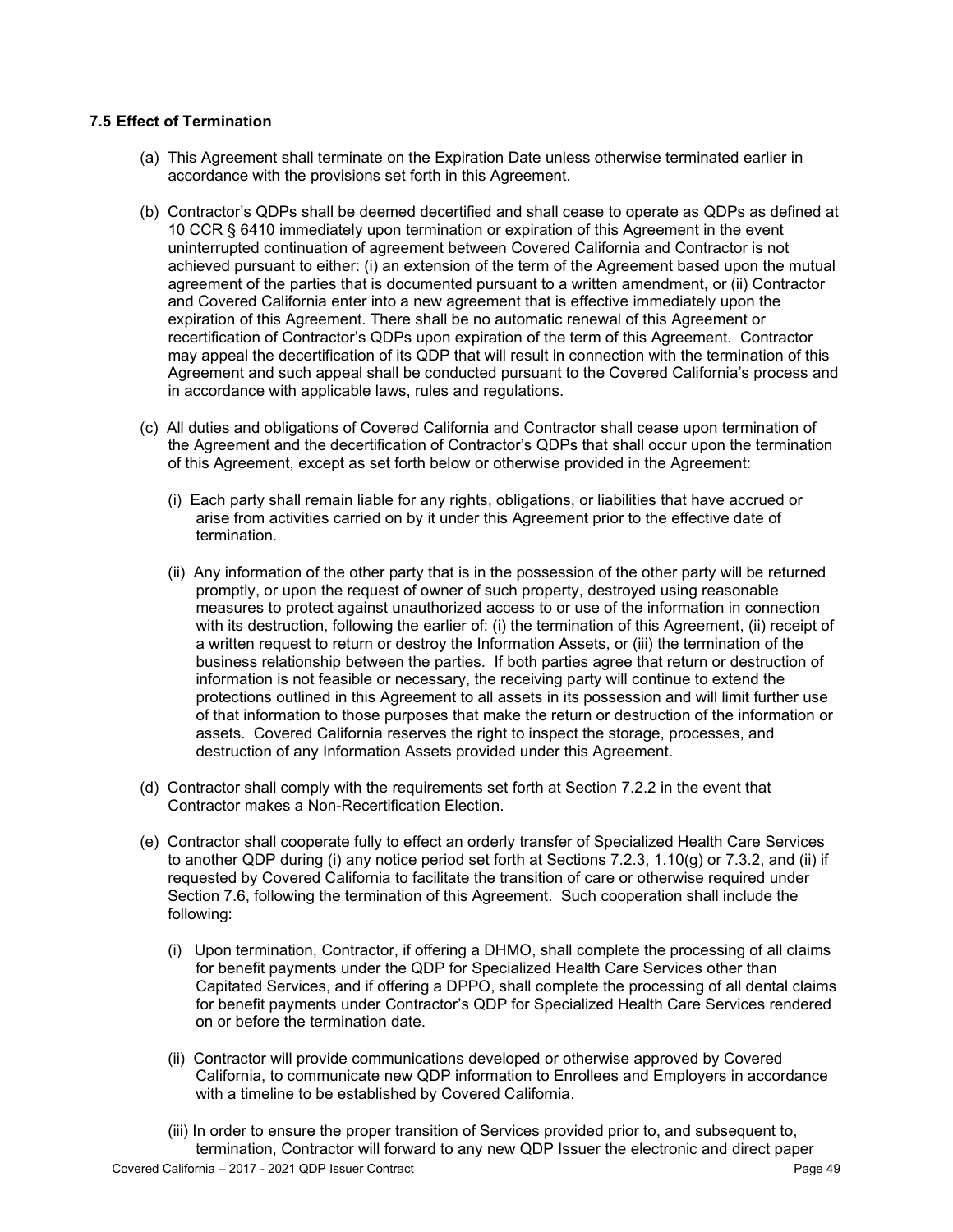### **7.5 Effect of Termination**

- (a) This Agreement shall terminate on the Expiration Date unless otherwise terminated earlier in accordance with the provisions set forth in this Agreement.
- (b) Contractor's QDPs shall be deemed decertified and shall cease to operate as QDPs as defined at 10 CCR § 6410 immediately upon termination or expiration of this Agreement in the event uninterrupted continuation of agreement between Covered California and Contractor is not achieved pursuant to either: (i) an extension of the term of the Agreement based upon the mutual agreement of the parties that is documented pursuant to a written amendment, or (ii) Contractor and Covered California enter into a new agreement that is effective immediately upon the expiration of this Agreement. There shall be no automatic renewal of this Agreement or recertification of Contractor's QDPs upon expiration of the term of this Agreement. Contractor may appeal the decertification of its QDP that will result in connection with the termination of this Agreement and such appeal shall be conducted pursuant to the Covered California's process and in accordance with applicable laws, rules and regulations.
- (c) All duties and obligations of Covered California and Contractor shall cease upon termination of the Agreement and the decertification of Contractor's QDPs that shall occur upon the termination of this Agreement, except as set forth below or otherwise provided in the Agreement:
	- (i) Each party shall remain liable for any rights, obligations, or liabilities that have accrued or arise from activities carried on by it under this Agreement prior to the effective date of termination.
	- (ii) Any information of the other party that is in the possession of the other party will be returned promptly, or upon the request of owner of such property, destroyed using reasonable measures to protect against unauthorized access to or use of the information in connection with its destruction, following the earlier of: (i) the termination of this Agreement, (ii) receipt of a written request to return or destroy the Information Assets, or (iii) the termination of the business relationship between the parties. If both parties agree that return or destruction of information is not feasible or necessary, the receiving party will continue to extend the protections outlined in this Agreement to all assets in its possession and will limit further use of that information to those purposes that make the return or destruction of the information or assets. Covered California reserves the right to inspect the storage, processes, and destruction of any Information Assets provided under this Agreement.
- (d) Contractor shall comply with the requirements set forth at Section 7.2.2 in the event that Contractor makes a Non-Recertification Election.
- (e) Contractor shall cooperate fully to effect an orderly transfer of Specialized Health Care Services to another QDP during (i) any notice period set forth at Sections 7.2.3, 1.10(g) or 7.3.2, and (ii) if requested by Covered California to facilitate the transition of care or otherwise required under Section 7.6, following the termination of this Agreement. Such cooperation shall include the following:
	- (i) Upon termination, Contractor, if offering a DHMO, shall complete the processing of all claims for benefit payments under the QDP for Specialized Health Care Services other than Capitated Services, and if offering a DPPO, shall complete the processing of all dental claims for benefit payments under Contractor's QDP for Specialized Health Care Services rendered on or before the termination date.
	- (ii) Contractor will provide communications developed or otherwise approved by Covered California, to communicate new QDP information to Enrollees and Employers in accordance with a timeline to be established by Covered California.
	- (iii) In order to ensure the proper transition of Services provided prior to, and subsequent to, termination, Contractor will forward to any new QDP Issuer the electronic and direct paper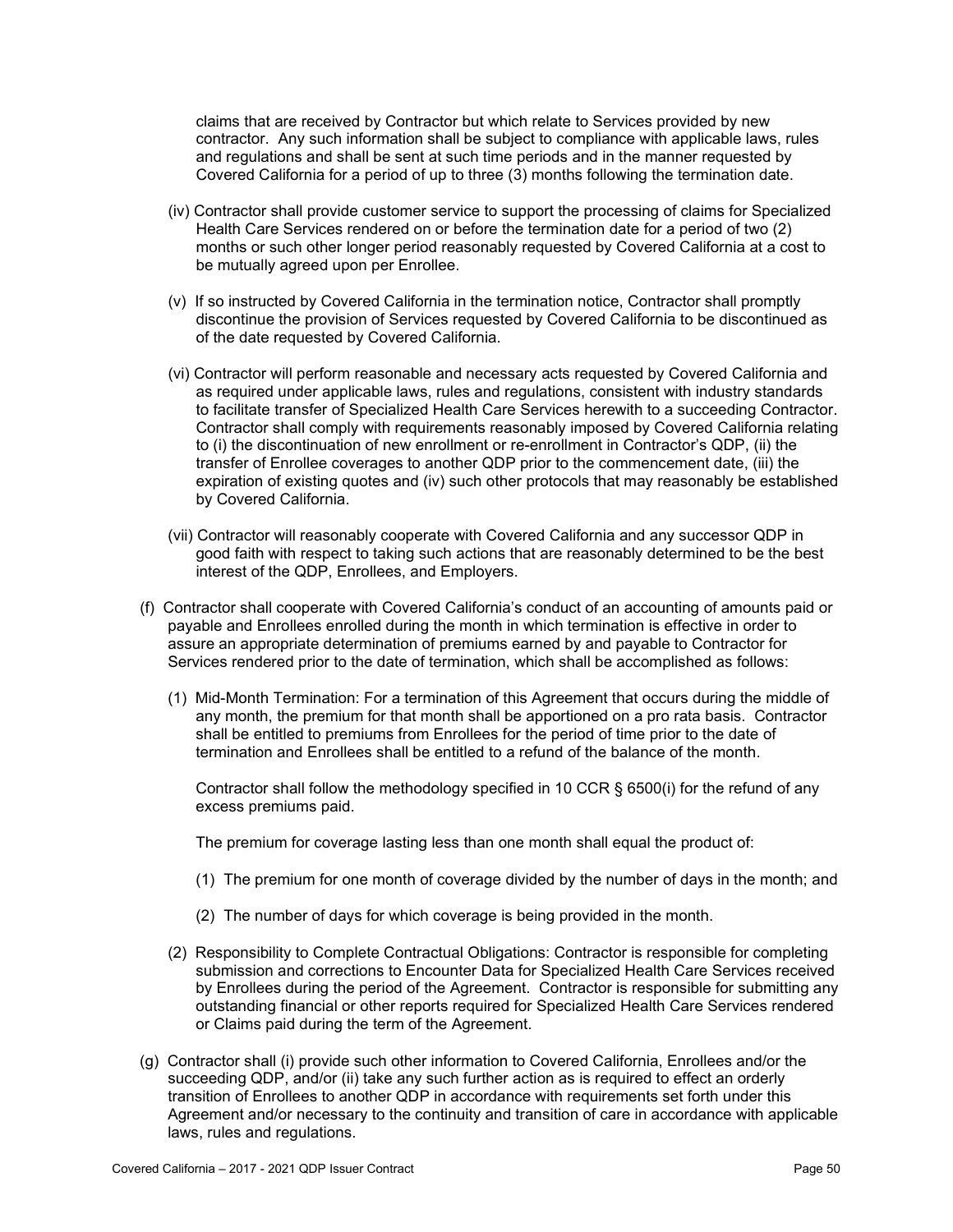claims that are received by Contractor but which relate to Services provided by new contractor. Any such information shall be subject to compliance with applicable laws, rules and regulations and shall be sent at such time periods and in the manner requested by Covered California for a period of up to three (3) months following the termination date.

- (iv) Contractor shall provide customer service to support the processing of claims for Specialized Health Care Services rendered on or before the termination date for a period of two (2) months or such other longer period reasonably requested by Covered California at a cost to be mutually agreed upon per Enrollee.
- (v) If so instructed by Covered California in the termination notice, Contractor shall promptly discontinue the provision of Services requested by Covered California to be discontinued as of the date requested by Covered California.
- (vi) Contractor will perform reasonable and necessary acts requested by Covered California and as required under applicable laws, rules and regulations, consistent with industry standards to facilitate transfer of Specialized Health Care Services herewith to a succeeding Contractor. Contractor shall comply with requirements reasonably imposed by Covered California relating to (i) the discontinuation of new enrollment or re-enrollment in Contractor's QDP, (ii) the transfer of Enrollee coverages to another QDP prior to the commencement date, (iii) the expiration of existing quotes and (iv) such other protocols that may reasonably be established by Covered California.
- (vii) Contractor will reasonably cooperate with Covered California and any successor QDP in good faith with respect to taking such actions that are reasonably determined to be the best interest of the QDP, Enrollees, and Employers.
- (f) Contractor shall cooperate with Covered California's conduct of an accounting of amounts paid or payable and Enrollees enrolled during the month in which termination is effective in order to assure an appropriate determination of premiums earned by and payable to Contractor for Services rendered prior to the date of termination, which shall be accomplished as follows:
	- (1) Mid-Month Termination: For a termination of this Agreement that occurs during the middle of any month, the premium for that month shall be apportioned on a pro rata basis. Contractor shall be entitled to premiums from Enrollees for the period of time prior to the date of termination and Enrollees shall be entitled to a refund of the balance of the month.

Contractor shall follow the methodology specified in 10 CCR § 6500(i) for the refund of any excess premiums paid.

The premium for coverage lasting less than one month shall equal the product of:

- (1) The premium for one month of coverage divided by the number of days in the month; and
- (2) The number of days for which coverage is being provided in the month.
- (2) Responsibility to Complete Contractual Obligations: Contractor is responsible for completing submission and corrections to Encounter Data for Specialized Health Care Services received by Enrollees during the period of the Agreement. Contractor is responsible for submitting any outstanding financial or other reports required for Specialized Health Care Services rendered or Claims paid during the term of the Agreement.
- (g) Contractor shall (i) provide such other information to Covered California, Enrollees and/or the succeeding QDP, and/or (ii) take any such further action as is required to effect an orderly transition of Enrollees to another QDP in accordance with requirements set forth under this Agreement and/or necessary to the continuity and transition of care in accordance with applicable laws, rules and regulations.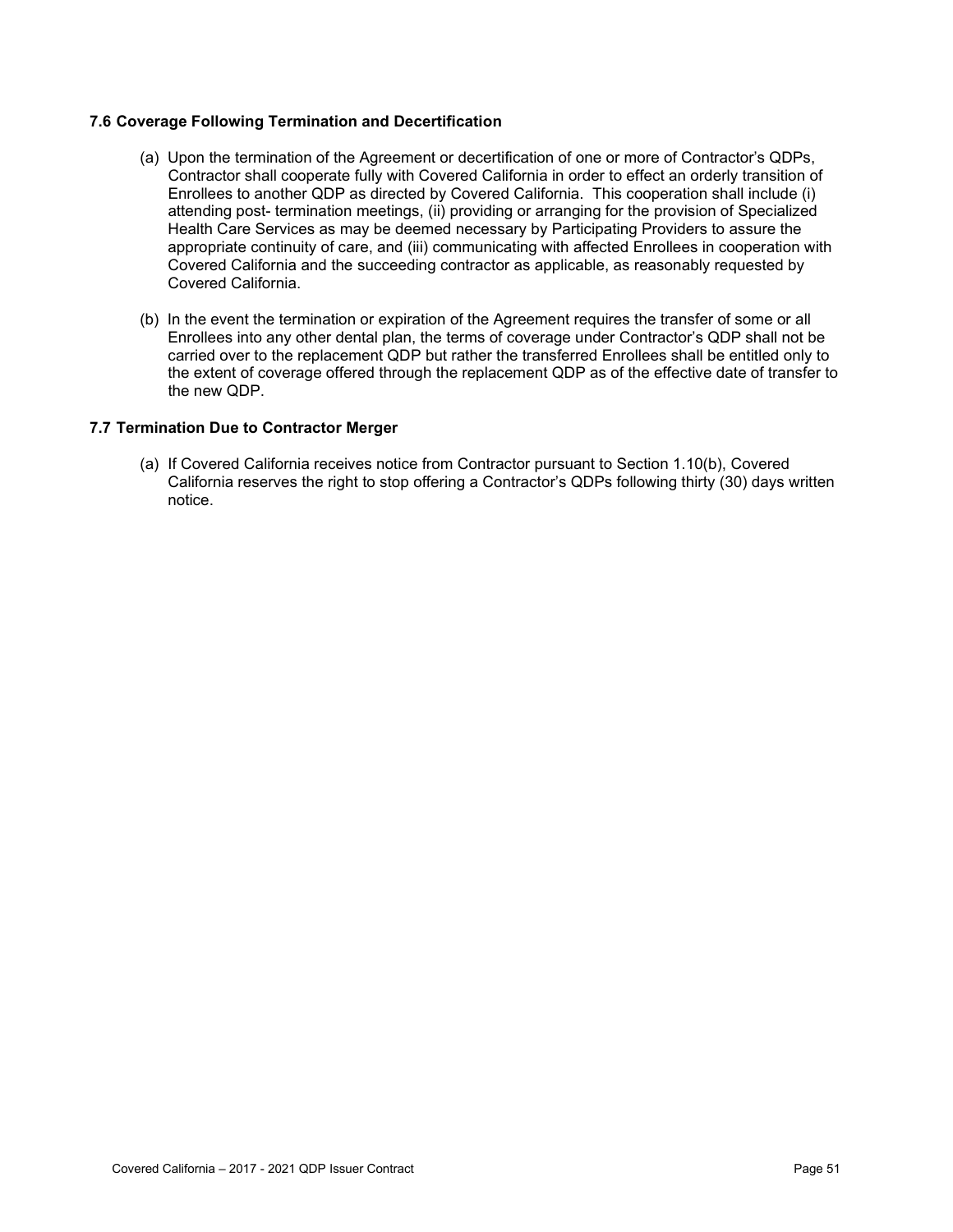## **7.6 Coverage Following Termination and Decertification**

- (a) Upon the termination of the Agreement or decertification of one or more of Contractor's QDPs, Contractor shall cooperate fully with Covered California in order to effect an orderly transition of Enrollees to another QDP as directed by Covered California. This cooperation shall include (i) attending post- termination meetings, (ii) providing or arranging for the provision of Specialized Health Care Services as may be deemed necessary by Participating Providers to assure the appropriate continuity of care, and (iii) communicating with affected Enrollees in cooperation with Covered California and the succeeding contractor as applicable, as reasonably requested by Covered California.
- (b) In the event the termination or expiration of the Agreement requires the transfer of some or all Enrollees into any other dental plan, the terms of coverage under Contractor's QDP shall not be carried over to the replacement QDP but rather the transferred Enrollees shall be entitled only to the extent of coverage offered through the replacement QDP as of the effective date of transfer to the new QDP.

#### **7.7 Termination Due to Contractor Merger**

(a) If Covered California receives notice from Contractor pursuant to Section 1.10(b), Covered California reserves the right to stop offering a Contractor's QDPs following thirty (30) days written notice.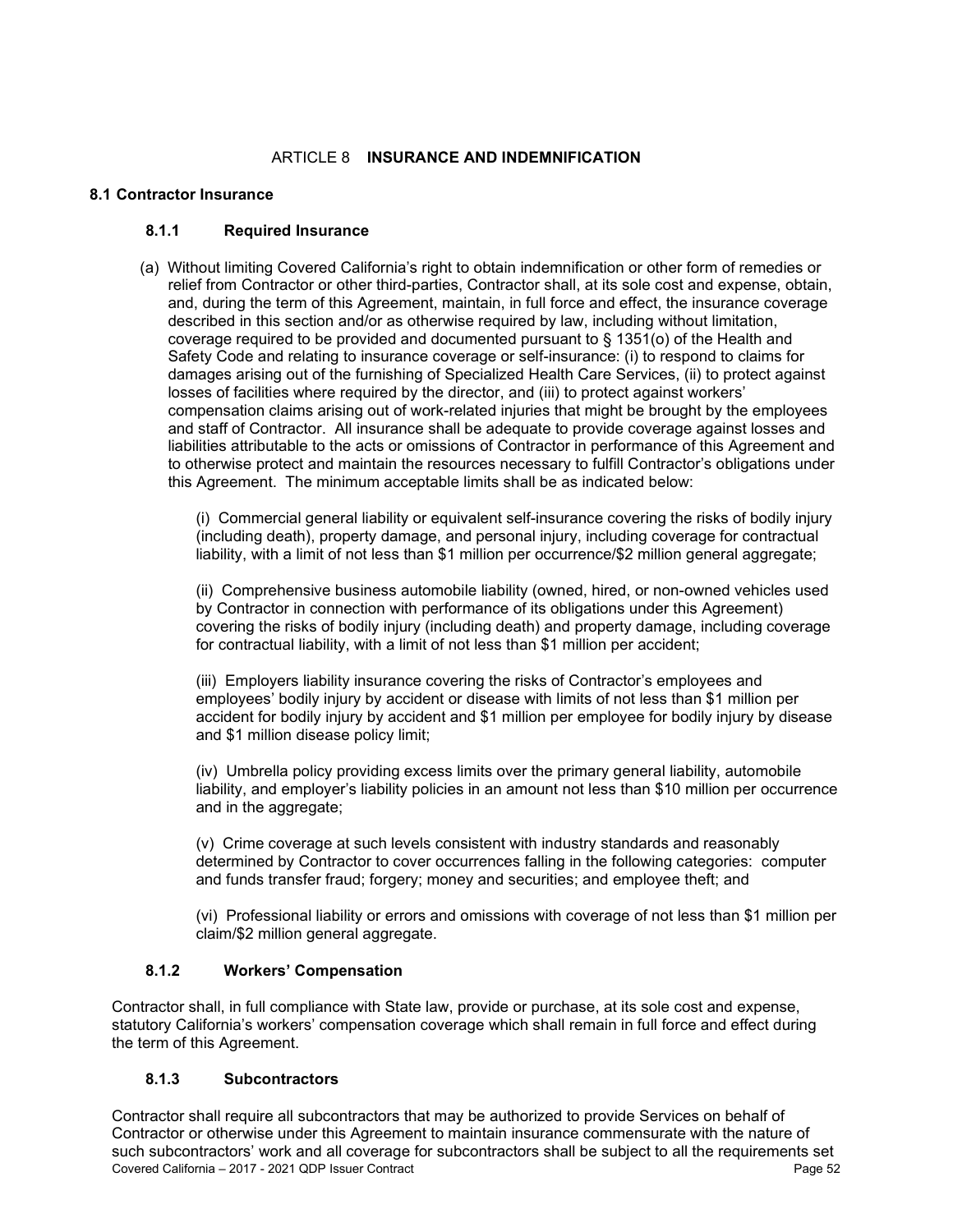## ARTICLE 8 **INSURANCE AND INDEMNIFICATION**

#### **8.1 Contractor Insurance**

## **8.1.1 Required Insurance**

(a) Without limiting Covered California's right to obtain indemnification or other form of remedies or relief from Contractor or other third-parties, Contractor shall, at its sole cost and expense, obtain, and, during the term of this Agreement, maintain, in full force and effect, the insurance coverage described in this section and/or as otherwise required by law, including without limitation, coverage required to be provided and documented pursuant to § 1351(o) of the Health and Safety Code and relating to insurance coverage or self-insurance: (i) to respond to claims for damages arising out of the furnishing of Specialized Health Care Services, (ii) to protect against losses of facilities where required by the director, and (iii) to protect against workers' compensation claims arising out of work-related injuries that might be brought by the employees and staff of Contractor. All insurance shall be adequate to provide coverage against losses and liabilities attributable to the acts or omissions of Contractor in performance of this Agreement and to otherwise protect and maintain the resources necessary to fulfill Contractor's obligations under this Agreement. The minimum acceptable limits shall be as indicated below:

(i) Commercial general liability or equivalent self-insurance covering the risks of bodily injury (including death), property damage, and personal injury, including coverage for contractual liability, with a limit of not less than \$1 million per occurrence/\$2 million general aggregate;

(ii) Comprehensive business automobile liability (owned, hired, or non-owned vehicles used by Contractor in connection with performance of its obligations under this Agreement) covering the risks of bodily injury (including death) and property damage, including coverage for contractual liability, with a limit of not less than \$1 million per accident;

(iii) Employers liability insurance covering the risks of Contractor's employees and employees' bodily injury by accident or disease with limits of not less than \$1 million per accident for bodily injury by accident and \$1 million per employee for bodily injury by disease and \$1 million disease policy limit;

(iv) Umbrella policy providing excess limits over the primary general liability, automobile liability, and employer's liability policies in an amount not less than \$10 million per occurrence and in the aggregate;

(v) Crime coverage at such levels consistent with industry standards and reasonably determined by Contractor to cover occurrences falling in the following categories: computer and funds transfer fraud; forgery; money and securities; and employee theft; and

(vi) Professional liability or errors and omissions with coverage of not less than \$1 million per claim/\$2 million general aggregate.

## **8.1.2 Workers' Compensation**

Contractor shall, in full compliance with State law, provide or purchase, at its sole cost and expense, statutory California's workers' compensation coverage which shall remain in full force and effect during the term of this Agreement.

#### **8.1.3 Subcontractors**

Covered California – 2017 - 2021 QDP Issuer Contract Page 52 Contractor shall require all subcontractors that may be authorized to provide Services on behalf of Contractor or otherwise under this Agreement to maintain insurance commensurate with the nature of such subcontractors' work and all coverage for subcontractors shall be subject to all the requirements set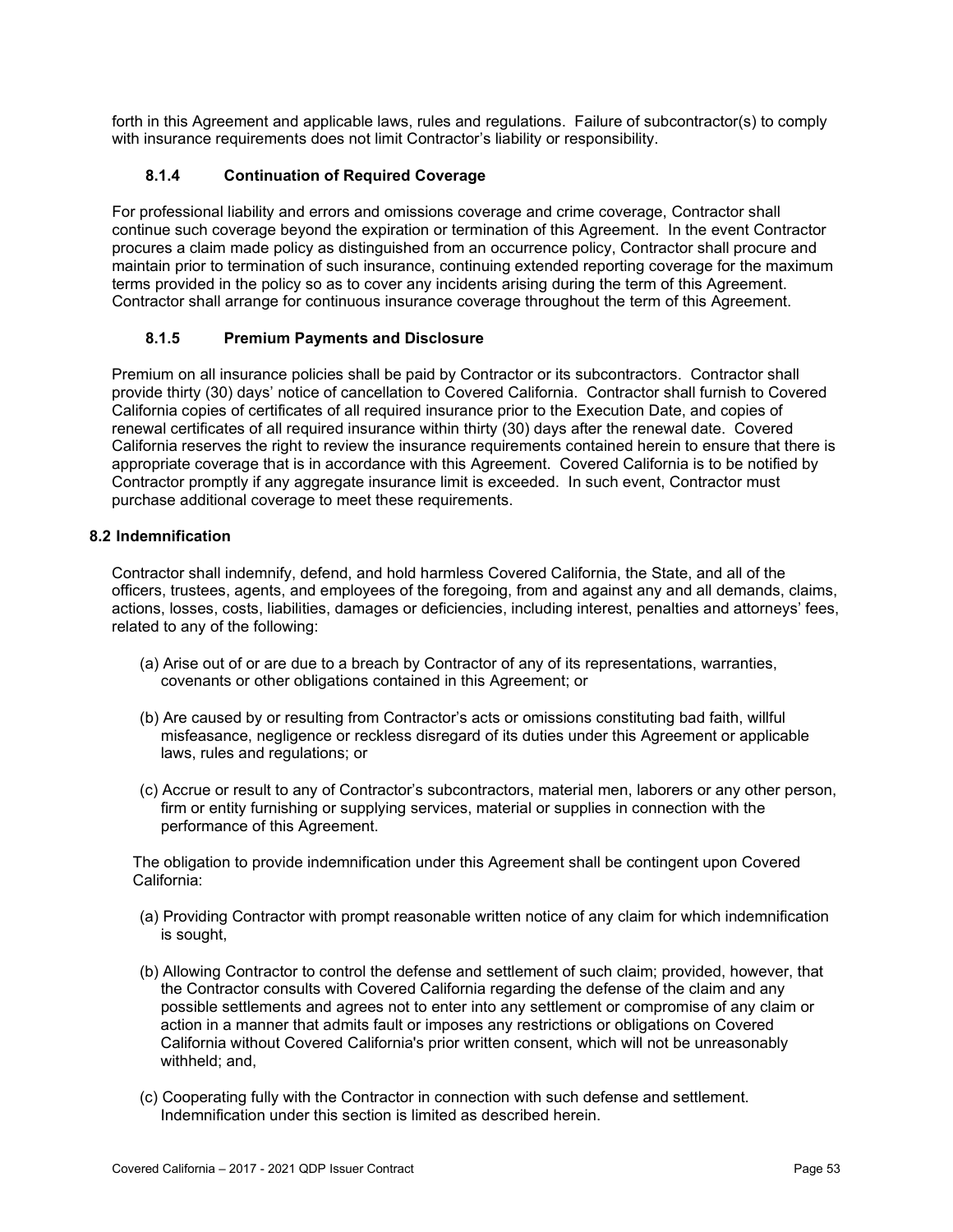forth in this Agreement and applicable laws, rules and regulations. Failure of subcontractor(s) to comply with insurance requirements does not limit Contractor's liability or responsibility.

# **8.1.4 Continuation of Required Coverage**

For professional liability and errors and omissions coverage and crime coverage, Contractor shall continue such coverage beyond the expiration or termination of this Agreement. In the event Contractor procures a claim made policy as distinguished from an occurrence policy, Contractor shall procure and maintain prior to termination of such insurance, continuing extended reporting coverage for the maximum terms provided in the policy so as to cover any incidents arising during the term of this Agreement. Contractor shall arrange for continuous insurance coverage throughout the term of this Agreement.

## **8.1.5 Premium Payments and Disclosure**

Premium on all insurance policies shall be paid by Contractor or its subcontractors. Contractor shall provide thirty (30) days' notice of cancellation to Covered California. Contractor shall furnish to Covered California copies of certificates of all required insurance prior to the Execution Date, and copies of renewal certificates of all required insurance within thirty (30) days after the renewal date. Covered California reserves the right to review the insurance requirements contained herein to ensure that there is appropriate coverage that is in accordance with this Agreement. Covered California is to be notified by Contractor promptly if any aggregate insurance limit is exceeded. In such event, Contractor must purchase additional coverage to meet these requirements.

### **8.2 Indemnification**

Contractor shall indemnify, defend, and hold harmless Covered California, the State, and all of the officers, trustees, agents, and employees of the foregoing, from and against any and all demands, claims, actions, losses, costs, liabilities, damages or deficiencies, including interest, penalties and attorneys' fees, related to any of the following:

- (a) Arise out of or are due to a breach by Contractor of any of its representations, warranties, covenants or other obligations contained in this Agreement; or
- (b) Are caused by or resulting from Contractor's acts or omissions constituting bad faith, willful misfeasance, negligence or reckless disregard of its duties under this Agreement or applicable laws, rules and regulations; or
- (c) Accrue or result to any of Contractor's subcontractors, material men, laborers or any other person, firm or entity furnishing or supplying services, material or supplies in connection with the performance of this Agreement.

The obligation to provide indemnification under this Agreement shall be contingent upon Covered California:

- (a) Providing Contractor with prompt reasonable written notice of any claim for which indemnification is sought,
- (b) Allowing Contractor to control the defense and settlement of such claim; provided, however, that the Contractor consults with Covered California regarding the defense of the claim and any possible settlements and agrees not to enter into any settlement or compromise of any claim or action in a manner that admits fault or imposes any restrictions or obligations on Covered California without Covered California's prior written consent, which will not be unreasonably withheld; and,
- (c) Cooperating fully with the Contractor in connection with such defense and settlement. Indemnification under this section is limited as described herein.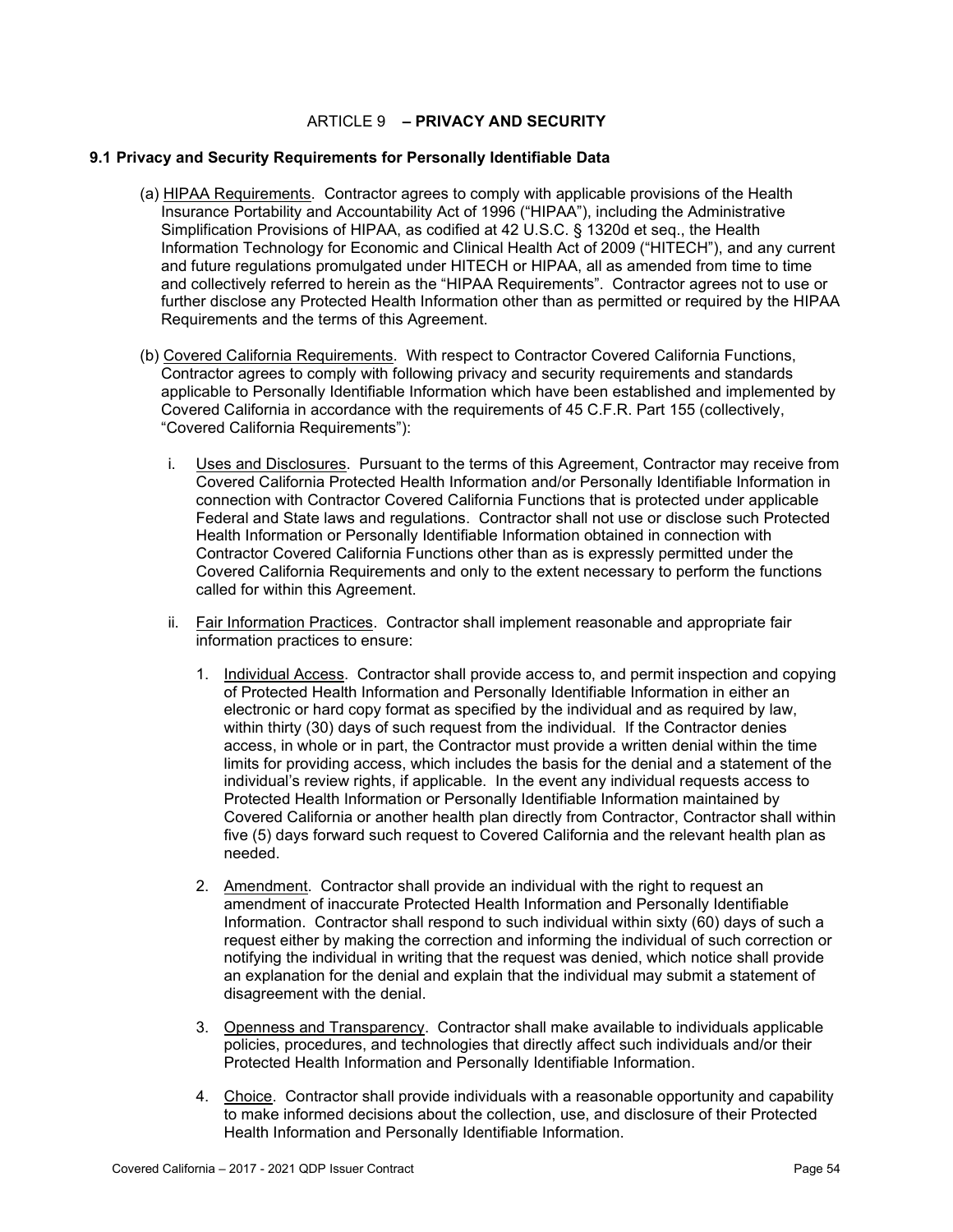## ARTICLE 9 **– PRIVACY AND SECURITY**

#### **9.1 Privacy and Security Requirements for Personally Identifiable Data**

- (a) HIPAA Requirements. Contractor agrees to comply with applicable provisions of the Health Insurance Portability and Accountability Act of 1996 ("HIPAA"), including the Administrative Simplification Provisions of HIPAA, as codified at 42 U.S.C. § 1320d et seq., the Health Information Technology for Economic and Clinical Health Act of 2009 ("HITECH"), and any current and future regulations promulgated under HITECH or HIPAA, all as amended from time to time and collectively referred to herein as the "HIPAA Requirements". Contractor agrees not to use or further disclose any Protected Health Information other than as permitted or required by the HIPAA Requirements and the terms of this Agreement.
- (b) Covered California Requirements. With respect to Contractor Covered California Functions, Contractor agrees to comply with following privacy and security requirements and standards applicable to Personally Identifiable Information which have been established and implemented by Covered California in accordance with the requirements of 45 C.F.R. Part 155 (collectively, "Covered California Requirements"):
	- i. Uses and Disclosures. Pursuant to the terms of this Agreement, Contractor may receive from Covered California Protected Health Information and/or Personally Identifiable Information in connection with Contractor Covered California Functions that is protected under applicable Federal and State laws and regulations. Contractor shall not use or disclose such Protected Health Information or Personally Identifiable Information obtained in connection with Contractor Covered California Functions other than as is expressly permitted under the Covered California Requirements and only to the extent necessary to perform the functions called for within this Agreement.
	- ii. Fair Information Practices. Contractor shall implement reasonable and appropriate fair information practices to ensure:
		- 1. Individual Access. Contractor shall provide access to, and permit inspection and copying of Protected Health Information and Personally Identifiable Information in either an electronic or hard copy format as specified by the individual and as required by law, within thirty (30) days of such request from the individual. If the Contractor denies access, in whole or in part, the Contractor must provide a written denial within the time limits for providing access, which includes the basis for the denial and a statement of the individual's review rights, if applicable. In the event any individual requests access to Protected Health Information or Personally Identifiable Information maintained by Covered California or another health plan directly from Contractor, Contractor shall within five (5) days forward such request to Covered California and the relevant health plan as needed.
		- 2. Amendment. Contractor shall provide an individual with the right to request an amendment of inaccurate Protected Health Information and Personally Identifiable Information. Contractor shall respond to such individual within sixty (60) days of such a request either by making the correction and informing the individual of such correction or notifying the individual in writing that the request was denied, which notice shall provide an explanation for the denial and explain that the individual may submit a statement of disagreement with the denial.
		- 3. Openness and Transparency. Contractor shall make available to individuals applicable policies, procedures, and technologies that directly affect such individuals and/or their Protected Health Information and Personally Identifiable Information.
		- 4. Choice. Contractor shall provide individuals with a reasonable opportunity and capability to make informed decisions about the collection, use, and disclosure of their Protected Health Information and Personally Identifiable Information.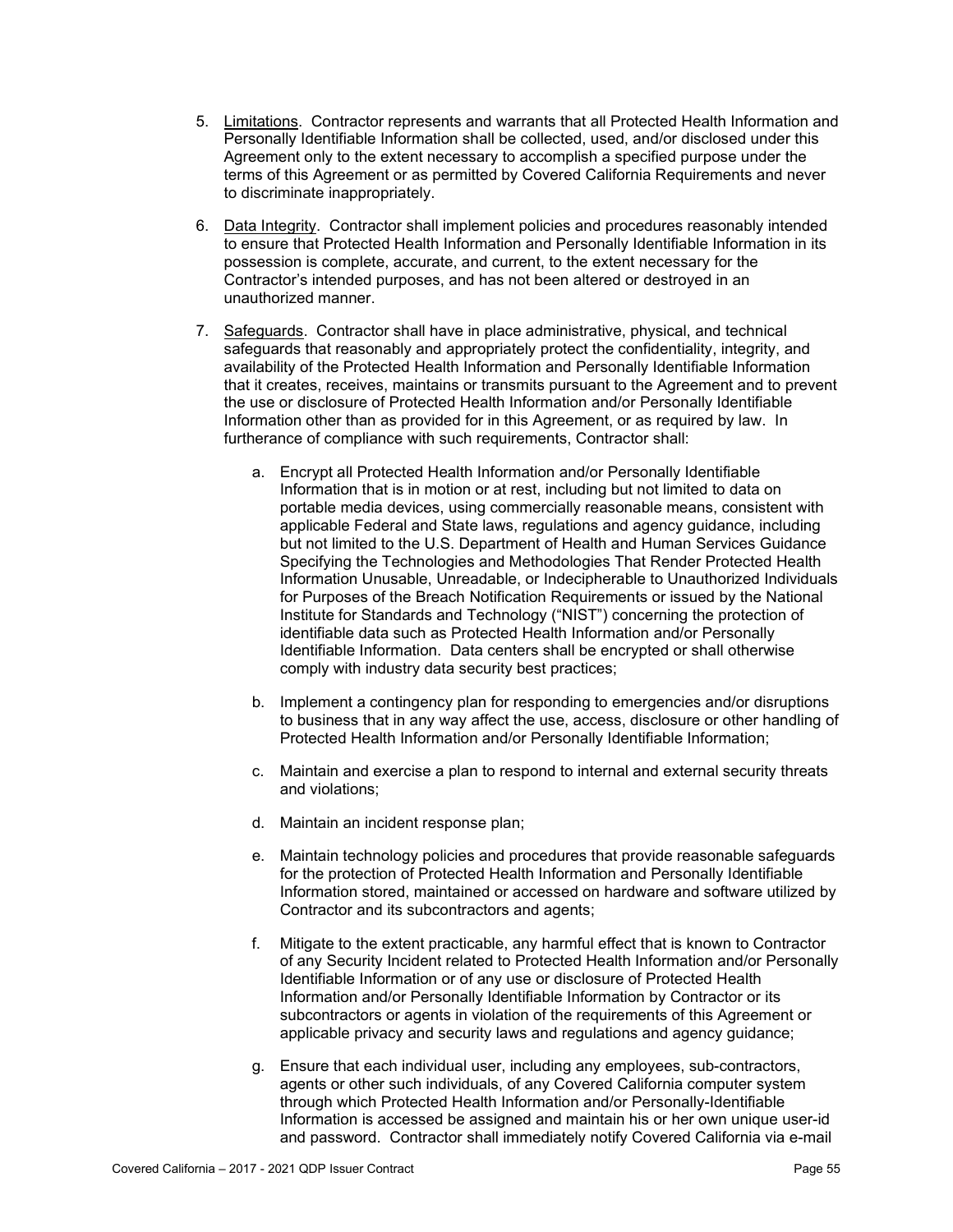- 5. Limitations. Contractor represents and warrants that all Protected Health Information and Personally Identifiable Information shall be collected, used, and/or disclosed under this Agreement only to the extent necessary to accomplish a specified purpose under the terms of this Agreement or as permitted by Covered California Requirements and never to discriminate inappropriately.
- 6. Data Integrity. Contractor shall implement policies and procedures reasonably intended to ensure that Protected Health Information and Personally Identifiable Information in its possession is complete, accurate, and current, to the extent necessary for the Contractor's intended purposes, and has not been altered or destroyed in an unauthorized manner.
- 7. Safeguards. Contractor shall have in place administrative, physical, and technical safeguards that reasonably and appropriately protect the confidentiality, integrity, and availability of the Protected Health Information and Personally Identifiable Information that it creates, receives, maintains or transmits pursuant to the Agreement and to prevent the use or disclosure of Protected Health Information and/or Personally Identifiable Information other than as provided for in this Agreement, or as required by law. In furtherance of compliance with such requirements, Contractor shall:
	- a. Encrypt all Protected Health Information and/or Personally Identifiable Information that is in motion or at rest, including but not limited to data on portable media devices, using commercially reasonable means, consistent with applicable Federal and State laws, regulations and agency guidance, including but not limited to the U.S. Department of Health and Human Services Guidance Specifying the Technologies and Methodologies That Render Protected Health Information Unusable, Unreadable, or Indecipherable to Unauthorized Individuals for Purposes of the Breach Notification Requirements or issued by the National Institute for Standards and Technology ("NIST") concerning the protection of identifiable data such as Protected Health Information and/or Personally Identifiable Information. Data centers shall be encrypted or shall otherwise comply with industry data security best practices;
	- b. Implement a contingency plan for responding to emergencies and/or disruptions to business that in any way affect the use, access, disclosure or other handling of Protected Health Information and/or Personally Identifiable Information;
	- c. Maintain and exercise a plan to respond to internal and external security threats and violations;
	- d. Maintain an incident response plan;
	- e. Maintain technology policies and procedures that provide reasonable safeguards for the protection of Protected Health Information and Personally Identifiable Information stored, maintained or accessed on hardware and software utilized by Contractor and its subcontractors and agents;
	- f. Mitigate to the extent practicable, any harmful effect that is known to Contractor of any Security Incident related to Protected Health Information and/or Personally Identifiable Information or of any use or disclosure of Protected Health Information and/or Personally Identifiable Information by Contractor or its subcontractors or agents in violation of the requirements of this Agreement or applicable privacy and security laws and regulations and agency guidance;
	- g. Ensure that each individual user, including any employees, sub-contractors, agents or other such individuals, of any Covered California computer system through which Protected Health Information and/or Personally-Identifiable Information is accessed be assigned and maintain his or her own unique user-id and password. Contractor shall immediately notify Covered California via e-mail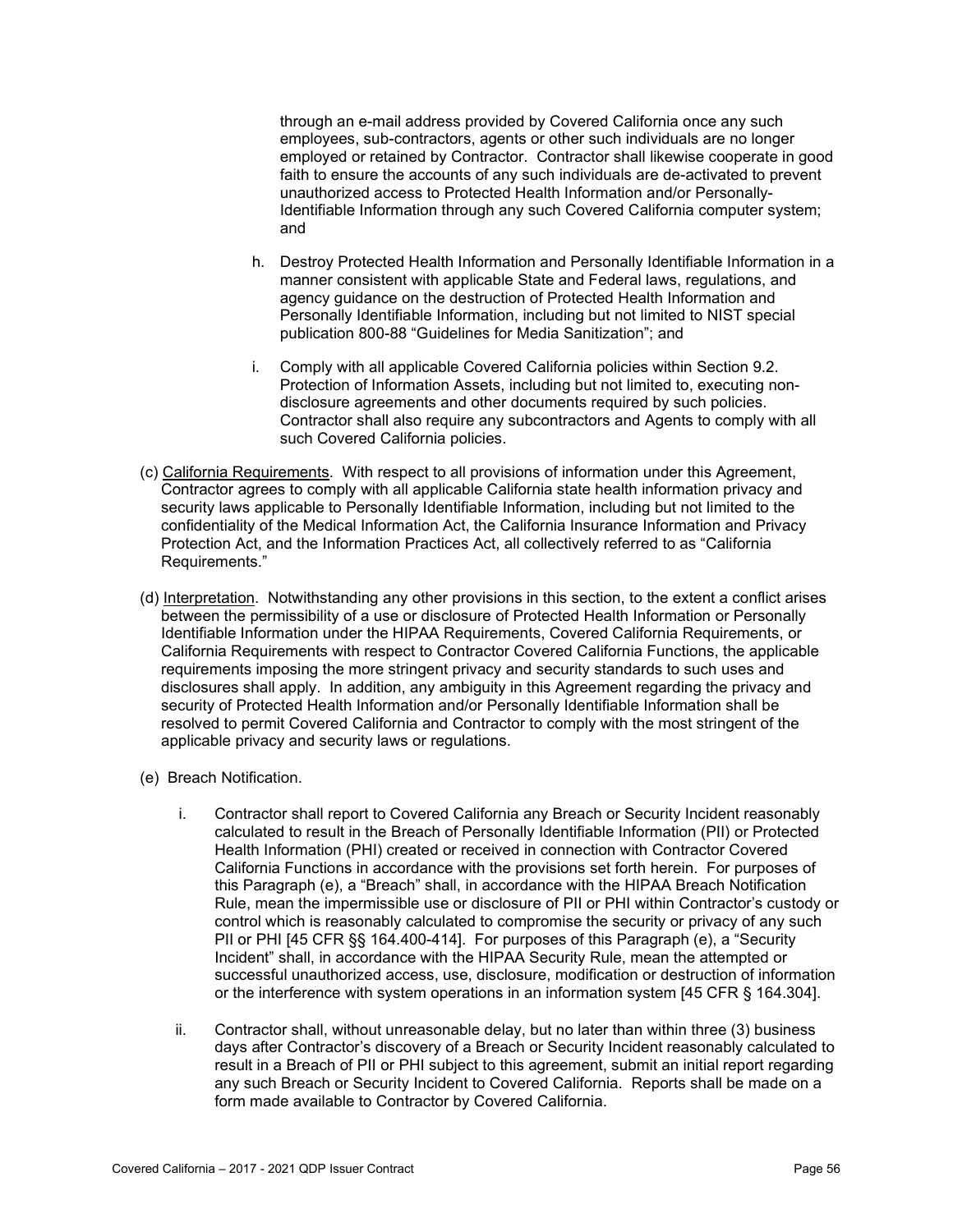through an e-mail address provided by Covered California once any such employees, sub-contractors, agents or other such individuals are no longer employed or retained by Contractor. Contractor shall likewise cooperate in good faith to ensure the accounts of any such individuals are de-activated to prevent unauthorized access to Protected Health Information and/or Personally-Identifiable Information through any such Covered California computer system; and

- h. Destroy Protected Health Information and Personally Identifiable Information in a manner consistent with applicable State and Federal laws, regulations, and agency guidance on the destruction of Protected Health Information and Personally Identifiable Information, including but not limited to NIST special publication 800-88 "Guidelines for Media Sanitization"; and
- i. Comply with all applicable Covered California policies within Section 9.2. Protection of Information Assets, including but not limited to, executing nondisclosure agreements and other documents required by such policies. Contractor shall also require any subcontractors and Agents to comply with all such Covered California policies.
- (c) California Requirements. With respect to all provisions of information under this Agreement, Contractor agrees to comply with all applicable California state health information privacy and security laws applicable to Personally Identifiable Information, including but not limited to the confidentiality of the Medical Information Act, the California Insurance Information and Privacy Protection Act, and the Information Practices Act, all collectively referred to as "California Requirements."
- (d) Interpretation. Notwithstanding any other provisions in this section, to the extent a conflict arises between the permissibility of a use or disclosure of Protected Health Information or Personally Identifiable Information under the HIPAA Requirements, Covered California Requirements, or California Requirements with respect to Contractor Covered California Functions, the applicable requirements imposing the more stringent privacy and security standards to such uses and disclosures shall apply. In addition, any ambiguity in this Agreement regarding the privacy and security of Protected Health Information and/or Personally Identifiable Information shall be resolved to permit Covered California and Contractor to comply with the most stringent of the applicable privacy and security laws or regulations.
- (e) Breach Notification.
	- i. Contractor shall report to Covered California any Breach or Security Incident reasonably calculated to result in the Breach of Personally Identifiable Information (PII) or Protected Health Information (PHI) created or received in connection with Contractor Covered California Functions in accordance with the provisions set forth herein. For purposes of this Paragraph (e), a "Breach" shall, in accordance with the HIPAA Breach Notification Rule, mean the impermissible use or disclosure of PII or PHI within Contractor's custody or control which is reasonably calculated to compromise the security or privacy of any such PII or PHI [45 CFR §§ 164.400-414]. For purposes of this Paragraph (e), a "Security Incident" shall, in accordance with the HIPAA Security Rule, mean the attempted or successful unauthorized access, use, disclosure, modification or destruction of information or the interference with system operations in an information system [45 CFR § 164.304].
	- ii. Contractor shall, without unreasonable delay, but no later than within three (3) business days after Contractor's discovery of a Breach or Security Incident reasonably calculated to result in a Breach of PII or PHI subject to this agreement, submit an initial report regarding any such Breach or Security Incident to Covered California. Reports shall be made on a form made available to Contractor by Covered California.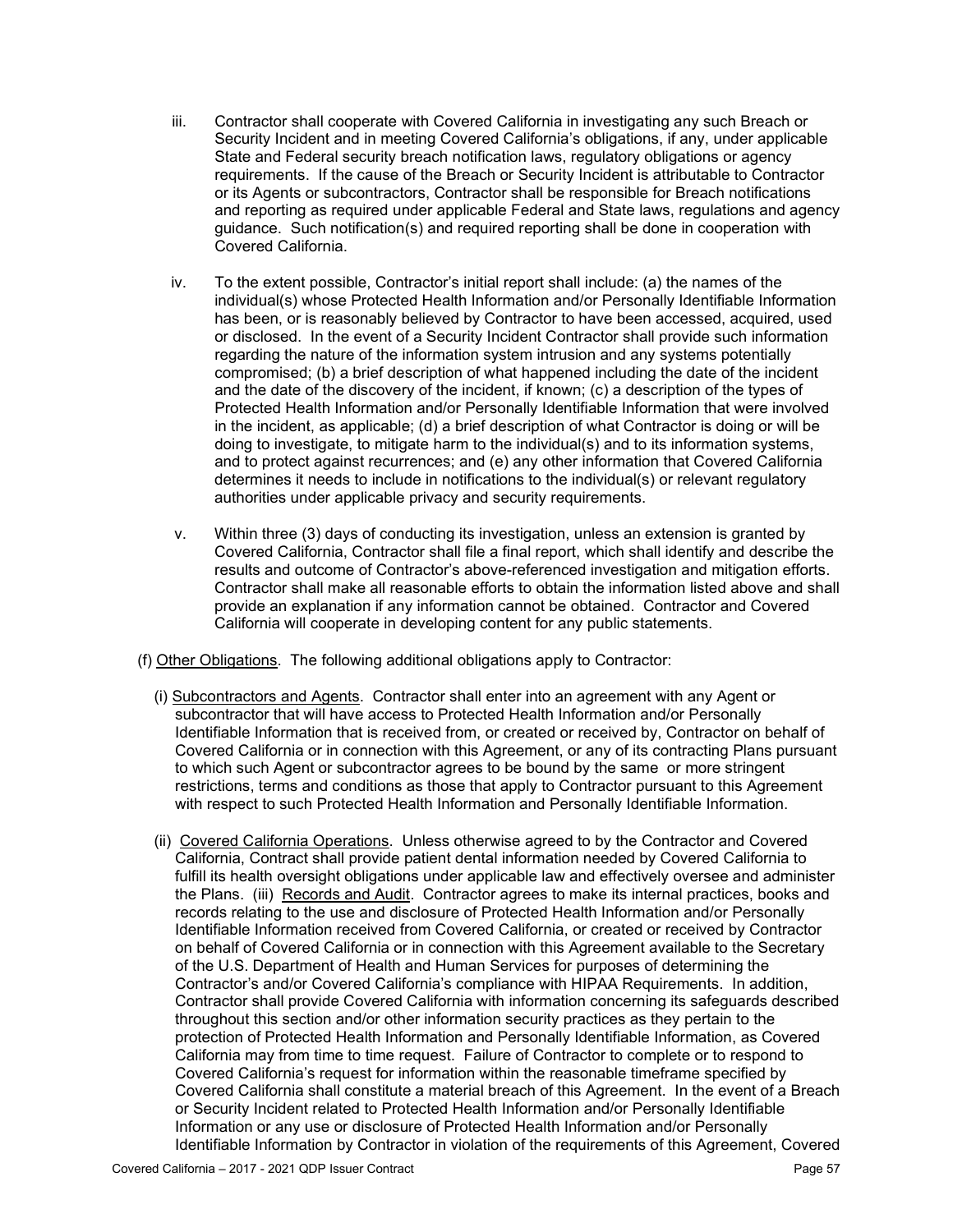- iii. Contractor shall cooperate with Covered California in investigating any such Breach or Security Incident and in meeting Covered California's obligations, if any, under applicable State and Federal security breach notification laws, regulatory obligations or agency requirements. If the cause of the Breach or Security Incident is attributable to Contractor or its Agents or subcontractors, Contractor shall be responsible for Breach notifications and reporting as required under applicable Federal and State laws, regulations and agency guidance. Such notification(s) and required reporting shall be done in cooperation with Covered California.
- iv. To the extent possible, Contractor's initial report shall include: (a) the names of the individual(s) whose Protected Health Information and/or Personally Identifiable Information has been, or is reasonably believed by Contractor to have been accessed, acquired, used or disclosed. In the event of a Security Incident Contractor shall provide such information regarding the nature of the information system intrusion and any systems potentially compromised; (b) a brief description of what happened including the date of the incident and the date of the discovery of the incident, if known; (c) a description of the types of Protected Health Information and/or Personally Identifiable Information that were involved in the incident, as applicable; (d) a brief description of what Contractor is doing or will be doing to investigate, to mitigate harm to the individual(s) and to its information systems, and to protect against recurrences; and (e) any other information that Covered California determines it needs to include in notifications to the individual(s) or relevant regulatory authorities under applicable privacy and security requirements.
- v. Within three (3) days of conducting its investigation, unless an extension is granted by Covered California, Contractor shall file a final report, which shall identify and describe the results and outcome of Contractor's above-referenced investigation and mitigation efforts. Contractor shall make all reasonable efforts to obtain the information listed above and shall provide an explanation if any information cannot be obtained. Contractor and Covered California will cooperate in developing content for any public statements.

(f) Other Obligations. The following additional obligations apply to Contractor:

- (i) Subcontractors and Agents. Contractor shall enter into an agreement with any Agent or subcontractor that will have access to Protected Health Information and/or Personally Identifiable Information that is received from, or created or received by, Contractor on behalf of Covered California or in connection with this Agreement, or any of its contracting Plans pursuant to which such Agent or subcontractor agrees to be bound by the same or more stringent restrictions, terms and conditions as those that apply to Contractor pursuant to this Agreement with respect to such Protected Health Information and Personally Identifiable Information.
- (ii) Covered California Operations. Unless otherwise agreed to by the Contractor and Covered California, Contract shall provide patient dental information needed by Covered California to fulfill its health oversight obligations under applicable law and effectively oversee and administer the Plans. (iii) Records and Audit. Contractor agrees to make its internal practices, books and records relating to the use and disclosure of Protected Health Information and/or Personally Identifiable Information received from Covered California, or created or received by Contractor on behalf of Covered California or in connection with this Agreement available to the Secretary of the U.S. Department of Health and Human Services for purposes of determining the Contractor's and/or Covered California's compliance with HIPAA Requirements. In addition, Contractor shall provide Covered California with information concerning its safeguards described throughout this section and/or other information security practices as they pertain to the protection of Protected Health Information and Personally Identifiable Information, as Covered California may from time to time request. Failure of Contractor to complete or to respond to Covered California's request for information within the reasonable timeframe specified by Covered California shall constitute a material breach of this Agreement. In the event of a Breach or Security Incident related to Protected Health Information and/or Personally Identifiable Information or any use or disclosure of Protected Health Information and/or Personally Identifiable Information by Contractor in violation of the requirements of this Agreement, Covered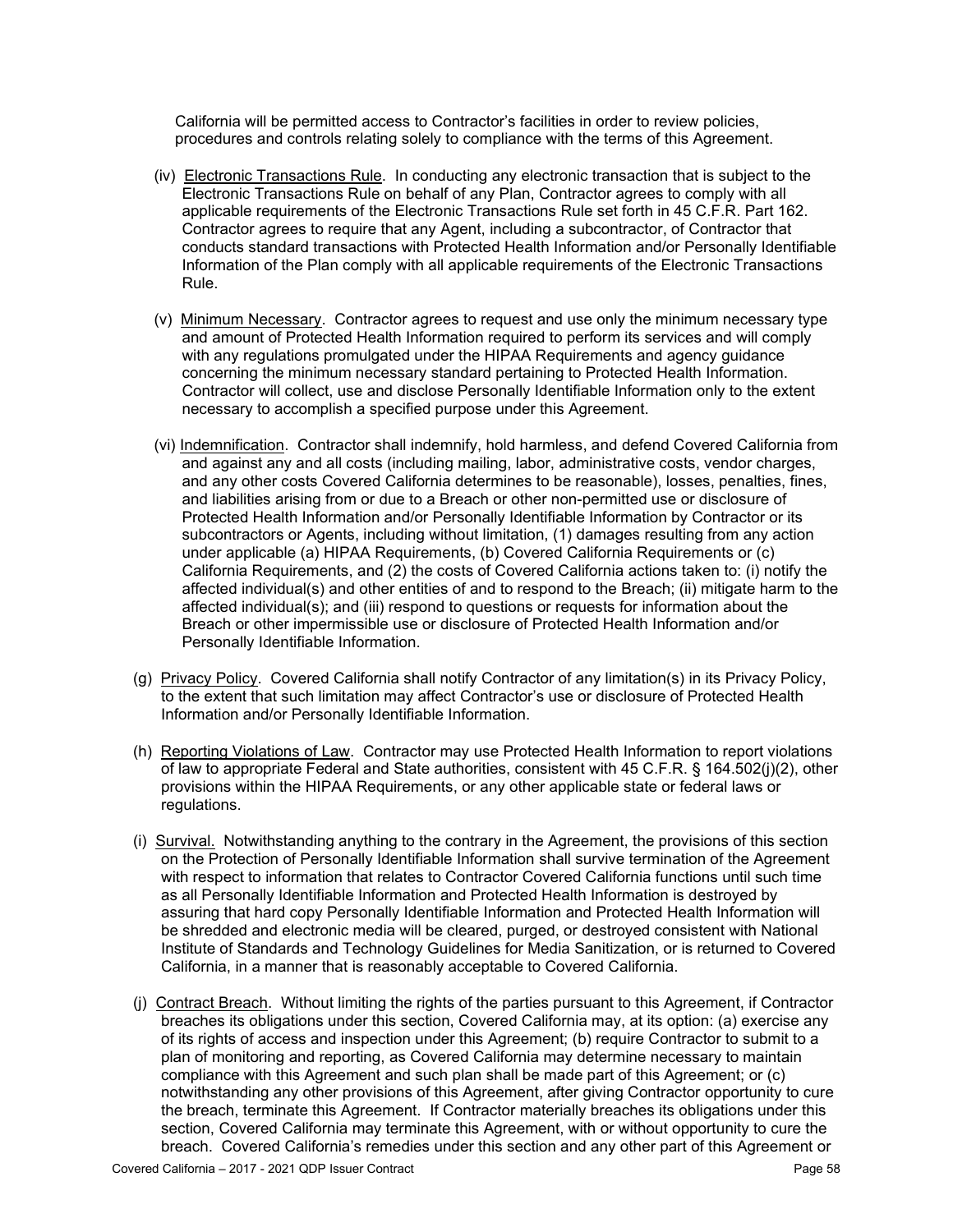California will be permitted access to Contractor's facilities in order to review policies, procedures and controls relating solely to compliance with the terms of this Agreement.

- (iv) Electronic Transactions Rule. In conducting any electronic transaction that is subject to the Electronic Transactions Rule on behalf of any Plan, Contractor agrees to comply with all applicable requirements of the Electronic Transactions Rule set forth in 45 C.F.R. Part 162. Contractor agrees to require that any Agent, including a subcontractor, of Contractor that conducts standard transactions with Protected Health Information and/or Personally Identifiable Information of the Plan comply with all applicable requirements of the Electronic Transactions Rule.
- (v) Minimum Necessary. Contractor agrees to request and use only the minimum necessary type and amount of Protected Health Information required to perform its services and will comply with any regulations promulgated under the HIPAA Requirements and agency guidance concerning the minimum necessary standard pertaining to Protected Health Information. Contractor will collect, use and disclose Personally Identifiable Information only to the extent necessary to accomplish a specified purpose under this Agreement.
- (vi) Indemnification. Contractor shall indemnify, hold harmless, and defend Covered California from and against any and all costs (including mailing, labor, administrative costs, vendor charges, and any other costs Covered California determines to be reasonable), losses, penalties, fines, and liabilities arising from or due to a Breach or other non-permitted use or disclosure of Protected Health Information and/or Personally Identifiable Information by Contractor or its subcontractors or Agents, including without limitation, (1) damages resulting from any action under applicable (a) HIPAA Requirements, (b) Covered California Requirements or (c) California Requirements, and (2) the costs of Covered California actions taken to: (i) notify the affected individual(s) and other entities of and to respond to the Breach; (ii) mitigate harm to the affected individual(s); and (iii) respond to questions or requests for information about the Breach or other impermissible use or disclosure of Protected Health Information and/or Personally Identifiable Information.
- (g) Privacy Policy. Covered California shall notify Contractor of any limitation(s) in its Privacy Policy, to the extent that such limitation may affect Contractor's use or disclosure of Protected Health Information and/or Personally Identifiable Information.
- (h) Reporting Violations of Law. Contractor may use Protected Health Information to report violations of law to appropriate Federal and State authorities, consistent with 45 C.F.R. § 164.502(j)(2), other provisions within the HIPAA Requirements, or any other applicable state or federal laws or regulations.
- (i) Survival. Notwithstanding anything to the contrary in the Agreement, the provisions of this section on the Protection of Personally Identifiable Information shall survive termination of the Agreement with respect to information that relates to Contractor Covered California functions until such time as all Personally Identifiable Information and Protected Health Information is destroyed by assuring that hard copy Personally Identifiable Information and Protected Health Information will be shredded and electronic media will be cleared, purged, or destroyed consistent with National Institute of Standards and Technology Guidelines for Media Sanitization, or is returned to Covered California, in a manner that is reasonably acceptable to Covered California.
- (j) Contract Breach. Without limiting the rights of the parties pursuant to this Agreement, if Contractor breaches its obligations under this section, Covered California may, at its option: (a) exercise any of its rights of access and inspection under this Agreement; (b) require Contractor to submit to a plan of monitoring and reporting, as Covered California may determine necessary to maintain compliance with this Agreement and such plan shall be made part of this Agreement; or (c) notwithstanding any other provisions of this Agreement, after giving Contractor opportunity to cure the breach, terminate this Agreement. If Contractor materially breaches its obligations under this section, Covered California may terminate this Agreement, with or without opportunity to cure the breach. Covered California's remedies under this section and any other part of this Agreement or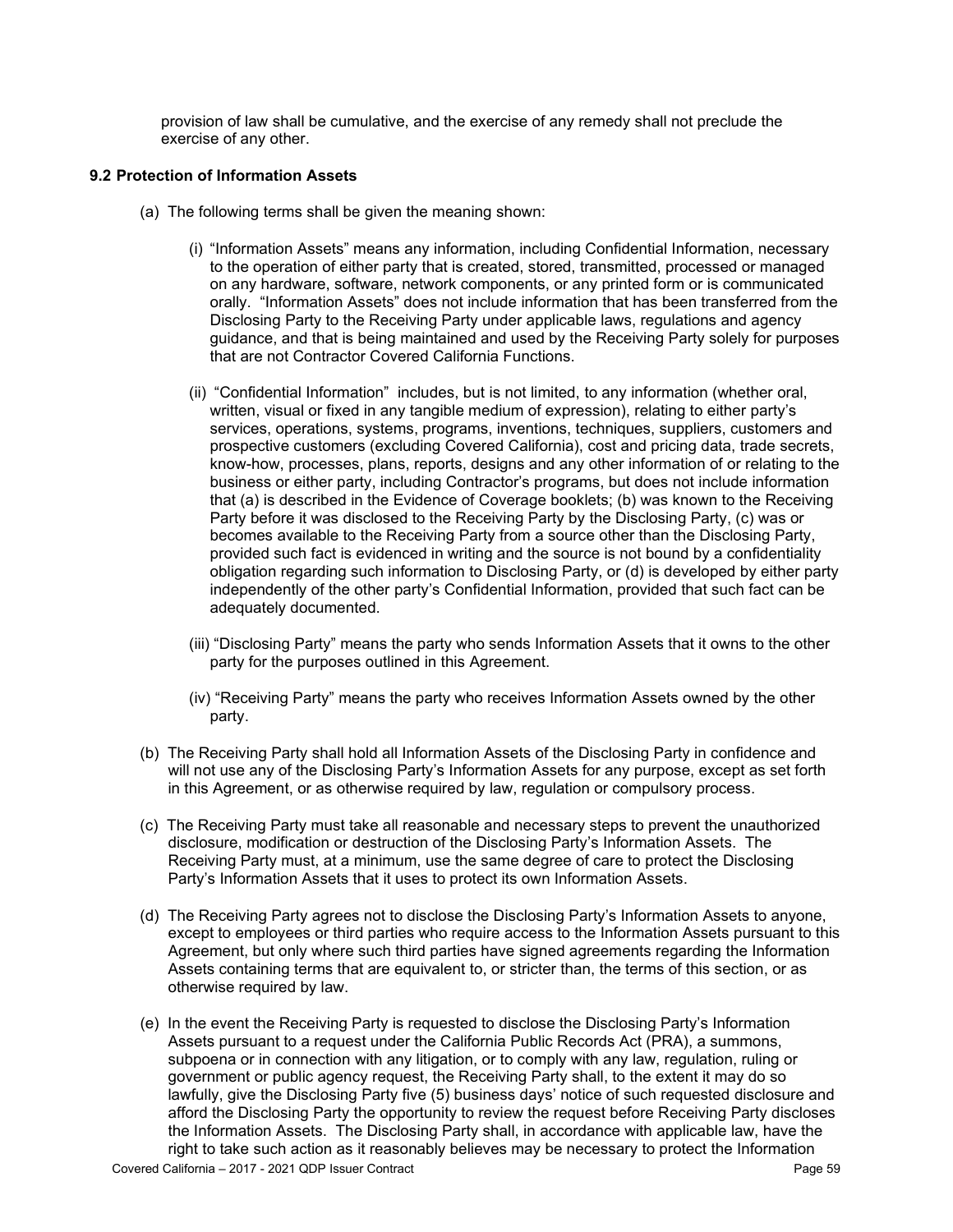provision of law shall be cumulative, and the exercise of any remedy shall not preclude the exercise of any other.

### **9.2 Protection of Information Assets**

- (a) The following terms shall be given the meaning shown:
	- (i) "Information Assets" means any information, including Confidential Information, necessary to the operation of either party that is created, stored, transmitted, processed or managed on any hardware, software, network components, or any printed form or is communicated orally. "Information Assets" does not include information that has been transferred from the Disclosing Party to the Receiving Party under applicable laws, regulations and agency guidance, and that is being maintained and used by the Receiving Party solely for purposes that are not Contractor Covered California Functions.
	- (ii) "Confidential Information" includes, but is not limited, to any information (whether oral, written, visual or fixed in any tangible medium of expression), relating to either party's services, operations, systems, programs, inventions, techniques, suppliers, customers and prospective customers (excluding Covered California), cost and pricing data, trade secrets, know-how, processes, plans, reports, designs and any other information of or relating to the business or either party, including Contractor's programs, but does not include information that (a) is described in the Evidence of Coverage booklets; (b) was known to the Receiving Party before it was disclosed to the Receiving Party by the Disclosing Party, (c) was or becomes available to the Receiving Party from a source other than the Disclosing Party, provided such fact is evidenced in writing and the source is not bound by a confidentiality obligation regarding such information to Disclosing Party, or (d) is developed by either party independently of the other party's Confidential Information, provided that such fact can be adequately documented.
	- (iii) "Disclosing Party" means the party who sends Information Assets that it owns to the other party for the purposes outlined in this Agreement.
	- (iv) "Receiving Party" means the party who receives Information Assets owned by the other party.
- (b) The Receiving Party shall hold all Information Assets of the Disclosing Party in confidence and will not use any of the Disclosing Party's Information Assets for any purpose, except as set forth in this Agreement, or as otherwise required by law, regulation or compulsory process.
- (c) The Receiving Party must take all reasonable and necessary steps to prevent the unauthorized disclosure, modification or destruction of the Disclosing Party's Information Assets. The Receiving Party must, at a minimum, use the same degree of care to protect the Disclosing Party's Information Assets that it uses to protect its own Information Assets.
- (d) The Receiving Party agrees not to disclose the Disclosing Party's Information Assets to anyone, except to employees or third parties who require access to the Information Assets pursuant to this Agreement, but only where such third parties have signed agreements regarding the Information Assets containing terms that are equivalent to, or stricter than, the terms of this section, or as otherwise required by law.
- (e) In the event the Receiving Party is requested to disclose the Disclosing Party's Information Assets pursuant to a request under the California Public Records Act (PRA), a summons, subpoena or in connection with any litigation, or to comply with any law, regulation, ruling or government or public agency request, the Receiving Party shall, to the extent it may do so lawfully, give the Disclosing Party five (5) business days' notice of such requested disclosure and afford the Disclosing Party the opportunity to review the request before Receiving Party discloses the Information Assets. The Disclosing Party shall, in accordance with applicable law, have the right to take such action as it reasonably believes may be necessary to protect the Information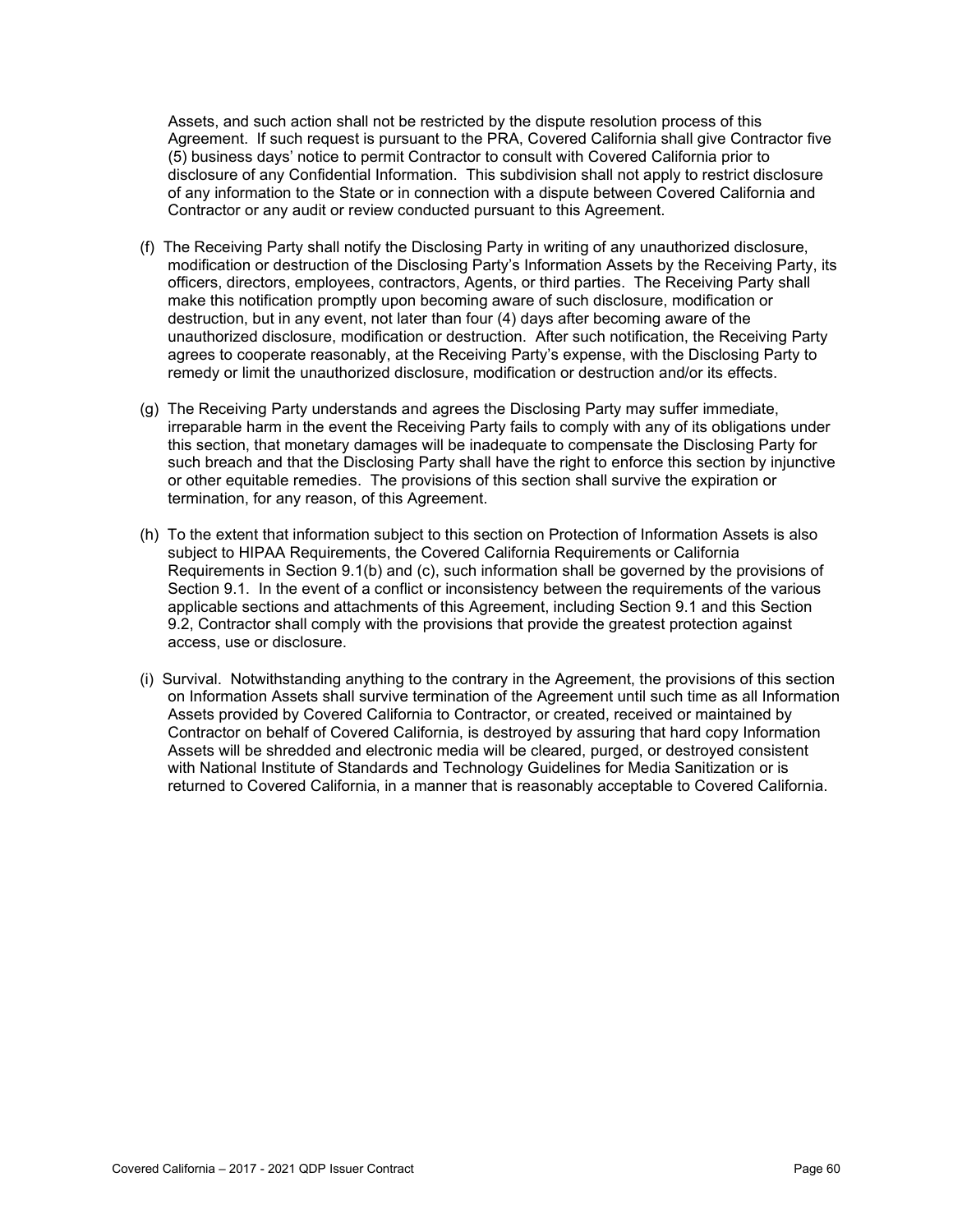Assets, and such action shall not be restricted by the dispute resolution process of this Agreement. If such request is pursuant to the PRA, Covered California shall give Contractor five (5) business days' notice to permit Contractor to consult with Covered California prior to disclosure of any Confidential Information. This subdivision shall not apply to restrict disclosure of any information to the State or in connection with a dispute between Covered California and Contractor or any audit or review conducted pursuant to this Agreement.

- (f) The Receiving Party shall notify the Disclosing Party in writing of any unauthorized disclosure, modification or destruction of the Disclosing Party's Information Assets by the Receiving Party, its officers, directors, employees, contractors, Agents, or third parties. The Receiving Party shall make this notification promptly upon becoming aware of such disclosure, modification or destruction, but in any event, not later than four (4) days after becoming aware of the unauthorized disclosure, modification or destruction. After such notification, the Receiving Party agrees to cooperate reasonably, at the Receiving Party's expense, with the Disclosing Party to remedy or limit the unauthorized disclosure, modification or destruction and/or its effects.
- (g) The Receiving Party understands and agrees the Disclosing Party may suffer immediate, irreparable harm in the event the Receiving Party fails to comply with any of its obligations under this section, that monetary damages will be inadequate to compensate the Disclosing Party for such breach and that the Disclosing Party shall have the right to enforce this section by injunctive or other equitable remedies. The provisions of this section shall survive the expiration or termination, for any reason, of this Agreement.
- (h) To the extent that information subject to this section on Protection of Information Assets is also subject to HIPAA Requirements, the Covered California Requirements or California Requirements in Section 9.1(b) and (c), such information shall be governed by the provisions of Section 9.1. In the event of a conflict or inconsistency between the requirements of the various applicable sections and attachments of this Agreement, including Section 9.1 and this Section 9.2, Contractor shall comply with the provisions that provide the greatest protection against access, use or disclosure.
- (i) Survival. Notwithstanding anything to the contrary in the Agreement, the provisions of this section on Information Assets shall survive termination of the Agreement until such time as all Information Assets provided by Covered California to Contractor, or created, received or maintained by Contractor on behalf of Covered California, is destroyed by assuring that hard copy Information Assets will be shredded and electronic media will be cleared, purged, or destroyed consistent with National Institute of Standards and Technology Guidelines for Media Sanitization or is returned to Covered California, in a manner that is reasonably acceptable to Covered California.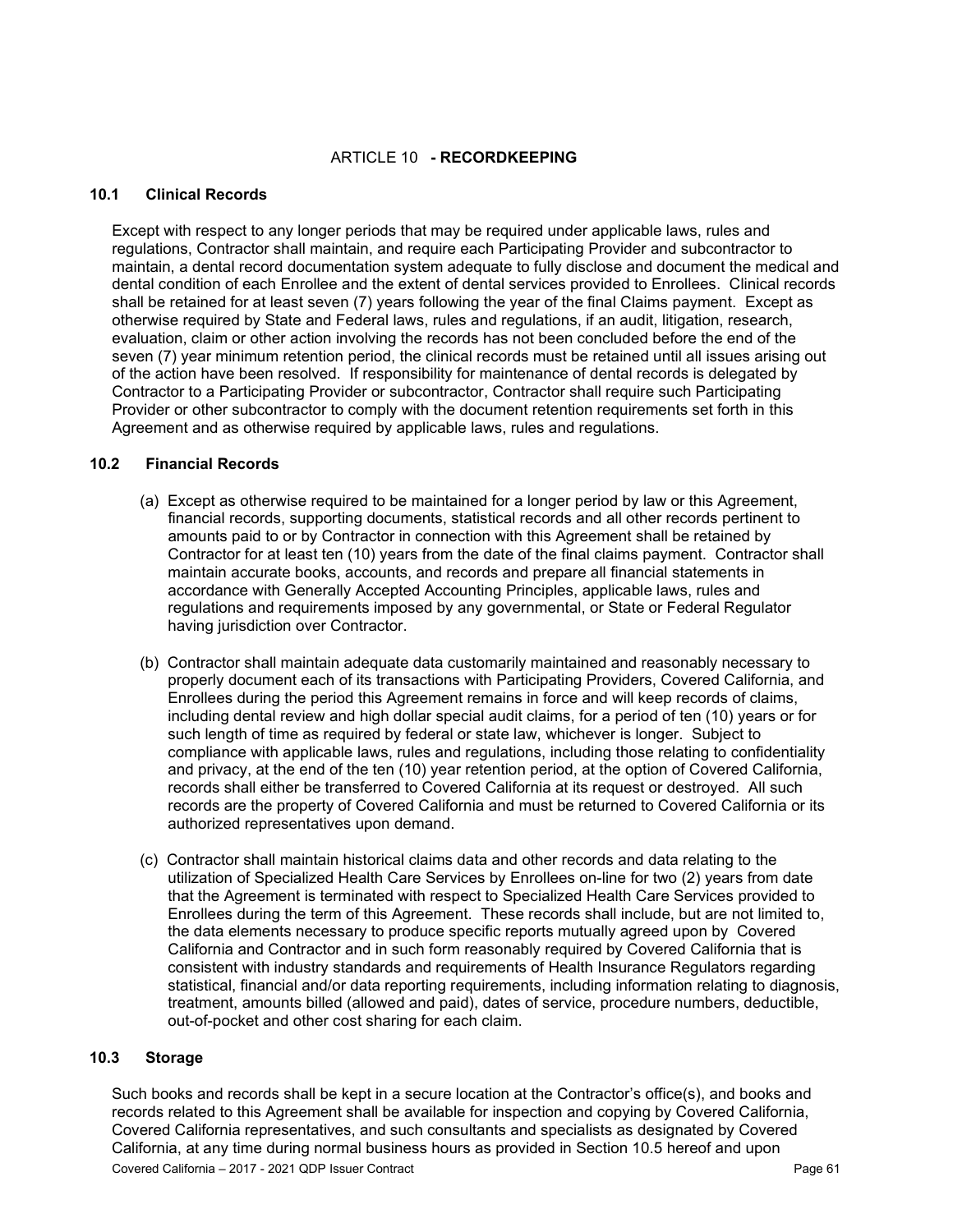## ARTICLE 10 **- RECORDKEEPING**

#### **10.1 Clinical Records**

Except with respect to any longer periods that may be required under applicable laws, rules and regulations, Contractor shall maintain, and require each Participating Provider and subcontractor to maintain, a dental record documentation system adequate to fully disclose and document the medical and dental condition of each Enrollee and the extent of dental services provided to Enrollees. Clinical records shall be retained for at least seven (7) years following the year of the final Claims payment. Except as otherwise required by State and Federal laws, rules and regulations, if an audit, litigation, research, evaluation, claim or other action involving the records has not been concluded before the end of the seven (7) year minimum retention period, the clinical records must be retained until all issues arising out of the action have been resolved. If responsibility for maintenance of dental records is delegated by Contractor to a Participating Provider or subcontractor, Contractor shall require such Participating Provider or other subcontractor to comply with the document retention requirements set forth in this Agreement and as otherwise required by applicable laws, rules and regulations.

#### **10.2 Financial Records**

- (a) Except as otherwise required to be maintained for a longer period by law or this Agreement, financial records, supporting documents, statistical records and all other records pertinent to amounts paid to or by Contractor in connection with this Agreement shall be retained by Contractor for at least ten (10) years from the date of the final claims payment. Contractor shall maintain accurate books, accounts, and records and prepare all financial statements in accordance with Generally Accepted Accounting Principles, applicable laws, rules and regulations and requirements imposed by any governmental, or State or Federal Regulator having jurisdiction over Contractor.
- (b) Contractor shall maintain adequate data customarily maintained and reasonably necessary to properly document each of its transactions with Participating Providers, Covered California, and Enrollees during the period this Agreement remains in force and will keep records of claims, including dental review and high dollar special audit claims, for a period of ten (10) years or for such length of time as required by federal or state law, whichever is longer. Subject to compliance with applicable laws, rules and regulations, including those relating to confidentiality and privacy, at the end of the ten (10) year retention period, at the option of Covered California, records shall either be transferred to Covered California at its request or destroyed. All such records are the property of Covered California and must be returned to Covered California or its authorized representatives upon demand.
- (c) Contractor shall maintain historical claims data and other records and data relating to the utilization of Specialized Health Care Services by Enrollees on-line for two (2) years from date that the Agreement is terminated with respect to Specialized Health Care Services provided to Enrollees during the term of this Agreement. These records shall include, but are not limited to, the data elements necessary to produce specific reports mutually agreed upon by Covered California and Contractor and in such form reasonably required by Covered California that is consistent with industry standards and requirements of Health Insurance Regulators regarding statistical, financial and/or data reporting requirements, including information relating to diagnosis, treatment, amounts billed (allowed and paid), dates of service, procedure numbers, deductible, out-of-pocket and other cost sharing for each claim.

## **10.3 Storage**

Such books and records shall be kept in a secure location at the Contractor's office(s), and books and records related to this Agreement shall be available for inspection and copying by Covered California, Covered California representatives, and such consultants and specialists as designated by Covered California, at any time during normal business hours as provided in Section 10.5 hereof and upon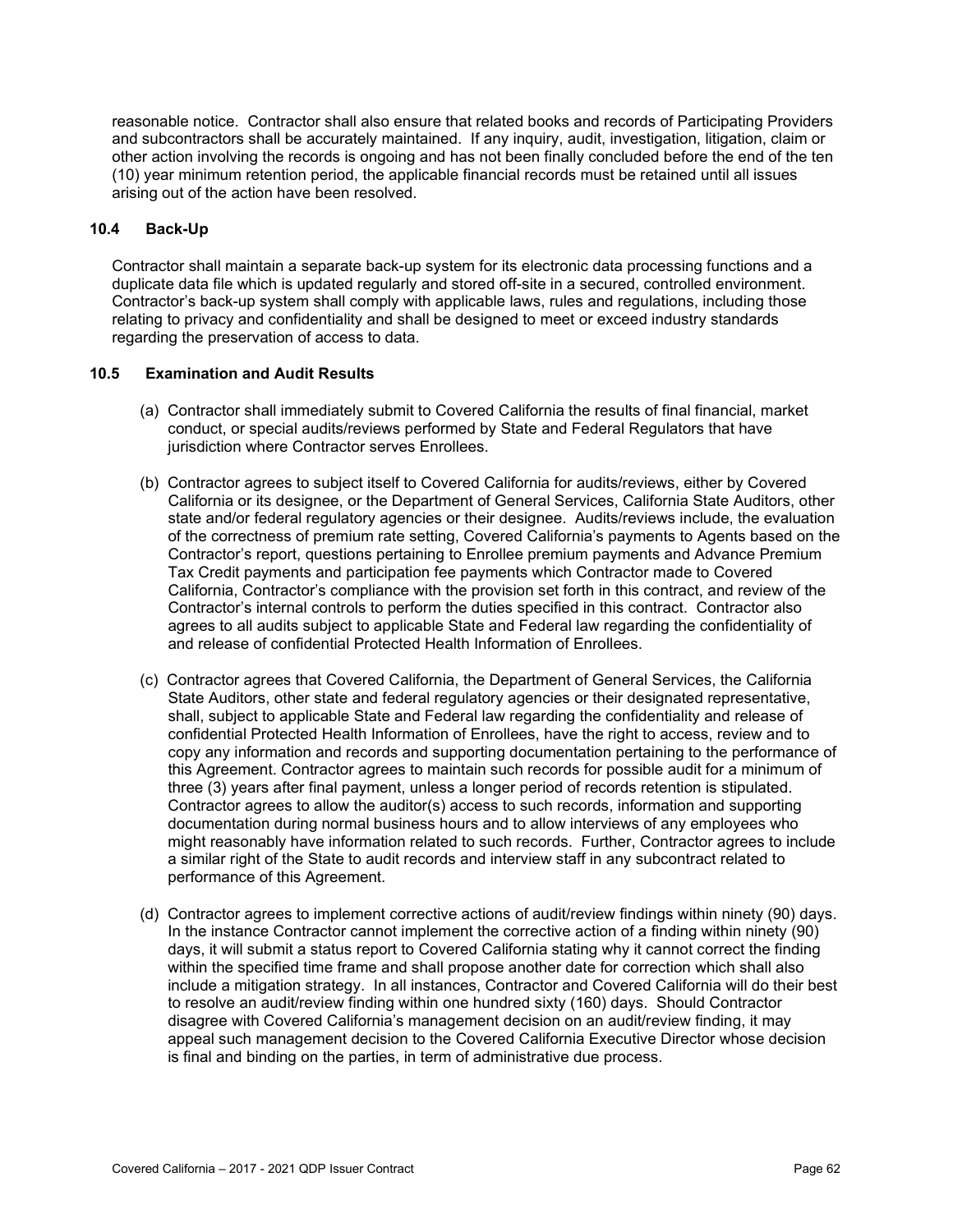reasonable notice. Contractor shall also ensure that related books and records of Participating Providers and subcontractors shall be accurately maintained. If any inquiry, audit, investigation, litigation, claim or other action involving the records is ongoing and has not been finally concluded before the end of the ten (10) year minimum retention period, the applicable financial records must be retained until all issues arising out of the action have been resolved.

## **10.4 Back-Up**

Contractor shall maintain a separate back-up system for its electronic data processing functions and a duplicate data file which is updated regularly and stored off-site in a secured, controlled environment. Contractor's back-up system shall comply with applicable laws, rules and regulations, including those relating to privacy and confidentiality and shall be designed to meet or exceed industry standards regarding the preservation of access to data.

### **10.5 Examination and Audit Results**

- (a) Contractor shall immediately submit to Covered California the results of final financial, market conduct, or special audits/reviews performed by State and Federal Regulators that have jurisdiction where Contractor serves Enrollees.
- (b) Contractor agrees to subject itself to Covered California for audits/reviews, either by Covered California or its designee, or the Department of General Services, California State Auditors, other state and/or federal regulatory agencies or their designee. Audits/reviews include, the evaluation of the correctness of premium rate setting, Covered California's payments to Agents based on the Contractor's report, questions pertaining to Enrollee premium payments and Advance Premium Tax Credit payments and participation fee payments which Contractor made to Covered California, Contractor's compliance with the provision set forth in this contract, and review of the Contractor's internal controls to perform the duties specified in this contract. Contractor also agrees to all audits subject to applicable State and Federal law regarding the confidentiality of and release of confidential Protected Health Information of Enrollees.
- (c) Contractor agrees that Covered California, the Department of General Services, the California State Auditors, other state and federal regulatory agencies or their designated representative, shall, subject to applicable State and Federal law regarding the confidentiality and release of confidential Protected Health Information of Enrollees, have the right to access, review and to copy any information and records and supporting documentation pertaining to the performance of this Agreement. Contractor agrees to maintain such records for possible audit for a minimum of three (3) years after final payment, unless a longer period of records retention is stipulated. Contractor agrees to allow the auditor(s) access to such records, information and supporting documentation during normal business hours and to allow interviews of any employees who might reasonably have information related to such records. Further, Contractor agrees to include a similar right of the State to audit records and interview staff in any subcontract related to performance of this Agreement.
- (d) Contractor agrees to implement corrective actions of audit/review findings within ninety (90) days. In the instance Contractor cannot implement the corrective action of a finding within ninety (90) days, it will submit a status report to Covered California stating why it cannot correct the finding within the specified time frame and shall propose another date for correction which shall also include a mitigation strategy. In all instances, Contractor and Covered California will do their best to resolve an audit/review finding within one hundred sixty (160) days. Should Contractor disagree with Covered California's management decision on an audit/review finding, it may appeal such management decision to the Covered California Executive Director whose decision is final and binding on the parties, in term of administrative due process.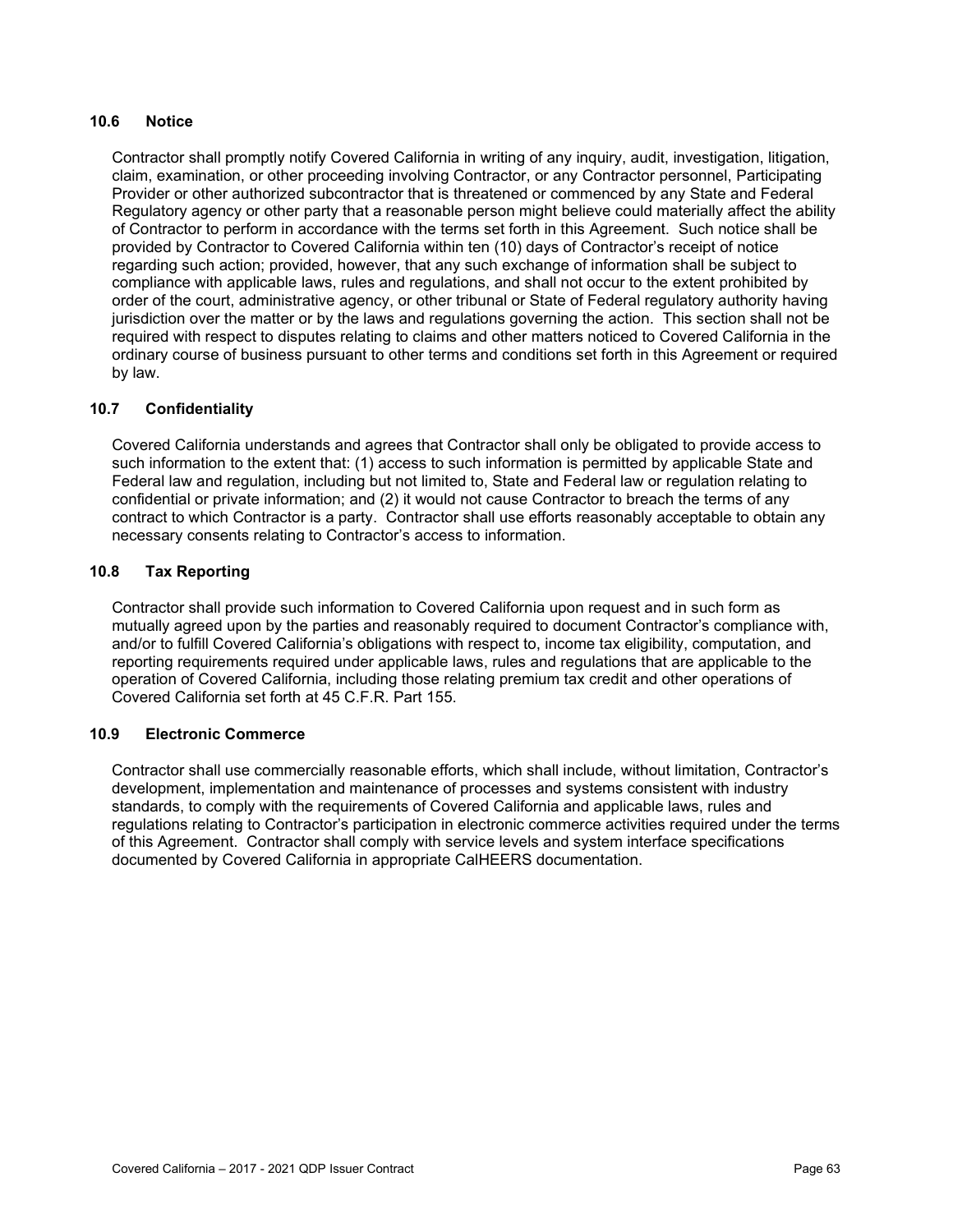## **10.6 Notice**

Contractor shall promptly notify Covered California in writing of any inquiry, audit, investigation, litigation, claim, examination, or other proceeding involving Contractor, or any Contractor personnel, Participating Provider or other authorized subcontractor that is threatened or commenced by any State and Federal Regulatory agency or other party that a reasonable person might believe could materially affect the ability of Contractor to perform in accordance with the terms set forth in this Agreement. Such notice shall be provided by Contractor to Covered California within ten (10) days of Contractor's receipt of notice regarding such action; provided, however, that any such exchange of information shall be subject to compliance with applicable laws, rules and regulations, and shall not occur to the extent prohibited by order of the court, administrative agency, or other tribunal or State of Federal regulatory authority having jurisdiction over the matter or by the laws and regulations governing the action. This section shall not be required with respect to disputes relating to claims and other matters noticed to Covered California in the ordinary course of business pursuant to other terms and conditions set forth in this Agreement or required by law.

### **10.7 Confidentiality**

Covered California understands and agrees that Contractor shall only be obligated to provide access to such information to the extent that: (1) access to such information is permitted by applicable State and Federal law and regulation, including but not limited to, State and Federal law or regulation relating to confidential or private information; and (2) it would not cause Contractor to breach the terms of any contract to which Contractor is a party. Contractor shall use efforts reasonably acceptable to obtain any necessary consents relating to Contractor's access to information.

### **10.8 Tax Reporting**

Contractor shall provide such information to Covered California upon request and in such form as mutually agreed upon by the parties and reasonably required to document Contractor's compliance with, and/or to fulfill Covered California's obligations with respect to, income tax eligibility, computation, and reporting requirements required under applicable laws, rules and regulations that are applicable to the operation of Covered California, including those relating premium tax credit and other operations of Covered California set forth at 45 C.F.R. Part 155.

### **10.9 Electronic Commerce**

Contractor shall use commercially reasonable efforts, which shall include, without limitation, Contractor's development, implementation and maintenance of processes and systems consistent with industry standards, to comply with the requirements of Covered California and applicable laws, rules and regulations relating to Contractor's participation in electronic commerce activities required under the terms of this Agreement. Contractor shall comply with service levels and system interface specifications documented by Covered California in appropriate CalHEERS documentation.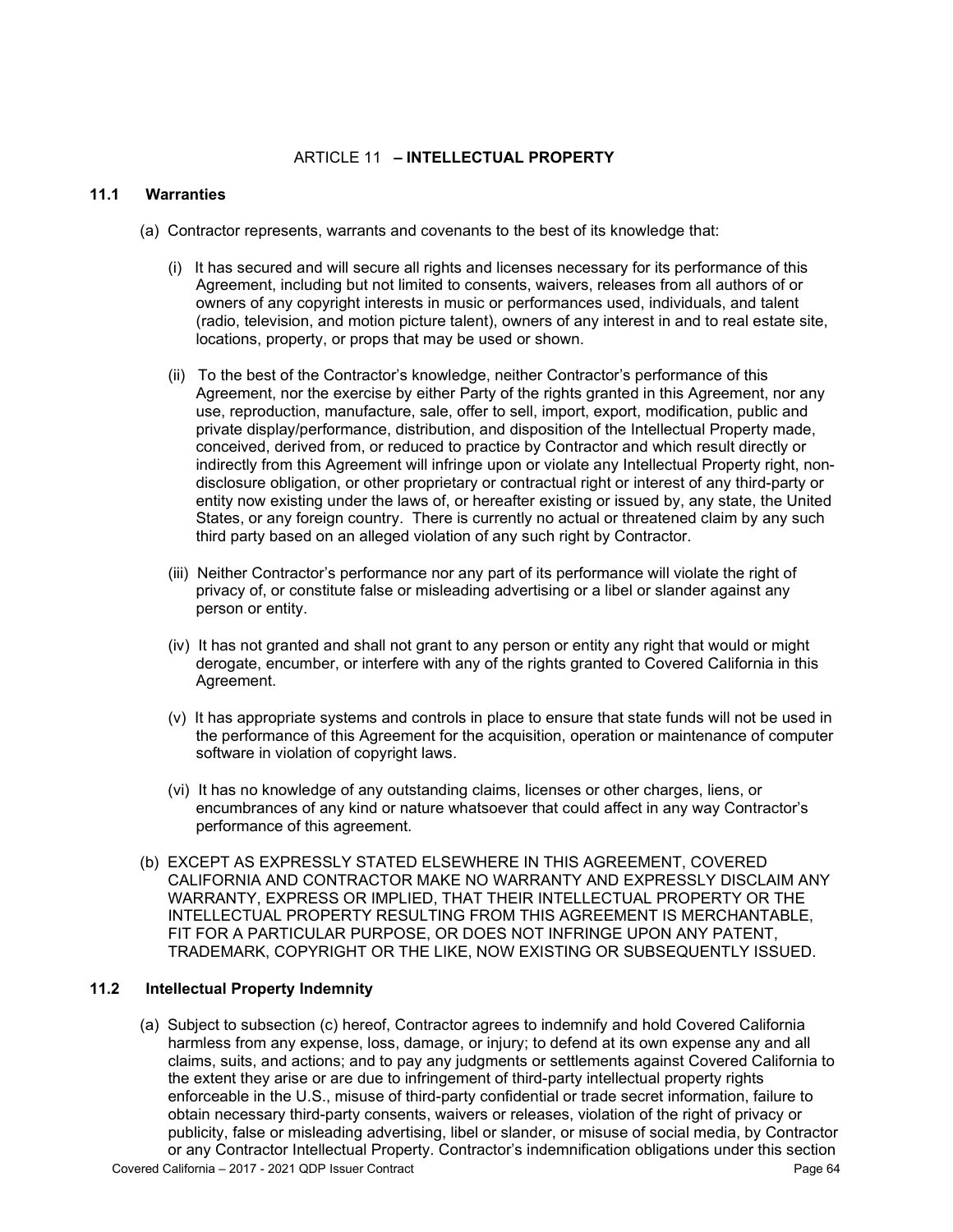### ARTICLE 11 **– INTELLECTUAL PROPERTY**

#### **11.1 Warranties**

- (a) Contractor represents, warrants and covenants to the best of its knowledge that:
	- (i) It has secured and will secure all rights and licenses necessary for its performance of this Agreement, including but not limited to consents, waivers, releases from all authors of or owners of any copyright interests in music or performances used, individuals, and talent (radio, television, and motion picture talent), owners of any interest in and to real estate site, locations, property, or props that may be used or shown.
	- (ii) To the best of the Contractor's knowledge, neither Contractor's performance of this Agreement, nor the exercise by either Party of the rights granted in this Agreement, nor any use, reproduction, manufacture, sale, offer to sell, import, export, modification, public and private display/performance, distribution, and disposition of the Intellectual Property made, conceived, derived from, or reduced to practice by Contractor and which result directly or indirectly from this Agreement will infringe upon or violate any Intellectual Property right, nondisclosure obligation, or other proprietary or contractual right or interest of any third-party or entity now existing under the laws of, or hereafter existing or issued by, any state, the United States, or any foreign country. There is currently no actual or threatened claim by any such third party based on an alleged violation of any such right by Contractor.
	- (iii) Neither Contractor's performance nor any part of its performance will violate the right of privacy of, or constitute false or misleading advertising or a libel or slander against any person or entity.
	- (iv) It has not granted and shall not grant to any person or entity any right that would or might derogate, encumber, or interfere with any of the rights granted to Covered California in this Agreement.
	- (v) It has appropriate systems and controls in place to ensure that state funds will not be used in the performance of this Agreement for the acquisition, operation or maintenance of computer software in violation of copyright laws.
	- (vi) It has no knowledge of any outstanding claims, licenses or other charges, liens, or encumbrances of any kind or nature whatsoever that could affect in any way Contractor's performance of this agreement.
- (b) EXCEPT AS EXPRESSLY STATED ELSEWHERE IN THIS AGREEMENT, COVERED CALIFORNIA AND CONTRACTOR MAKE NO WARRANTY AND EXPRESSLY DISCLAIM ANY WARRANTY, EXPRESS OR IMPLIED, THAT THEIR INTELLECTUAL PROPERTY OR THE INTELLECTUAL PROPERTY RESULTING FROM THIS AGREEMENT IS MERCHANTABLE, FIT FOR A PARTICULAR PURPOSE, OR DOES NOT INFRINGE UPON ANY PATENT, TRADEMARK, COPYRIGHT OR THE LIKE, NOW EXISTING OR SUBSEQUENTLY ISSUED.

#### **11.2 Intellectual Property Indemnity**

(a) Subject to subsection (c) hereof, Contractor agrees to indemnify and hold Covered California harmless from any expense, loss, damage, or injury; to defend at its own expense any and all claims, suits, and actions; and to pay any judgments or settlements against Covered California to the extent they arise or are due to infringement of third-party intellectual property rights enforceable in the U.S., misuse of third-party confidential or trade secret information, failure to obtain necessary third-party consents, waivers or releases, violation of the right of privacy or publicity, false or misleading advertising, libel or slander, or misuse of social media, by Contractor or any Contractor Intellectual Property. Contractor's indemnification obligations under this section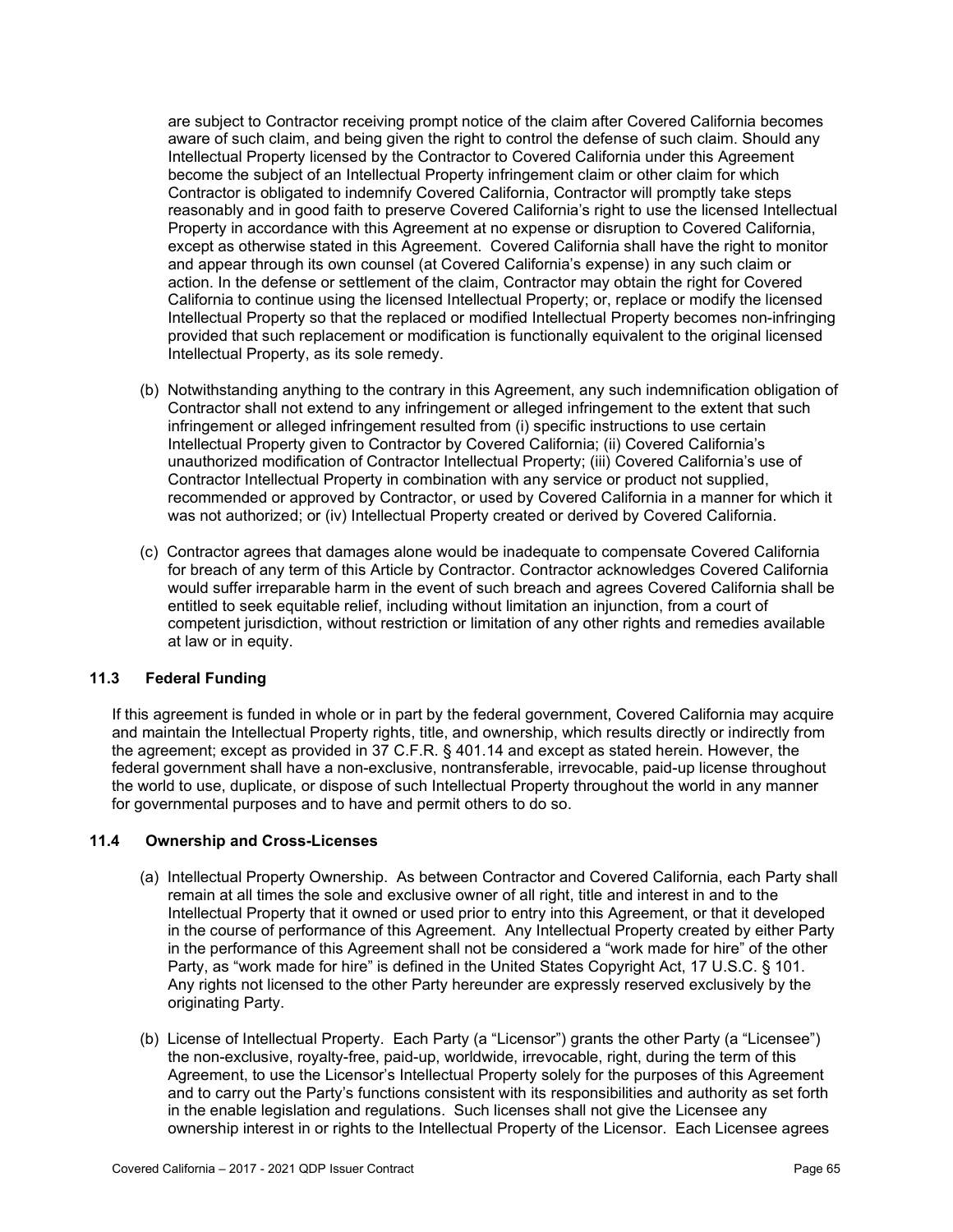are subject to Contractor receiving prompt notice of the claim after Covered California becomes aware of such claim, and being given the right to control the defense of such claim. Should any Intellectual Property licensed by the Contractor to Covered California under this Agreement become the subject of an Intellectual Property infringement claim or other claim for which Contractor is obligated to indemnify Covered California, Contractor will promptly take steps reasonably and in good faith to preserve Covered California's right to use the licensed Intellectual Property in accordance with this Agreement at no expense or disruption to Covered California, except as otherwise stated in this Agreement. Covered California shall have the right to monitor and appear through its own counsel (at Covered California's expense) in any such claim or action. In the defense or settlement of the claim, Contractor may obtain the right for Covered California to continue using the licensed Intellectual Property; or, replace or modify the licensed Intellectual Property so that the replaced or modified Intellectual Property becomes non-infringing provided that such replacement or modification is functionally equivalent to the original licensed Intellectual Property, as its sole remedy.

- (b) Notwithstanding anything to the contrary in this Agreement, any such indemnification obligation of Contractor shall not extend to any infringement or alleged infringement to the extent that such infringement or alleged infringement resulted from (i) specific instructions to use certain Intellectual Property given to Contractor by Covered California; (ii) Covered California's unauthorized modification of Contractor Intellectual Property; (iii) Covered California's use of Contractor Intellectual Property in combination with any service or product not supplied, recommended or approved by Contractor, or used by Covered California in a manner for which it was not authorized; or (iv) Intellectual Property created or derived by Covered California.
- (c) Contractor agrees that damages alone would be inadequate to compensate Covered California for breach of any term of this Article by Contractor. Contractor acknowledges Covered California would suffer irreparable harm in the event of such breach and agrees Covered California shall be entitled to seek equitable relief, including without limitation an injunction, from a court of competent jurisdiction, without restriction or limitation of any other rights and remedies available at law or in equity.

#### **11.3 Federal Funding**

If this agreement is funded in whole or in part by the federal government, Covered California may acquire and maintain the Intellectual Property rights, title, and ownership, which results directly or indirectly from the agreement; except as provided in 37 C.F.R. § 401.14 and except as stated herein. However, the federal government shall have a non-exclusive, nontransferable, irrevocable, paid-up license throughout the world to use, duplicate, or dispose of such Intellectual Property throughout the world in any manner for governmental purposes and to have and permit others to do so.

#### **11.4 Ownership and Cross-Licenses**

- (a) Intellectual Property Ownership. As between Contractor and Covered California, each Party shall remain at all times the sole and exclusive owner of all right, title and interest in and to the Intellectual Property that it owned or used prior to entry into this Agreement, or that it developed in the course of performance of this Agreement. Any Intellectual Property created by either Party in the performance of this Agreement shall not be considered a "work made for hire" of the other Party, as "work made for hire" is defined in the United States Copyright Act, 17 U.S.C. § 101. Any rights not licensed to the other Party hereunder are expressly reserved exclusively by the originating Party.
- (b) License of Intellectual Property. Each Party (a "Licensor") grants the other Party (a "Licensee") the non-exclusive, royalty-free, paid-up, worldwide, irrevocable, right, during the term of this Agreement, to use the Licensor's Intellectual Property solely for the purposes of this Agreement and to carry out the Party's functions consistent with its responsibilities and authority as set forth in the enable legislation and regulations. Such licenses shall not give the Licensee any ownership interest in or rights to the Intellectual Property of the Licensor. Each Licensee agrees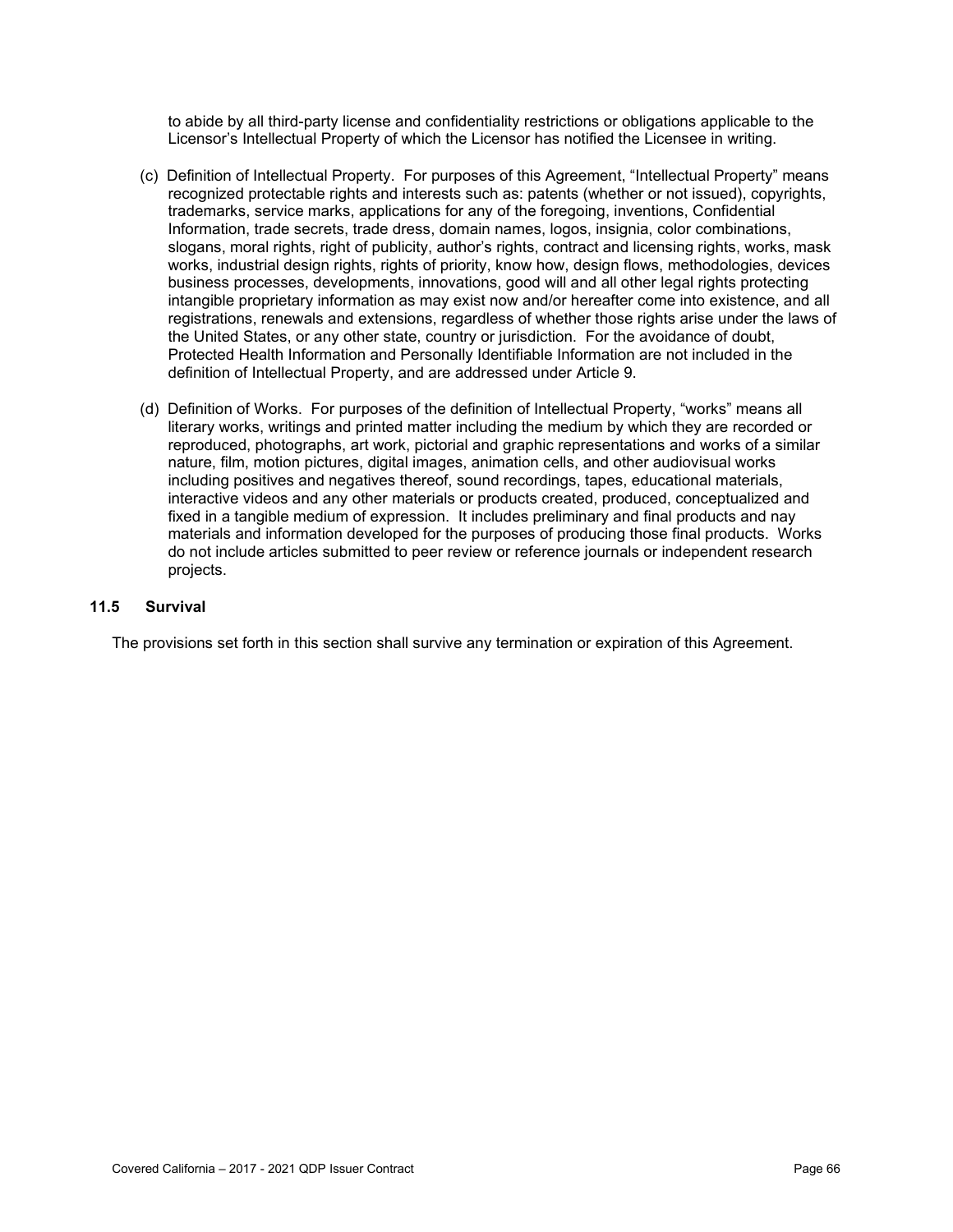to abide by all third-party license and confidentiality restrictions or obligations applicable to the Licensor's Intellectual Property of which the Licensor has notified the Licensee in writing.

- (c) Definition of Intellectual Property. For purposes of this Agreement, "Intellectual Property" means recognized protectable rights and interests such as: patents (whether or not issued), copyrights, trademarks, service marks, applications for any of the foregoing, inventions, Confidential Information, trade secrets, trade dress, domain names, logos, insignia, color combinations, slogans, moral rights, right of publicity, author's rights, contract and licensing rights, works, mask works, industrial design rights, rights of priority, know how, design flows, methodologies, devices business processes, developments, innovations, good will and all other legal rights protecting intangible proprietary information as may exist now and/or hereafter come into existence, and all registrations, renewals and extensions, regardless of whether those rights arise under the laws of the United States, or any other state, country or jurisdiction. For the avoidance of doubt, Protected Health Information and Personally Identifiable Information are not included in the definition of Intellectual Property, and are addressed under Article 9.
- (d) Definition of Works. For purposes of the definition of Intellectual Property, "works" means all literary works, writings and printed matter including the medium by which they are recorded or reproduced, photographs, art work, pictorial and graphic representations and works of a similar nature, film, motion pictures, digital images, animation cells, and other audiovisual works including positives and negatives thereof, sound recordings, tapes, educational materials, interactive videos and any other materials or products created, produced, conceptualized and fixed in a tangible medium of expression. It includes preliminary and final products and nay materials and information developed for the purposes of producing those final products. Works do not include articles submitted to peer review or reference journals or independent research projects.

### **11.5 Survival**

The provisions set forth in this section shall survive any termination or expiration of this Agreement.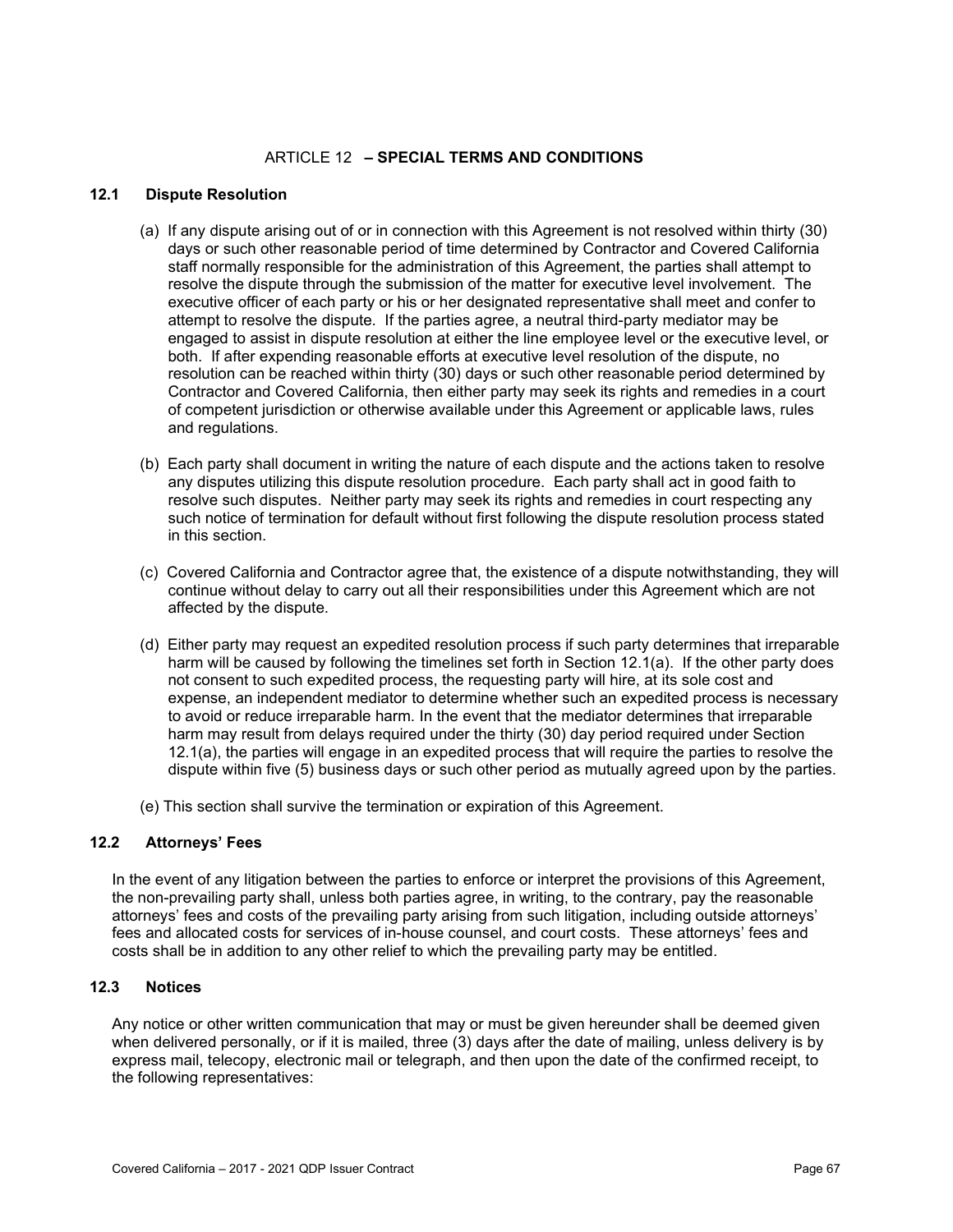## ARTICLE 12 **– SPECIAL TERMS AND CONDITIONS**

#### **12.1 Dispute Resolution**

- (a) If any dispute arising out of or in connection with this Agreement is not resolved within thirty (30) days or such other reasonable period of time determined by Contractor and Covered California staff normally responsible for the administration of this Agreement, the parties shall attempt to resolve the dispute through the submission of the matter for executive level involvement. The executive officer of each party or his or her designated representative shall meet and confer to attempt to resolve the dispute. If the parties agree, a neutral third-party mediator may be engaged to assist in dispute resolution at either the line employee level or the executive level, or both. If after expending reasonable efforts at executive level resolution of the dispute, no resolution can be reached within thirty (30) days or such other reasonable period determined by Contractor and Covered California, then either party may seek its rights and remedies in a court of competent jurisdiction or otherwise available under this Agreement or applicable laws, rules and regulations.
- (b) Each party shall document in writing the nature of each dispute and the actions taken to resolve any disputes utilizing this dispute resolution procedure. Each party shall act in good faith to resolve such disputes. Neither party may seek its rights and remedies in court respecting any such notice of termination for default without first following the dispute resolution process stated in this section.
- (c) Covered California and Contractor agree that, the existence of a dispute notwithstanding, they will continue without delay to carry out all their responsibilities under this Agreement which are not affected by the dispute.
- (d) Either party may request an expedited resolution process if such party determines that irreparable harm will be caused by following the timelines set forth in Section 12.1(a). If the other party does not consent to such expedited process, the requesting party will hire, at its sole cost and expense, an independent mediator to determine whether such an expedited process is necessary to avoid or reduce irreparable harm. In the event that the mediator determines that irreparable harm may result from delays required under the thirty (30) day period required under Section 12.1(a), the parties will engage in an expedited process that will require the parties to resolve the dispute within five (5) business days or such other period as mutually agreed upon by the parties.
- (e) This section shall survive the termination or expiration of this Agreement.

#### **12.2 Attorneys' Fees**

In the event of any litigation between the parties to enforce or interpret the provisions of this Agreement, the non-prevailing party shall, unless both parties agree, in writing, to the contrary, pay the reasonable attorneys' fees and costs of the prevailing party arising from such litigation, including outside attorneys' fees and allocated costs for services of in-house counsel, and court costs. These attorneys' fees and costs shall be in addition to any other relief to which the prevailing party may be entitled.

### **12.3 Notices**

Any notice or other written communication that may or must be given hereunder shall be deemed given when delivered personally, or if it is mailed, three (3) days after the date of mailing, unless delivery is by express mail, telecopy, electronic mail or telegraph, and then upon the date of the confirmed receipt, to the following representatives: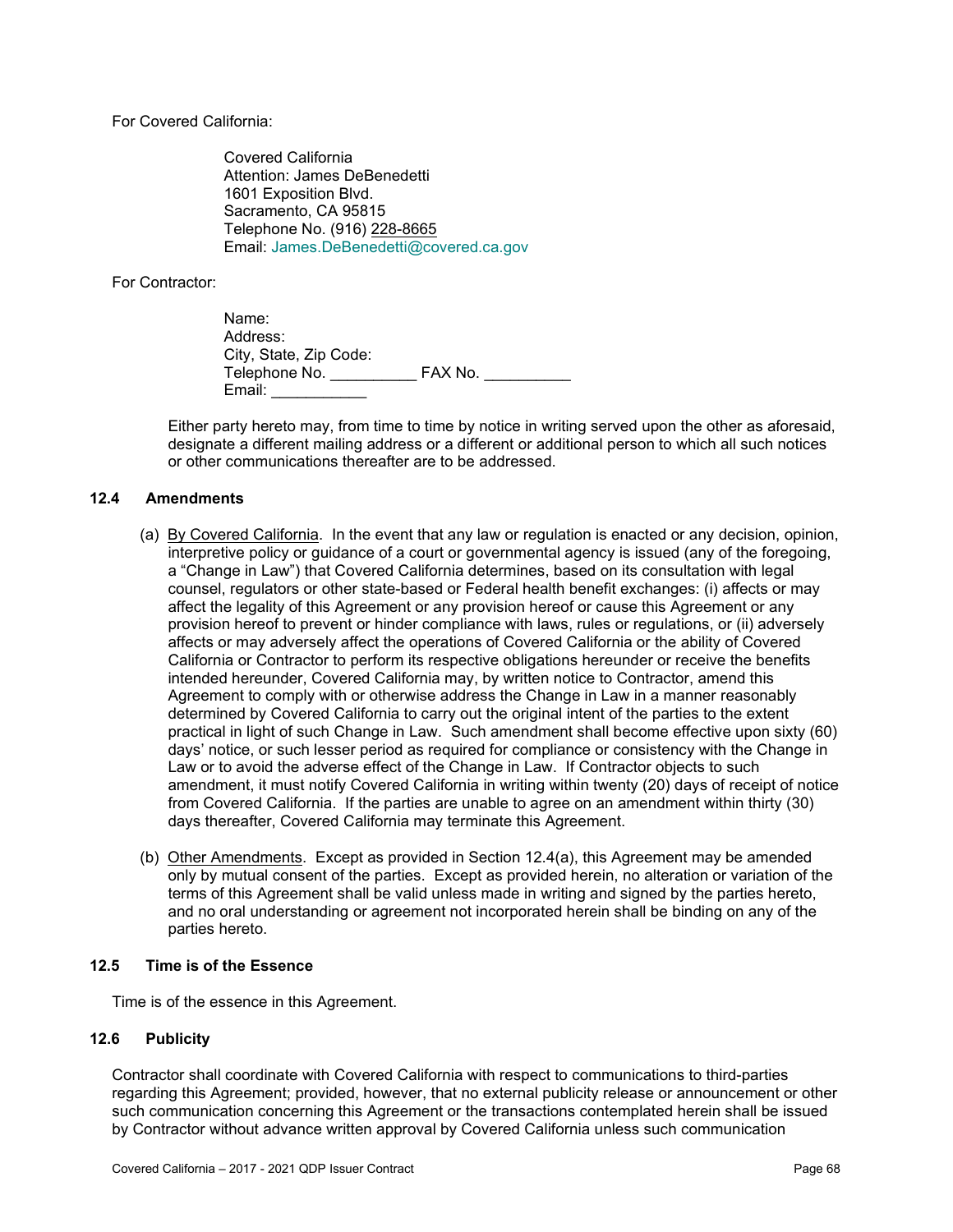For Covered California:

Covered California Attention: James DeBenedetti 1601 Exposition Blvd. Sacramento, CA 95815 Telephone No. (916) 228-8665 Email: [James.DeBenedetti@covered.ca.gov](mailto:James.DeBenedetti@covered.ca.gov)

For Contractor:

| Name:                  |         |
|------------------------|---------|
| Address:               |         |
| City, State, Zip Code: |         |
| Telephone No.          | FAX No. |
| Email:                 |         |

Either party hereto may, from time to time by notice in writing served upon the other as aforesaid, designate a different mailing address or a different or additional person to which all such notices or other communications thereafter are to be addressed.

### **12.4 Amendments**

- (a) By Covered California. In the event that any law or regulation is enacted or any decision, opinion, interpretive policy or guidance of a court or governmental agency is issued (any of the foregoing, a "Change in Law") that Covered California determines, based on its consultation with legal counsel, regulators or other state-based or Federal health benefit exchanges: (i) affects or may affect the legality of this Agreement or any provision hereof or cause this Agreement or any provision hereof to prevent or hinder compliance with laws, rules or regulations, or (ii) adversely affects or may adversely affect the operations of Covered California or the ability of Covered California or Contractor to perform its respective obligations hereunder or receive the benefits intended hereunder, Covered California may, by written notice to Contractor, amend this Agreement to comply with or otherwise address the Change in Law in a manner reasonably determined by Covered California to carry out the original intent of the parties to the extent practical in light of such Change in Law. Such amendment shall become effective upon sixty (60) days' notice, or such lesser period as required for compliance or consistency with the Change in Law or to avoid the adverse effect of the Change in Law. If Contractor objects to such amendment, it must notify Covered California in writing within twenty (20) days of receipt of notice from Covered California. If the parties are unable to agree on an amendment within thirty (30) days thereafter, Covered California may terminate this Agreement.
- (b) Other Amendments. Except as provided in Section 12.4(a), this Agreement may be amended only by mutual consent of the parties. Except as provided herein, no alteration or variation of the terms of this Agreement shall be valid unless made in writing and signed by the parties hereto, and no oral understanding or agreement not incorporated herein shall be binding on any of the parties hereto.

#### **12.5 Time is of the Essence**

Time is of the essence in this Agreement.

#### **12.6 Publicity**

Contractor shall coordinate with Covered California with respect to communications to third-parties regarding this Agreement; provided, however, that no external publicity release or announcement or other such communication concerning this Agreement or the transactions contemplated herein shall be issued by Contractor without advance written approval by Covered California unless such communication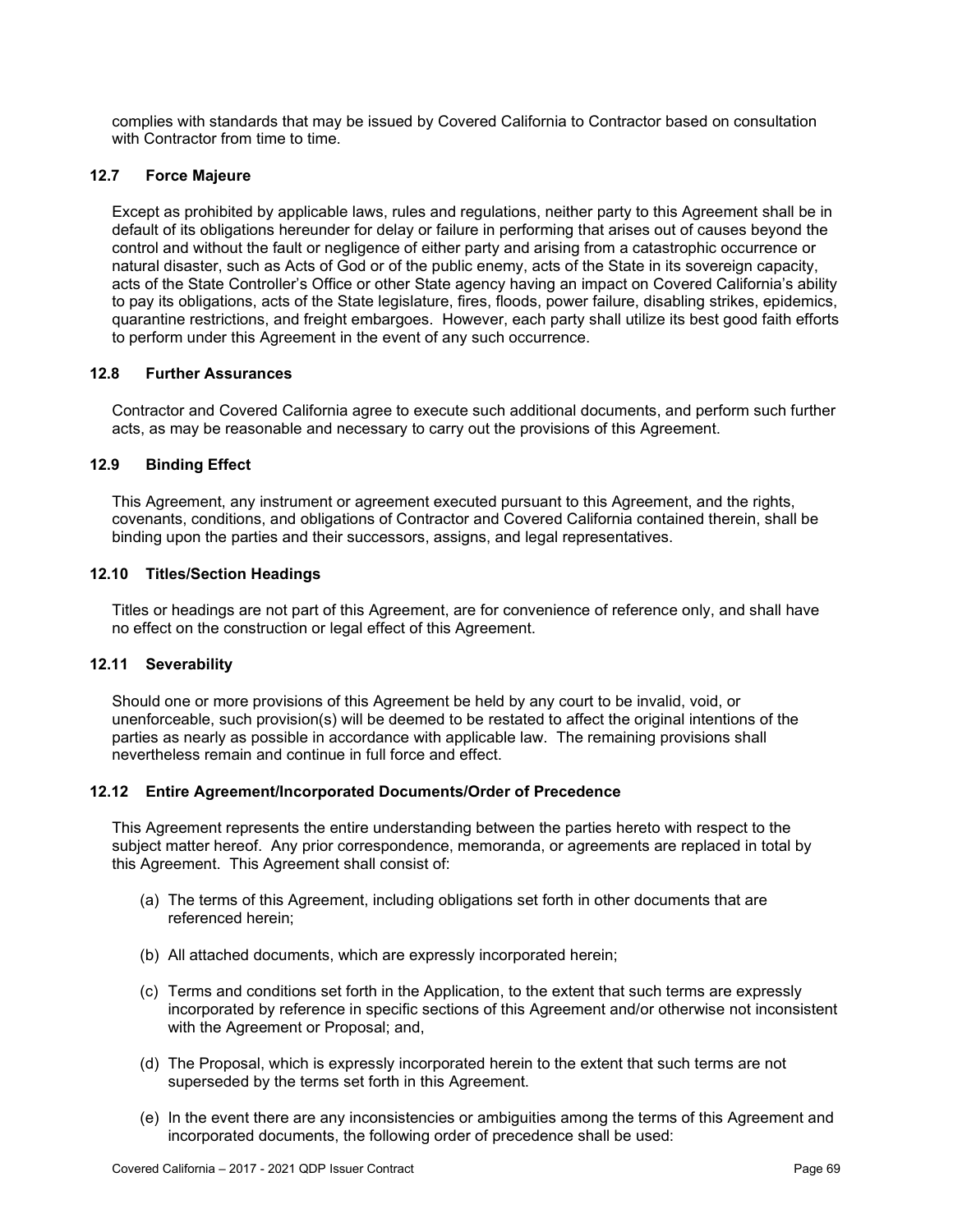complies with standards that may be issued by Covered California to Contractor based on consultation with Contractor from time to time.

## **12.7 Force Majeure**

Except as prohibited by applicable laws, rules and regulations, neither party to this Agreement shall be in default of its obligations hereunder for delay or failure in performing that arises out of causes beyond the control and without the fault or negligence of either party and arising from a catastrophic occurrence or natural disaster, such as Acts of God or of the public enemy, acts of the State in its sovereign capacity, acts of the State Controller's Office or other State agency having an impact on Covered California's ability to pay its obligations, acts of the State legislature, fires, floods, power failure, disabling strikes, epidemics, quarantine restrictions, and freight embargoes. However, each party shall utilize its best good faith efforts to perform under this Agreement in the event of any such occurrence.

#### **12.8 Further Assurances**

Contractor and Covered California agree to execute such additional documents, and perform such further acts, as may be reasonable and necessary to carry out the provisions of this Agreement.

### **12.9 Binding Effect**

This Agreement, any instrument or agreement executed pursuant to this Agreement, and the rights, covenants, conditions, and obligations of Contractor and Covered California contained therein, shall be binding upon the parties and their successors, assigns, and legal representatives.

# **12.10 Titles/Section Headings**

Titles or headings are not part of this Agreement, are for convenience of reference only, and shall have no effect on the construction or legal effect of this Agreement.

#### **12.11 Severability**

Should one or more provisions of this Agreement be held by any court to be invalid, void, or unenforceable, such provision(s) will be deemed to be restated to affect the original intentions of the parties as nearly as possible in accordance with applicable law. The remaining provisions shall nevertheless remain and continue in full force and effect.

#### **12.12 Entire Agreement/Incorporated Documents/Order of Precedence**

This Agreement represents the entire understanding between the parties hereto with respect to the subject matter hereof. Any prior correspondence, memoranda, or agreements are replaced in total by this Agreement. This Agreement shall consist of:

- (a) The terms of this Agreement, including obligations set forth in other documents that are referenced herein;
- (b) All attached documents, which are expressly incorporated herein;
- (c) Terms and conditions set forth in the Application, to the extent that such terms are expressly incorporated by reference in specific sections of this Agreement and/or otherwise not inconsistent with the Agreement or Proposal; and,
- (d) The Proposal, which is expressly incorporated herein to the extent that such terms are not superseded by the terms set forth in this Agreement.
- (e) In the event there are any inconsistencies or ambiguities among the terms of this Agreement and incorporated documents, the following order of precedence shall be used: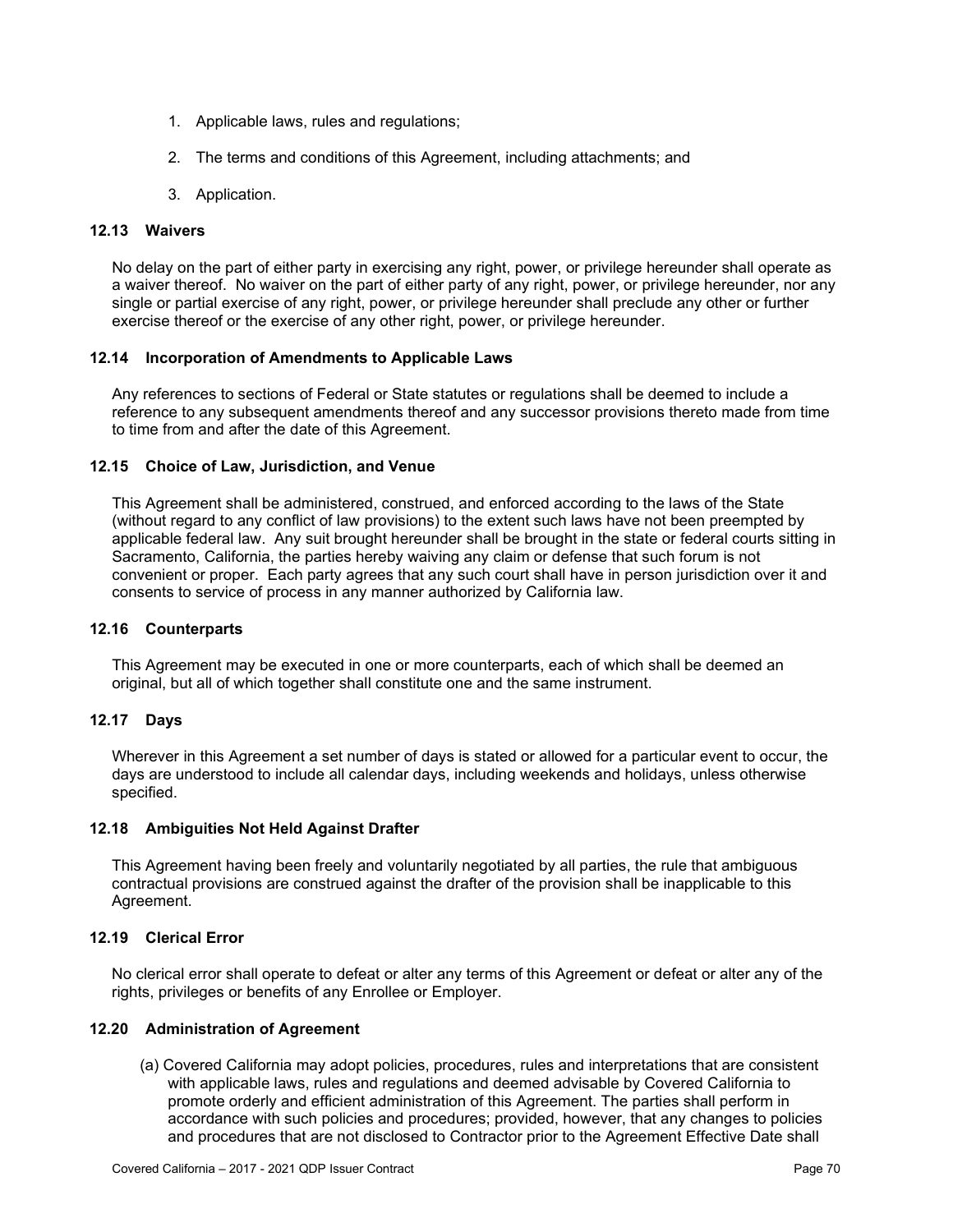- 1. Applicable laws, rules and regulations;
- 2. The terms and conditions of this Agreement, including attachments; and
- 3. Application.

#### **12.13 Waivers**

No delay on the part of either party in exercising any right, power, or privilege hereunder shall operate as a waiver thereof. No waiver on the part of either party of any right, power, or privilege hereunder, nor any single or partial exercise of any right, power, or privilege hereunder shall preclude any other or further exercise thereof or the exercise of any other right, power, or privilege hereunder.

#### **12.14 Incorporation of Amendments to Applicable Laws**

Any references to sections of Federal or State statutes or regulations shall be deemed to include a reference to any subsequent amendments thereof and any successor provisions thereto made from time to time from and after the date of this Agreement.

#### **12.15 Choice of Law, Jurisdiction, and Venue**

This Agreement shall be administered, construed, and enforced according to the laws of the State (without regard to any conflict of law provisions) to the extent such laws have not been preempted by applicable federal law. Any suit brought hereunder shall be brought in the state or federal courts sitting in Sacramento, California, the parties hereby waiving any claim or defense that such forum is not convenient or proper. Each party agrees that any such court shall have in person jurisdiction over it and consents to service of process in any manner authorized by California law.

#### **12.16 Counterparts**

This Agreement may be executed in one or more counterparts, each of which shall be deemed an original, but all of which together shall constitute one and the same instrument.

#### **12.17 Days**

Wherever in this Agreement a set number of days is stated or allowed for a particular event to occur, the days are understood to include all calendar days, including weekends and holidays, unless otherwise specified.

#### **12.18 Ambiguities Not Held Against Drafter**

This Agreement having been freely and voluntarily negotiated by all parties, the rule that ambiguous contractual provisions are construed against the drafter of the provision shall be inapplicable to this Agreement.

#### **12.19 Clerical Error**

No clerical error shall operate to defeat or alter any terms of this Agreement or defeat or alter any of the rights, privileges or benefits of any Enrollee or Employer.

#### **12.20 Administration of Agreement**

(a) Covered California may adopt policies, procedures, rules and interpretations that are consistent with applicable laws, rules and regulations and deemed advisable by Covered California to promote orderly and efficient administration of this Agreement. The parties shall perform in accordance with such policies and procedures; provided, however, that any changes to policies and procedures that are not disclosed to Contractor prior to the Agreement Effective Date shall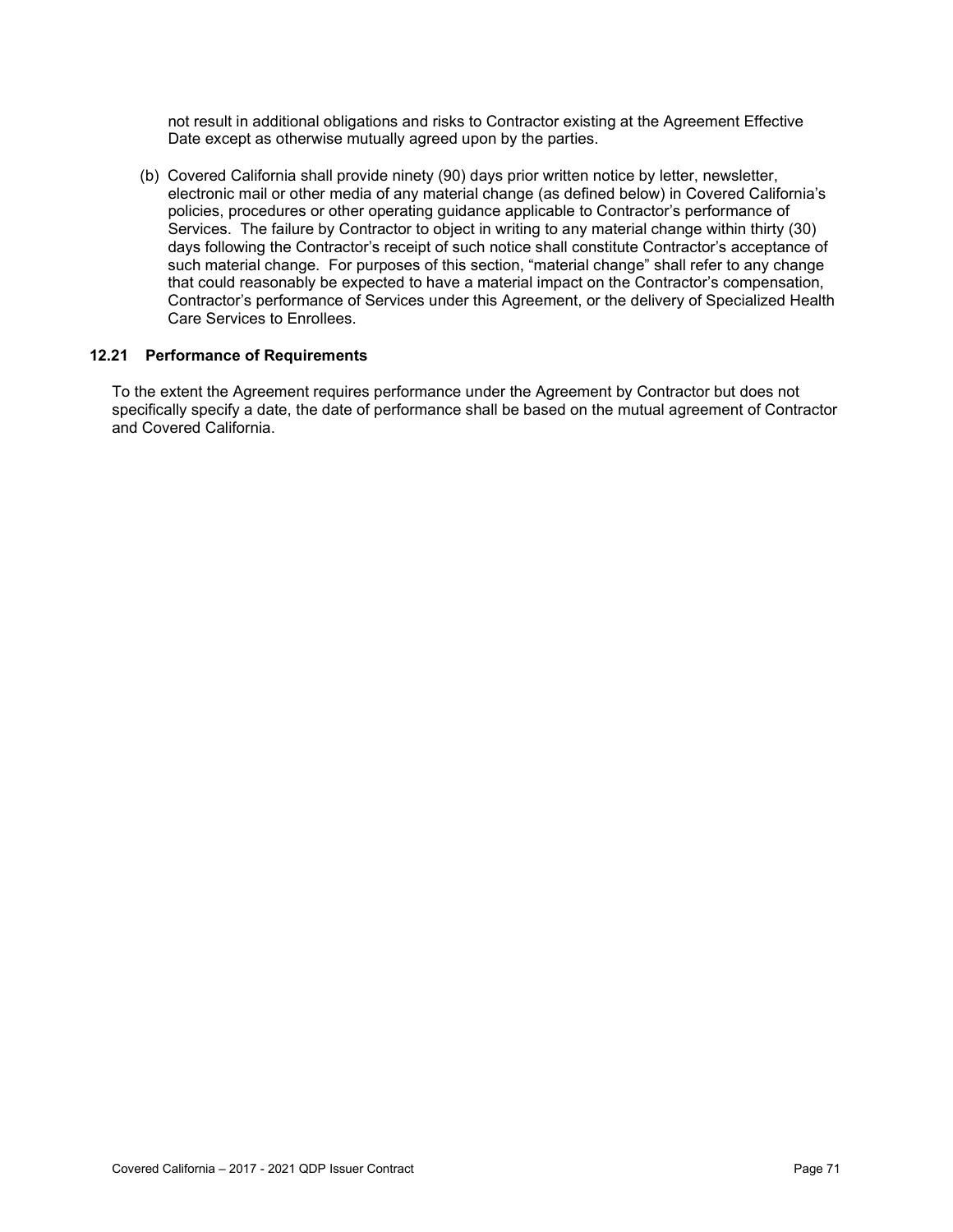not result in additional obligations and risks to Contractor existing at the Agreement Effective Date except as otherwise mutually agreed upon by the parties.

(b) Covered California shall provide ninety (90) days prior written notice by letter, newsletter, electronic mail or other media of any material change (as defined below) in Covered California's policies, procedures or other operating guidance applicable to Contractor's performance of Services. The failure by Contractor to object in writing to any material change within thirty (30) days following the Contractor's receipt of such notice shall constitute Contractor's acceptance of such material change. For purposes of this section, "material change" shall refer to any change that could reasonably be expected to have a material impact on the Contractor's compensation, Contractor's performance of Services under this Agreement, or the delivery of Specialized Health Care Services to Enrollees.

#### **12.21 Performance of Requirements**

To the extent the Agreement requires performance under the Agreement by Contractor but does not specifically specify a date, the date of performance shall be based on the mutual agreement of Contractor and Covered California.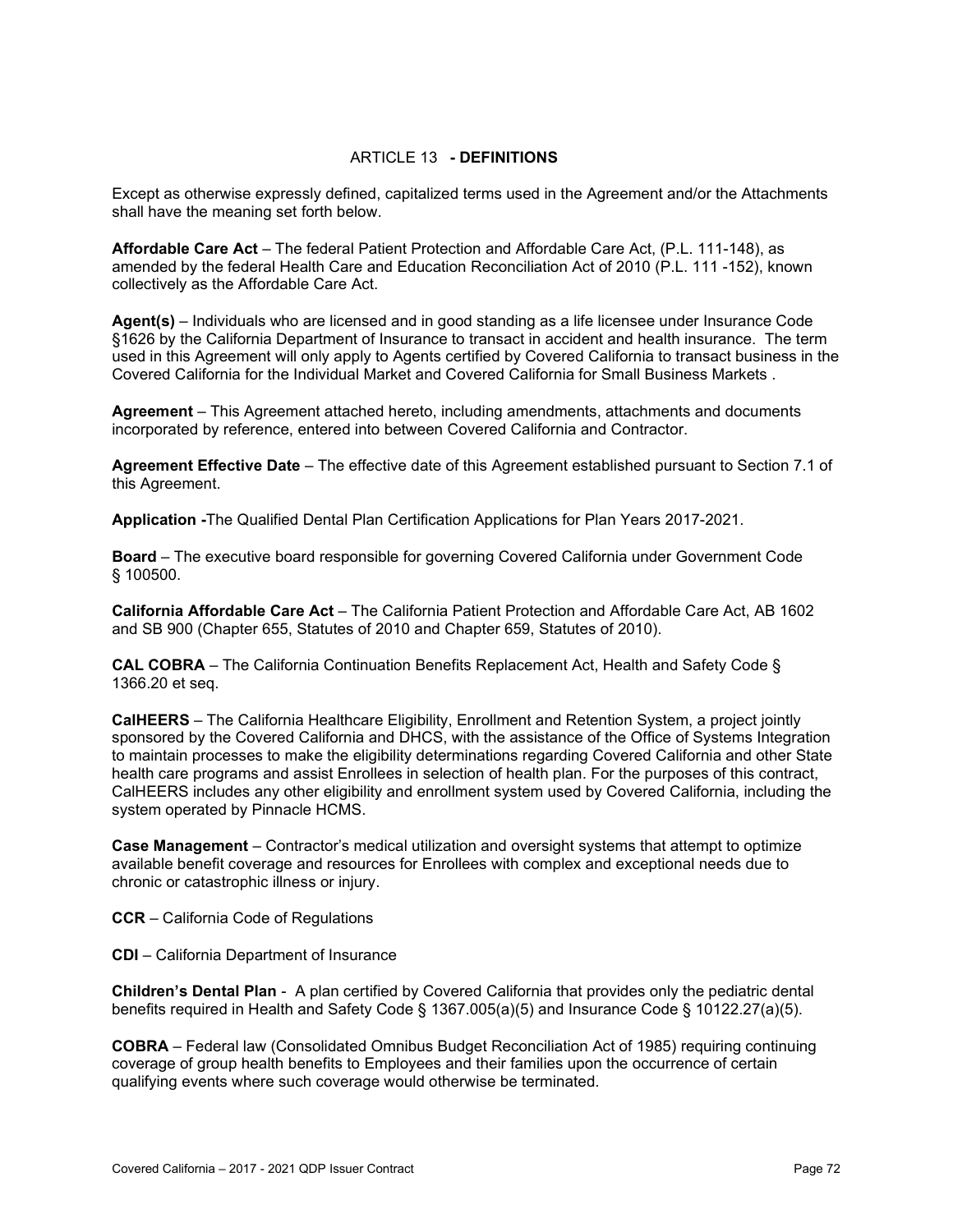#### ARTICLE 13 **- DEFINITIONS**

Except as otherwise expressly defined, capitalized terms used in the Agreement and/or the Attachments shall have the meaning set forth below.

**Affordable Care Act** – The federal Patient Protection and Affordable Care Act, (P.L. 111-148), as amended by the federal Health Care and Education Reconciliation Act of 2010 (P.L. 111 -152), known collectively as the Affordable Care Act.

**Agent(s)** – Individuals who are licensed and in good standing as a life licensee under Insurance Code §1626 by the California Department of Insurance to transact in accident and health insurance. The term used in this Agreement will only apply to Agents certified by Covered California to transact business in the Covered California for the Individual Market and Covered California for Small Business Markets .

**Agreement** – This Agreement attached hereto, including amendments, attachments and documents incorporated by reference, entered into between Covered California and Contractor.

**Agreement Effective Date** – The effective date of this Agreement established pursuant to Section 7.1 of this Agreement.

**Application -**The Qualified Dental Plan Certification Applications for Plan Years 2017-2021.

**Board** – The executive board responsible for governing Covered California under Government Code § 100500.

**California Affordable Care Act** ‒ The California Patient Protection and Affordable Care Act, AB 1602 and SB 900 (Chapter 655, Statutes of 2010 and Chapter 659, Statutes of 2010).

**CAL COBRA** – The California Continuation Benefits Replacement Act, Health and Safety Code § 1366.20 et seq.

**CalHEERS** – The California Healthcare Eligibility, Enrollment and Retention System, a project jointly sponsored by the Covered California and DHCS, with the assistance of the Office of Systems Integration to maintain processes to make the eligibility determinations regarding Covered California and other State health care programs and assist Enrollees in selection of health plan. For the purposes of this contract, CalHEERS includes any other eligibility and enrollment system used by Covered California, including the system operated by Pinnacle HCMS.

**Case Management** – Contractor's medical utilization and oversight systems that attempt to optimize available benefit coverage and resources for Enrollees with complex and exceptional needs due to chronic or catastrophic illness or injury.

**CCR** – California Code of Regulations

**CDI** ‒ California Department of Insurance

**Children's Dental Plan** - A plan certified by Covered California that provides only the pediatric dental benefits required in Health and Safety Code § 1367.005(a)(5) and Insurance Code § 10122.27(a)(5).

**COBRA** – Federal law (Consolidated Omnibus Budget Reconciliation Act of 1985) requiring continuing coverage of group health benefits to Employees and their families upon the occurrence of certain qualifying events where such coverage would otherwise be terminated.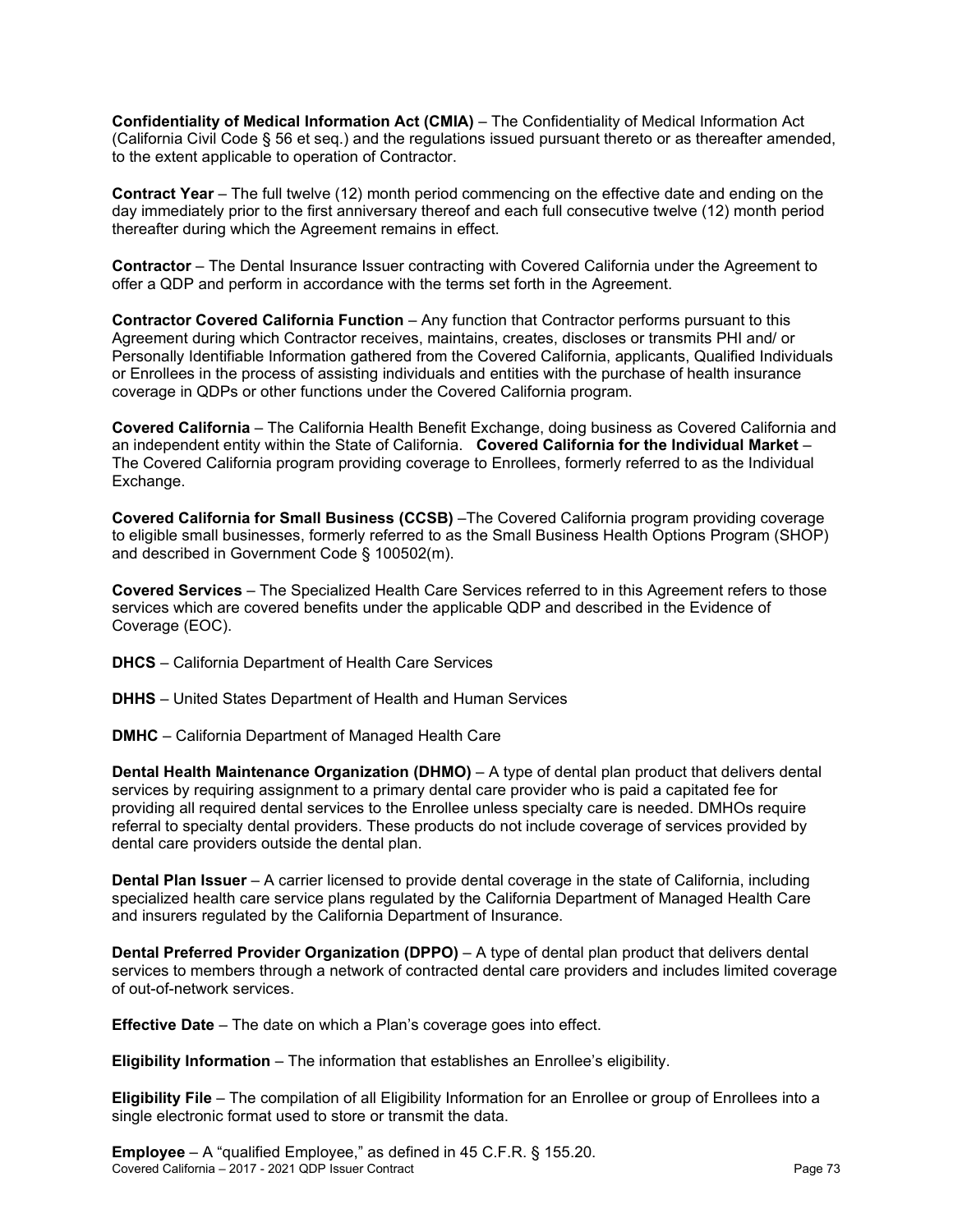**Confidentiality of Medical Information Act (CMIA)** – The Confidentiality of Medical Information Act (California Civil Code § 56 et seq.) and the regulations issued pursuant thereto or as thereafter amended, to the extent applicable to operation of Contractor.

**Contract Year** – The full twelve (12) month period commencing on the effective date and ending on the day immediately prior to the first anniversary thereof and each full consecutive twelve (12) month period thereafter during which the Agreement remains in effect.

**Contractor** – The Dental Insurance Issuer contracting with Covered California under the Agreement to offer a QDP and perform in accordance with the terms set forth in the Agreement.

**Contractor Covered California Function** – Any function that Contractor performs pursuant to this Agreement during which Contractor receives, maintains, creates, discloses or transmits PHI and/ or Personally Identifiable Information gathered from the Covered California, applicants, Qualified Individuals or Enrollees in the process of assisting individuals and entities with the purchase of health insurance coverage in QDPs or other functions under the Covered California program.

**Covered California** – The California Health Benefit Exchange, doing business as Covered California and an independent entity within the State of California. **Covered California for the Individual Market** – The Covered California program providing coverage to Enrollees, formerly referred to as the Individual Exchange.

**Covered California for Small Business (CCSB)** –The Covered California program providing coverage to eligible small businesses, formerly referred to as the Small Business Health Options Program (SHOP) and described in Government Code § 100502(m).

**Covered Services** – The Specialized Health Care Services referred to in this Agreement refers to those services which are covered benefits under the applicable QDP and described in the Evidence of Coverage (EOC).

- **DHCS** California Department of Health Care Services
- **DHHS** United States Department of Health and Human Services
- **DMHC** California Department of Managed Health Care

**Dental Health Maintenance Organization (DHMO)** – A type of dental plan product that delivers dental services by requiring assignment to a primary dental care provider who is paid a capitated fee for providing all required dental services to the Enrollee unless specialty care is needed. DMHOs require referral to specialty dental providers. These products do not include coverage of services provided by dental care providers outside the dental plan.

**Dental Plan Issuer** – A carrier licensed to provide dental coverage in the state of California, including specialized health care service plans regulated by the California Department of Managed Health Care and insurers regulated by the California Department of Insurance.

**Dental Preferred Provider Organization (DPPO)** – A type of dental plan product that delivers dental services to members through a network of contracted dental care providers and includes limited coverage of out-of-network services.

**Effective Date** – The date on which a Plan's coverage goes into effect.

**Eligibility Information** – The information that establishes an Enrollee's eligibility.

**Eligibility File** – The compilation of all Eligibility Information for an Enrollee or group of Enrollees into a single electronic format used to store or transmit the data.

Covered California – 2017 - 2021 QDP Issuer Contract Page 73 **Employee** – A "qualified Employee," as defined in 45 C.F.R. § 155.20.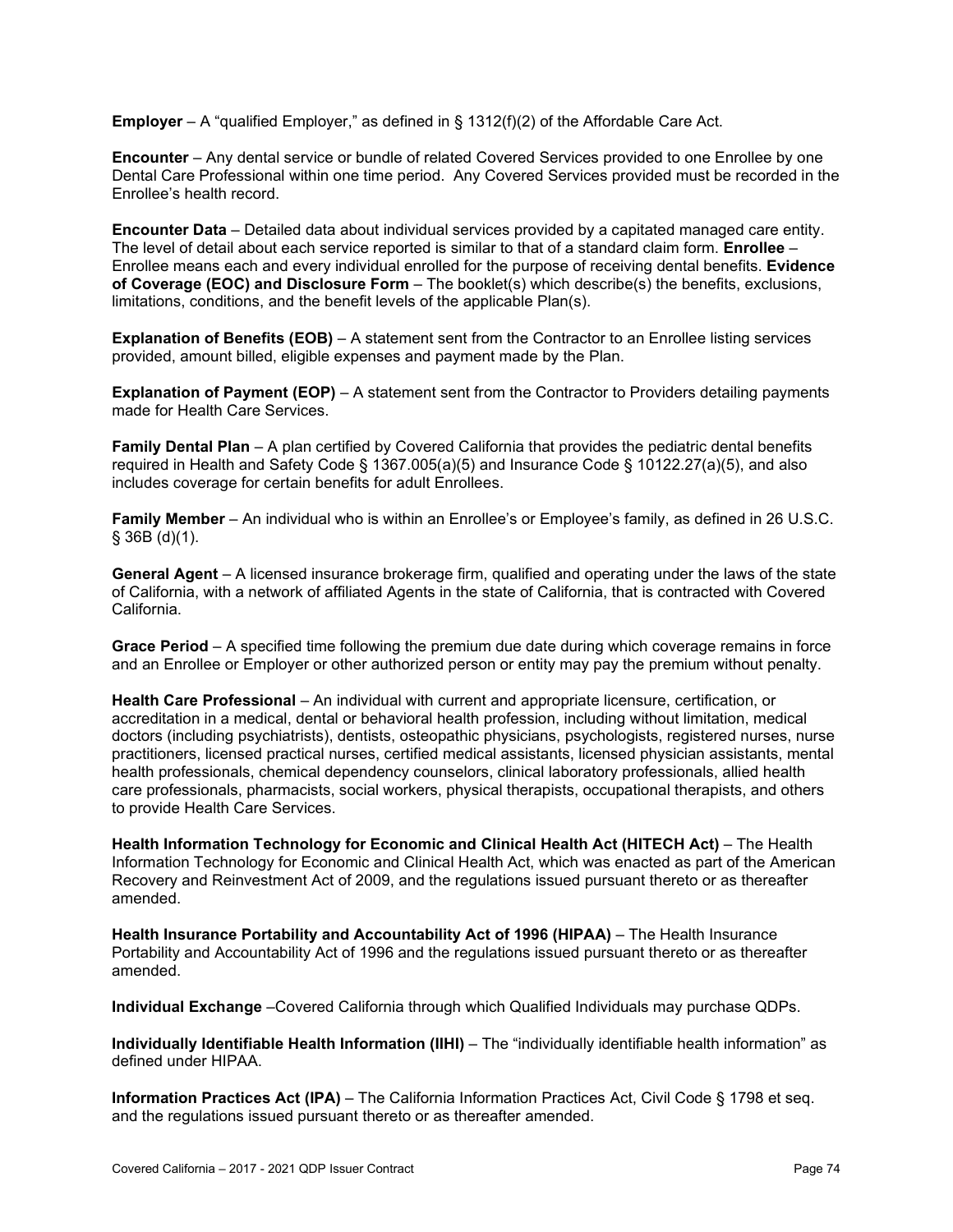**Employer** – A "qualified Employer," as defined in § 1312(f)(2) of the Affordable Care Act.

**Encounter** – Any dental service or bundle of related Covered Services provided to one Enrollee by one Dental Care Professional within one time period. Any Covered Services provided must be recorded in the Enrollee's health record.

**Encounter Data** – Detailed data about individual services provided by a capitated managed care entity. The level of detail about each service reported is similar to that of a standard claim form. **Enrollee** – Enrollee means each and every individual enrolled for the purpose of receiving dental benefits. **Evidence of Coverage (EOC) and Disclosure Form** – The booklet(s) which describe(s) the benefits, exclusions, limitations, conditions, and the benefit levels of the applicable Plan(s).

**Explanation of Benefits (EOB)** – A statement sent from the Contractor to an Enrollee listing services provided, amount billed, eligible expenses and payment made by the Plan.

**Explanation of Payment (EOP)** – A statement sent from the Contractor to Providers detailing payments made for Health Care Services.

**Family Dental Plan** – A plan certified by Covered California that provides the pediatric dental benefits required in Health and Safety Code § 1367.005(a)(5) and Insurance Code § 10122.27(a)(5), and also includes coverage for certain benefits for adult Enrollees.

**Family Member** – An individual who is within an Enrollee's or Employee's family, as defined in 26 U.S.C. § 36B (d)(1).

**General Agent** – A licensed insurance brokerage firm, qualified and operating under the laws of the state of California, with a network of affiliated Agents in the state of California, that is contracted with Covered California.

**Grace Period** – A specified time following the premium due date during which coverage remains in force and an Enrollee or Employer or other authorized person or entity may pay the premium without penalty.

**Health Care Professional** – An individual with current and appropriate licensure, certification, or accreditation in a medical, dental or behavioral health profession, including without limitation, medical doctors (including psychiatrists), dentists, osteopathic physicians, psychologists, registered nurses, nurse practitioners, licensed practical nurses, certified medical assistants, licensed physician assistants, mental health professionals, chemical dependency counselors, clinical laboratory professionals, allied health care professionals, pharmacists, social workers, physical therapists, occupational therapists, and others to provide Health Care Services.

**Health Information Technology for Economic and Clinical Health Act (HITECH Act)** – The Health Information Technology for Economic and Clinical Health Act, which was enacted as part of the American Recovery and Reinvestment Act of 2009, and the regulations issued pursuant thereto or as thereafter amended.

**Health Insurance Portability and Accountability Act of 1996 (HIPAA)** – The Health Insurance Portability and Accountability Act of 1996 and the regulations issued pursuant thereto or as thereafter amended.

**Individual Exchange** –Covered California through which Qualified Individuals may purchase QDPs.

**Individually Identifiable Health Information (IIHI)** – The "individually identifiable health information" as defined under HIPAA.

**Information Practices Act (IPA)** – The California Information Practices Act, Civil Code § 1798 et seq. and the regulations issued pursuant thereto or as thereafter amended.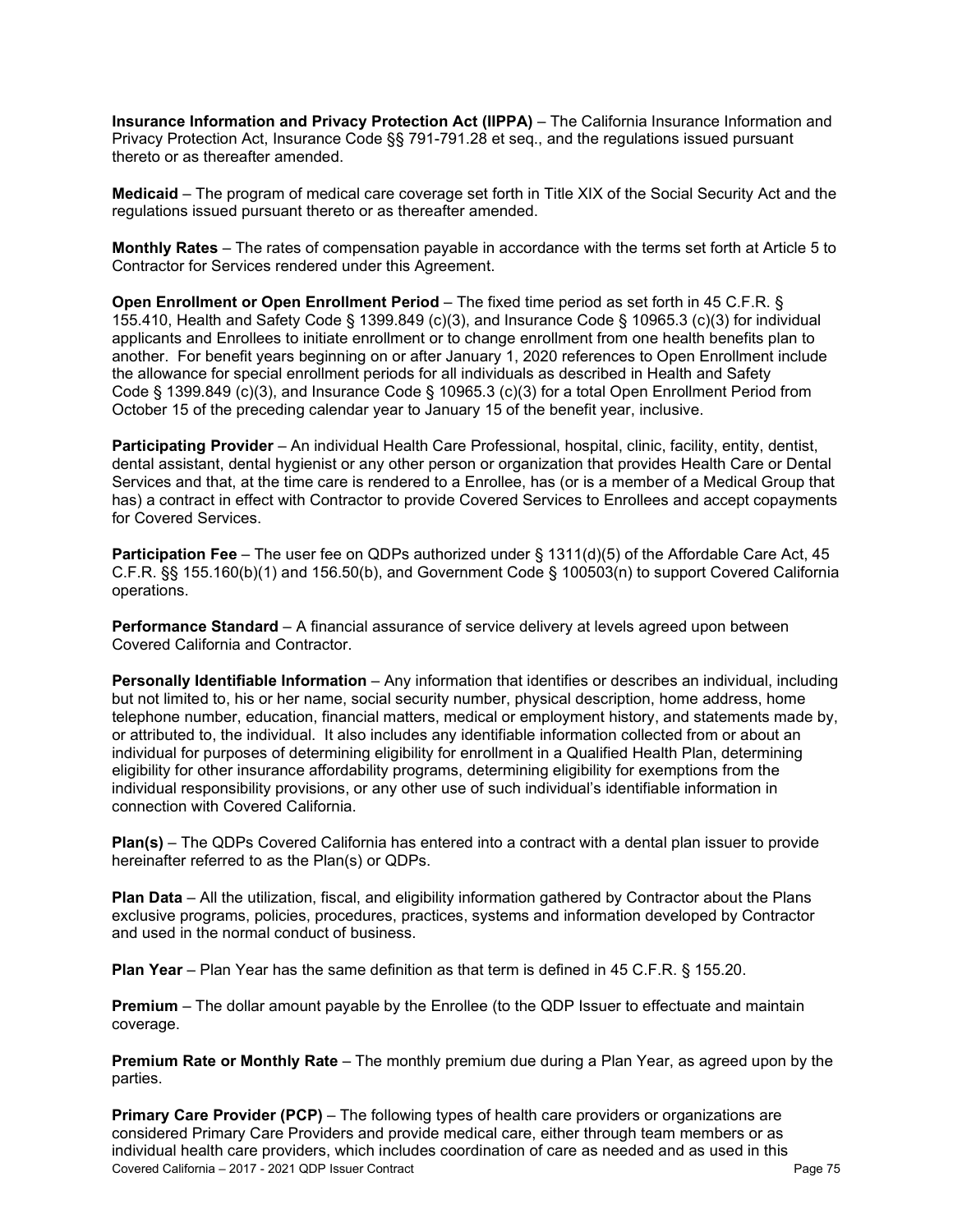**Insurance Information and Privacy Protection Act (IIPPA)** – The California Insurance Information and Privacy Protection Act, Insurance Code §§ 791-791.28 et seq., and the regulations issued pursuant thereto or as thereafter amended.

**Medicaid** – The program of medical care coverage set forth in Title XIX of the Social Security Act and the regulations issued pursuant thereto or as thereafter amended.

**Monthly Rates** – The rates of compensation payable in accordance with the terms set forth at Article 5 to Contractor for Services rendered under this Agreement.

**Open Enrollment or Open Enrollment Period** – The fixed time period as set forth in 45 C.F.R. § 155.410, Health and Safety Code § 1399.849 (c)(3), and Insurance Code § 10965.3 (c)(3) for individual applicants and Enrollees to initiate enrollment or to change enrollment from one health benefits plan to another. For benefit years beginning on or after January 1, 2020 references to Open Enrollment include the allowance for special enrollment periods for all individuals as described in Health and Safety Code § 1399.849 (c)(3), and Insurance Code § 10965.3 (c)(3) for a total Open Enrollment Period from October 15 of the preceding calendar year to January 15 of the benefit year, inclusive.

**Participating Provider** – An individual Health Care Professional, hospital, clinic, facility, entity, dentist, dental assistant, dental hygienist or any other person or organization that provides Health Care or Dental Services and that, at the time care is rendered to a Enrollee, has (or is a member of a Medical Group that has) a contract in effect with Contractor to provide Covered Services to Enrollees and accept copayments for Covered Services.

**Participation Fee** – The user fee on QDPs authorized under § 1311(d)(5) of the Affordable Care Act, 45 C.F.R. §§ 155.160(b)(1) and 156.50(b), and Government Code § 100503(n) to support Covered California operations.

**Performance Standard** – A financial assurance of service delivery at levels agreed upon between Covered California and Contractor.

**Personally Identifiable Information** – Any information that identifies or describes an individual, including but not limited to, his or her name, social security number, physical description, home address, home telephone number, education, financial matters, medical or employment history, and statements made by, or attributed to, the individual. It also includes any identifiable information collected from or about an individual for purposes of determining eligibility for enrollment in a Qualified Health Plan, determining eligibility for other insurance affordability programs, determining eligibility for exemptions from the individual responsibility provisions, or any other use of such individual's identifiable information in connection with Covered California.

**Plan(s)** – The QDPs Covered California has entered into a contract with a dental plan issuer to provide hereinafter referred to as the Plan(s) or QDPs.

**Plan Data** – All the utilization, fiscal, and eligibility information gathered by Contractor about the Plans exclusive programs, policies, procedures, practices, systems and information developed by Contractor and used in the normal conduct of business.

**Plan Year** – Plan Year has the same definition as that term is defined in 45 C.F.R. § 155.20.

**Premium** – The dollar amount payable by the Enrollee (to the QDP Issuer to effectuate and maintain coverage.

**Premium Rate or Monthly Rate** – The monthly premium due during a Plan Year, as agreed upon by the parties.

Covered California – 2017 - 2021 QDP Issuer Contract Page 75 **Primary Care Provider (PCP)** – The following types of health care providers or organizations are considered Primary Care Providers and provide medical care, either through team members or as individual health care providers, which includes coordination of care as needed and as used in this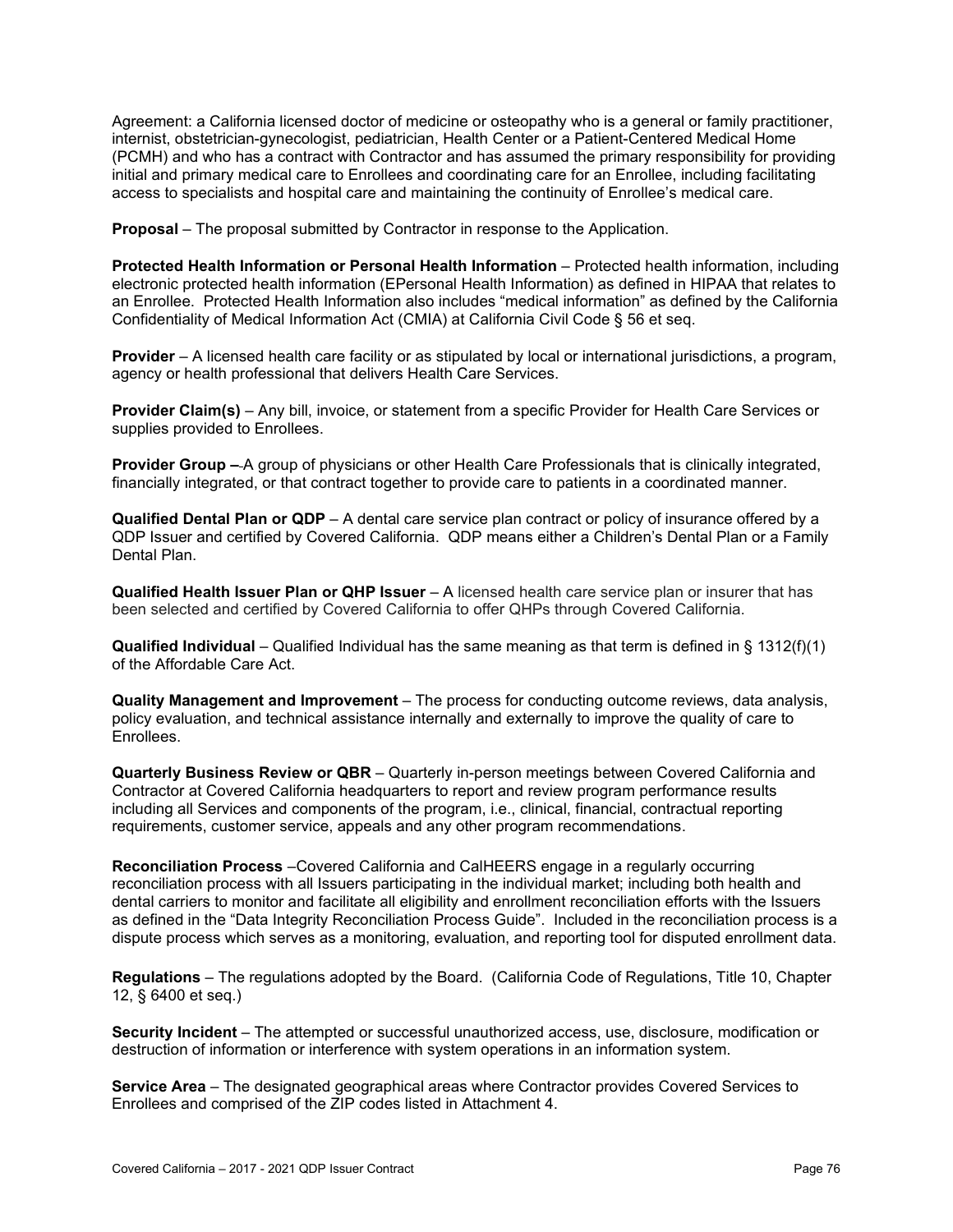Agreement: a California licensed doctor of medicine or osteopathy who is a general or family practitioner, internist, obstetrician-gynecologist, pediatrician, Health Center or a Patient-Centered Medical Home (PCMH) and who has a contract with Contractor and has assumed the primary responsibility for providing initial and primary medical care to Enrollees and coordinating care for an Enrollee, including facilitating access to specialists and hospital care and maintaining the continuity of Enrollee's medical care.

**Proposal** – The proposal submitted by Contractor in response to the Application.

**Protected Health Information or Personal Health Information** – Protected health information, including electronic protected health information (EPersonal Health Information) as defined in HIPAA that relates to an Enrollee. Protected Health Information also includes "medical information" as defined by the California Confidentiality of Medical Information Act (CMIA) at California Civil Code § 56 et seq.

**Provider** – A licensed health care facility or as stipulated by local or international jurisdictions, a program, agency or health professional that delivers Health Care Services.

**Provider Claim(s)** – Any bill, invoice, or statement from a specific Provider for Health Care Services or supplies provided to Enrollees.

**Provider Group –** A group of physicians or other Health Care Professionals that is clinically integrated, financially integrated, or that contract together to provide care to patients in a coordinated manner.

**Qualified Dental Plan or QDP** – A dental care service plan contract or policy of insurance offered by a QDP Issuer and certified by Covered California. QDP means either a Children's Dental Plan or a Family Dental Plan.

**Qualified Health Issuer Plan or QHP Issuer** – A licensed health care service plan or insurer that has been selected and certified by Covered California to offer QHPs through Covered California.

**Qualified Individual** ‒ Qualified Individual has the same meaning as that term is defined in § 1312(f)(1) of the Affordable Care Act.

**Quality Management and Improvement** – The process for conducting outcome reviews, data analysis, policy evaluation, and technical assistance internally and externally to improve the quality of care to Enrollees.

**Quarterly Business Review or QBR** – Quarterly in-person meetings between Covered California and Contractor at Covered California headquarters to report and review program performance results including all Services and components of the program, i.e., clinical, financial, contractual reporting requirements, customer service, appeals and any other program recommendations.

**Reconciliation Process** –Covered California and CalHEERS engage in a regularly occurring reconciliation process with all Issuers participating in the individual market; including both health and dental carriers to monitor and facilitate all eligibility and enrollment reconciliation efforts with the Issuers as defined in the "Data Integrity Reconciliation Process Guide". Included in the reconciliation process is a dispute process which serves as a monitoring, evaluation, and reporting tool for disputed enrollment data.

**Regulations** – The regulations adopted by the Board. (California Code of Regulations, Title 10, Chapter 12, § 6400 et seq.)

**Security Incident** – The attempted or successful unauthorized access, use, disclosure, modification or destruction of information or interference with system operations in an information system.

**Service Area** – The designated geographical areas where Contractor provides Covered Services to Enrollees and comprised of the ZIP codes listed in Attachment 4.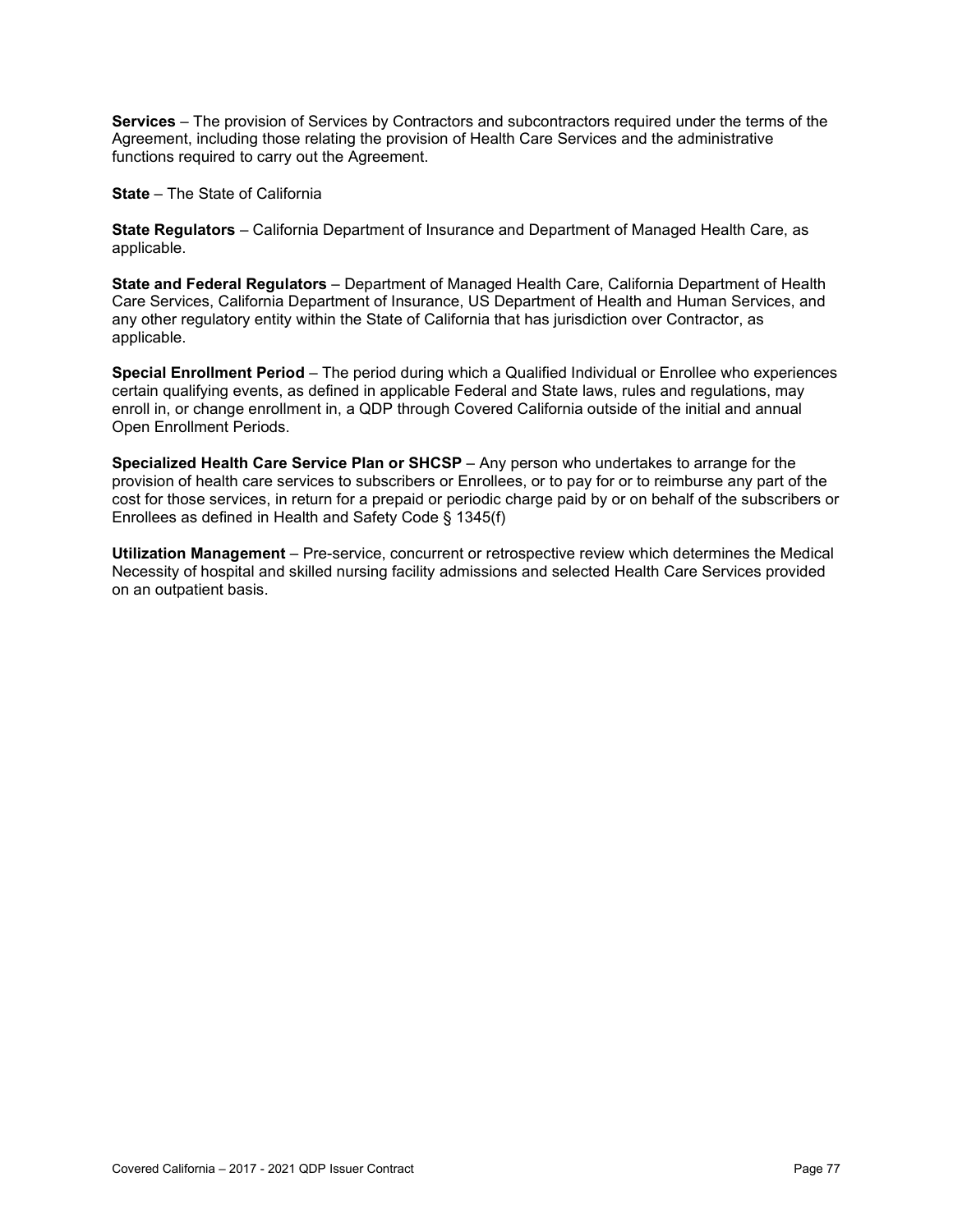**Services** – The provision of Services by Contractors and subcontractors required under the terms of the Agreement, including those relating the provision of Health Care Services and the administrative functions required to carry out the Agreement.

**State** – The State of California

**State Regulators** – California Department of Insurance and Department of Managed Health Care, as applicable.

**State and Federal Regulators** – Department of Managed Health Care, California Department of Health Care Services, California Department of Insurance, US Department of Health and Human Services, and any other regulatory entity within the State of California that has jurisdiction over Contractor, as applicable.

**Special Enrollment Period** – The period during which a Qualified Individual or Enrollee who experiences certain qualifying events, as defined in applicable Federal and State laws, rules and regulations, may enroll in, or change enrollment in, a QDP through Covered California outside of the initial and annual Open Enrollment Periods.

**Specialized Health Care Service Plan or SHCSP** – Any person who undertakes to arrange for the provision of health care services to subscribers or Enrollees, or to pay for or to reimburse any part of the cost for those services, in return for a prepaid or periodic charge paid by or on behalf of the subscribers or Enrollees as defined in Health and Safety Code § 1345(f)

**Utilization Management** – Pre-service, concurrent or retrospective review which determines the Medical Necessity of hospital and skilled nursing facility admissions and selected Health Care Services provided on an outpatient basis.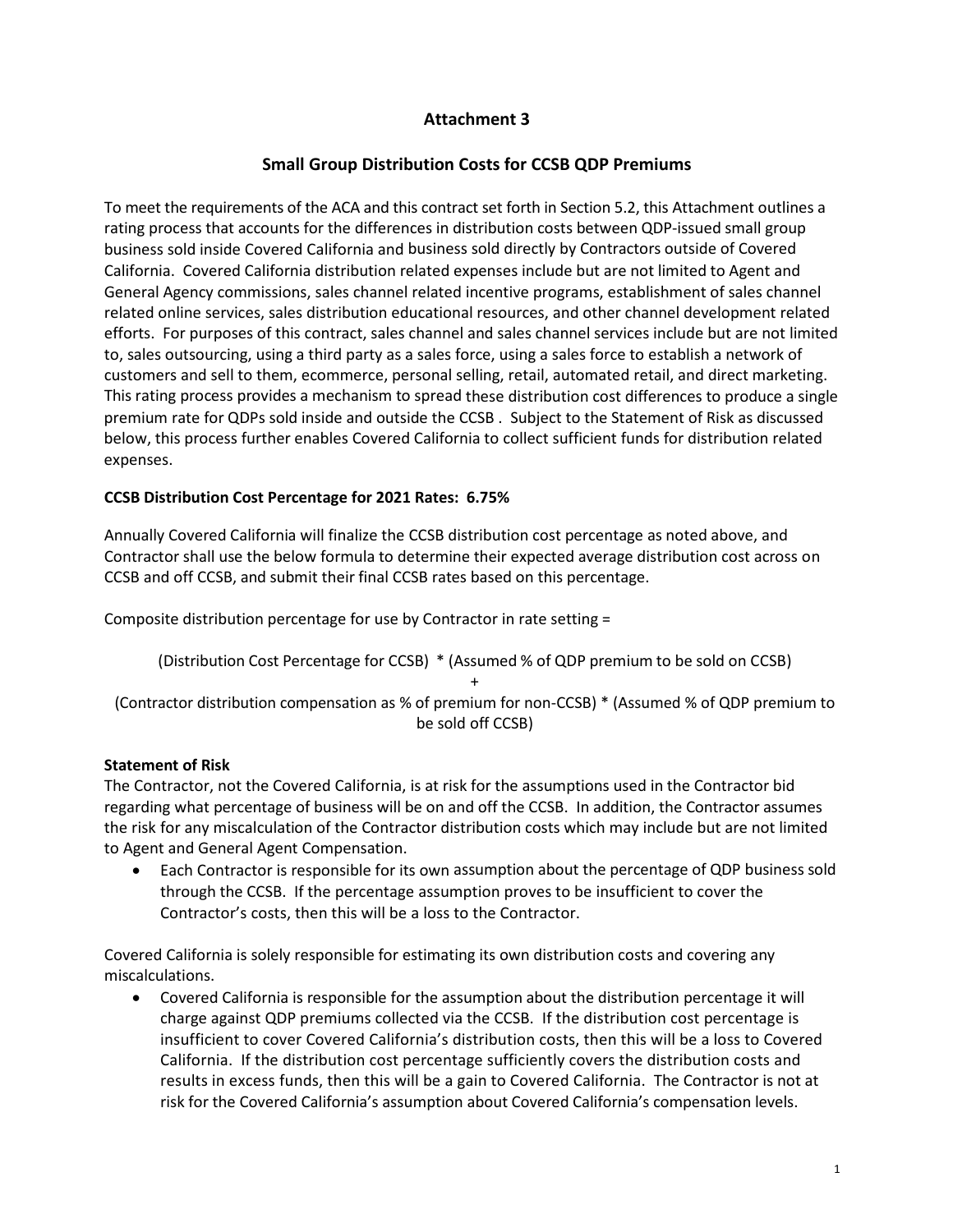### **Attachment 3**

#### **Small Group Distribution Costs for CCSB QDP Premiums**

To meet the requirements of the ACA and this contract set forth in Section 5.2, this Attachment outlines a rating process that accounts for the differences in distribution costs between QDP-issued small group business sold inside Covered California and business sold directly by Contractors outside of Covered California. Covered California distribution related expenses include but are not limited to Agent and General Agency commissions, sales channel related incentive programs, establishment of sales channel related online services, sales distribution educational resources, and other channel development related efforts. For purposes of this contract, sales channel and sales channel services include but are not limited to, sales outsourcing, using a third party as a sales force, using a sales force to establish a network of customers and sell to them, ecommerce, personal selling, retail, automated retail, and direct marketing. This rating process provides a mechanism to spread these distribution cost differences to produce a single premium rate for QDPs sold inside and outside the CCSB . Subject to the Statement of Risk as discussed below, this process further enables Covered California to collect sufficient funds for distribution related expenses.

#### **CCSB Distribution Cost Percentage for 2021 Rates: 6.75%**

Annually Covered California will finalize the CCSB distribution cost percentage as noted above, and Contractor shall use the below formula to determine their expected average distribution cost across on CCSB and off CCSB, and submit their final CCSB rates based on this percentage.

Composite distribution percentage for use by Contractor in rate setting =

(Distribution Cost Percentage for CCSB) \* (Assumed % of QDP premium to be sold on CCSB)

+ (Contractor distribution compensation as % of premium for non-CCSB) \* (Assumed % of QDP premium to be sold off CCSB)

#### **Statement of Risk**

The Contractor, not the Covered California, is at risk for the assumptions used in the Contractor bid regarding what percentage of business will be on and off the CCSB. In addition, the Contractor assumes the risk for any miscalculation of the Contractor distribution costs which may include but are not limited to Agent and General Agent Compensation.

• Each Contractor is responsible for its own assumption about the percentage of QDP business sold through the CCSB. If the percentage assumption proves to be insufficient to cover the Contractor's costs, then this will be a loss to the Contractor.

Covered California is solely responsible for estimating its own distribution costs and covering any miscalculations.

• Covered California is responsible for the assumption about the distribution percentage it will charge against QDP premiums collected via the CCSB. If the distribution cost percentage is insufficient to cover Covered California's distribution costs, then this will be a loss to Covered California. If the distribution cost percentage sufficiently covers the distribution costs and results in excess funds, then this will be a gain to Covered California. The Contractor is not at risk for the Covered California's assumption about Covered California's compensation levels.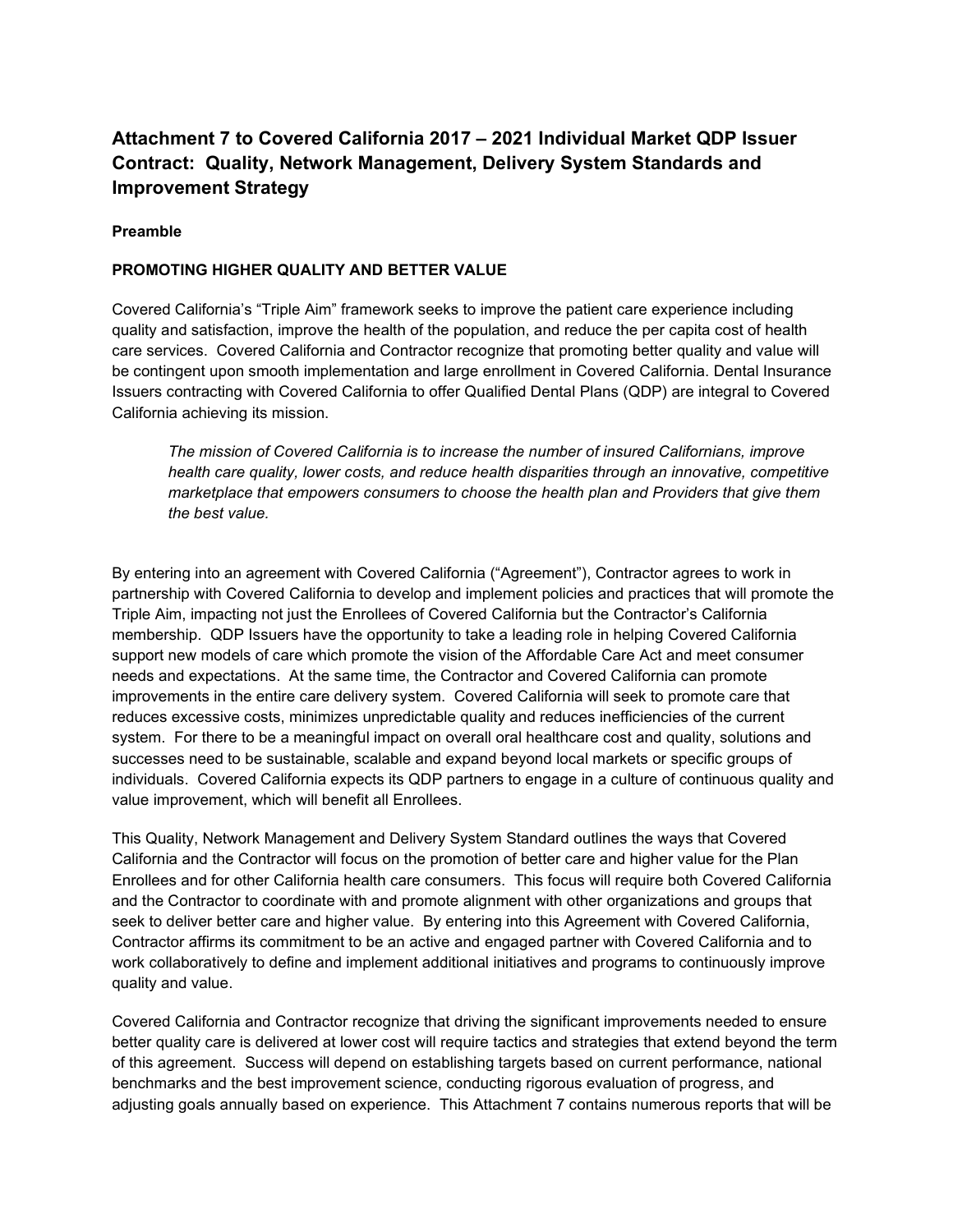# **Attachment 7 to Covered California 2017 – 2021 Individual Market QDP Issuer Contract: Quality, Network Management, Delivery System Standards and Improvement Strategy**

#### **Preamble**

#### **PROMOTING HIGHER QUALITY AND BETTER VALUE**

Covered California's "Triple Aim" framework seeks to improve the patient care experience including quality and satisfaction, improve the health of the population, and reduce the per capita cost of health care services. Covered California and Contractor recognize that promoting better quality and value will be contingent upon smooth implementation and large enrollment in Covered California. Dental Insurance Issuers contracting with Covered California to offer Qualified Dental Plans (QDP) are integral to Covered California achieving its mission.

*The mission of Covered California is to increase the number of insured Californians, improve health care quality, lower costs, and reduce health disparities through an innovative, competitive marketplace that empowers consumers to choose the health plan and Providers that give them the best value.*

By entering into an agreement with Covered California ("Agreement"), Contractor agrees to work in partnership with Covered California to develop and implement policies and practices that will promote the Triple Aim, impacting not just the Enrollees of Covered California but the Contractor's California membership. QDP Issuers have the opportunity to take a leading role in helping Covered California support new models of care which promote the vision of the Affordable Care Act and meet consumer needs and expectations. At the same time, the Contractor and Covered California can promote improvements in the entire care delivery system. Covered California will seek to promote care that reduces excessive costs, minimizes unpredictable quality and reduces inefficiencies of the current system. For there to be a meaningful impact on overall oral healthcare cost and quality, solutions and successes need to be sustainable, scalable and expand beyond local markets or specific groups of individuals. Covered California expects its QDP partners to engage in a culture of continuous quality and value improvement, which will benefit all Enrollees.

This Quality, Network Management and Delivery System Standard outlines the ways that Covered California and the Contractor will focus on the promotion of better care and higher value for the Plan Enrollees and for other California health care consumers. This focus will require both Covered California and the Contractor to coordinate with and promote alignment with other organizations and groups that seek to deliver better care and higher value. By entering into this Agreement with Covered California, Contractor affirms its commitment to be an active and engaged partner with Covered California and to work collaboratively to define and implement additional initiatives and programs to continuously improve quality and value.

Covered California and Contractor recognize that driving the significant improvements needed to ensure better quality care is delivered at lower cost will require tactics and strategies that extend beyond the term of this agreement. Success will depend on establishing targets based on current performance, national benchmarks and the best improvement science, conducting rigorous evaluation of progress, and adjusting goals annually based on experience. This Attachment 7 contains numerous reports that will be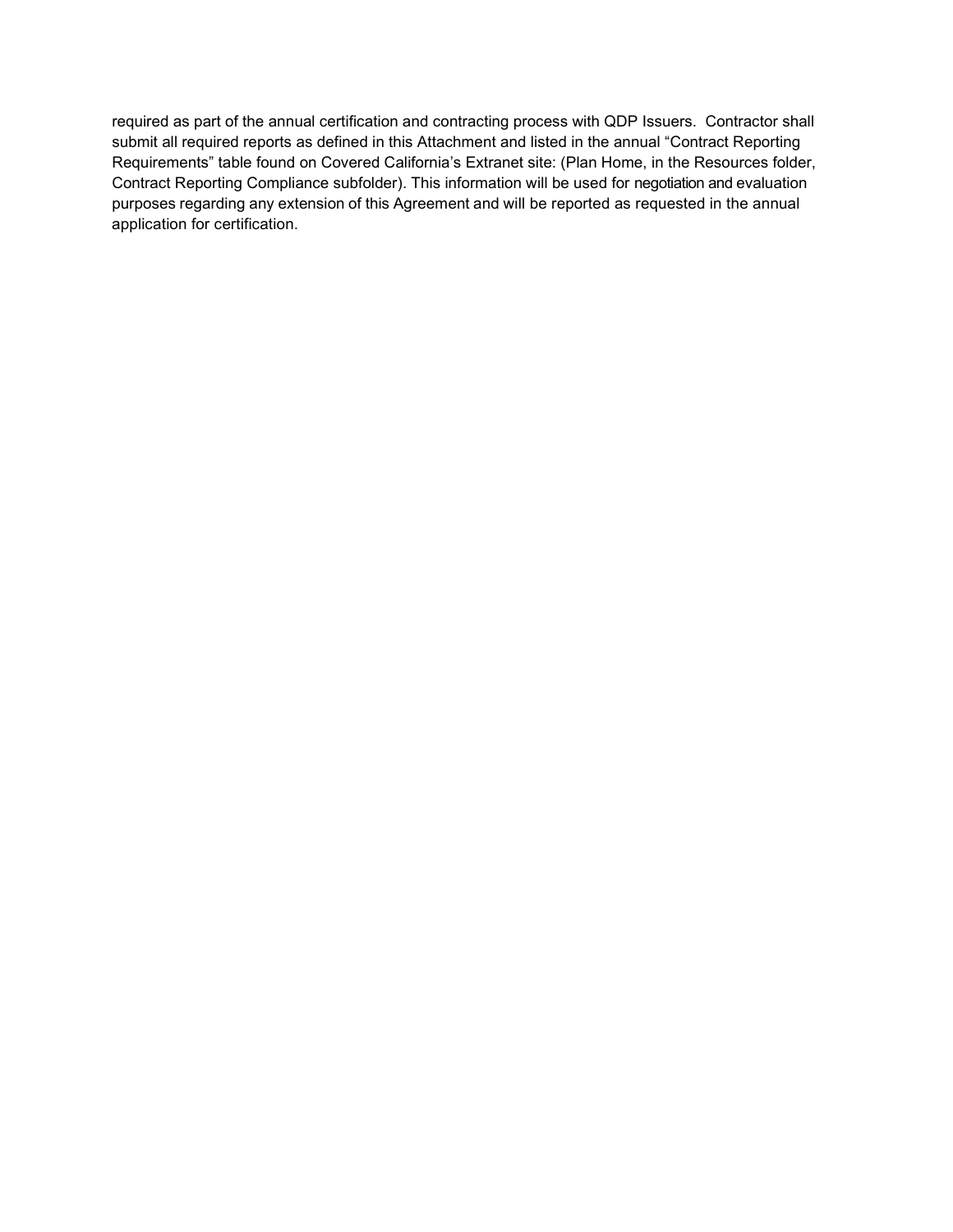required as part of the annual certification and contracting process with QDP Issuers. Contractor shall submit all required reports as defined in this Attachment and listed in the annual "Contract Reporting Requirements" table found on Covered California's Extranet site: (Plan Home, in the Resources folder, Contract Reporting Compliance subfolder). This information will be used for negotiation and evaluation purposes regarding any extension of this Agreement and will be reported as requested in the annual application for certification.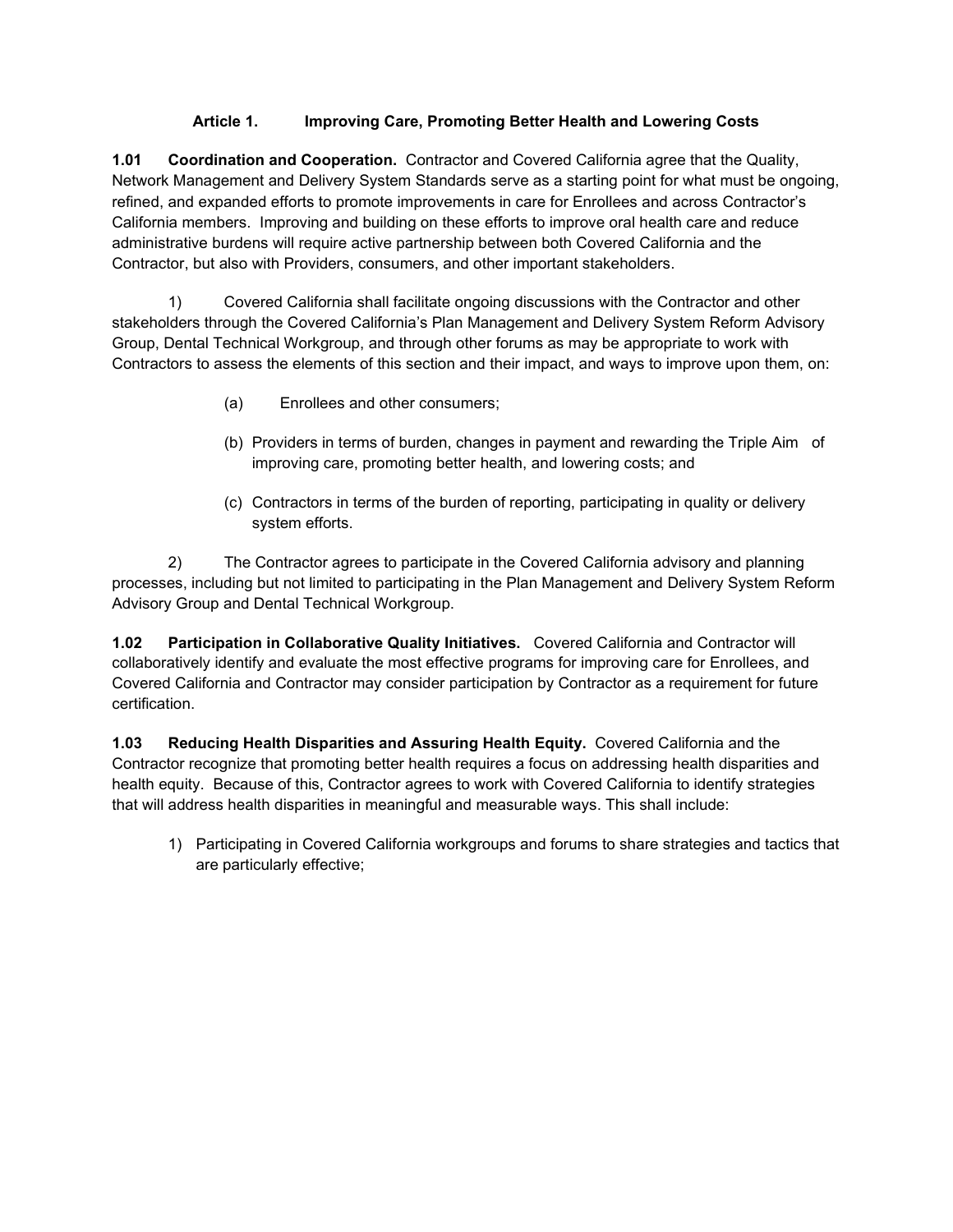#### **Article 1. Improving Care, Promoting Better Health and Lowering Costs**

**1.01 Coordination and Cooperation.** Contractor and Covered California agree that the Quality, Network Management and Delivery System Standards serve as a starting point for what must be ongoing, refined, and expanded efforts to promote improvements in care for Enrollees and across Contractor's California members. Improving and building on these efforts to improve oral health care and reduce administrative burdens will require active partnership between both Covered California and the Contractor, but also with Providers, consumers, and other important stakeholders.

1) Covered California shall facilitate ongoing discussions with the Contractor and other stakeholders through the Covered California's Plan Management and Delivery System Reform Advisory Group, Dental Technical Workgroup, and through other forums as may be appropriate to work with Contractors to assess the elements of this section and their impact, and ways to improve upon them, on:

- (a) Enrollees and other consumers;
- (b) Providers in terms of burden, changes in payment and rewarding the Triple Aim of improving care, promoting better health, and lowering costs; and
- (c) Contractors in terms of the burden of reporting, participating in quality or delivery system efforts.

2) The Contractor agrees to participate in the Covered California advisory and planning processes, including but not limited to participating in the Plan Management and Delivery System Reform Advisory Group and Dental Technical Workgroup.

**1.02 Participation in Collaborative Quality Initiatives.** Covered California and Contractor will collaboratively identify and evaluate the most effective programs for improving care for Enrollees, and Covered California and Contractor may consider participation by Contractor as a requirement for future certification.

**1.03 Reducing Health Disparities and Assuring Health Equity.** Covered California and the Contractor recognize that promoting better health requires a focus on addressing health disparities and health equity. Because of this, Contractor agrees to work with Covered California to identify strategies that will address health disparities in meaningful and measurable ways. This shall include:

1) Participating in Covered California workgroups and forums to share strategies and tactics that are particularly effective;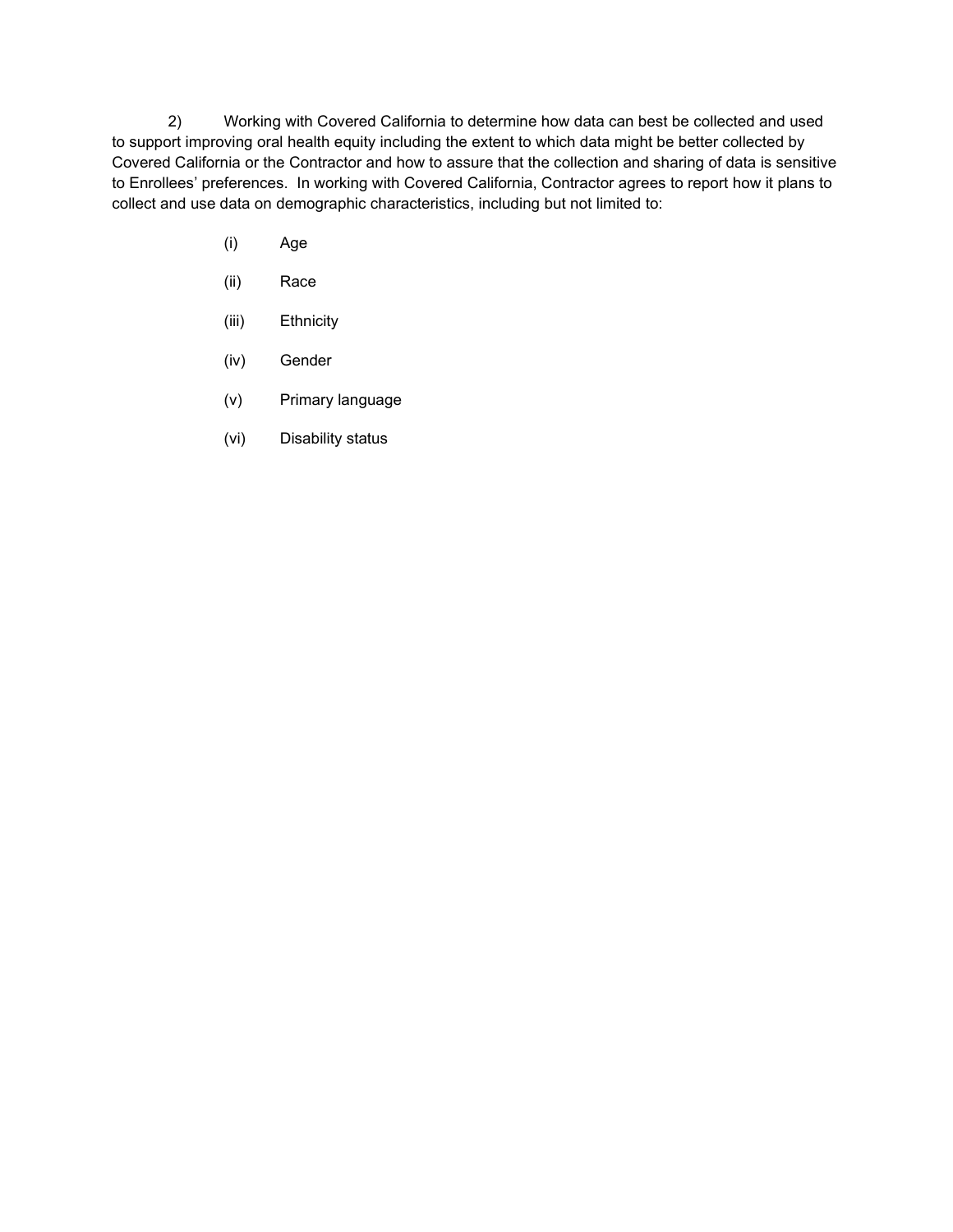2) Working with Covered California to determine how data can best be collected and used to support improving oral health equity including the extent to which data might be better collected by Covered California or the Contractor and how to assure that the collection and sharing of data is sensitive to Enrollees' preferences. In working with Covered California, Contractor agrees to report how it plans to collect and use data on demographic characteristics, including but not limited to:

- (i) Age
- (ii) Race
- (iii) Ethnicity
- (iv) Gender
- (v) Primary language
- (vi) Disability status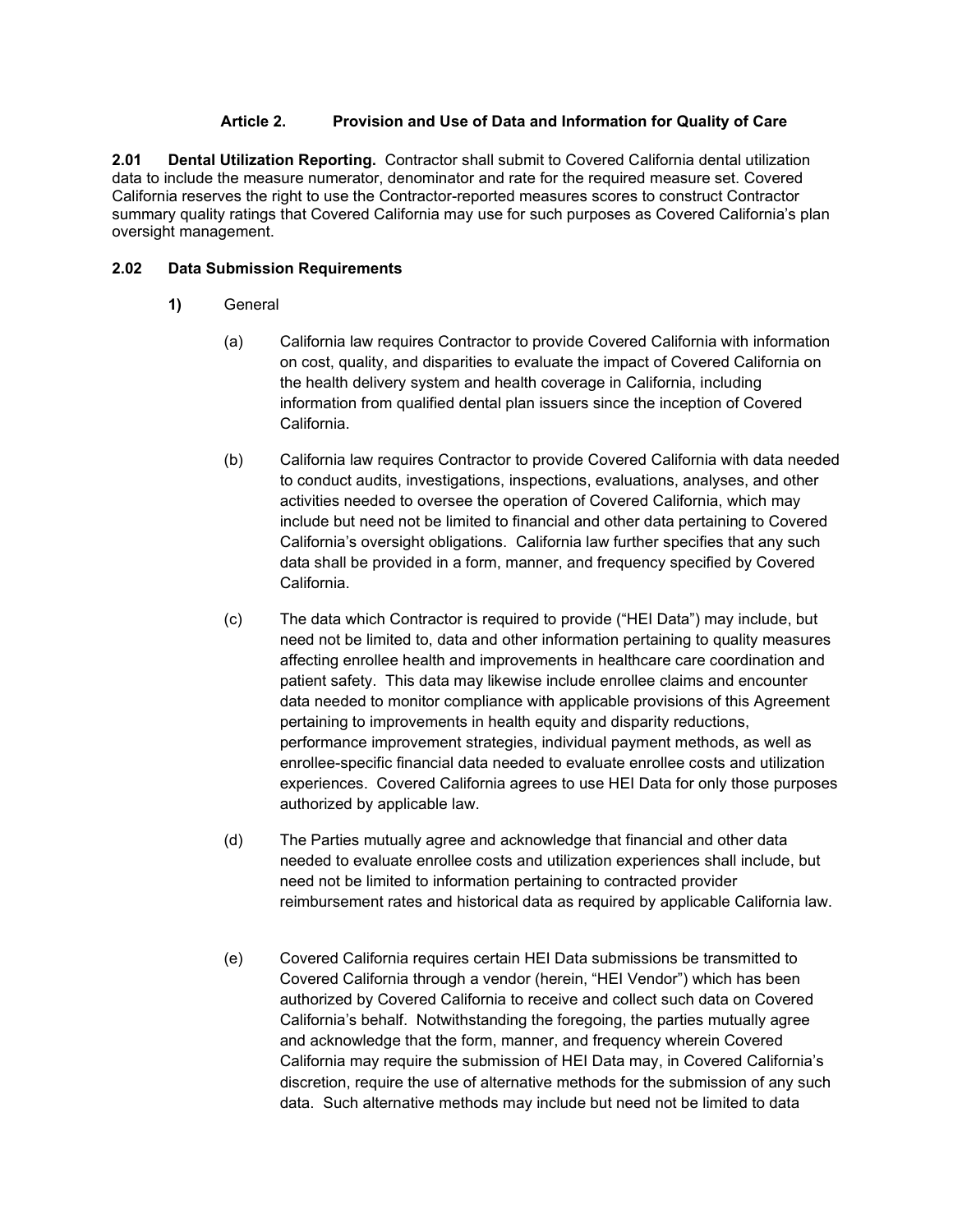#### **Article 2. Provision and Use of Data and Information for Quality of Care**

**2.01 Dental Utilization Reporting.** Contractor shall submit to Covered California dental utilization data to include the measure numerator, denominator and rate for the required measure set. Covered California reserves the right to use the Contractor-reported measures scores to construct Contractor summary quality ratings that Covered California may use for such purposes as Covered California's plan oversight management.

#### **2.02 Data Submission Requirements**

- **1)** General
	- (a) California law requires Contractor to provide Covered California with information on cost, quality, and disparities to evaluate the impact of Covered California on the health delivery system and health coverage in California, including information from qualified dental plan issuers since the inception of Covered California.
	- (b) California law requires Contractor to provide Covered California with data needed to conduct audits, investigations, inspections, evaluations, analyses, and other activities needed to oversee the operation of Covered California, which may include but need not be limited to financial and other data pertaining to Covered California's oversight obligations. California law further specifies that any such data shall be provided in a form, manner, and frequency specified by Covered California.
	- (c) The data which Contractor is required to provide ("HEI Data") may include, but need not be limited to, data and other information pertaining to quality measures affecting enrollee health and improvements in healthcare care coordination and patient safety. This data may likewise include enrollee claims and encounter data needed to monitor compliance with applicable provisions of this Agreement pertaining to improvements in health equity and disparity reductions, performance improvement strategies, individual payment methods, as well as enrollee-specific financial data needed to evaluate enrollee costs and utilization experiences. Covered California agrees to use HEI Data for only those purposes authorized by applicable law.
	- (d) The Parties mutually agree and acknowledge that financial and other data needed to evaluate enrollee costs and utilization experiences shall include, but need not be limited to information pertaining to contracted provider reimbursement rates and historical data as required by applicable California law.
	- (e) Covered California requires certain HEI Data submissions be transmitted to Covered California through a vendor (herein, "HEI Vendor") which has been authorized by Covered California to receive and collect such data on Covered California's behalf. Notwithstanding the foregoing, the parties mutually agree and acknowledge that the form, manner, and frequency wherein Covered California may require the submission of HEI Data may, in Covered California's discretion, require the use of alternative methods for the submission of any such data. Such alternative methods may include but need not be limited to data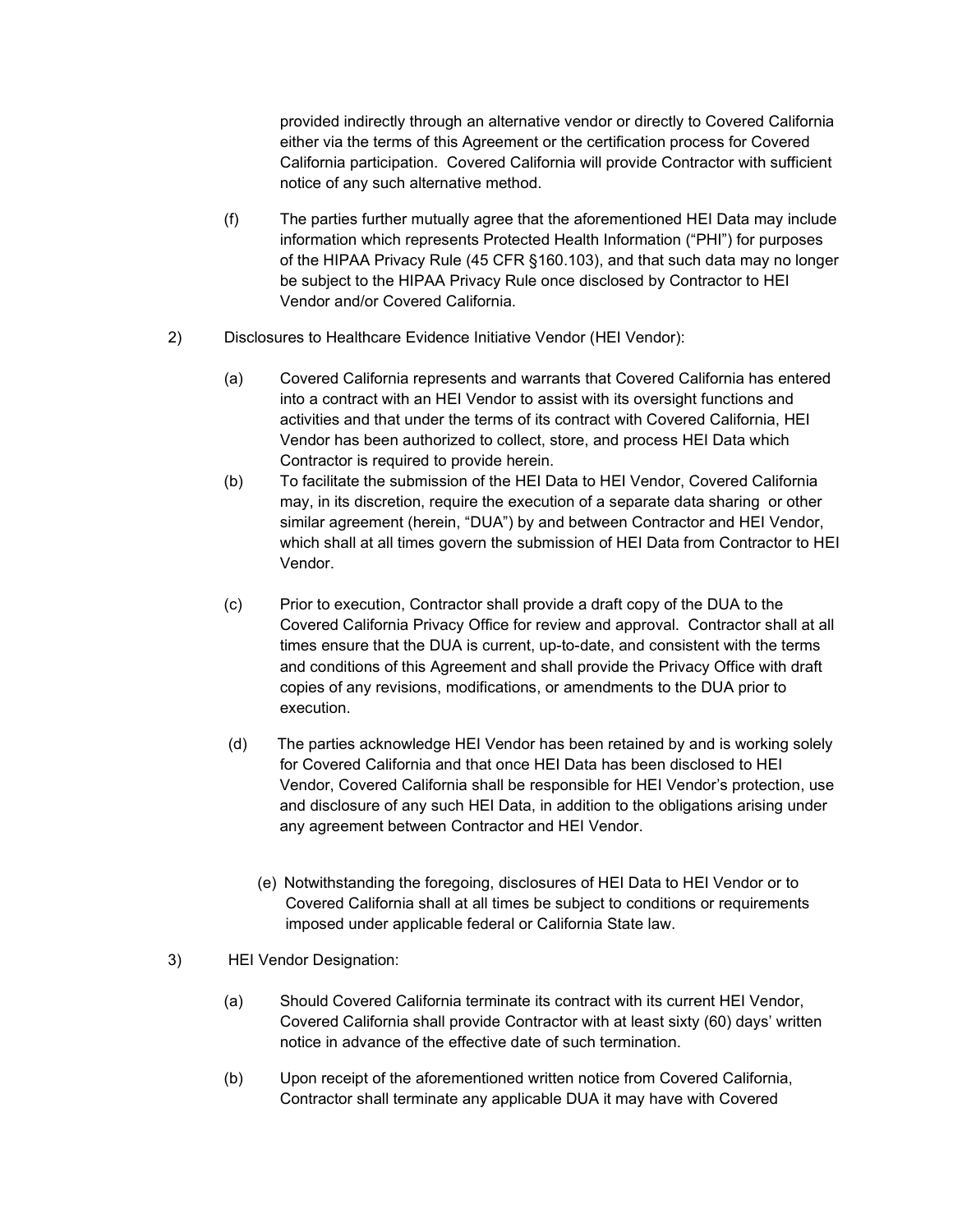provided indirectly through an alternative vendor or directly to Covered California either via the terms of this Agreement or the certification process for Covered California participation. Covered California will provide Contractor with sufficient notice of any such alternative method.

- (f) The parties further mutually agree that the aforementioned HEI Data may include information which represents Protected Health Information ("PHI") for purposes of the HIPAA Privacy Rule (45 CFR §160.103), and that such data may no longer be subject to the HIPAA Privacy Rule once disclosed by Contractor to HEI Vendor and/or Covered California.
- 2) Disclosures to Healthcare Evidence Initiative Vendor (HEI Vendor):
	- (a) Covered California represents and warrants that Covered California has entered into a contract with an HEI Vendor to assist with its oversight functions and activities and that under the terms of its contract with Covered California, HEI Vendor has been authorized to collect, store, and process HEI Data which Contractor is required to provide herein.
	- (b) To facilitate the submission of the HEI Data to HEI Vendor, Covered California may, in its discretion, require the execution of a separate data sharing or other similar agreement (herein, "DUA") by and between Contractor and HEI Vendor, which shall at all times govern the submission of HEI Data from Contractor to HEI Vendor.
	- (c) Prior to execution, Contractor shall provide a draft copy of the DUA to the Covered California Privacy Office for review and approval. Contractor shall at all times ensure that the DUA is current, up-to-date, and consistent with the terms and conditions of this Agreement and shall provide the Privacy Office with draft copies of any revisions, modifications, or amendments to the DUA prior to execution.
	- (d) The parties acknowledge HEI Vendor has been retained by and is working solely for Covered California and that once HEI Data has been disclosed to HEI Vendor, Covered California shall be responsible for HEI Vendor's protection, use and disclosure of any such HEI Data, in addition to the obligations arising under any agreement between Contractor and HEI Vendor.
		- (e) Notwithstanding the foregoing, disclosures of HEI Data to HEI Vendor or to Covered California shall at all times be subject to conditions or requirements imposed under applicable federal or California State law.
- 3) HEI Vendor Designation:
	- (a) Should Covered California terminate its contract with its current HEI Vendor, Covered California shall provide Contractor with at least sixty (60) days' written notice in advance of the effective date of such termination.
	- (b) Upon receipt of the aforementioned written notice from Covered California, Contractor shall terminate any applicable DUA it may have with Covered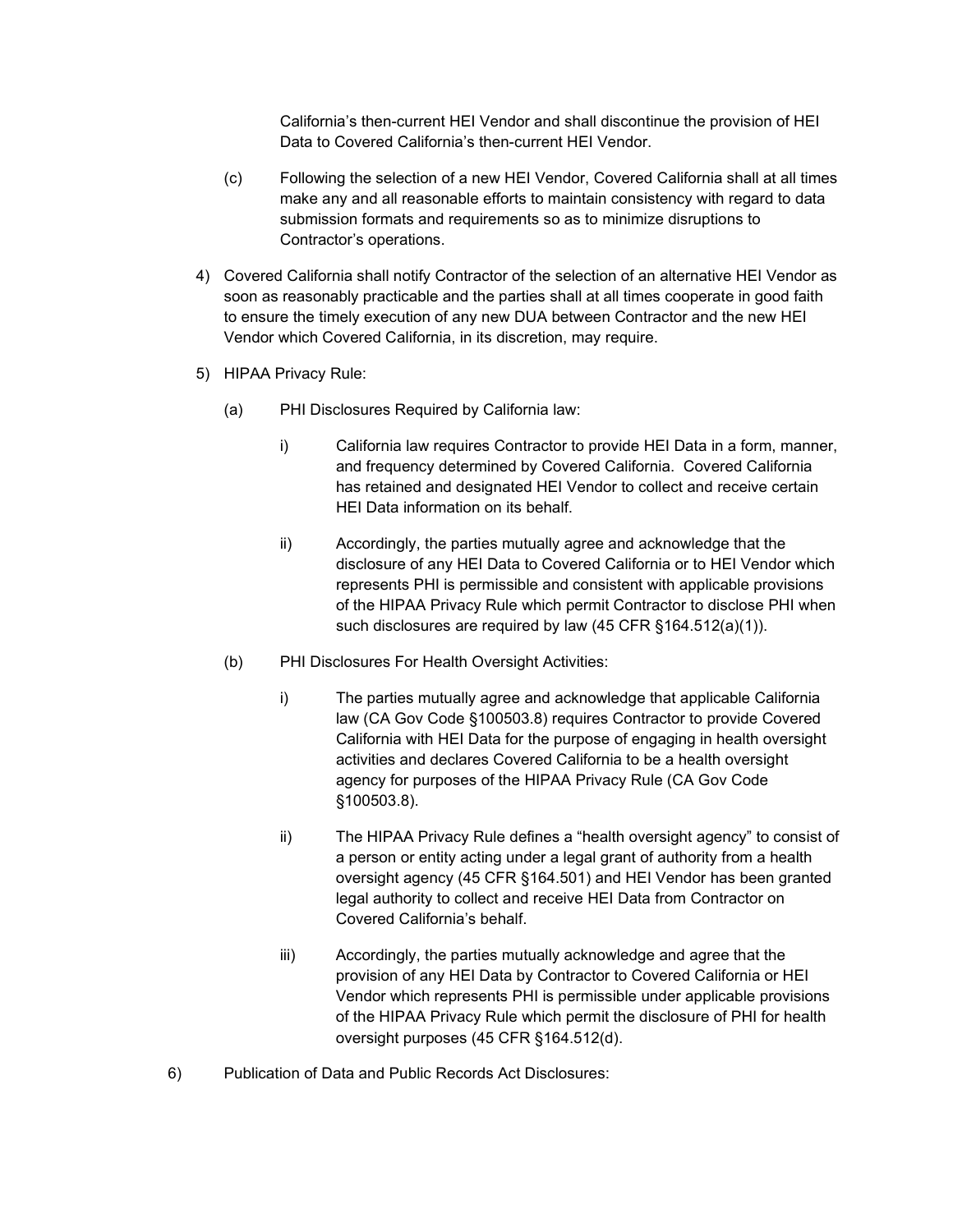California's then-current HEI Vendor and shall discontinue the provision of HEI Data to Covered California's then-current HEI Vendor.

- (c) Following the selection of a new HEI Vendor, Covered California shall at all times make any and all reasonable efforts to maintain consistency with regard to data submission formats and requirements so as to minimize disruptions to Contractor's operations.
- 4) Covered California shall notify Contractor of the selection of an alternative HEI Vendor as soon as reasonably practicable and the parties shall at all times cooperate in good faith to ensure the timely execution of any new DUA between Contractor and the new HEI Vendor which Covered California, in its discretion, may require.
- 5) HIPAA Privacy Rule:
	- (a) PHI Disclosures Required by California law:
		- i) California law requires Contractor to provide HEI Data in a form, manner, and frequency determined by Covered California. Covered California has retained and designated HEI Vendor to collect and receive certain HEI Data information on its behalf.
		- ii) Accordingly, the parties mutually agree and acknowledge that the disclosure of any HEI Data to Covered California or to HEI Vendor which represents PHI is permissible and consistent with applicable provisions of the HIPAA Privacy Rule which permit Contractor to disclose PHI when such disclosures are required by law (45 CFR §164.512(a)(1)).
	- (b) PHI Disclosures For Health Oversight Activities:
		- i) The parties mutually agree and acknowledge that applicable California law (CA Gov Code §100503.8) requires Contractor to provide Covered California with HEI Data for the purpose of engaging in health oversight activities and declares Covered California to be a health oversight agency for purposes of the HIPAA Privacy Rule (CA Gov Code §100503.8).
		- ii) The HIPAA Privacy Rule defines a "health oversight agency" to consist of a person or entity acting under a legal grant of authority from a health oversight agency (45 CFR §164.501) and HEI Vendor has been granted legal authority to collect and receive HEI Data from Contractor on Covered California's behalf.
		- iii) Accordingly, the parties mutually acknowledge and agree that the provision of any HEI Data by Contractor to Covered California or HEI Vendor which represents PHI is permissible under applicable provisions of the HIPAA Privacy Rule which permit the disclosure of PHI for health oversight purposes (45 CFR §164.512(d).
- 6) Publication of Data and Public Records Act Disclosures: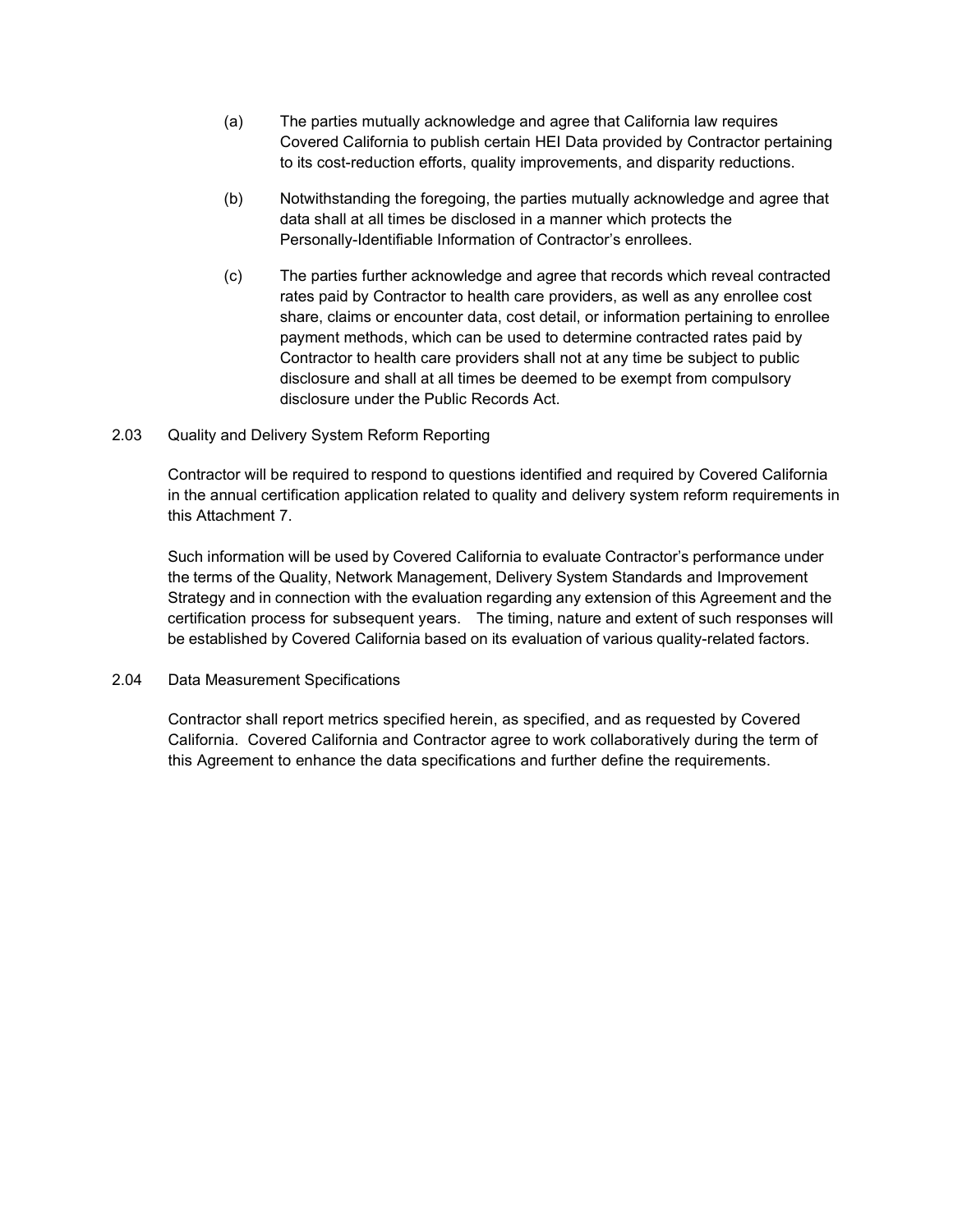- (a) The parties mutually acknowledge and agree that California law requires Covered California to publish certain HEI Data provided by Contractor pertaining to its cost-reduction efforts, quality improvements, and disparity reductions.
- (b) Notwithstanding the foregoing, the parties mutually acknowledge and agree that data shall at all times be disclosed in a manner which protects the Personally-Identifiable Information of Contractor's enrollees.
- (c) The parties further acknowledge and agree that records which reveal contracted rates paid by Contractor to health care providers, as well as any enrollee cost share, claims or encounter data, cost detail, or information pertaining to enrollee payment methods, which can be used to determine contracted rates paid by Contractor to health care providers shall not at any time be subject to public disclosure and shall at all times be deemed to be exempt from compulsory disclosure under the Public Records Act.
- 2.03 Quality and Delivery System Reform Reporting

Contractor will be required to respond to questions identified and required by Covered California in the annual certification application related to quality and delivery system reform requirements in this Attachment 7.

Such information will be used by Covered California to evaluate Contractor's performance under the terms of the Quality, Network Management, Delivery System Standards and Improvement Strategy and in connection with the evaluation regarding any extension of this Agreement and the certification process for subsequent years. The timing, nature and extent of such responses will be established by Covered California based on its evaluation of various quality-related factors.

2.04 Data Measurement Specifications

Contractor shall report metrics specified herein, as specified, and as requested by Covered California. Covered California and Contractor agree to work collaboratively during the term of this Agreement to enhance the data specifications and further define the requirements.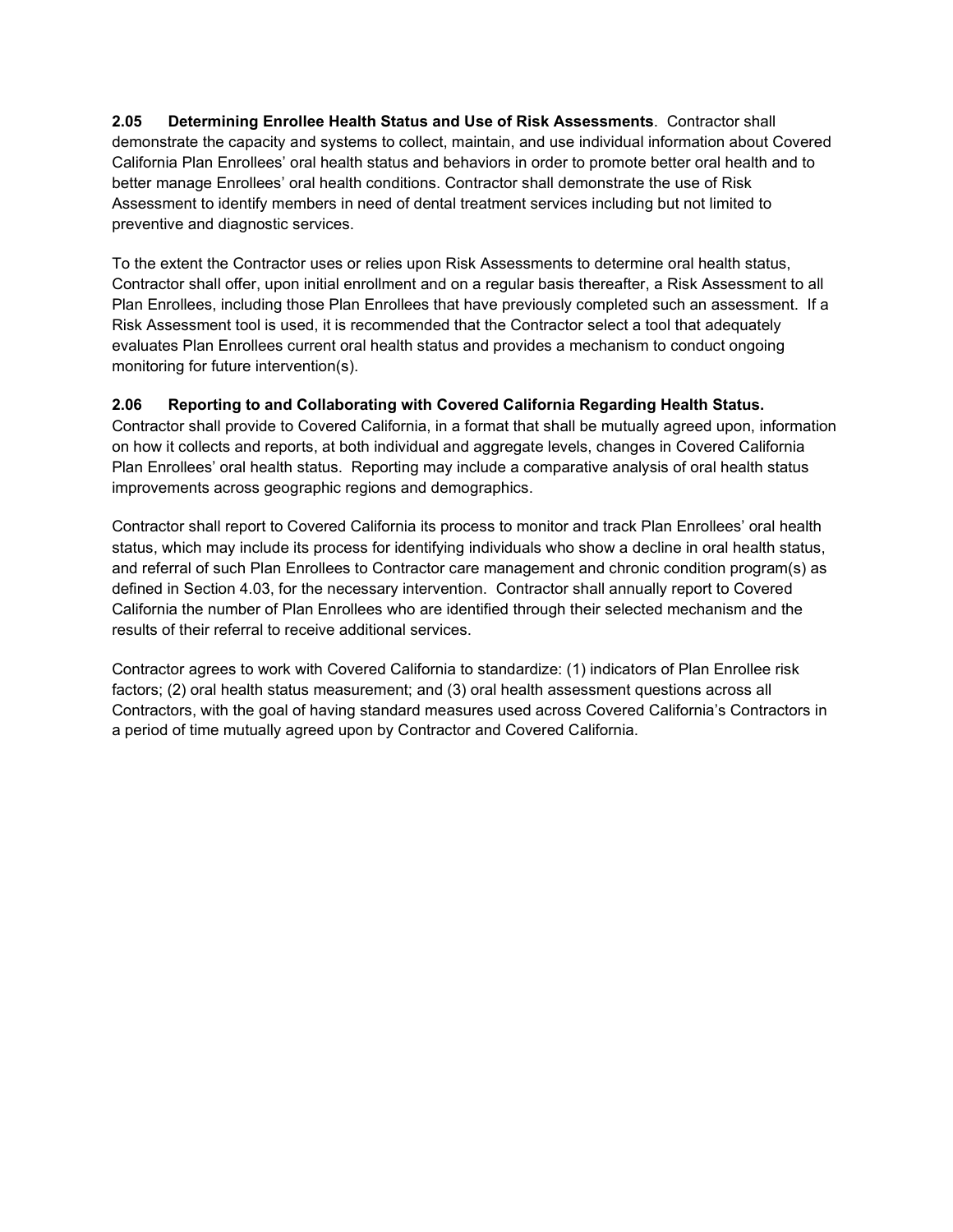**2.05 Determining Enrollee Health Status and Use of Risk Assessments**. Contractor shall demonstrate the capacity and systems to collect, maintain, and use individual information about Covered California Plan Enrollees' oral health status and behaviors in order to promote better oral health and to better manage Enrollees' oral health conditions. Contractor shall demonstrate the use of Risk Assessment to identify members in need of dental treatment services including but not limited to preventive and diagnostic services.

To the extent the Contractor uses or relies upon Risk Assessments to determine oral health status, Contractor shall offer, upon initial enrollment and on a regular basis thereafter, a Risk Assessment to all Plan Enrollees, including those Plan Enrollees that have previously completed such an assessment. If a Risk Assessment tool is used, it is recommended that the Contractor select a tool that adequately evaluates Plan Enrollees current oral health status and provides a mechanism to conduct ongoing monitoring for future intervention(s).

#### **2.06 Reporting to and Collaborating with Covered California Regarding Health Status.**

Contractor shall provide to Covered California, in a format that shall be mutually agreed upon, information on how it collects and reports, at both individual and aggregate levels, changes in Covered California Plan Enrollees' oral health status. Reporting may include a comparative analysis of oral health status improvements across geographic regions and demographics.

Contractor shall report to Covered California its process to monitor and track Plan Enrollees' oral health status, which may include its process for identifying individuals who show a decline in oral health status, and referral of such Plan Enrollees to Contractor care management and chronic condition program(s) as defined in Section 4.03, for the necessary intervention. Contractor shall annually report to Covered California the number of Plan Enrollees who are identified through their selected mechanism and the results of their referral to receive additional services.

Contractor agrees to work with Covered California to standardize: (1) indicators of Plan Enrollee risk factors; (2) oral health status measurement; and (3) oral health assessment questions across all Contractors, with the goal of having standard measures used across Covered California's Contractors in a period of time mutually agreed upon by Contractor and Covered California.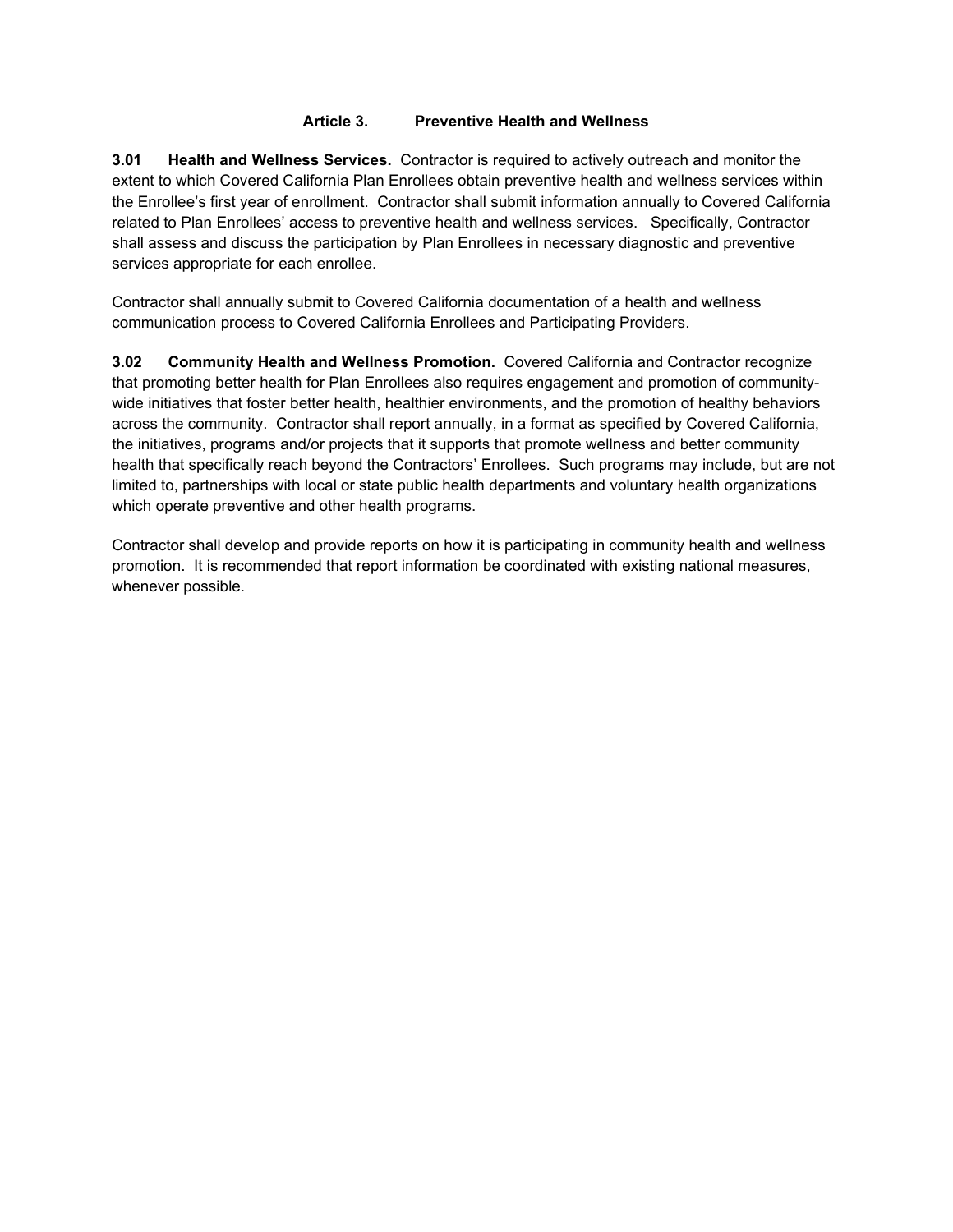#### **Article 3. Preventive Health and Wellness**

**3.01 Health and Wellness Services.** Contractor is required to actively outreach and monitor the extent to which Covered California Plan Enrollees obtain preventive health and wellness services within the Enrollee's first year of enrollment. Contractor shall submit information annually to Covered California related to Plan Enrollees' access to preventive health and wellness services. Specifically, Contractor shall assess and discuss the participation by Plan Enrollees in necessary diagnostic and preventive services appropriate for each enrollee.

Contractor shall annually submit to Covered California documentation of a health and wellness communication process to Covered California Enrollees and Participating Providers.

**3.02 Community Health and Wellness Promotion.** Covered California and Contractor recognize that promoting better health for Plan Enrollees also requires engagement and promotion of communitywide initiatives that foster better health, healthier environments, and the promotion of healthy behaviors across the community. Contractor shall report annually, in a format as specified by Covered California, the initiatives, programs and/or projects that it supports that promote wellness and better community health that specifically reach beyond the Contractors' Enrollees. Such programs may include, but are not limited to, partnerships with local or state public health departments and voluntary health organizations which operate preventive and other health programs.

Contractor shall develop and provide reports on how it is participating in community health and wellness promotion. It is recommended that report information be coordinated with existing national measures, whenever possible.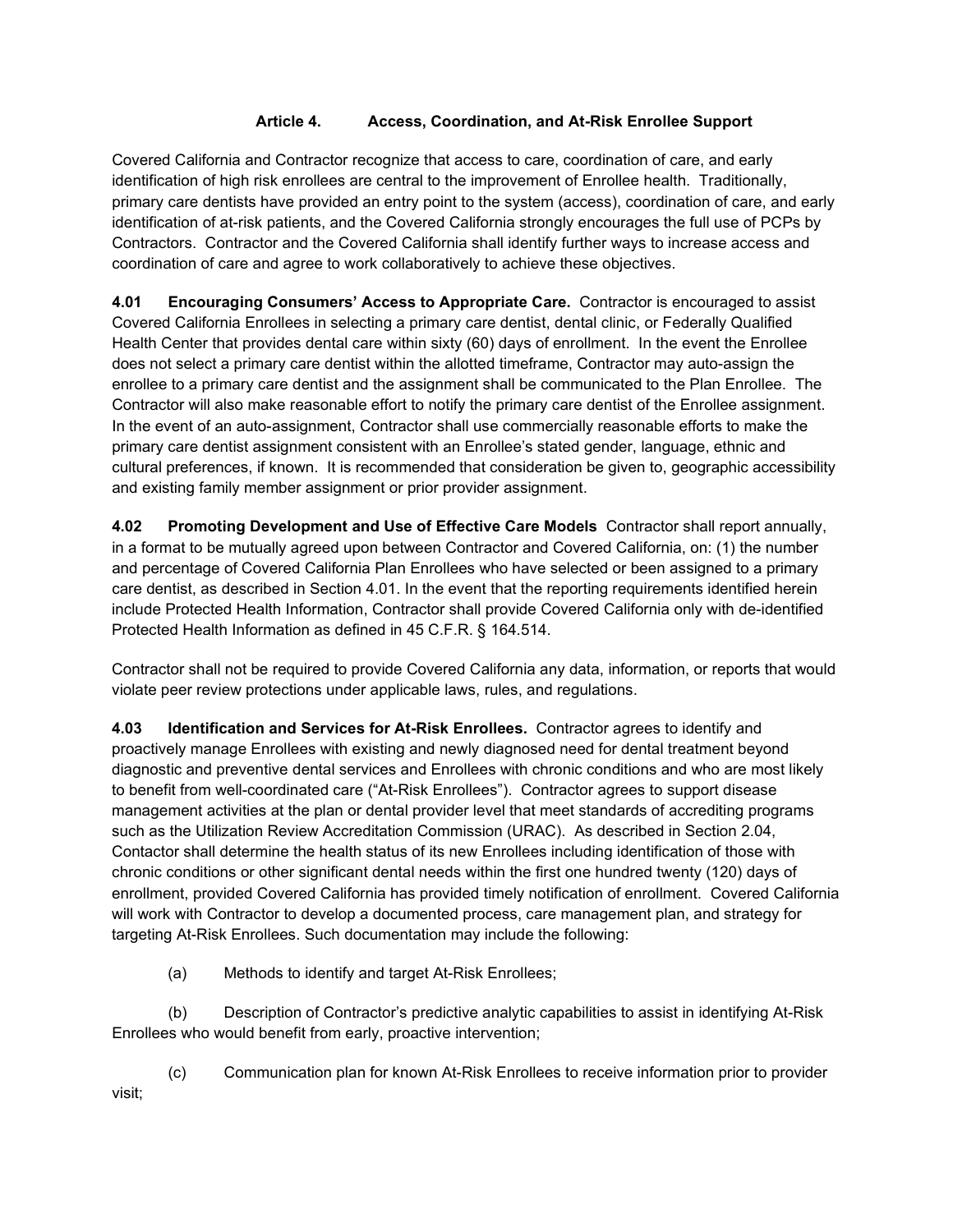#### **Article 4. Access, Coordination, and At-Risk Enrollee Support**

Covered California and Contractor recognize that access to care, coordination of care, and early identification of high risk enrollees are central to the improvement of Enrollee health. Traditionally, primary care dentists have provided an entry point to the system (access), coordination of care, and early identification of at-risk patients, and the Covered California strongly encourages the full use of PCPs by Contractors. Contractor and the Covered California shall identify further ways to increase access and coordination of care and agree to work collaboratively to achieve these objectives.

**4.01 Encouraging Consumers' Access to Appropriate Care.** Contractor is encouraged to assist Covered California Enrollees in selecting a primary care dentist, dental clinic, or Federally Qualified Health Center that provides dental care within sixty (60) days of enrollment. In the event the Enrollee does not select a primary care dentist within the allotted timeframe, Contractor may auto-assign the enrollee to a primary care dentist and the assignment shall be communicated to the Plan Enrollee. The Contractor will also make reasonable effort to notify the primary care dentist of the Enrollee assignment. In the event of an auto-assignment, Contractor shall use commercially reasonable efforts to make the primary care dentist assignment consistent with an Enrollee's stated gender, language, ethnic and cultural preferences, if known. It is recommended that consideration be given to, geographic accessibility and existing family member assignment or prior provider assignment.

**4.02 Promoting Development and Use of Effective Care Models** Contractor shall report annually, in a format to be mutually agreed upon between Contractor and Covered California, on: (1) the number and percentage of Covered California Plan Enrollees who have selected or been assigned to a primary care dentist, as described in Section 4.01. In the event that the reporting requirements identified herein include Protected Health Information, Contractor shall provide Covered California only with de-identified Protected Health Information as defined in 45 C.F.R. § 164.514.

Contractor shall not be required to provide Covered California any data, information, or reports that would violate peer review protections under applicable laws, rules, and regulations.

**4.03 Identification and Services for At-Risk Enrollees.** Contractor agrees to identify and proactively manage Enrollees with existing and newly diagnosed need for dental treatment beyond diagnostic and preventive dental services and Enrollees with chronic conditions and who are most likely to benefit from well-coordinated care ("At-Risk Enrollees"). Contractor agrees to support disease management activities at the plan or dental provider level that meet standards of accrediting programs such as the Utilization Review Accreditation Commission (URAC). As described in Section 2.04, Contactor shall determine the health status of its new Enrollees including identification of those with chronic conditions or other significant dental needs within the first one hundred twenty (120) days of enrollment, provided Covered California has provided timely notification of enrollment. Covered California will work with Contractor to develop a documented process, care management plan, and strategy for targeting At-Risk Enrollees. Such documentation may include the following:

(a) Methods to identify and target At-Risk Enrollees;

(b) Description of Contractor's predictive analytic capabilities to assist in identifying At-Risk Enrollees who would benefit from early, proactive intervention;

(c) Communication plan for known At-Risk Enrollees to receive information prior to provider visit;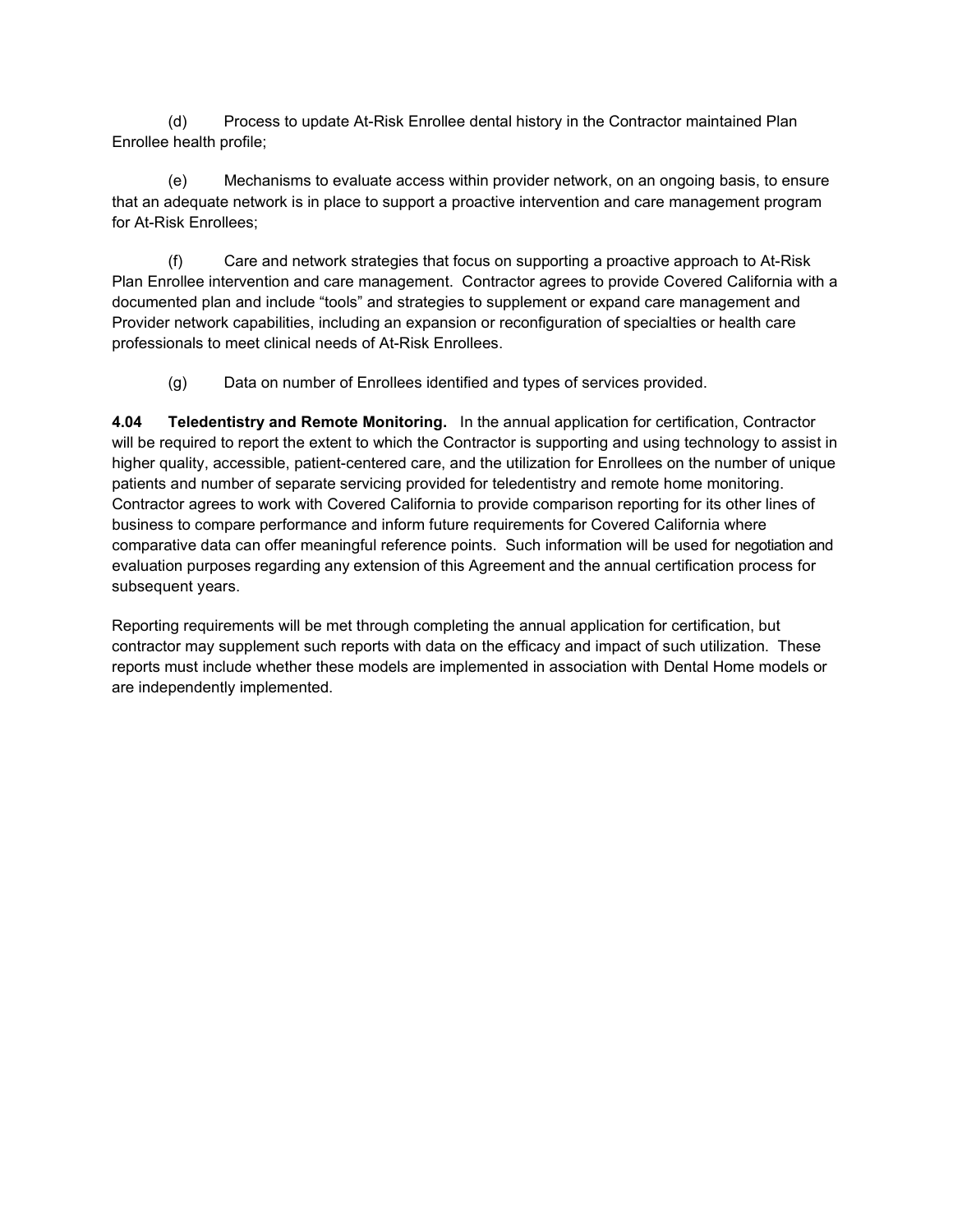(d) Process to update At-Risk Enrollee dental history in the Contractor maintained Plan Enrollee health profile;

(e) Mechanisms to evaluate access within provider network, on an ongoing basis, to ensure that an adequate network is in place to support a proactive intervention and care management program for At-Risk Enrollees;

(f) Care and network strategies that focus on supporting a proactive approach to At-Risk Plan Enrollee intervention and care management. Contractor agrees to provide Covered California with a documented plan and include "tools" and strategies to supplement or expand care management and Provider network capabilities, including an expansion or reconfiguration of specialties or health care professionals to meet clinical needs of At-Risk Enrollees.

(g) Data on number of Enrollees identified and types of services provided.

**4.04 Teledentistry and Remote Monitoring.** In the annual application for certification, Contractor will be required to report the extent to which the Contractor is supporting and using technology to assist in higher quality, accessible, patient-centered care, and the utilization for Enrollees on the number of unique patients and number of separate servicing provided for teledentistry and remote home monitoring. Contractor agrees to work with Covered California to provide comparison reporting for its other lines of business to compare performance and inform future requirements for Covered California where comparative data can offer meaningful reference points. Such information will be used for negotiation and evaluation purposes regarding any extension of this Agreement and the annual certification process for subsequent years.

Reporting requirements will be met through completing the annual application for certification, but contractor may supplement such reports with data on the efficacy and impact of such utilization. These reports must include whether these models are implemented in association with Dental Home models or are independently implemented.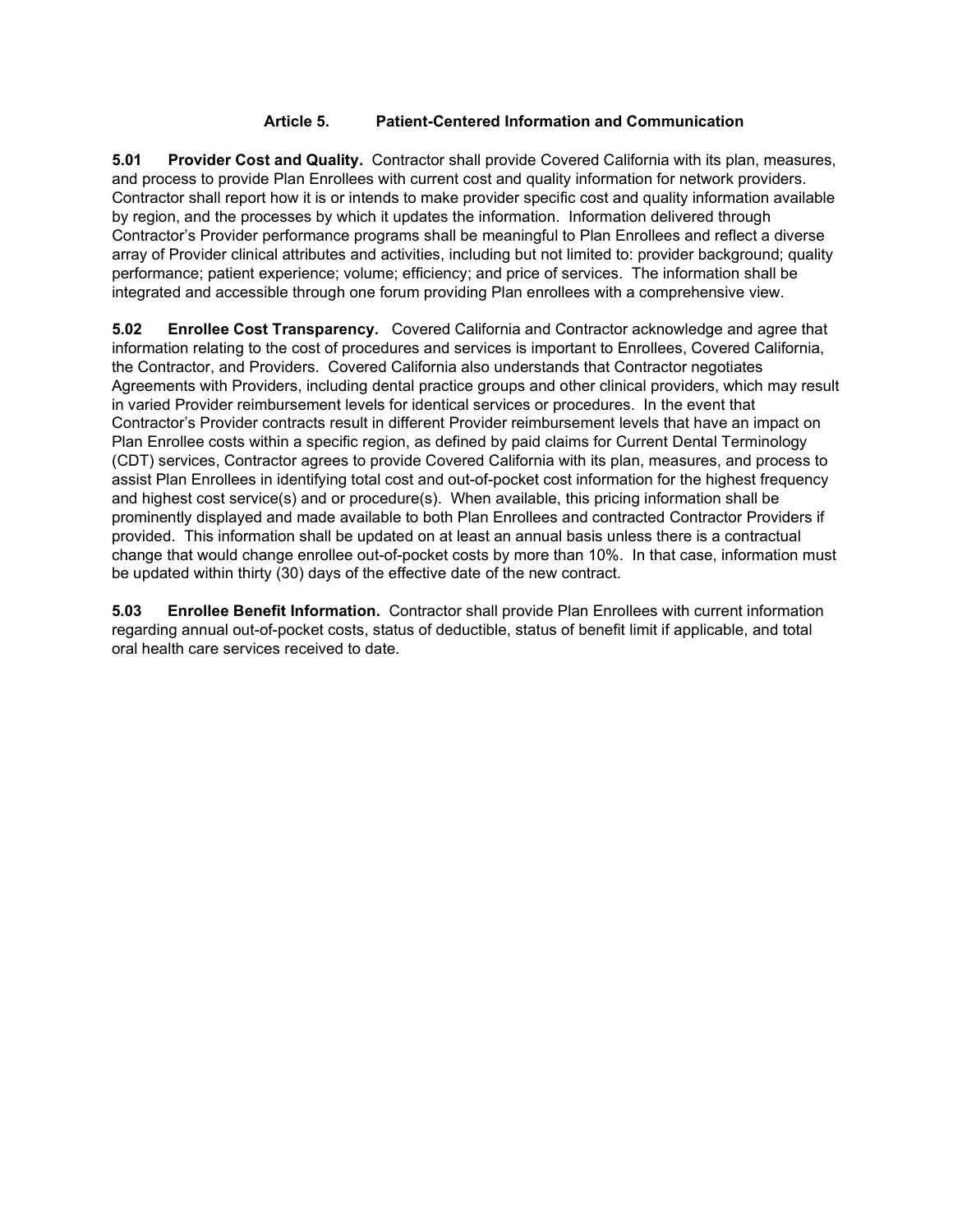#### **Article 5. Patient-Centered Information and Communication**

**5.01 Provider Cost and Quality.** Contractor shall provide Covered California with its plan, measures, and process to provide Plan Enrollees with current cost and quality information for network providers. Contractor shall report how it is or intends to make provider specific cost and quality information available by region, and the processes by which it updates the information. Information delivered through Contractor's Provider performance programs shall be meaningful to Plan Enrollees and reflect a diverse array of Provider clinical attributes and activities, including but not limited to: provider background; quality performance; patient experience; volume; efficiency; and price of services. The information shall be integrated and accessible through one forum providing Plan enrollees with a comprehensive view.

**5.02 Enrollee Cost Transparency.** Covered California and Contractor acknowledge and agree that information relating to the cost of procedures and services is important to Enrollees, Covered California, the Contractor, and Providers. Covered California also understands that Contractor negotiates Agreements with Providers, including dental practice groups and other clinical providers, which may result in varied Provider reimbursement levels for identical services or procedures. In the event that Contractor's Provider contracts result in different Provider reimbursement levels that have an impact on Plan Enrollee costs within a specific region, as defined by paid claims for Current Dental Terminology (CDT) services, Contractor agrees to provide Covered California with its plan, measures, and process to assist Plan Enrollees in identifying total cost and out-of-pocket cost information for the highest frequency and highest cost service(s) and or procedure(s). When available, this pricing information shall be prominently displayed and made available to both Plan Enrollees and contracted Contractor Providers if provided. This information shall be updated on at least an annual basis unless there is a contractual change that would change enrollee out-of-pocket costs by more than 10%. In that case, information must be updated within thirty (30) days of the effective date of the new contract.

**5.03 Enrollee Benefit Information.** Contractor shall provide Plan Enrollees with current information regarding annual out-of-pocket costs, status of deductible, status of benefit limit if applicable, and total oral health care services received to date.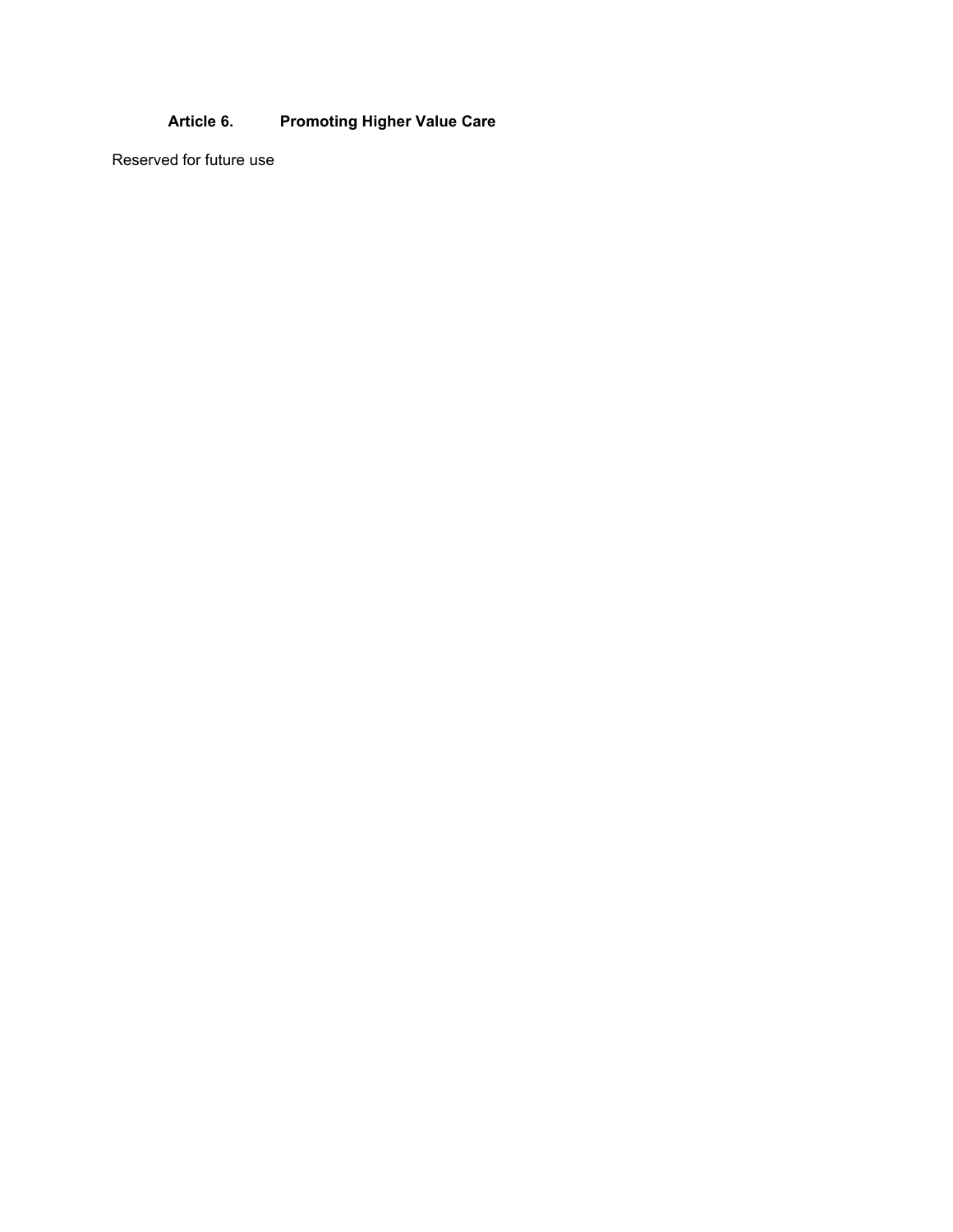## **Article 6. Promoting Higher Value Care**

Reserved for future use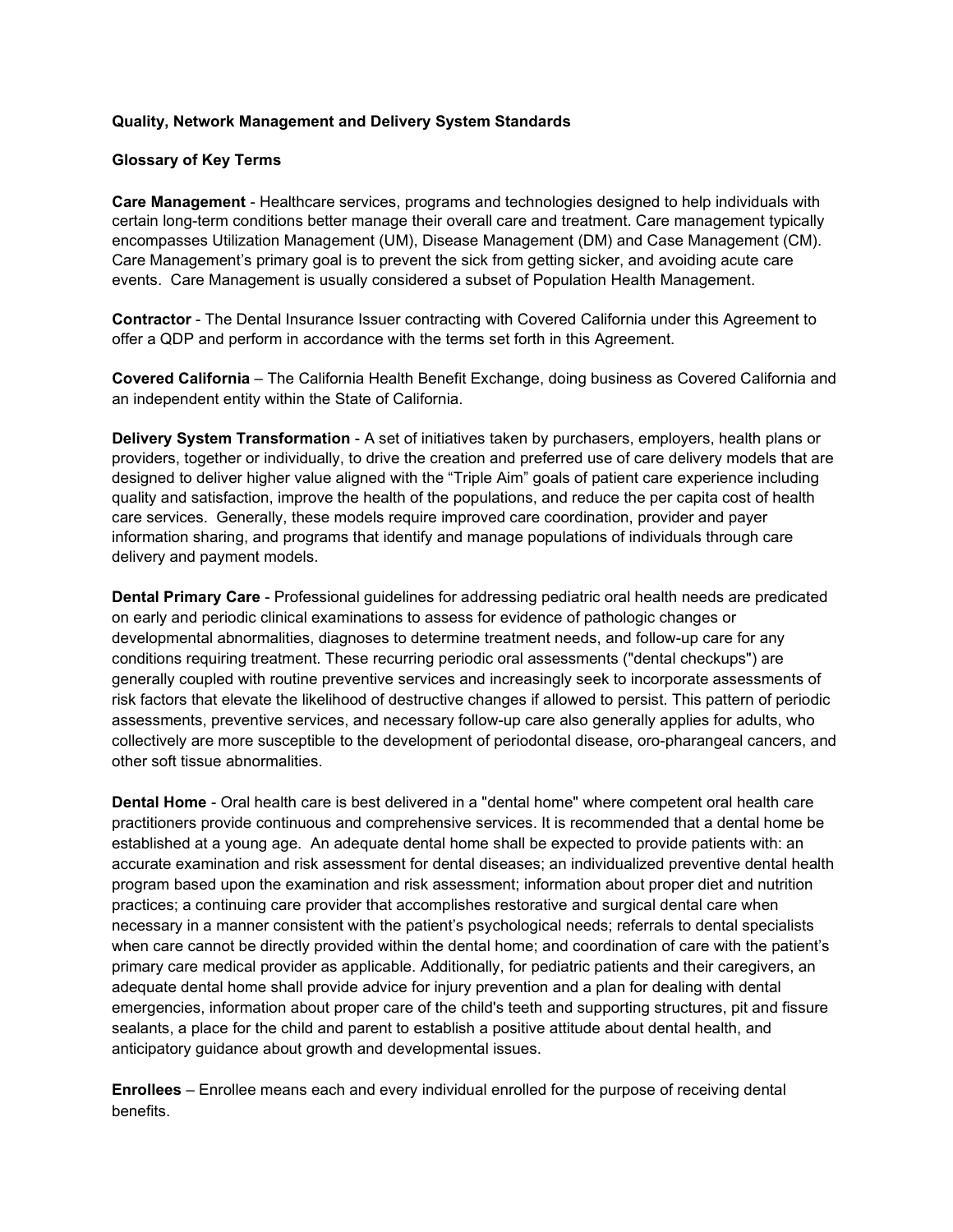#### **Quality, Network Management and Delivery System Standards**

#### **Glossary of Key Terms**

**Care Management** - Healthcare services, programs and technologies designed to help individuals with certain long-term conditions better manage their overall care and treatment. Care management typically encompasses Utilization Management (UM), Disease Management (DM) and Case Management (CM). Care Management's primary goal is to prevent the sick from getting sicker, and avoiding acute care events. Care Management is usually considered a subset of Population Health Management.

**Contractor** - The Dental Insurance Issuer contracting with Covered California under this Agreement to offer a QDP and perform in accordance with the terms set forth in this Agreement.

**Covered California** – The California Health Benefit Exchange, doing business as Covered California and an independent entity within the State of California.

**Delivery System Transformation** - A set of initiatives taken by purchasers, employers, health plans or providers, together or individually, to drive the creation and preferred use of care delivery models that are designed to deliver higher value aligned with the "Triple Aim" goals of patient care experience including quality and satisfaction, improve the health of the populations, and reduce the per capita cost of health care services. Generally, these models require improved care coordination, provider and payer information sharing, and programs that identify and manage populations of individuals through care delivery and payment models.

**Dental Primary Care** - Professional guidelines for addressing pediatric oral health needs are predicated on early and periodic clinical examinations to assess for evidence of pathologic changes or developmental abnormalities, diagnoses to determine treatment needs, and follow-up care for any conditions requiring treatment. These recurring periodic oral assessments ("dental checkups") are generally coupled with routine preventive services and increasingly seek to incorporate assessments of risk factors that elevate the likelihood of destructive changes if allowed to persist. This pattern of periodic assessments, preventive services, and necessary follow-up care also generally applies for adults, who collectively are more susceptible to the development of periodontal disease, oro-pharangeal cancers, and other soft tissue abnormalities.

**Dental Home** - Oral health care is best delivered in a "dental home" where competent oral health care practitioners provide continuous and comprehensive services. It is recommended that a dental home be established at a young age. An adequate dental home shall be expected to provide patients with: an accurate examination and risk assessment for dental diseases; an individualized preventive dental health program based upon the examination and risk assessment; information about proper diet and nutrition practices; a continuing care provider that accomplishes restorative and surgical dental care when necessary in a manner consistent with the patient's psychological needs; referrals to dental specialists when care cannot be directly provided within the dental home; and coordination of care with the patient's primary care medical provider as applicable. Additionally, for pediatric patients and their caregivers, an adequate dental home shall provide advice for injury prevention and a plan for dealing with dental emergencies, information about proper care of the child's teeth and supporting structures, pit and fissure sealants, a place for the child and parent to establish a positive attitude about dental health, and anticipatory guidance about growth and developmental issues.

**Enrollees** – Enrollee means each and every individual enrolled for the purpose of receiving dental benefits.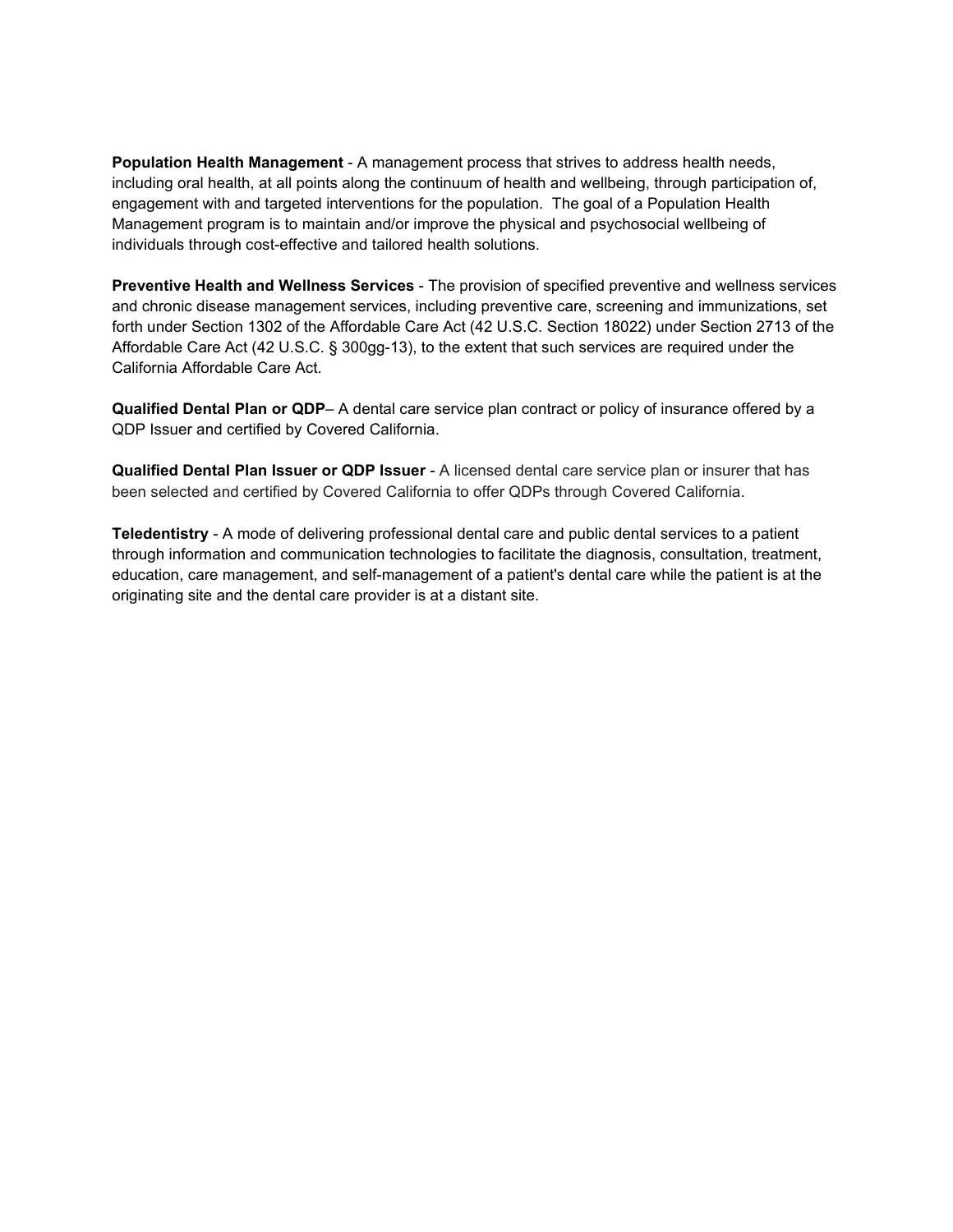**Population Health Management** - A management process that strives to address health needs, including oral health, at all points along the continuum of health and wellbeing, through participation of, engagement with and targeted interventions for the population. The goal of a Population Health Management program is to maintain and/or improve the physical and psychosocial wellbeing of individuals through cost-effective and tailored health solutions.

**Preventive Health and Wellness Services** - The provision of specified preventive and wellness services and chronic disease management services, including preventive care, screening and immunizations, set forth under Section 1302 of the Affordable Care Act (42 U.S.C. Section 18022) under Section 2713 of the Affordable Care Act (42 U.S.C. § 300gg-13), to the extent that such services are required under the California Affordable Care Act.

**Qualified Dental Plan or QDP**– A dental care service plan contract or policy of insurance offered by a QDP Issuer and certified by Covered California.

**Qualified Dental Plan Issuer or QDP Issuer** - A licensed dental care service plan or insurer that has been selected and certified by Covered California to offer QDPs through Covered California.

**Teledentistry** - A mode of delivering professional dental care and public dental services to a patient through information and communication technologies to facilitate the diagnosis, consultation, treatment, education, care management, and self-management of a patient's dental care while the patient is at the originating site and the dental care provider is at a distant site.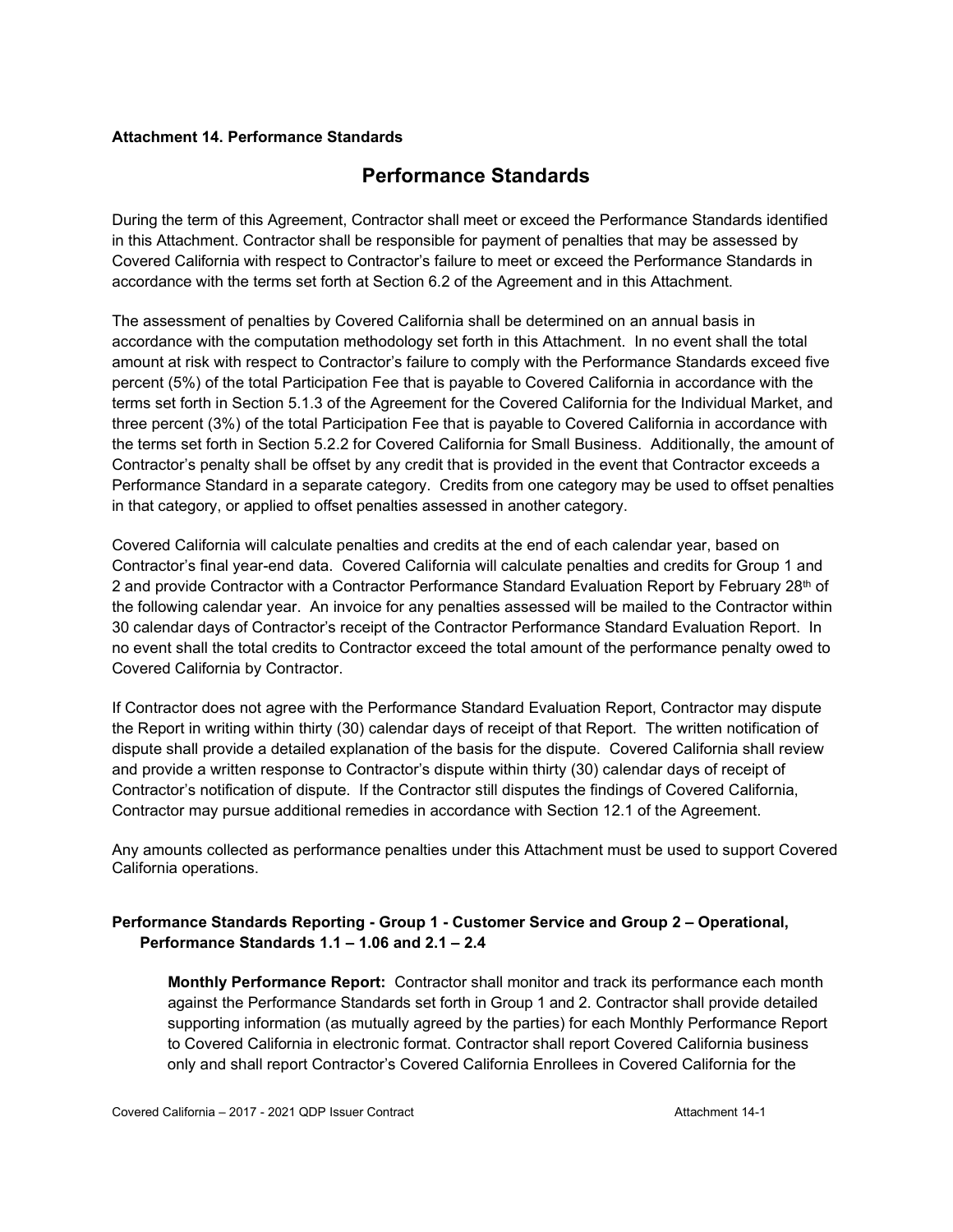#### **Attachment 14. Performance Standards**

# **Performance Standards**

During the term of this Agreement, Contractor shall meet or exceed the Performance Standards identified in this Attachment. Contractor shall be responsible for payment of penalties that may be assessed by Covered California with respect to Contractor's failure to meet or exceed the Performance Standards in accordance with the terms set forth at Section 6.2 of the Agreement and in this Attachment.

The assessment of penalties by Covered California shall be determined on an annual basis in accordance with the computation methodology set forth in this Attachment. In no event shall the total amount at risk with respect to Contractor's failure to comply with the Performance Standards exceed five percent (5%) of the total Participation Fee that is payable to Covered California in accordance with the terms set forth in Section 5.1.3 of the Agreement for the Covered California for the Individual Market, and three percent (3%) of the total Participation Fee that is payable to Covered California in accordance with the terms set forth in Section 5.2.2 for Covered California for Small Business. Additionally, the amount of Contractor's penalty shall be offset by any credit that is provided in the event that Contractor exceeds a Performance Standard in a separate category. Credits from one category may be used to offset penalties in that category, or applied to offset penalties assessed in another category.

Covered California will calculate penalties and credits at the end of each calendar year, based on Contractor's final year-end data. Covered California will calculate penalties and credits for Group 1 and 2 and provide Contractor with a Contractor Performance Standard Evaluation Report by February 28th of the following calendar year. An invoice for any penalties assessed will be mailed to the Contractor within 30 calendar days of Contractor's receipt of the Contractor Performance Standard Evaluation Report. In no event shall the total credits to Contractor exceed the total amount of the performance penalty owed to Covered California by Contractor.

If Contractor does not agree with the Performance Standard Evaluation Report, Contractor may dispute the Report in writing within thirty (30) calendar days of receipt of that Report. The written notification of dispute shall provide a detailed explanation of the basis for the dispute. Covered California shall review and provide a written response to Contractor's dispute within thirty (30) calendar days of receipt of Contractor's notification of dispute. If the Contractor still disputes the findings of Covered California, Contractor may pursue additional remedies in accordance with Section 12.1 of the Agreement.

Any amounts collected as performance penalties under this Attachment must be used to support Covered California operations.

#### **Performance Standards Reporting - Group 1 - Customer Service and Group 2 – Operational, Performance Standards 1.1 – 1.06 and 2.1 – 2.4**

**Monthly Performance Report:** Contractor shall monitor and track its performance each month against the Performance Standards set forth in Group 1 and 2. Contractor shall provide detailed supporting information (as mutually agreed by the parties) for each Monthly Performance Report to Covered California in electronic format. Contractor shall report Covered California business only and shall report Contractor's Covered California Enrollees in Covered California for the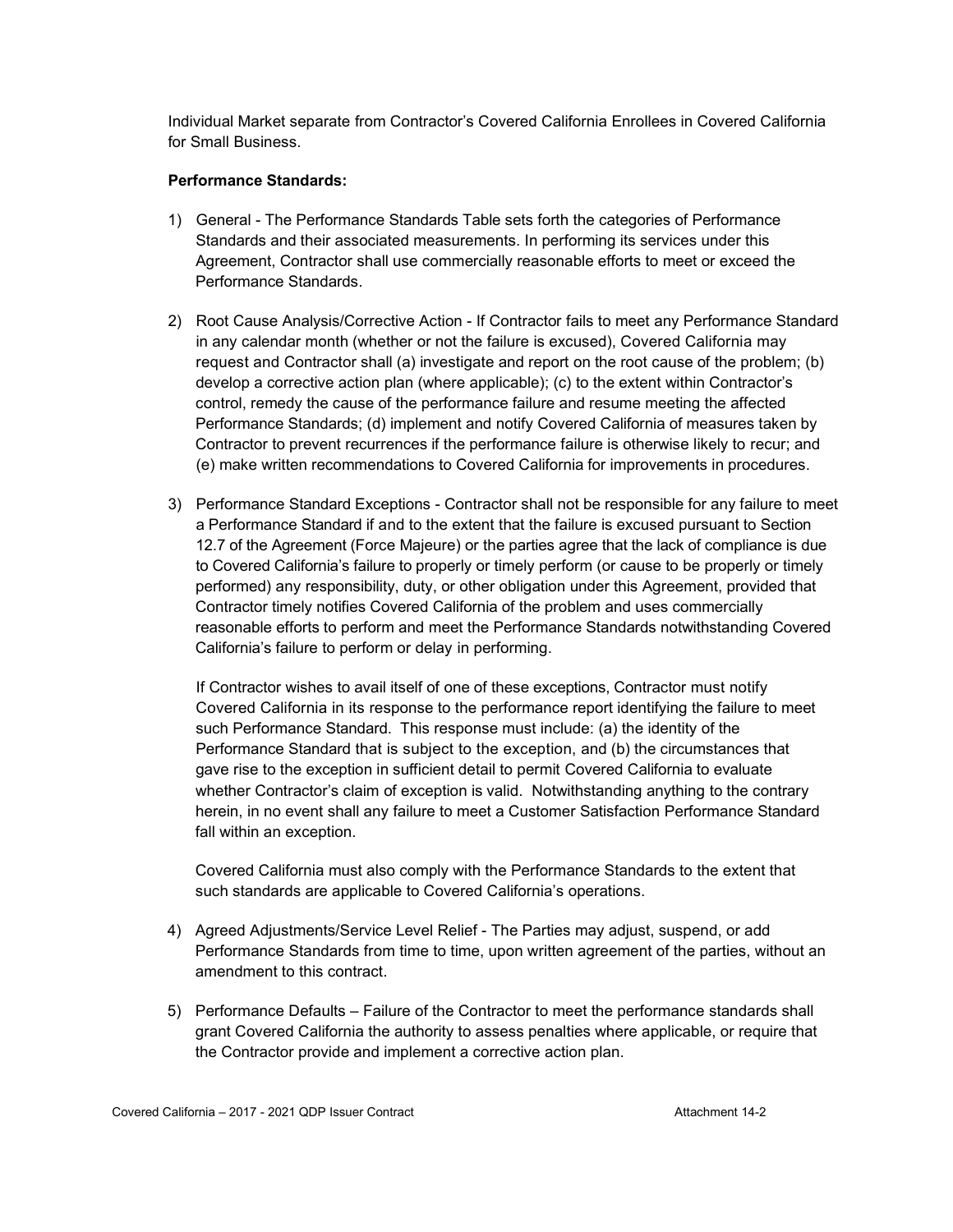Individual Market separate from Contractor's Covered California Enrollees in Covered California for Small Business.

#### **Performance Standards:**

- 1) General The Performance Standards Table sets forth the categories of Performance Standards and their associated measurements. In performing its services under this Agreement, Contractor shall use commercially reasonable efforts to meet or exceed the Performance Standards.
- 2) Root Cause Analysis/Corrective Action If Contractor fails to meet any Performance Standard in any calendar month (whether or not the failure is excused), Covered California may request and Contractor shall (a) investigate and report on the root cause of the problem; (b) develop a corrective action plan (where applicable); (c) to the extent within Contractor's control, remedy the cause of the performance failure and resume meeting the affected Performance Standards; (d) implement and notify Covered California of measures taken by Contractor to prevent recurrences if the performance failure is otherwise likely to recur; and (e) make written recommendations to Covered California for improvements in procedures.
- 3) Performance Standard Exceptions Contractor shall not be responsible for any failure to meet a Performance Standard if and to the extent that the failure is excused pursuant to Section 12.7 of the Agreement (Force Majeure) or the parties agree that the lack of compliance is due to Covered California's failure to properly or timely perform (or cause to be properly or timely performed) any responsibility, duty, or other obligation under this Agreement, provided that Contractor timely notifies Covered California of the problem and uses commercially reasonable efforts to perform and meet the Performance Standards notwithstanding Covered California's failure to perform or delay in performing.

If Contractor wishes to avail itself of one of these exceptions, Contractor must notify Covered California in its response to the performance report identifying the failure to meet such Performance Standard. This response must include: (a) the identity of the Performance Standard that is subject to the exception, and (b) the circumstances that gave rise to the exception in sufficient detail to permit Covered California to evaluate whether Contractor's claim of exception is valid. Notwithstanding anything to the contrary herein, in no event shall any failure to meet a Customer Satisfaction Performance Standard fall within an exception.

Covered California must also comply with the Performance Standards to the extent that such standards are applicable to Covered California's operations.

- 4) Agreed Adjustments/Service Level Relief The Parties may adjust, suspend, or add Performance Standards from time to time, upon written agreement of the parties, without an amendment to this contract.
- 5) Performance Defaults Failure of the Contractor to meet the performance standards shall grant Covered California the authority to assess penalties where applicable, or require that the Contractor provide and implement a corrective action plan.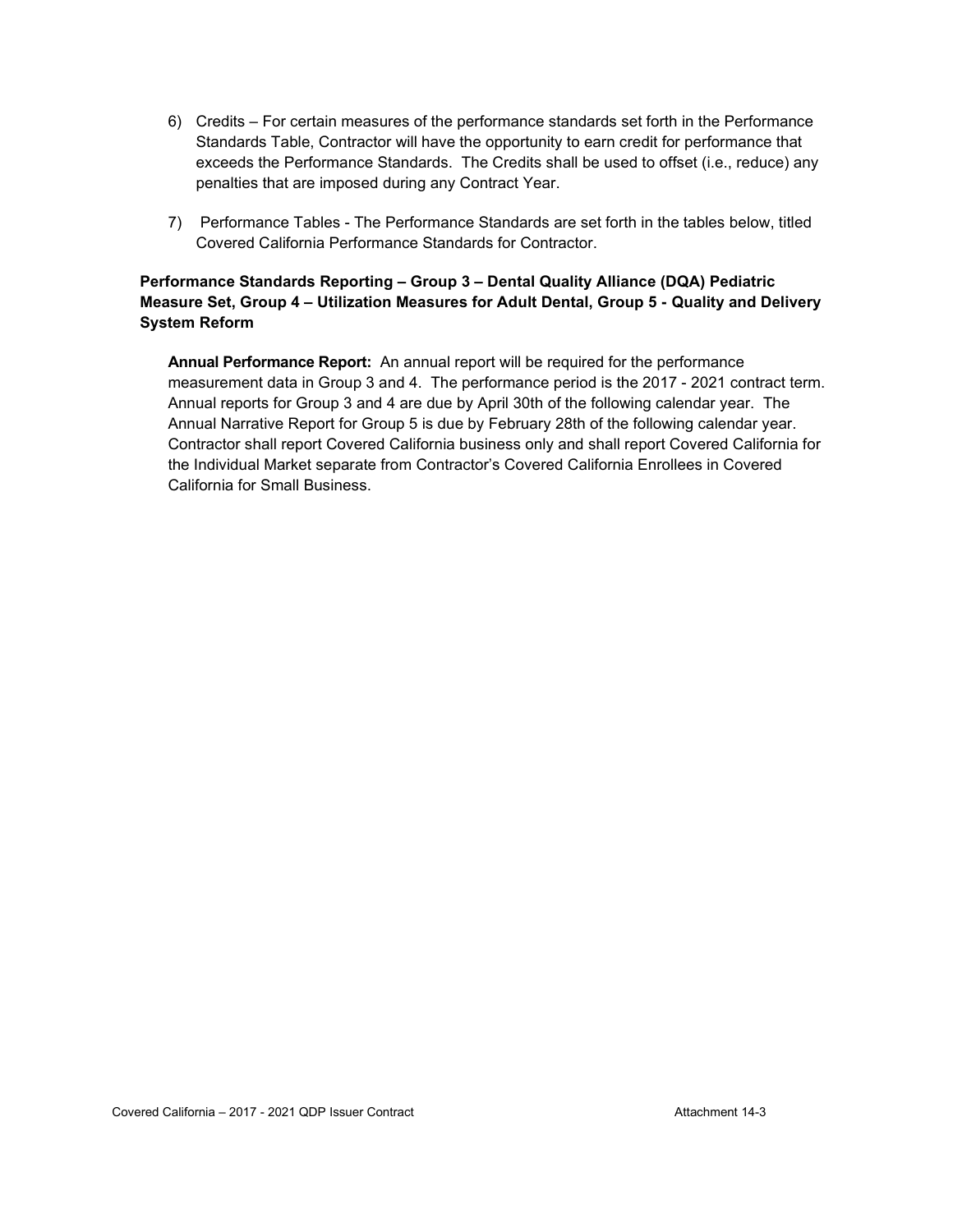- 6) Credits For certain measures of the performance standards set forth in the Performance Standards Table, Contractor will have the opportunity to earn credit for performance that exceeds the Performance Standards. The Credits shall be used to offset (i.e., reduce) any penalties that are imposed during any Contract Year.
- 7) Performance Tables The Performance Standards are set forth in the tables below, titled Covered California Performance Standards for Contractor.

#### **Performance Standards Reporting – Group 3 – Dental Quality Alliance (DQA) Pediatric Measure Set, Group 4 – Utilization Measures for Adult Dental, Group 5 - Quality and Delivery System Reform**

**Annual Performance Report:** An annual report will be required for the performance measurement data in Group 3 and 4. The performance period is the 2017 - 2021 contract term. Annual reports for Group 3 and 4 are due by April 30th of the following calendar year. The Annual Narrative Report for Group 5 is due by February 28th of the following calendar year. Contractor shall report Covered California business only and shall report Covered California for the Individual Market separate from Contractor's Covered California Enrollees in Covered California for Small Business.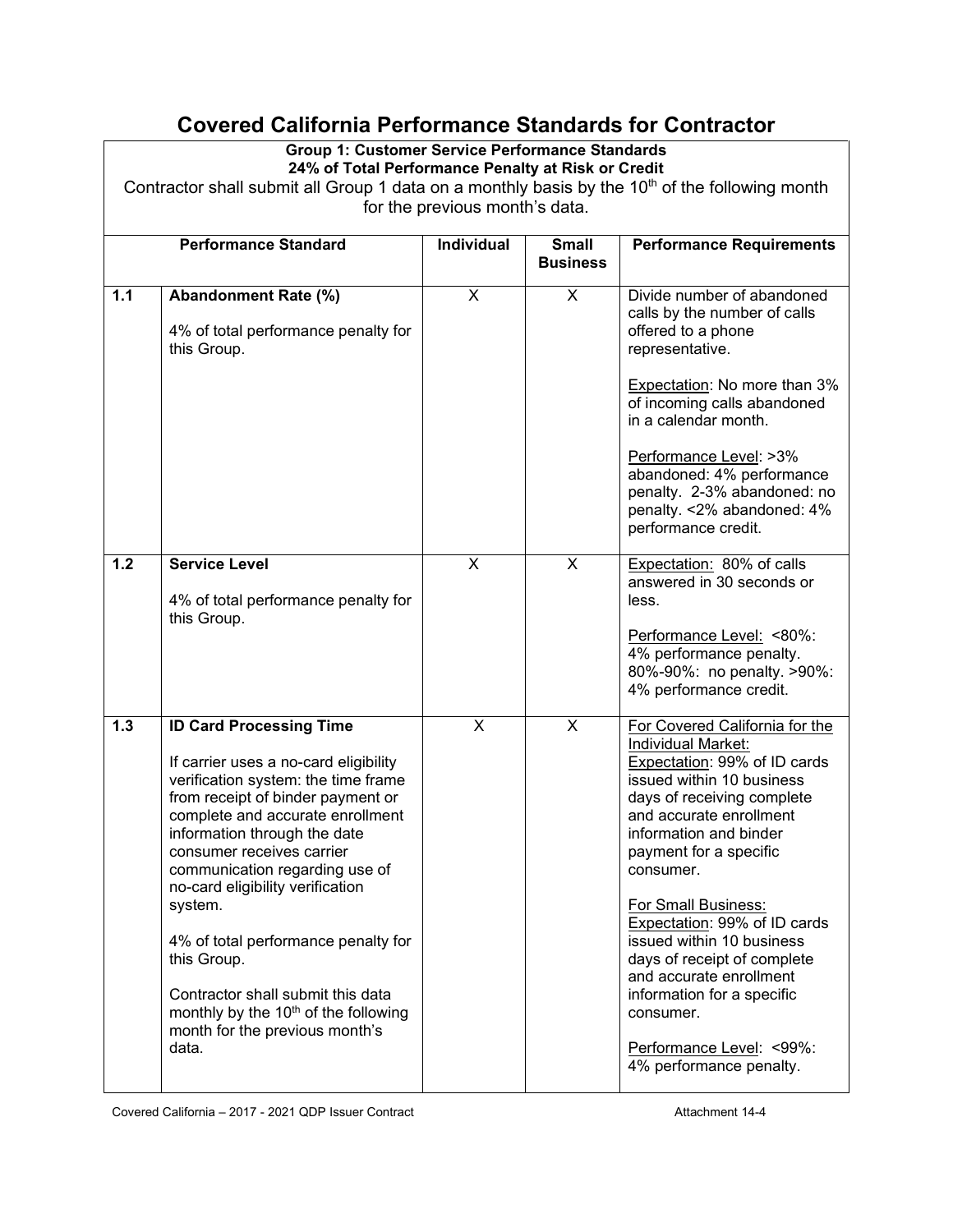# **Covered California Performance Standards for Contractor**

#### **Group 1: Customer Service Performance Standards 24% of Total Performance Penalty at Risk or Credit**

Contractor shall submit all Group 1 data on a monthly basis by the  $10<sup>th</sup>$  of the following month for the previous month's data.

|     | <b>Performance Standard</b>                                                                                                                                                                                                                                                                                                                                                                                                                                                                                                     | Individual              | <b>Small</b>            | <b>Performance Requirements</b>                                                                                                                                                                                                                                                                                                                                                                                                                                                                    |
|-----|---------------------------------------------------------------------------------------------------------------------------------------------------------------------------------------------------------------------------------------------------------------------------------------------------------------------------------------------------------------------------------------------------------------------------------------------------------------------------------------------------------------------------------|-------------------------|-------------------------|----------------------------------------------------------------------------------------------------------------------------------------------------------------------------------------------------------------------------------------------------------------------------------------------------------------------------------------------------------------------------------------------------------------------------------------------------------------------------------------------------|
|     |                                                                                                                                                                                                                                                                                                                                                                                                                                                                                                                                 |                         | <b>Business</b>         |                                                                                                                                                                                                                                                                                                                                                                                                                                                                                                    |
| 1.1 | Abandonment Rate (%)<br>4% of total performance penalty for<br>this Group.                                                                                                                                                                                                                                                                                                                                                                                                                                                      | X                       | X                       | Divide number of abandoned<br>calls by the number of calls<br>offered to a phone<br>representative.                                                                                                                                                                                                                                                                                                                                                                                                |
|     |                                                                                                                                                                                                                                                                                                                                                                                                                                                                                                                                 |                         |                         | <b>Expectation: No more than 3%</b><br>of incoming calls abandoned<br>in a calendar month.                                                                                                                                                                                                                                                                                                                                                                                                         |
|     |                                                                                                                                                                                                                                                                                                                                                                                                                                                                                                                                 |                         |                         | Performance Level: >3%<br>abandoned: 4% performance<br>penalty. 2-3% abandoned: no<br>penalty. < 2% abandoned: 4%<br>performance credit.                                                                                                                                                                                                                                                                                                                                                           |
| 1.2 | <b>Service Level</b><br>4% of total performance penalty for<br>this Group.                                                                                                                                                                                                                                                                                                                                                                                                                                                      | X                       | X                       | Expectation: 80% of calls<br>answered in 30 seconds or<br>less.                                                                                                                                                                                                                                                                                                                                                                                                                                    |
|     |                                                                                                                                                                                                                                                                                                                                                                                                                                                                                                                                 |                         |                         | Performance Level: <80%:<br>4% performance penalty.<br>80%-90%: no penalty. >90%:<br>4% performance credit.                                                                                                                                                                                                                                                                                                                                                                                        |
| 1.3 | <b>ID Card Processing Time</b><br>If carrier uses a no-card eligibility<br>verification system: the time frame<br>from receipt of binder payment or<br>complete and accurate enrollment<br>information through the date<br>consumer receives carrier<br>communication regarding use of<br>no-card eligibility verification<br>system.<br>4% of total performance penalty for<br>this Group.<br>Contractor shall submit this data<br>monthly by the 10 <sup>th</sup> of the following<br>month for the previous month's<br>data. | $\overline{\mathsf{x}}$ | $\overline{\mathsf{x}}$ | For Covered California for the<br>Individual Market:<br>Expectation: 99% of ID cards<br>issued within 10 business<br>days of receiving complete<br>and accurate enrollment<br>information and binder<br>payment for a specific<br>consumer.<br><b>For Small Business:</b><br>Expectation: 99% of ID cards<br>issued within 10 business<br>days of receipt of complete<br>and accurate enrollment<br>information for a specific<br>consumer.<br>Performance Level: <99%:<br>4% performance penalty. |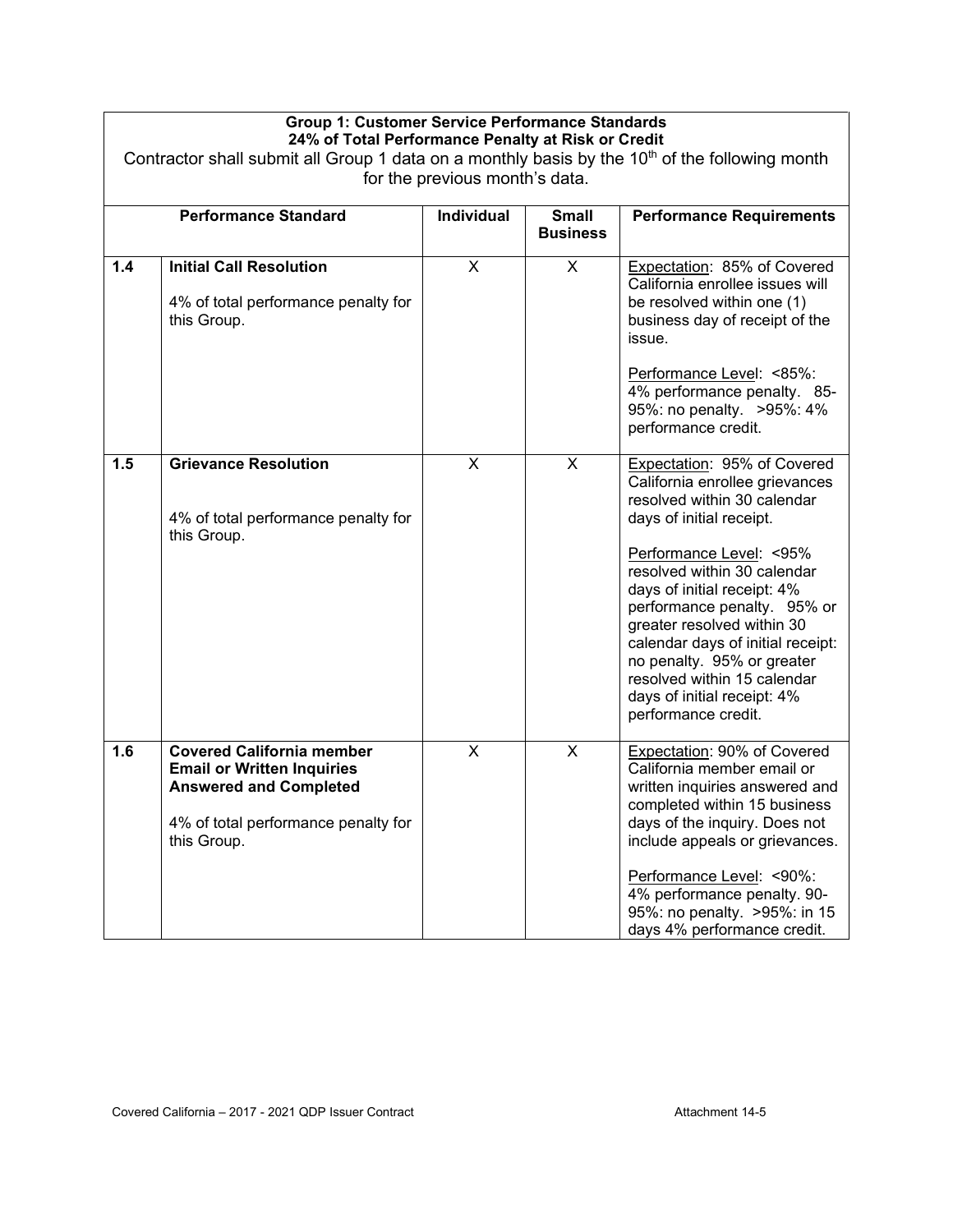| Contractor shall submit all Group 1 data on a monthly basis by the $10th$ of the following month<br>for the previous month's data. |                                                                                                                                                              |                         |                                 |                                                                                                                                                                                                                                                                                                                                                                                                                                         |
|------------------------------------------------------------------------------------------------------------------------------------|--------------------------------------------------------------------------------------------------------------------------------------------------------------|-------------------------|---------------------------------|-----------------------------------------------------------------------------------------------------------------------------------------------------------------------------------------------------------------------------------------------------------------------------------------------------------------------------------------------------------------------------------------------------------------------------------------|
|                                                                                                                                    | <b>Performance Standard</b>                                                                                                                                  | Individual              | <b>Small</b><br><b>Business</b> | <b>Performance Requirements</b>                                                                                                                                                                                                                                                                                                                                                                                                         |
| 1.4                                                                                                                                | <b>Initial Call Resolution</b><br>4% of total performance penalty for<br>this Group.                                                                         | $\overline{\mathsf{x}}$ | $\overline{\mathsf{x}}$         | Expectation: 85% of Covered<br>California enrollee issues will<br>be resolved within one (1)<br>business day of receipt of the<br>issue.<br>Performance Level: <85%:<br>4% performance penalty. 85-<br>95%: no penalty. > 95%: 4%<br>performance credit.                                                                                                                                                                                |
| 1.5                                                                                                                                | <b>Grievance Resolution</b><br>4% of total performance penalty for<br>this Group.                                                                            | $\overline{\mathsf{x}}$ | $\overline{\mathsf{x}}$         | Expectation: 95% of Covered<br>California enrollee grievances<br>resolved within 30 calendar<br>days of initial receipt.<br>Performance Level: < 95%<br>resolved within 30 calendar<br>days of initial receipt: 4%<br>performance penalty. 95% or<br>greater resolved within 30<br>calendar days of initial receipt:<br>no penalty. 95% or greater<br>resolved within 15 calendar<br>days of initial receipt: 4%<br>performance credit. |
| 1.6                                                                                                                                | <b>Covered California member</b><br><b>Email or Written Inquiries</b><br><b>Answered and Completed</b><br>4% of total performance penalty for<br>this Group. | X                       | X                               | Expectation: 90% of Covered<br>California member email or<br>written inquiries answered and<br>completed within 15 business<br>days of the inquiry. Does not<br>include appeals or grievances.<br>Performance Level: <90%:<br>4% performance penalty. 90-<br>95%: no penalty. > 95%: in 15<br>days 4% performance credit.                                                                                                               |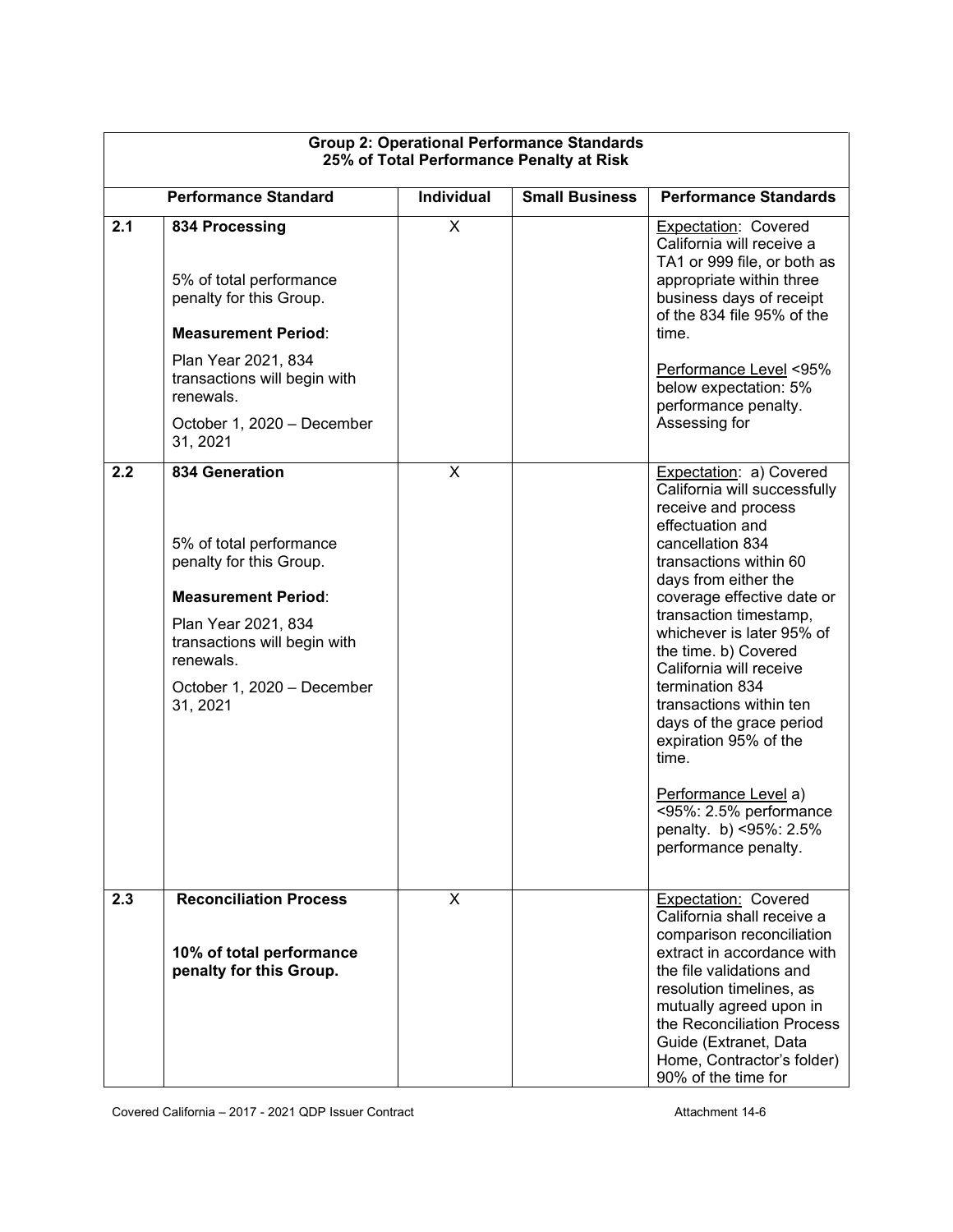| <b>Group 2: Operational Performance Standards</b><br>25% of Total Performance Penalty at Risk |                                                                                                                                                                                                                         |                         |                       |                                                                                                                                                                                                                                                                                                                                                                                                                                                                                                                                  |  |
|-----------------------------------------------------------------------------------------------|-------------------------------------------------------------------------------------------------------------------------------------------------------------------------------------------------------------------------|-------------------------|-----------------------|----------------------------------------------------------------------------------------------------------------------------------------------------------------------------------------------------------------------------------------------------------------------------------------------------------------------------------------------------------------------------------------------------------------------------------------------------------------------------------------------------------------------------------|--|
|                                                                                               | <b>Performance Standard</b>                                                                                                                                                                                             | Individual              | <b>Small Business</b> | <b>Performance Standards</b>                                                                                                                                                                                                                                                                                                                                                                                                                                                                                                     |  |
| 2.1                                                                                           | 834 Processing<br>5% of total performance<br>penalty for this Group.<br><b>Measurement Period:</b><br>Plan Year 2021, 834<br>transactions will begin with<br>renewals.<br>October 1, 2020 - December<br>31, 2021        | $\overline{\mathsf{x}}$ |                       | Expectation: Covered<br>California will receive a<br>TA1 or 999 file, or both as<br>appropriate within three<br>business days of receipt<br>of the 834 file 95% of the<br>time.<br>Performance Level <95%<br>below expectation: 5%<br>performance penalty.<br>Assessing for                                                                                                                                                                                                                                                      |  |
| 2.2                                                                                           | <b>834 Generation</b><br>5% of total performance<br>penalty for this Group.<br><b>Measurement Period:</b><br>Plan Year 2021, 834<br>transactions will begin with<br>renewals.<br>October 1, 2020 - December<br>31, 2021 | X                       |                       | Expectation: a) Covered<br>California will successfully<br>receive and process<br>effectuation and<br>cancellation 834<br>transactions within 60<br>days from either the<br>coverage effective date or<br>transaction timestamp,<br>whichever is later 95% of<br>the time. b) Covered<br>California will receive<br>termination 834<br>transactions within ten<br>days of the grace period<br>expiration 95% of the<br>time.<br>Performance Level a)<br><95%: 2.5% performance<br>penalty. b) <95%: 2.5%<br>performance penalty. |  |
| 2.3                                                                                           | <b>Reconciliation Process</b><br>10% of total performance<br>penalty for this Group.                                                                                                                                    | X                       |                       | Expectation: Covered<br>California shall receive a<br>comparison reconciliation<br>extract in accordance with<br>the file validations and<br>resolution timelines, as<br>mutually agreed upon in<br>the Reconciliation Process<br>Guide (Extranet, Data<br>Home, Contractor's folder)<br>90% of the time for                                                                                                                                                                                                                     |  |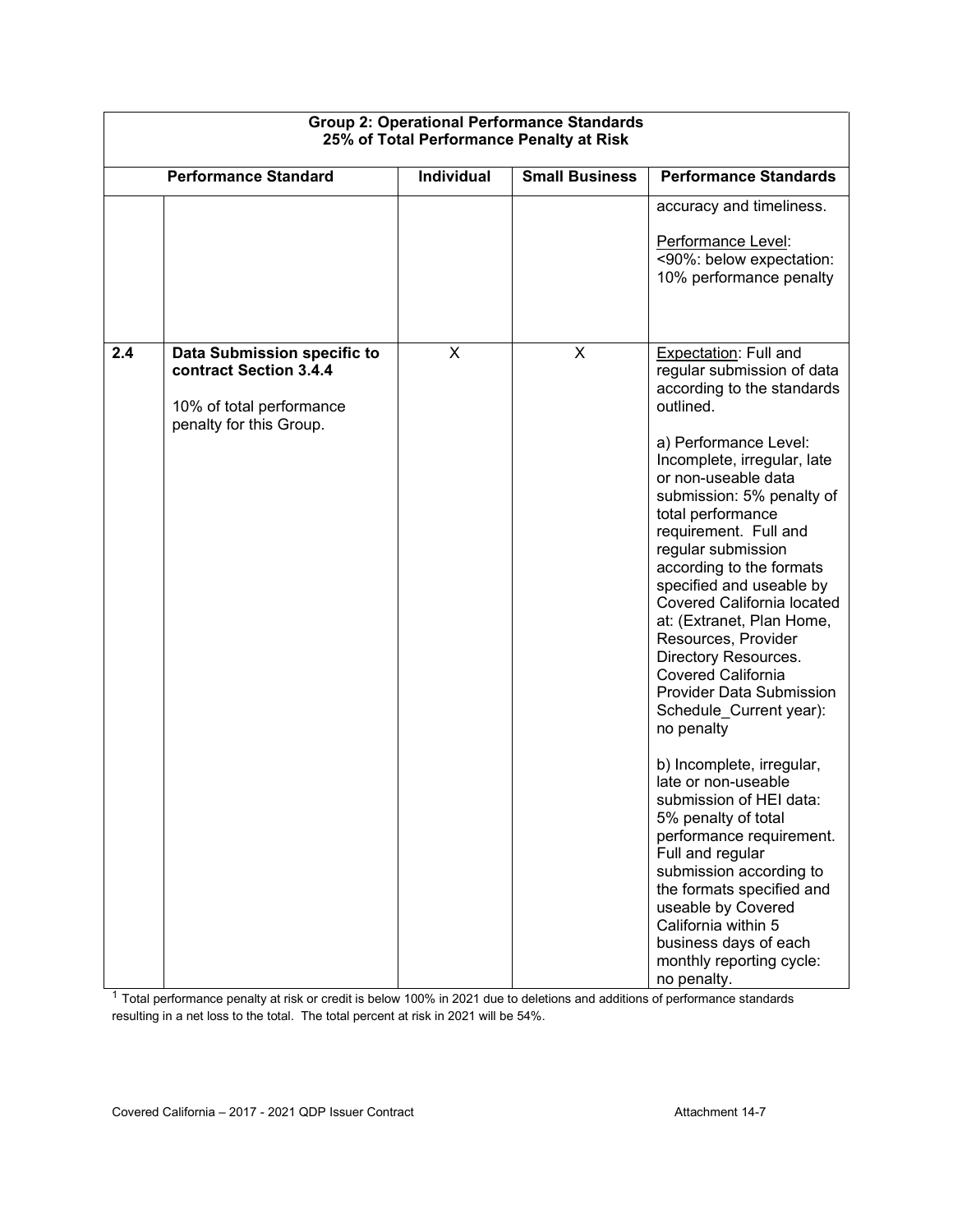|                             | Group 2. Operational Ferrormance Standards<br>25% of Total Performance Penalty at Risk |                   |                       |                                                                                                                                                                                                                                                                                                                                                                                                                                                                                                                                                                                                                                                                                                                                                                                 |  |
|-----------------------------|----------------------------------------------------------------------------------------|-------------------|-----------------------|---------------------------------------------------------------------------------------------------------------------------------------------------------------------------------------------------------------------------------------------------------------------------------------------------------------------------------------------------------------------------------------------------------------------------------------------------------------------------------------------------------------------------------------------------------------------------------------------------------------------------------------------------------------------------------------------------------------------------------------------------------------------------------|--|
| <b>Performance Standard</b> |                                                                                        | <b>Individual</b> | <b>Small Business</b> | <b>Performance Standards</b>                                                                                                                                                                                                                                                                                                                                                                                                                                                                                                                                                                                                                                                                                                                                                    |  |
|                             |                                                                                        |                   |                       | accuracy and timeliness.                                                                                                                                                                                                                                                                                                                                                                                                                                                                                                                                                                                                                                                                                                                                                        |  |
|                             |                                                                                        |                   |                       | Performance Level:<br><90%: below expectation:<br>10% performance penalty                                                                                                                                                                                                                                                                                                                                                                                                                                                                                                                                                                                                                                                                                                       |  |
| 2.4                         | Data Submission specific to<br>contract Section 3.4.4<br>10% of total performance      | X                 | X                     | Expectation: Full and<br>regular submission of data<br>according to the standards<br>outlined.                                                                                                                                                                                                                                                                                                                                                                                                                                                                                                                                                                                                                                                                                  |  |
|                             | penalty for this Group.                                                                |                   |                       | a) Performance Level:<br>Incomplete, irregular, late<br>or non-useable data<br>submission: 5% penalty of<br>total performance<br>requirement. Full and<br>regular submission<br>according to the formats<br>specified and useable by<br>Covered California located<br>at: (Extranet, Plan Home,<br>Resources, Provider<br>Directory Resources.<br><b>Covered California</b><br>Provider Data Submission<br>Schedule_Current year):<br>no penalty<br>b) Incomplete, irregular,<br>late or non-useable<br>submission of HEI data:<br>5% penalty of total<br>performance requirement.<br>Full and regular<br>submission according to<br>the formats specified and<br>useable by Covered<br>California within 5<br>business days of each<br>monthly reporting cycle:<br>no penalty. |  |

# **Group 2: Operational Performance Standards**

 $^{\rm 1}$  Total performance penalty at risk or credit is below 100% in 2021 due to deletions and additions of performance standards resulting in a net loss to the total. The total percent at risk in 2021 will be 54%.

Г

٦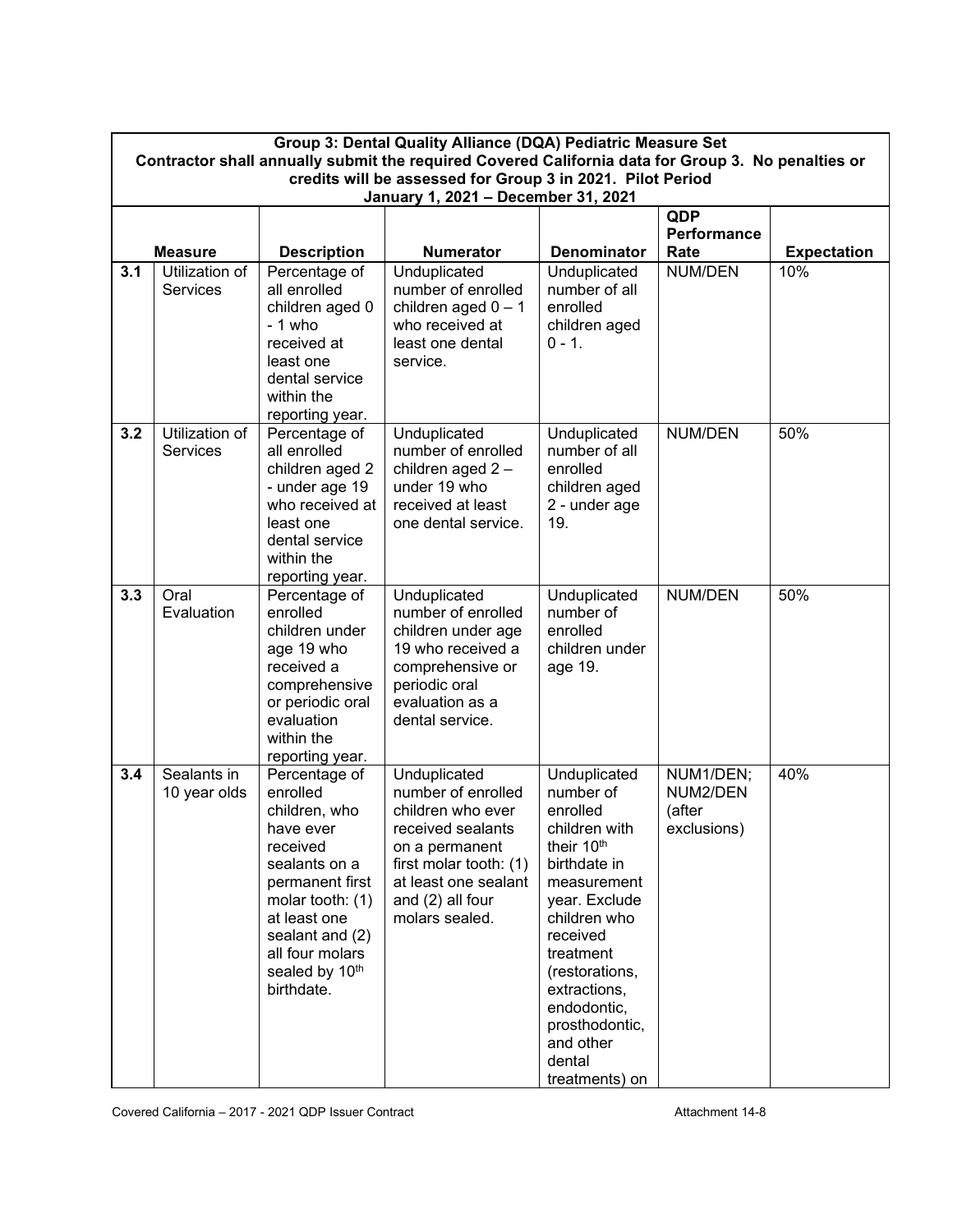|     | Group 3: Dental Quality Alliance (DQA) Pediatric Measure Set<br>Contractor shall annually submit the required Covered California data for Group 3. No penalties or<br>credits will be assessed for Group 3 in 2021. Pilot Period<br>January 1, 2021 - December 31, 2021 |                                    |                                             |                             |                     |                    |
|-----|-------------------------------------------------------------------------------------------------------------------------------------------------------------------------------------------------------------------------------------------------------------------------|------------------------------------|---------------------------------------------|-----------------------------|---------------------|--------------------|
|     |                                                                                                                                                                                                                                                                         |                                    |                                             |                             | QDP                 |                    |
|     | <b>Measure</b>                                                                                                                                                                                                                                                          | <b>Description</b>                 | <b>Numerator</b>                            | Denominator                 | Performance<br>Rate | <b>Expectation</b> |
| 3.1 | Utilization of                                                                                                                                                                                                                                                          | Percentage of                      | Unduplicated                                | Unduplicated                | NUM/DEN             | 10%                |
|     | <b>Services</b>                                                                                                                                                                                                                                                         | all enrolled                       | number of enrolled<br>children aged $0 - 1$ | number of all<br>enrolled   |                     |                    |
|     |                                                                                                                                                                                                                                                                         | children aged 0<br>- 1 who         | who received at                             | children aged               |                     |                    |
|     |                                                                                                                                                                                                                                                                         | received at                        | least one dental                            | $0 - 1.$                    |                     |                    |
|     |                                                                                                                                                                                                                                                                         | least one                          | service.                                    |                             |                     |                    |
|     |                                                                                                                                                                                                                                                                         | dental service                     |                                             |                             |                     |                    |
|     |                                                                                                                                                                                                                                                                         | within the                         |                                             |                             |                     |                    |
| 3.2 | Utilization of                                                                                                                                                                                                                                                          | reporting year.<br>Percentage of   | Unduplicated                                | Unduplicated                | NUM/DEN             | 50%                |
|     | <b>Services</b>                                                                                                                                                                                                                                                         | all enrolled                       | number of enrolled                          | number of all               |                     |                    |
|     |                                                                                                                                                                                                                                                                         | children aged 2                    | children aged 2-                            | enrolled                    |                     |                    |
|     |                                                                                                                                                                                                                                                                         | - under age 19                     | under 19 who                                | children aged               |                     |                    |
|     |                                                                                                                                                                                                                                                                         | who received at                    | received at least                           | 2 - under age               |                     |                    |
|     |                                                                                                                                                                                                                                                                         | least one<br>dental service        | one dental service.                         | 19.                         |                     |                    |
|     |                                                                                                                                                                                                                                                                         | within the                         |                                             |                             |                     |                    |
|     |                                                                                                                                                                                                                                                                         | reporting year.                    |                                             |                             |                     |                    |
| 3.3 | Oral                                                                                                                                                                                                                                                                    | Percentage of                      | Unduplicated                                | Unduplicated                | NUM/DEN             | 50%                |
|     | Evaluation                                                                                                                                                                                                                                                              | enrolled<br>children under         | number of enrolled<br>children under age    | number of<br>enrolled       |                     |                    |
|     |                                                                                                                                                                                                                                                                         | age 19 who                         | 19 who received a                           | children under              |                     |                    |
|     |                                                                                                                                                                                                                                                                         | received a                         | comprehensive or                            | age 19.                     |                     |                    |
|     |                                                                                                                                                                                                                                                                         | comprehensive                      | periodic oral                               |                             |                     |                    |
|     |                                                                                                                                                                                                                                                                         | or periodic oral                   | evaluation as a                             |                             |                     |                    |
|     |                                                                                                                                                                                                                                                                         | evaluation<br>within the           | dental service.                             |                             |                     |                    |
|     |                                                                                                                                                                                                                                                                         | reporting year.                    |                                             |                             |                     |                    |
| 3.4 | Sealants in                                                                                                                                                                                                                                                             | Percentage of                      | Unduplicated                                | Unduplicated                | NUM1/DEN;           | 40%                |
|     | 10 year olds                                                                                                                                                                                                                                                            | enrolled                           | number of enrolled                          | number of                   | NUM2/DEN            |                    |
|     |                                                                                                                                                                                                                                                                         | children, who                      | children who ever                           | enrolled                    | (after              |                    |
|     |                                                                                                                                                                                                                                                                         | have ever<br>received              | received sealants<br>on a permanent         | children with<br>their 10th | exclusions)         |                    |
|     |                                                                                                                                                                                                                                                                         | sealants on a                      | first molar tooth: (1)                      | birthdate in                |                     |                    |
|     |                                                                                                                                                                                                                                                                         | permanent first                    | at least one sealant                        | measurement                 |                     |                    |
|     |                                                                                                                                                                                                                                                                         | molar tooth: (1)                   | and (2) all four                            | year. Exclude               |                     |                    |
|     |                                                                                                                                                                                                                                                                         | at least one                       | molars sealed.                              | children who                |                     |                    |
|     |                                                                                                                                                                                                                                                                         | sealant and (2)<br>all four molars |                                             | received<br>treatment       |                     |                    |
|     |                                                                                                                                                                                                                                                                         | sealed by 10th                     |                                             | (restorations,              |                     |                    |
|     |                                                                                                                                                                                                                                                                         | birthdate.                         |                                             | extractions,                |                     |                    |
|     |                                                                                                                                                                                                                                                                         |                                    |                                             | endodontic,                 |                     |                    |
|     |                                                                                                                                                                                                                                                                         |                                    |                                             | prosthodontic,              |                     |                    |
|     |                                                                                                                                                                                                                                                                         |                                    |                                             | and other<br>dental         |                     |                    |
|     |                                                                                                                                                                                                                                                                         |                                    |                                             | treatments) on              |                     |                    |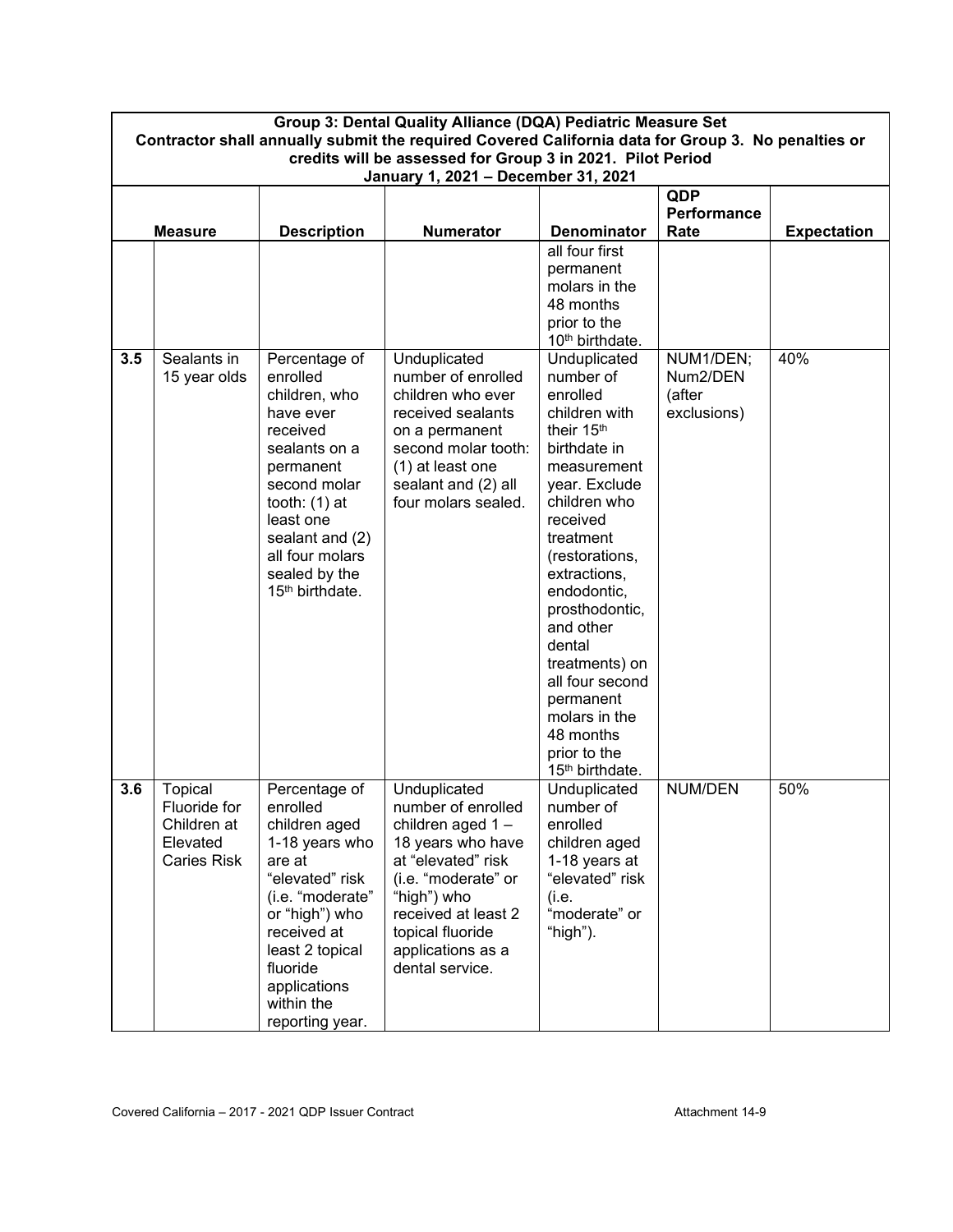| Group 3: Dental Quality Alliance (DQA) Pediatric Measure Set<br>Contractor shall annually submit the required Covered California data for Group 3. No penalties or |                                                                                                   |                                                                                                                                                                                                                                |                                                                                                                                                                                                                            |                                                                                                                                                                                                                                                                                                                                                                                        |                                                |                    |
|--------------------------------------------------------------------------------------------------------------------------------------------------------------------|---------------------------------------------------------------------------------------------------|--------------------------------------------------------------------------------------------------------------------------------------------------------------------------------------------------------------------------------|----------------------------------------------------------------------------------------------------------------------------------------------------------------------------------------------------------------------------|----------------------------------------------------------------------------------------------------------------------------------------------------------------------------------------------------------------------------------------------------------------------------------------------------------------------------------------------------------------------------------------|------------------------------------------------|--------------------|
|                                                                                                                                                                    | credits will be assessed for Group 3 in 2021. Pilot Period<br>January 1, 2021 - December 31, 2021 |                                                                                                                                                                                                                                |                                                                                                                                                                                                                            |                                                                                                                                                                                                                                                                                                                                                                                        |                                                |                    |
|                                                                                                                                                                    | <b>Measure</b>                                                                                    | <b>Description</b>                                                                                                                                                                                                             | <b>Numerator</b>                                                                                                                                                                                                           | <b>Denominator</b>                                                                                                                                                                                                                                                                                                                                                                     | QDP<br><b>Performance</b><br>Rate              | <b>Expectation</b> |
|                                                                                                                                                                    |                                                                                                   |                                                                                                                                                                                                                                |                                                                                                                                                                                                                            | all four first<br>permanent<br>molars in the<br>48 months<br>prior to the<br>10 <sup>th</sup> birthdate.                                                                                                                                                                                                                                                                               |                                                |                    |
| 3.5                                                                                                                                                                | Sealants in<br>15 year olds                                                                       | Percentage of<br>enrolled<br>children, who<br>have ever<br>received<br>sealants on a<br>permanent<br>second molar<br>tooth: $(1)$ at<br>least one<br>sealant and (2)<br>all four molars<br>sealed by the<br>$15th$ birthdate.  | Unduplicated<br>number of enrolled<br>children who ever<br>received sealants<br>on a permanent<br>second molar tooth:<br>(1) at least one<br>sealant and (2) all<br>four molars sealed.                                    | Unduplicated<br>number of<br>enrolled<br>children with<br>their 15th<br>birthdate in<br>measurement<br>year. Exclude<br>children who<br>received<br>treatment<br>(restorations,<br>extractions,<br>endodontic,<br>prosthodontic,<br>and other<br>dental<br>treatments) on<br>all four second<br>permanent<br>molars in the<br>48 months<br>prior to the<br>15 <sup>th</sup> birthdate. | NUM1/DEN;<br>Num2/DEN<br>(after<br>exclusions) | 40%                |
| 3.6                                                                                                                                                                | Topical<br>Fluoride for<br>Children at<br>Elevated<br>Caries Risk                                 | Percentage of<br>enrolled<br>children aged<br>1-18 years who<br>are at<br>"elevated" risk<br>(i.e. "moderate"<br>or "high") who<br>received at<br>least 2 topical<br>fluoride<br>applications<br>within the<br>reporting year. | Unduplicated<br>number of enrolled<br>children aged 1-<br>18 years who have<br>at "elevated" risk<br>(i.e. "moderate" or<br>"high") who<br>received at least 2<br>topical fluoride<br>applications as a<br>dental service. | Unduplicated<br>number of<br>enrolled<br>children aged<br>1-18 years at<br>"elevated" risk<br>(i.e.<br>"moderate" or<br>"high").                                                                                                                                                                                                                                                       | NUM/DEN                                        | 50%                |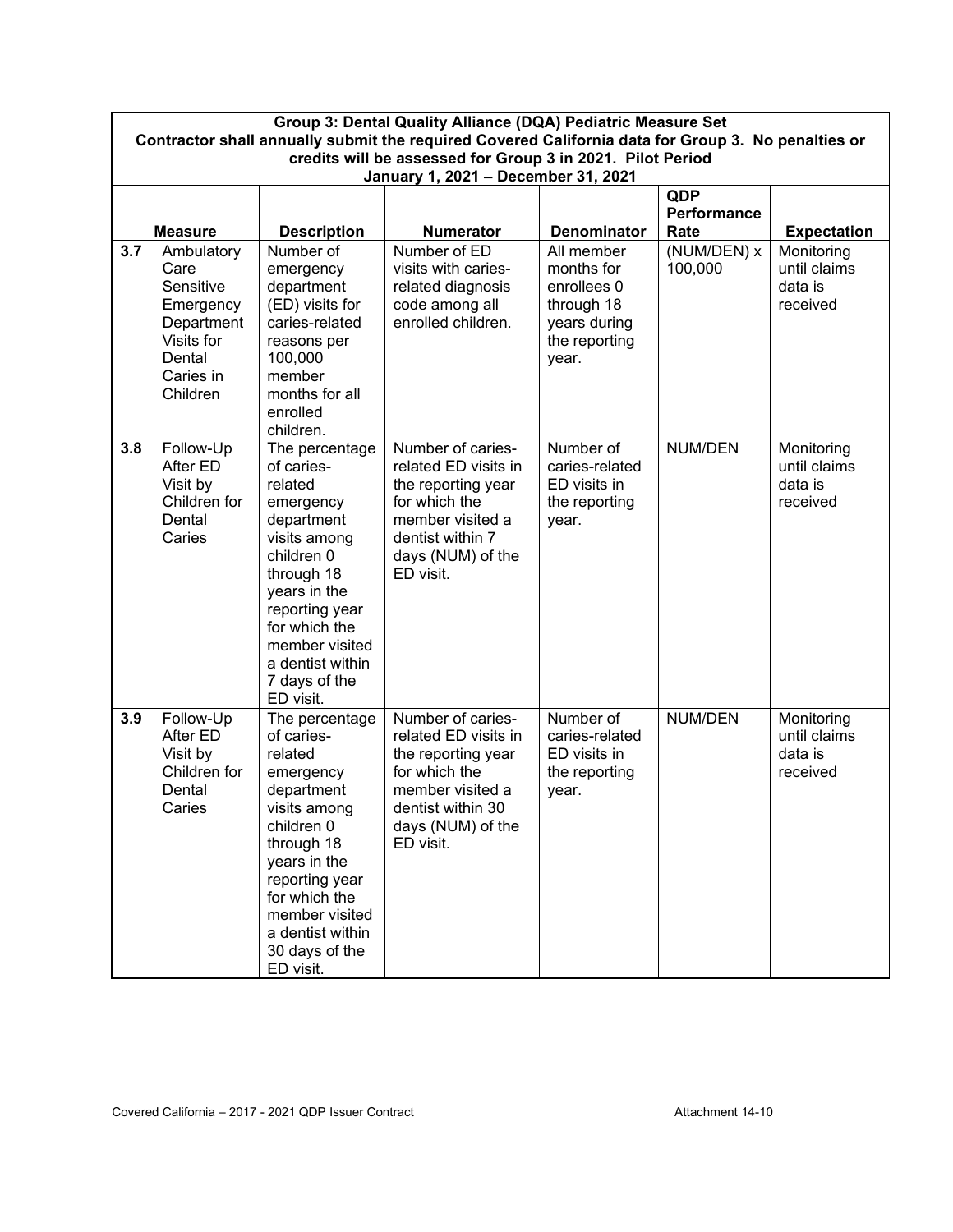| Group 3: Dental Quality Alliance (DQA) Pediatric Measure Set<br>Contractor shall annually submit the required Covered California data for Group 3. No penalties or |                                                                                                             |                                                                                                                                                                                                                                        |                                                                                                                                                             |                                                                                                 |                            |                                                   |
|--------------------------------------------------------------------------------------------------------------------------------------------------------------------|-------------------------------------------------------------------------------------------------------------|----------------------------------------------------------------------------------------------------------------------------------------------------------------------------------------------------------------------------------------|-------------------------------------------------------------------------------------------------------------------------------------------------------------|-------------------------------------------------------------------------------------------------|----------------------------|---------------------------------------------------|
|                                                                                                                                                                    | credits will be assessed for Group 3 in 2021. Pilot Period                                                  |                                                                                                                                                                                                                                        |                                                                                                                                                             |                                                                                                 |                            |                                                   |
|                                                                                                                                                                    | January 1, 2021 - December 31, 2021<br>QDP                                                                  |                                                                                                                                                                                                                                        |                                                                                                                                                             |                                                                                                 |                            |                                                   |
|                                                                                                                                                                    | <b>Measure</b>                                                                                              | <b>Description</b>                                                                                                                                                                                                                     | <b>Numerator</b>                                                                                                                                            | <b>Denominator</b>                                                                              | <b>Performance</b><br>Rate | <b>Expectation</b>                                |
| 3.7                                                                                                                                                                | Ambulatory<br>Care<br>Sensitive<br>Emergency<br>Department<br>Visits for<br>Dental<br>Caries in<br>Children | Number of<br>emergency<br>department<br>(ED) visits for<br>caries-related<br>reasons per<br>100,000<br>member<br>months for all<br>enrolled<br>children.                                                                               | Number of ED<br>visits with caries-<br>related diagnosis<br>code among all<br>enrolled children.                                                            | All member<br>months for<br>enrollees 0<br>through 18<br>years during<br>the reporting<br>year. | (NUM/DEN) x<br>100,000     | Monitoring<br>until claims<br>data is<br>received |
| 3.8                                                                                                                                                                | Follow-Up<br>After ED<br>Visit by<br>Children for<br>Dental<br>Caries                                       | The percentage<br>of caries-<br>related<br>emergency<br>department<br>visits among<br>children 0<br>through 18<br>years in the<br>reporting year<br>for which the<br>member visited<br>a dentist within<br>7 days of the<br>ED visit.  | Number of caries-<br>related ED visits in<br>the reporting year<br>for which the<br>member visited a<br>dentist within 7<br>days (NUM) of the<br>ED visit.  | Number of<br>caries-related<br>ED visits in<br>the reporting<br>year.                           | NUM/DEN                    | Monitoring<br>until claims<br>data is<br>received |
| 3.9                                                                                                                                                                | Follow-Up<br>After ED<br>Visit by<br>Children for<br>Dental<br>Caries                                       | The percentage<br>of caries-<br>related<br>emergency<br>department<br>visits among<br>children 0<br>through 18<br>years in the<br>reporting year<br>for which the<br>member visited<br>a dentist within<br>30 days of the<br>ED visit. | Number of caries-<br>related ED visits in<br>the reporting year<br>for which the<br>member visited a<br>dentist within 30<br>days (NUM) of the<br>ED visit. | Number of<br>caries-related<br>ED visits in<br>the reporting<br>year.                           | NUM/DEN                    | Monitoring<br>until claims<br>data is<br>received |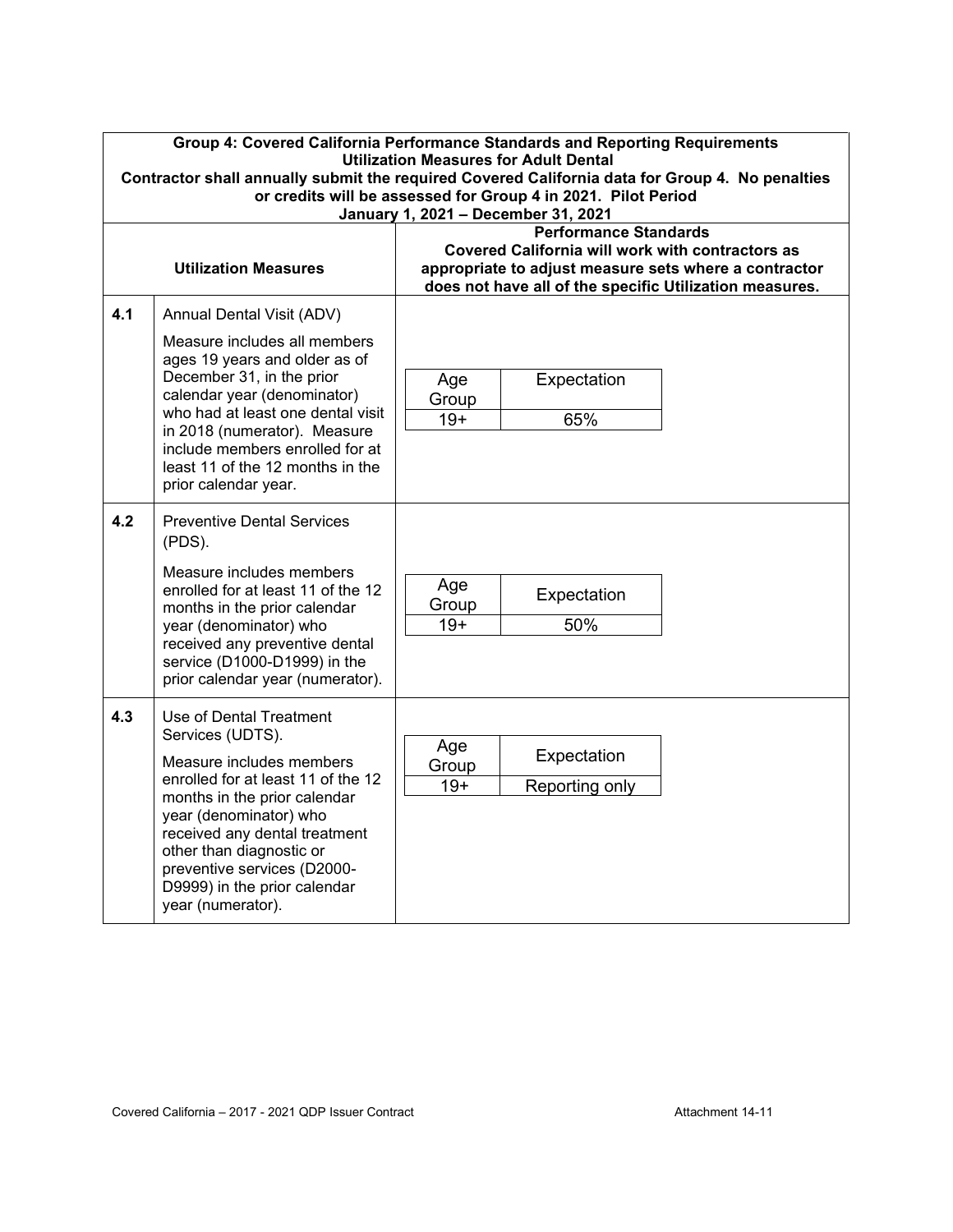|     | Group 4: Covered California Performance Standards and Reporting Requirements<br><b>Utilization Measures for Adult Dental</b><br>Contractor shall annually submit the required Covered California data for Group 4. No penalties<br>or credits will be assessed for Group 4 in 2021. Pilot Period<br>January 1, 2021 - December 31, 2021 |                                                                                                                                                                                                      |  |  |
|-----|-----------------------------------------------------------------------------------------------------------------------------------------------------------------------------------------------------------------------------------------------------------------------------------------------------------------------------------------|------------------------------------------------------------------------------------------------------------------------------------------------------------------------------------------------------|--|--|
|     | <b>Utilization Measures</b>                                                                                                                                                                                                                                                                                                             | <b>Performance Standards</b><br>Covered California will work with contractors as<br>appropriate to adjust measure sets where a contractor<br>does not have all of the specific Utilization measures. |  |  |
| 4.1 | Annual Dental Visit (ADV)<br>Measure includes all members<br>ages 19 years and older as of<br>December 31, in the prior<br>calendar year (denominator)<br>who had at least one dental visit<br>in 2018 (numerator). Measure<br>include members enrolled for at<br>least 11 of the 12 months in the<br>prior calendar year.              | Expectation<br>Age<br>Group<br>65%<br>$19+$                                                                                                                                                          |  |  |
| 4.2 | <b>Preventive Dental Services</b><br>(PDS).<br>Measure includes members<br>enrolled for at least 11 of the 12<br>months in the prior calendar<br>year (denominator) who<br>received any preventive dental<br>service (D1000-D1999) in the<br>prior calendar year (numerator).                                                           | Age<br>Expectation<br>Group<br>50%<br>$19+$                                                                                                                                                          |  |  |
| 4.3 | Use of Dental Treatment<br>Services (UDTS).<br>Measure includes members<br>enrolled for at least 11 of the 12<br>months in the prior calendar<br>year (denominator) who<br>received any dental treatment<br>other than diagnostic or<br>preventive services (D2000-<br>D9999) in the prior calendar<br>year (numerator).                | Age<br>Expectation<br>Group<br>$19+$<br>Reporting only                                                                                                                                               |  |  |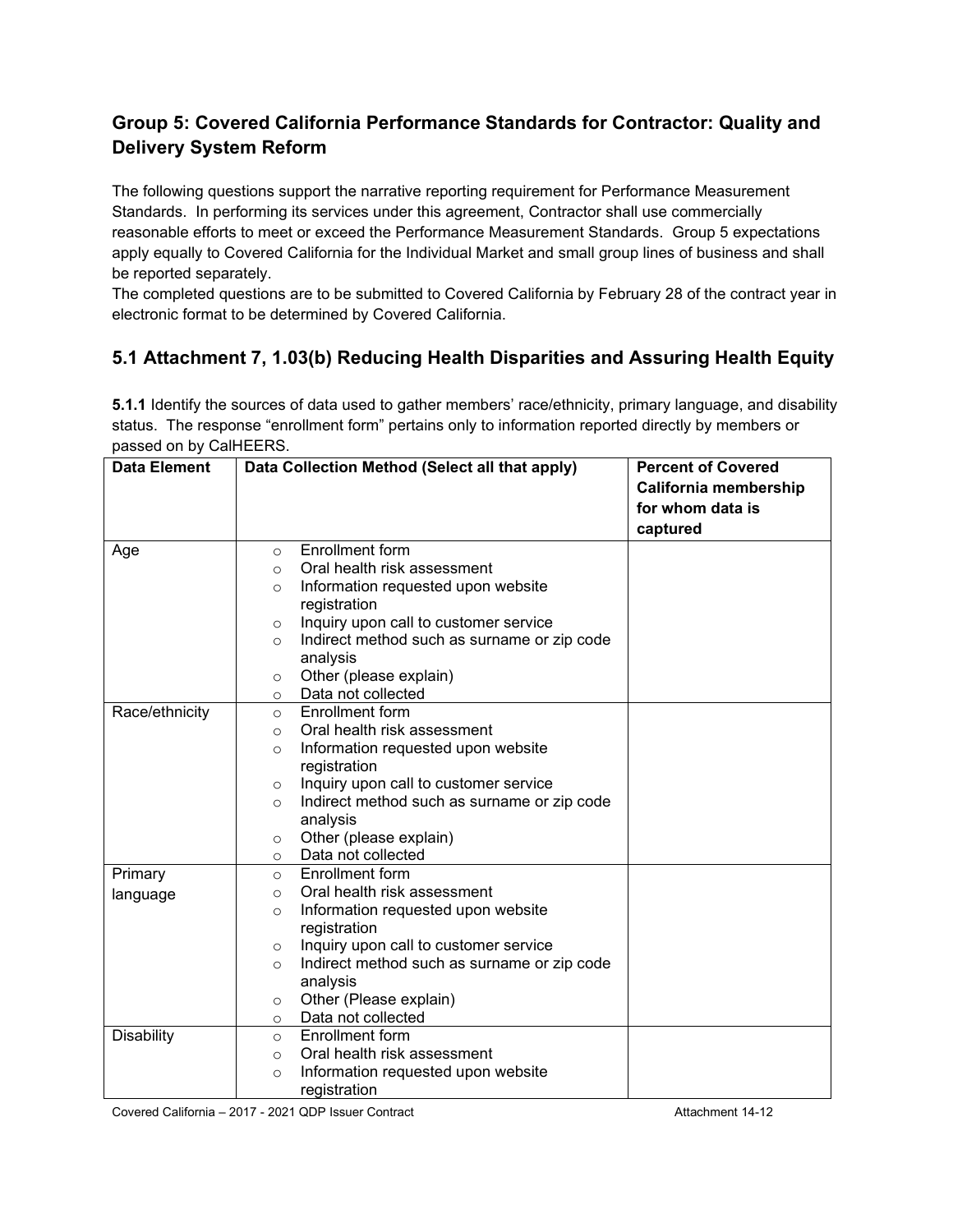# **Group 5: Covered California Performance Standards for Contractor: Quality and Delivery System Reform**

The following questions support the narrative reporting requirement for Performance Measurement Standards. In performing its services under this agreement, Contractor shall use commercially reasonable efforts to meet or exceed the Performance Measurement Standards. Group 5 expectations apply equally to Covered California for the Individual Market and small group lines of business and shall be reported separately.

The completed questions are to be submitted to Covered California by February 28 of the contract year in electronic format to be determined by Covered California.

# **5.1 Attachment 7, 1.03(b) Reducing Health Disparities and Assuring Health Equity**

**5.1.1** Identify the sources of data used to gather members' race/ethnicity, primary language, and disability status. The response "enrollment form" pertains only to information reported directly by members or passed on by CalHEERS.

| <b>Data Element</b> | Data Collection Method (Select all that apply)          | <b>Percent of Covered</b> |
|---------------------|---------------------------------------------------------|---------------------------|
|                     |                                                         | California membership     |
|                     |                                                         | for whom data is          |
|                     |                                                         | captured                  |
| Age                 | Enrollment form<br>$\circ$                              |                           |
|                     | Oral health risk assessment<br>$\Omega$                 |                           |
|                     | Information requested upon website<br>$\Omega$          |                           |
|                     | registration                                            |                           |
|                     | Inquiry upon call to customer service<br>$\circ$        |                           |
|                     | Indirect method such as surname or zip code<br>$\circ$  |                           |
|                     | analysis                                                |                           |
|                     | Other (please explain)<br>$\circ$                       |                           |
|                     | Data not collected<br>$\circ$                           |                           |
| Race/ethnicity      | <b>Enrollment form</b><br>$\circ$                       |                           |
|                     | Oral health risk assessment<br>$\circ$                  |                           |
|                     | Information requested upon website<br>$\Omega$          |                           |
|                     | registration                                            |                           |
|                     | Inquiry upon call to customer service<br>$\circ$        |                           |
|                     | Indirect method such as surname or zip code<br>$\circ$  |                           |
|                     | analysis                                                |                           |
|                     | Other (please explain)<br>$\circ$                       |                           |
|                     | Data not collected<br>$\circ$                           |                           |
| Primary             | Enrollment form<br>$\circ$                              |                           |
| language            | Oral health risk assessment<br>$\Omega$                 |                           |
|                     | Information requested upon website<br>$\circ$           |                           |
|                     | registration                                            |                           |
|                     | Inquiry upon call to customer service<br>$\circ$        |                           |
|                     | Indirect method such as surname or zip code<br>$\Omega$ |                           |
|                     | analysis                                                |                           |
|                     | Other (Please explain)<br>$\circ$                       |                           |
|                     | Data not collected<br>$\circ$                           |                           |
| <b>Disability</b>   | Enrollment form<br>$\circ$                              |                           |
|                     | Oral health risk assessment<br>$\Omega$                 |                           |
|                     | Information requested upon website<br>$\circ$           |                           |
|                     | registration                                            |                           |

Covered California – 2017 - 2021 QDP Issuer Contract Attachment 14-12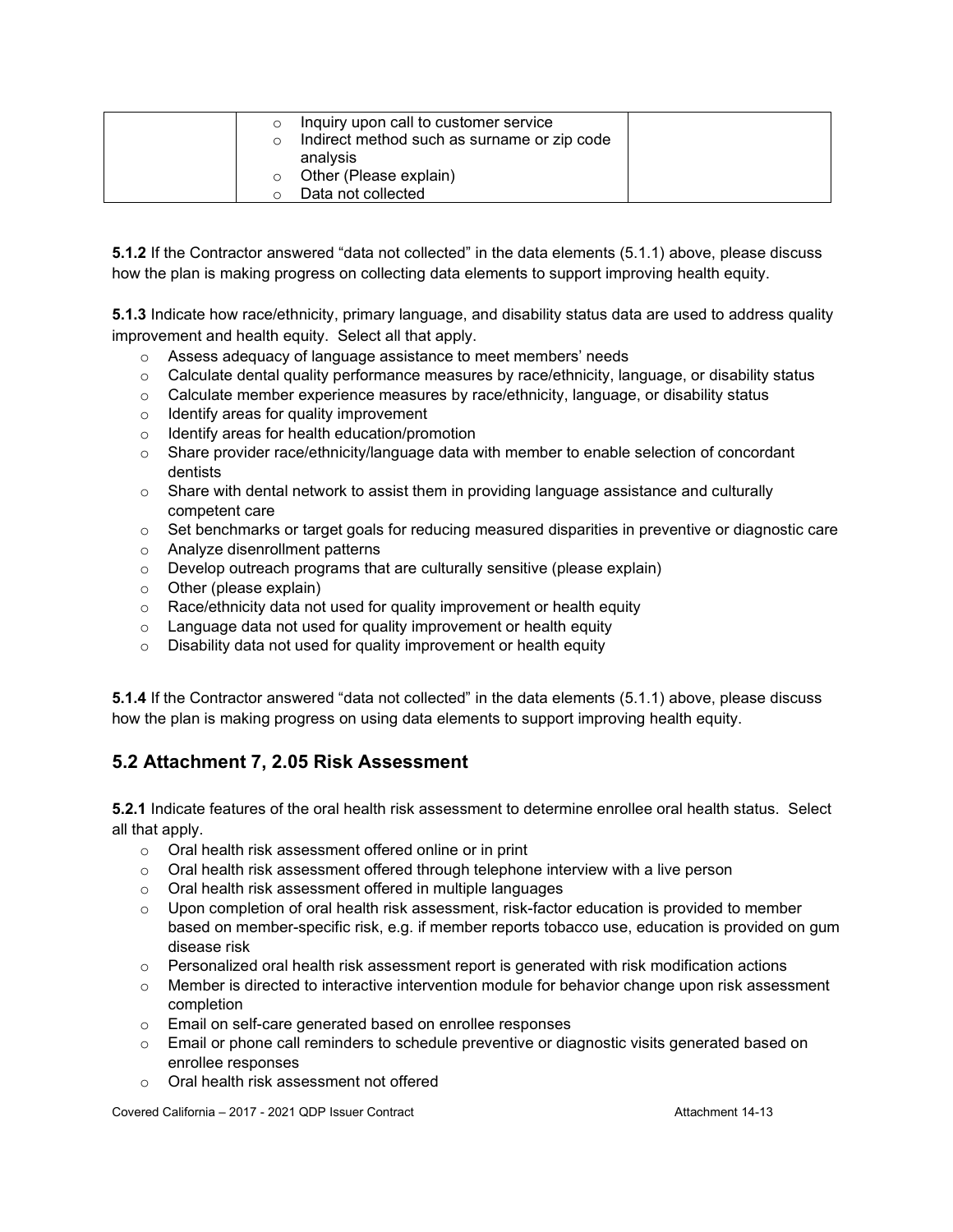|  | Inquiry upon call to customer service       |  |
|--|---------------------------------------------|--|
|  | Indirect method such as surname or zip code |  |
|  | analysis                                    |  |
|  | Other (Please explain)                      |  |
|  | Data not collected                          |  |

**5.1.2** If the Contractor answered "data not collected" in the data elements (5.1.1) above, please discuss how the plan is making progress on collecting data elements to support improving health equity.

**5.1.3** Indicate how race/ethnicity, primary language, and disability status data are used to address quality improvement and health equity. Select all that apply.

- o Assess adequacy of language assistance to meet members' needs
- $\circ$  Calculate dental quality performance measures by race/ethnicity, language, or disability status
- $\circ$  Calculate member experience measures by race/ethnicity, language, or disability status
- o Identify areas for quality improvement
- o Identify areas for health education/promotion
- o Share provider race/ethnicity/language data with member to enable selection of concordant dentists
- $\circ$  Share with dental network to assist them in providing language assistance and culturally competent care
- o Set benchmarks or target goals for reducing measured disparities in preventive or diagnostic care
- o Analyze disenrollment patterns
- o Develop outreach programs that are culturally sensitive (please explain)
- o Other (please explain)
- o Race/ethnicity data not used for quality improvement or health equity
- $\circ$  Language data not used for quality improvement or health equity
- $\circ$  Disability data not used for quality improvement or health equity

**5.1.4** If the Contractor answered "data not collected" in the data elements (5.1.1) above, please discuss how the plan is making progress on using data elements to support improving health equity.

### **5.2 Attachment 7, 2.05 Risk Assessment**

**5.2.1** Indicate features of the oral health risk assessment to determine enrollee oral health status. Select all that apply.

- o Oral health risk assessment offered online or in print
- $\circ$  Oral health risk assessment offered through telephone interview with a live person
- o Oral health risk assessment offered in multiple languages
- $\circ$  Upon completion of oral health risk assessment, risk-factor education is provided to member based on member-specific risk, e.g. if member reports tobacco use, education is provided on gum disease risk
- $\circ$  Personalized oral health risk assessment report is generated with risk modification actions
- $\circ$  Member is directed to interactive intervention module for behavior change upon risk assessment completion
- o Email on self-care generated based on enrollee responses
- $\circ$  Email or phone call reminders to schedule preventive or diagnostic visits generated based on enrollee responses
- o Oral health risk assessment not offered

Covered California – 2017 - 2021 QDP Issuer Contract Attachment 14-13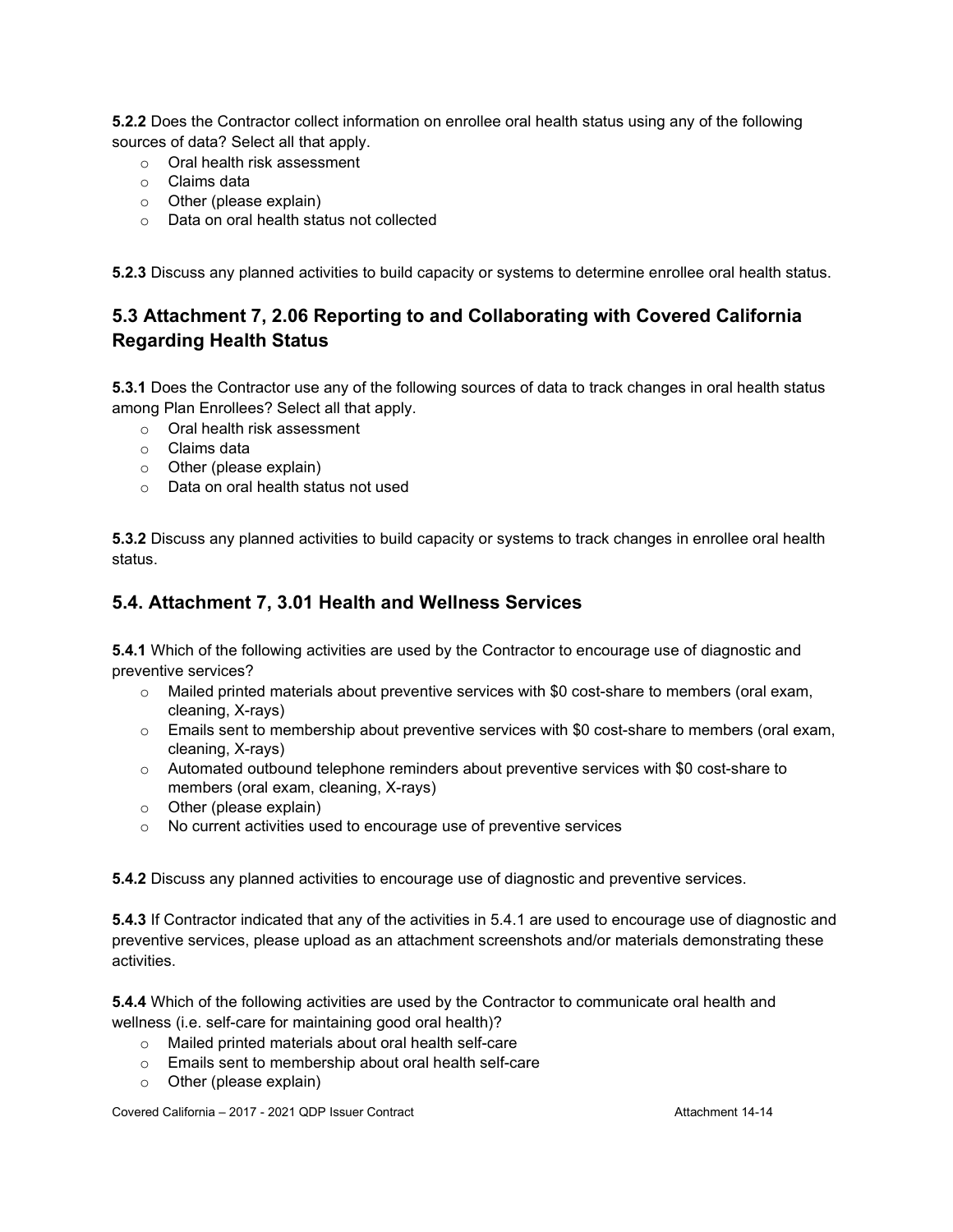**5.2.2** Does the Contractor collect information on enrollee oral health status using any of the following sources of data? Select all that apply.

- o Oral health risk assessment
- o Claims data
- o Other (please explain)
- o Data on oral health status not collected

**5.2.3** Discuss any planned activities to build capacity or systems to determine enrollee oral health status.

## **5.3 Attachment 7, 2.06 Reporting to and Collaborating with Covered California Regarding Health Status**

**5.3.1** Does the Contractor use any of the following sources of data to track changes in oral health status among Plan Enrollees? Select all that apply.

- o Oral health risk assessment
- o Claims data
- o Other (please explain)
- o Data on oral health status not used

**5.3.2** Discuss any planned activities to build capacity or systems to track changes in enrollee oral health status.

### **5.4. Attachment 7, 3.01 Health and Wellness Services**

**5.4.1** Which of the following activities are used by the Contractor to encourage use of diagnostic and preventive services?

- $\circ$  Mailed printed materials about preventive services with \$0 cost-share to members (oral exam, cleaning, X-rays)
- o Emails sent to membership about preventive services with \$0 cost-share to members (oral exam, cleaning, X-rays)
- $\circ$  Automated outbound telephone reminders about preventive services with \$0 cost-share to members (oral exam, cleaning, X-rays)
- o Other (please explain)
- o No current activities used to encourage use of preventive services

**5.4.2** Discuss any planned activities to encourage use of diagnostic and preventive services.

**5.4.3** If Contractor indicated that any of the activities in 5.4.1 are used to encourage use of diagnostic and preventive services, please upload as an attachment screenshots and/or materials demonstrating these activities.

**5.4.4** Which of the following activities are used by the Contractor to communicate oral health and wellness (i.e. self-care for maintaining good oral health)?

- o Mailed printed materials about oral health self-care
- o Emails sent to membership about oral health self-care
- o Other (please explain)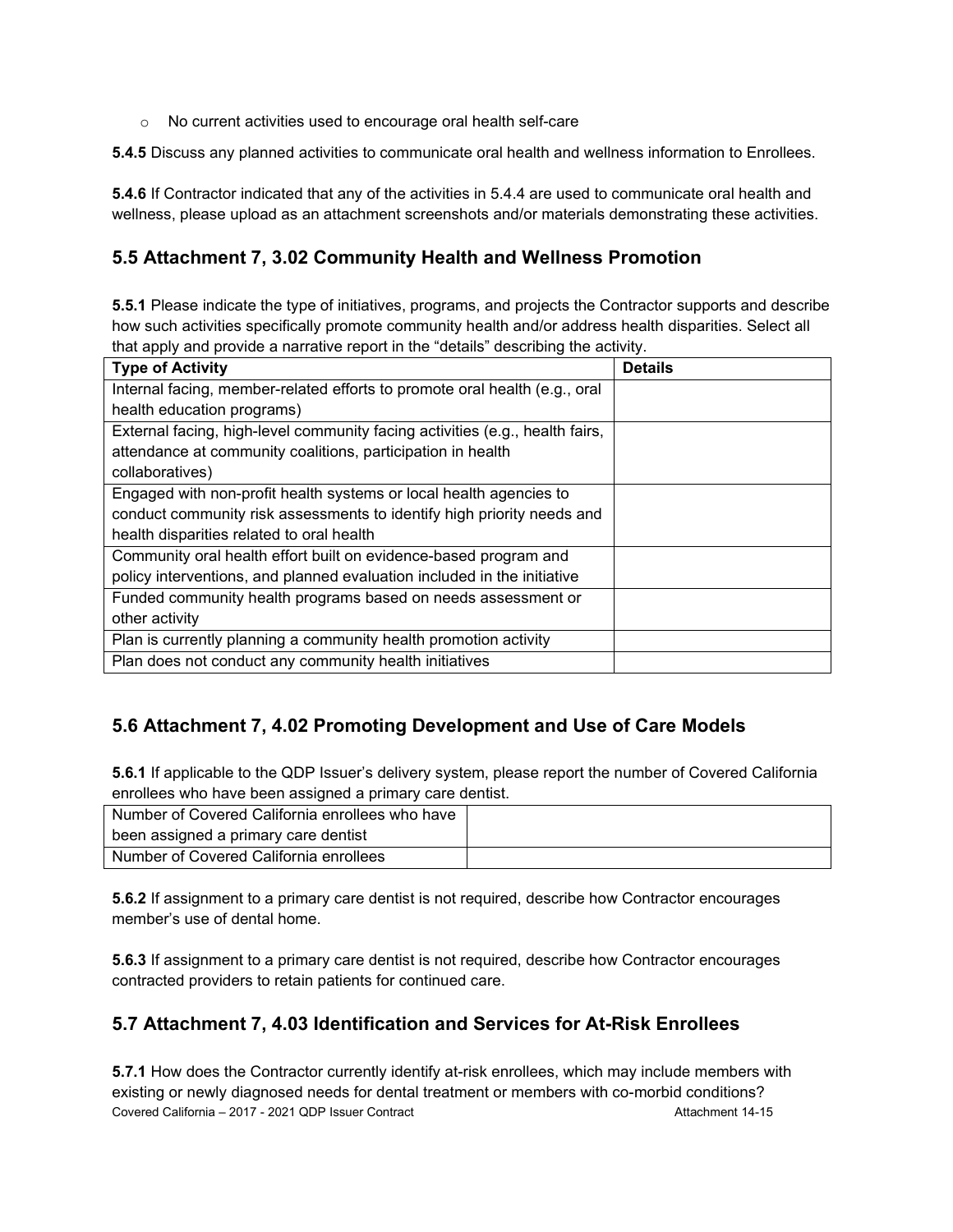o No current activities used to encourage oral health self-care

**5.4.5** Discuss any planned activities to communicate oral health and wellness information to Enrollees.

**5.4.6** If Contractor indicated that any of the activities in 5.4.4 are used to communicate oral health and wellness, please upload as an attachment screenshots and/or materials demonstrating these activities.

### **5.5 Attachment 7, 3.02 Community Health and Wellness Promotion**

**5.5.1** Please indicate the type of initiatives, programs, and projects the Contractor supports and describe how such activities specifically promote community health and/or address health disparities. Select all that apply and provide a narrative report in the "details" describing the activity.

| <b>Type of Activity</b>                                                      | <b>Details</b> |
|------------------------------------------------------------------------------|----------------|
| Internal facing, member-related efforts to promote oral health (e.g., oral   |                |
| health education programs)                                                   |                |
| External facing, high-level community facing activities (e.g., health fairs, |                |
| attendance at community coalitions, participation in health                  |                |
| collaboratives)                                                              |                |
| Engaged with non-profit health systems or local health agencies to           |                |
| conduct community risk assessments to identify high priority needs and       |                |
| health disparities related to oral health                                    |                |
| Community oral health effort built on evidence-based program and             |                |
| policy interventions, and planned evaluation included in the initiative      |                |
| Funded community health programs based on needs assessment or                |                |
| other activity                                                               |                |
| Plan is currently planning a community health promotion activity             |                |
| Plan does not conduct any community health initiatives                       |                |

### **5.6 Attachment 7, 4.02 Promoting Development and Use of Care Models**

**5.6.1** If applicable to the QDP Issuer's delivery system, please report the number of Covered California enrollees who have been assigned a primary care dentist.

| Number of Covered California enrollees who have |  |
|-------------------------------------------------|--|
| been assigned a primary care dentist            |  |
| Number of Covered California enrollees          |  |

**5.6.2** If assignment to a primary care dentist is not required, describe how Contractor encourages member's use of dental home.

**5.6.3** If assignment to a primary care dentist is not required, describe how Contractor encourages contracted providers to retain patients for continued care.

### **5.7 Attachment 7, 4.03 Identification and Services for At-Risk Enrollees**

Covered California – 2017 - 2021 QDP Issuer Contract Attachment 14-15 **5.7.1** How does the Contractor currently identify at-risk enrollees, which may include members with existing or newly diagnosed needs for dental treatment or members with co-morbid conditions?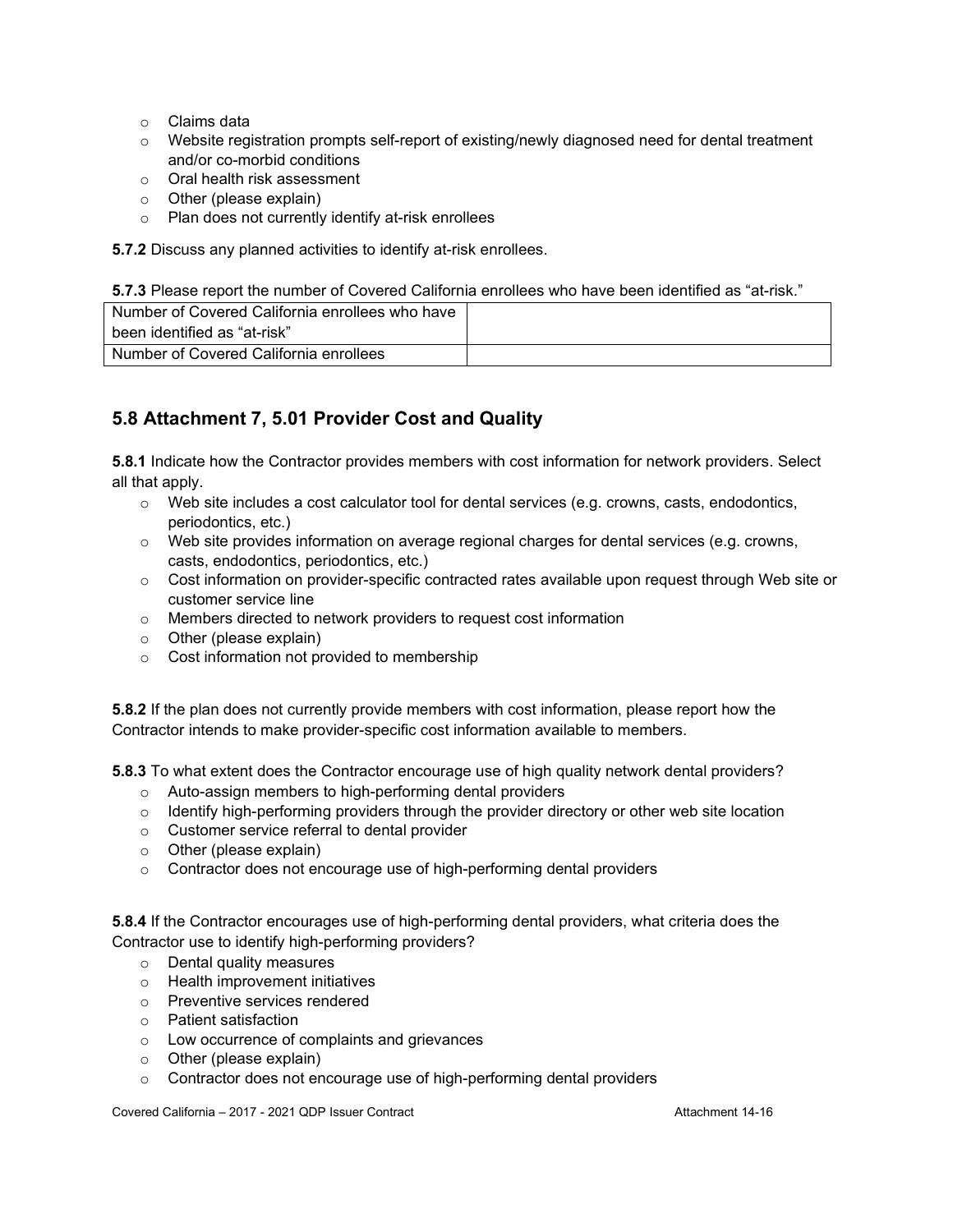- o Claims data
- $\circ$  Website registration prompts self-report of existing/newly diagnosed need for dental treatment and/or co-morbid conditions
- o Oral health risk assessment
- o Other (please explain)
- o Plan does not currently identify at-risk enrollees

**5.7.2** Discuss any planned activities to identify at-risk enrollees.

**5.7.3** Please report the number of Covered California enrollees who have been identified as "at-risk."

| Number of Covered California enrollees who have |  |
|-------------------------------------------------|--|
| been identified as "at-risk"                    |  |
| Number of Covered California enrollees          |  |

## **5.8 Attachment 7, 5.01 Provider Cost and Quality**

**5.8.1** Indicate how the Contractor provides members with cost information for network providers. Select all that apply.

- o Web site includes a cost calculator tool for dental services (e.g. crowns, casts, endodontics, periodontics, etc.)
- $\circ$  Web site provides information on average regional charges for dental services (e.g. crowns, casts, endodontics, periodontics, etc.)
- o Cost information on provider-specific contracted rates available upon request through Web site or customer service line
- o Members directed to network providers to request cost information
- o Other (please explain)
- o Cost information not provided to membership

**5.8.2** If the plan does not currently provide members with cost information, please report how the Contractor intends to make provider-specific cost information available to members.

**5.8.3** To what extent does the Contractor encourage use of high quality network dental providers?

- o Auto-assign members to high-performing dental providers
- $\circ$  Identify high-performing providers through the provider directory or other web site location
- o Customer service referral to dental provider
- o Other (please explain)
- o Contractor does not encourage use of high-performing dental providers

**5.8.4** If the Contractor encourages use of high-performing dental providers, what criteria does the Contractor use to identify high-performing providers?

- o Dental quality measures
- o Health improvement initiatives
- o Preventive services rendered
- o Patient satisfaction
- o Low occurrence of complaints and grievances
- o Other (please explain)
- o Contractor does not encourage use of high-performing dental providers

Covered California – 2017 - 2021 QDP Issuer Contract Attachment 14-16